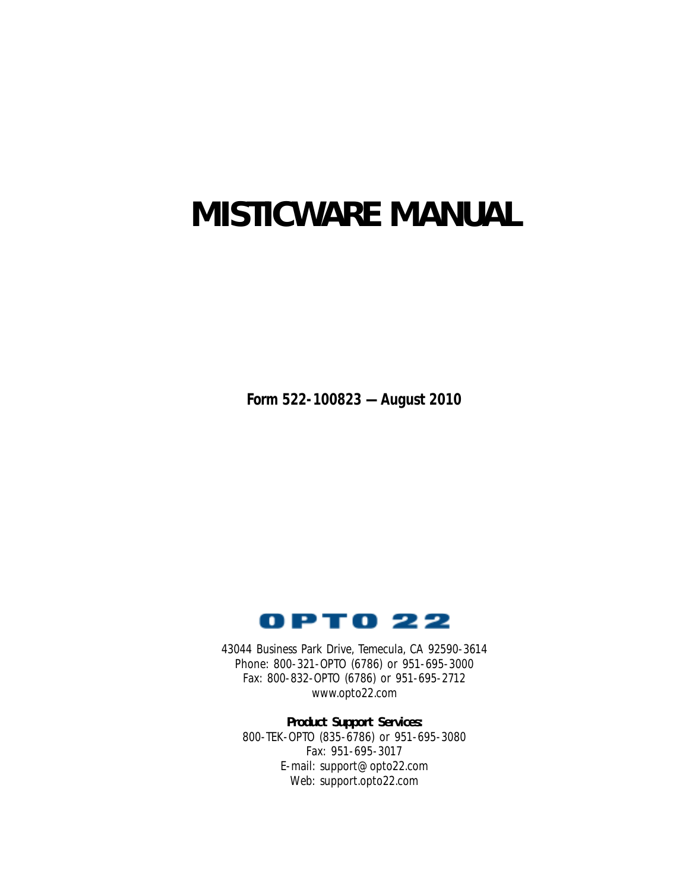# **MISTICWARE MANUAL**

**Form 522-100823 — August 2010**



43044 Business Park Drive, Temecula, CA 92590-3614 Phone: 800-321-OPTO (6786) or 951-695-3000 Fax: 800-832-OPTO (6786) or 951-695-2712 www.opto22.com

**Product Support Services:** 800-TEK-OPTO (835-6786) or 951-695-3080 Fax: 951-695-3017 E-mail: support@opto22.com Web: support.opto22.com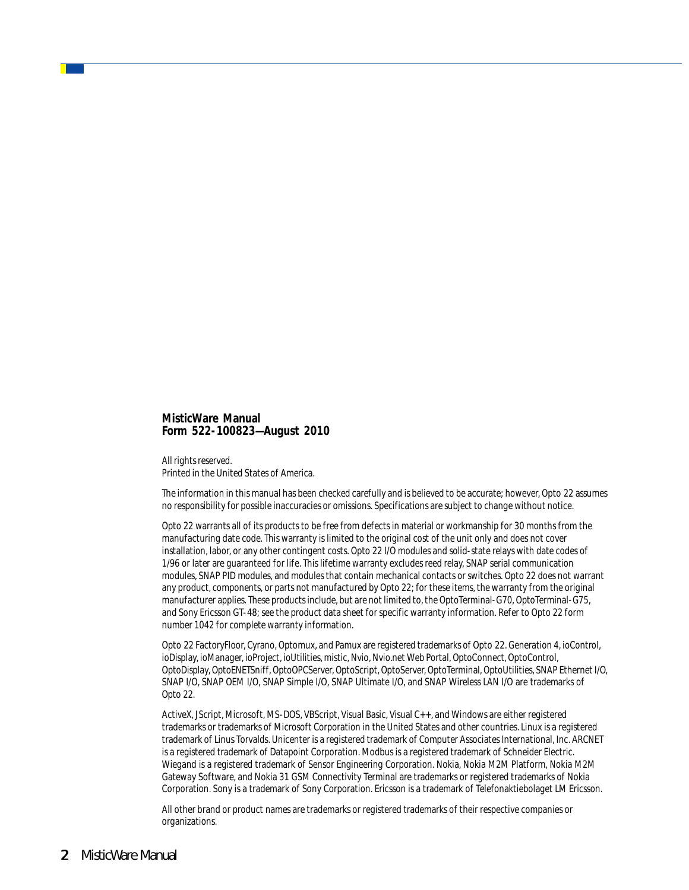#### **MisticWare Manual Form 522-100823—August 2010**

All rights reserved. Printed in the United States of America.

The information in this manual has been checked carefully and is believed to be accurate; however, Opto 22 assumes no responsibility for possible inaccuracies or omissions. Specifications are subject to change without notice.

Opto 22 warrants all of its products to be free from defects in material or workmanship for 30 months from the manufacturing date code. This warranty is limited to the original cost of the unit only and does not cover installation, labor, or any other contingent costs. Opto 22 I/O modules and solid-state relays with date codes of 1/96 or later are guaranteed for life. This lifetime warranty excludes reed relay, SNAP serial communication modules, SNAP PID modules, and modules that contain mechanical contacts or switches. Opto 22 does not warrant any product, components, or parts not manufactured by Opto 22; for these items, the warranty from the original manufacturer applies. These products include, but are not limited to, the OptoTerminal-G70, OptoTerminal-G75, and Sony Ericsson GT-48; see the product data sheet for specific warranty information. Refer to Opto 22 form number 1042 for complete warranty information.

Opto 22 FactoryFloor, Cyrano, Optomux, and Pamux are registered trademarks of Opto 22. Generation 4, ioControl, ioDisplay, ioManager, ioProject, ioUtilities, mistic, Nvio, Nvio.net Web Portal, OptoConnect, OptoControl, OptoDisplay, OptoENETSniff, OptoOPCServer, OptoScript, OptoServer, OptoTerminal, OptoUtilities, SNAP Ethernet I/O, SNAP I/O, SNAP OEM I/O, SNAP Simple I/O, SNAP Ultimate I/O, and SNAP Wireless LAN I/O are trademarks of Opto 22.

ActiveX, JScript, Microsoft, MS-DOS, VBScript, Visual Basic, Visual C++, and Windows are either registered trademarks or trademarks of Microsoft Corporation in the United States and other countries. Linux is a registered trademark of Linus Torvalds. Unicenter is a registered trademark of Computer Associates International, Inc. ARCNET is a registered trademark of Datapoint Corporation. Modbus is a registered trademark of Schneider Electric. Wiegand is a registered trademark of Sensor Engineering Corporation. Nokia, Nokia M2M Platform, Nokia M2M Gateway Software, and Nokia 31 GSM Connectivity Terminal are trademarks or registered trademarks of Nokia Corporation. Sony is a trademark of Sony Corporation. Ericsson is a trademark of Telefonaktiebolaget LM Ericsson.

All other brand or product names are trademarks or registered trademarks of their respective companies or organizations.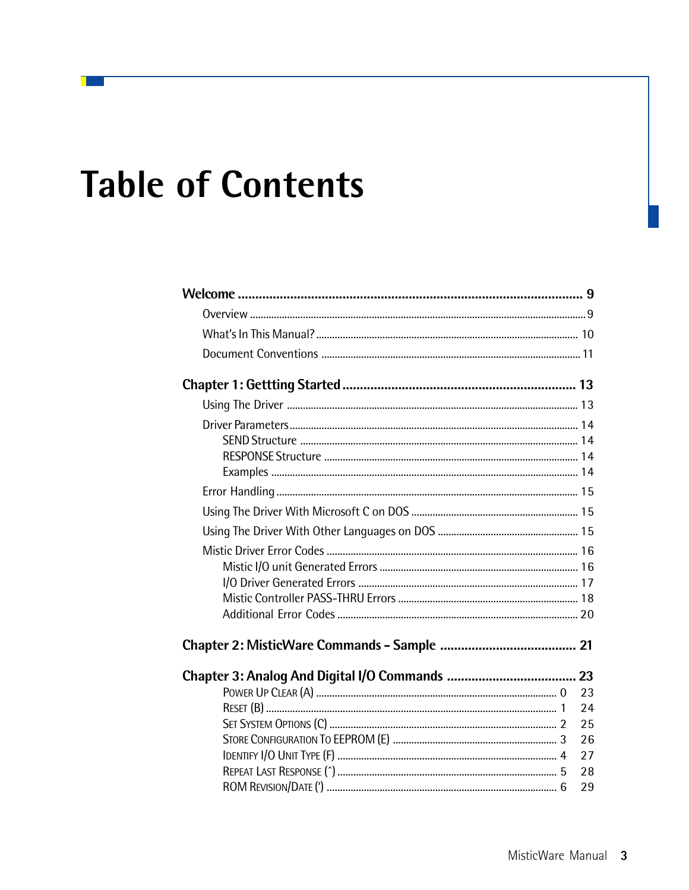# **Table of Contents**

| 23<br>24 |
|----------|
| 25<br>26 |
| 27<br>28 |
| 29       |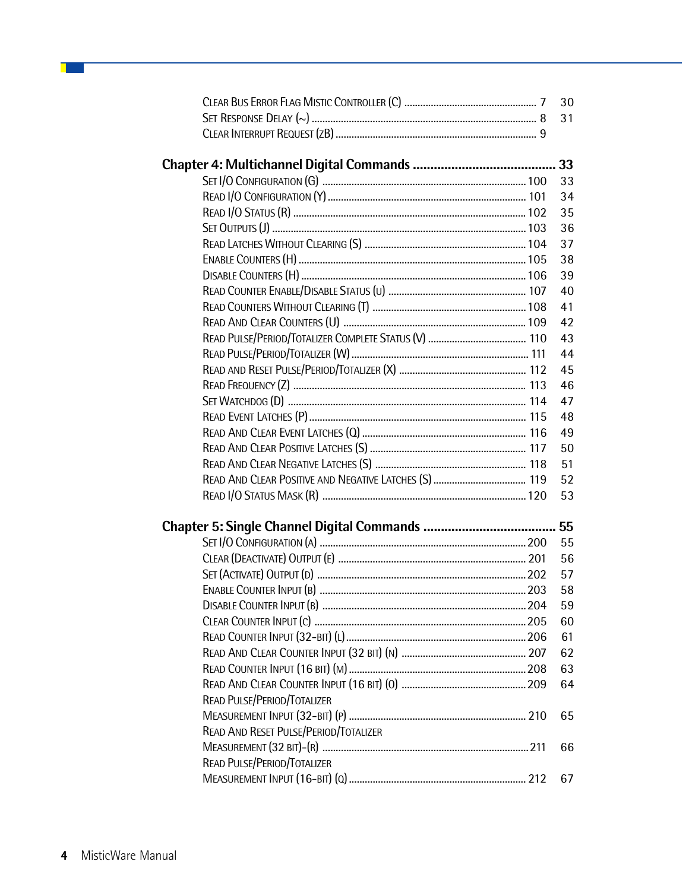|                                              | 30 |
|----------------------------------------------|----|
|                                              | 31 |
|                                              |    |
|                                              | 33 |
|                                              | 33 |
|                                              | 34 |
|                                              | 35 |
|                                              | 36 |
|                                              | 37 |
|                                              | 38 |
|                                              | 39 |
|                                              | 40 |
|                                              | 41 |
|                                              | 42 |
|                                              | 43 |
|                                              | 44 |
|                                              | 45 |
|                                              | 46 |
|                                              | 47 |
|                                              | 48 |
|                                              | 49 |
|                                              | 50 |
|                                              | 51 |
|                                              | 52 |
|                                              | 53 |
|                                              |    |
|                                              | 55 |
|                                              | 56 |
|                                              | 57 |
|                                              | 58 |
|                                              | 59 |
|                                              | 60 |
|                                              | 61 |
|                                              | 62 |
|                                              | 63 |
|                                              | 64 |
| <b>READ PULSE/PERIOD/TOTALIZER</b>           |    |
|                                              | 65 |
| <b>READ AND RESET PULSE/PERIOD/TOTALIZER</b> |    |
|                                              | 66 |
| <b>READ PULSE/PERIOD/TOTALIZER</b>           |    |
|                                              | 67 |

**T**he Co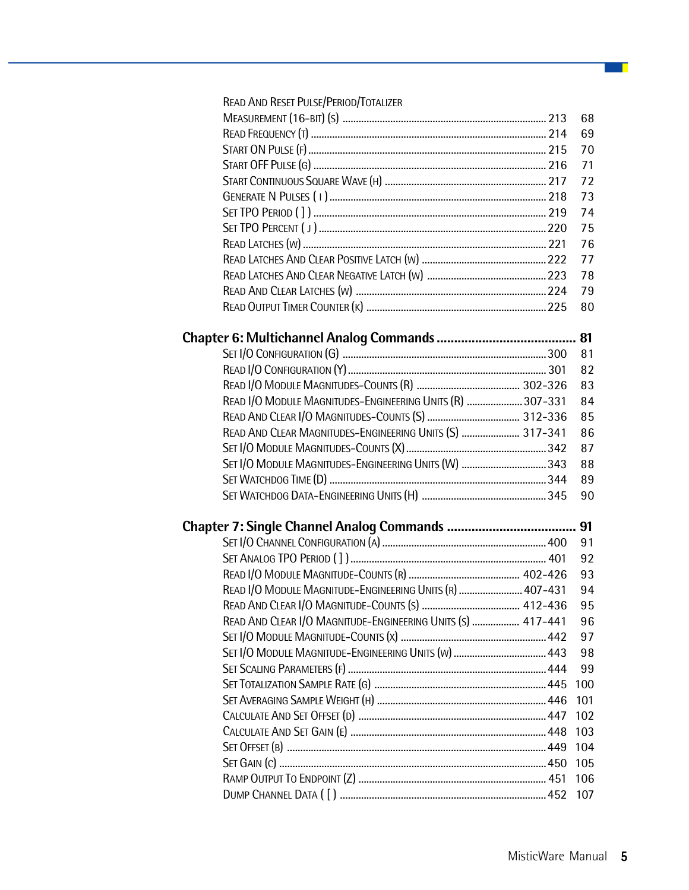| <b>READ AND RESET PULSE/PERIOD/TOTALIZER</b>                |     |
|-------------------------------------------------------------|-----|
|                                                             | 68  |
|                                                             | 69  |
|                                                             | 70  |
|                                                             | 71  |
|                                                             | 72  |
|                                                             | 73  |
|                                                             | 74  |
|                                                             | 75  |
|                                                             | 76  |
|                                                             | 77  |
|                                                             | 78  |
|                                                             | 79  |
|                                                             | 80  |
|                                                             |     |
|                                                             | 81  |
|                                                             | 82  |
|                                                             | 83  |
| READ I/O MODULE MAGNITUDES-ENGINEERING UNITS (R)  307-331   | 84  |
|                                                             | 85  |
| READ AND CLEAR MAGNITUDES-ENGINEERING UNITS (S)  317-341    | 86  |
|                                                             | 87  |
| SET I/O MODULE MAGNITUDES-ENGINEERING UNITS (W)  343        | 88  |
|                                                             | 89  |
|                                                             | 90  |
|                                                             |     |
|                                                             | 91  |
|                                                             | 92  |
|                                                             | 93  |
| READ I/O MODULE MAGNITUDE-ENGINEERING UNITS (R)  407-431    | 94  |
|                                                             | 95  |
| READ AND CLEAR I/O MAGNITUDE-ENGINEERING UNITS (S)  417-441 | 96  |
|                                                             | 97  |
|                                                             | 98  |
|                                                             | 99  |
|                                                             | 100 |
|                                                             | 101 |
|                                                             | 102 |
|                                                             | 103 |
|                                                             | 104 |
|                                                             | 105 |
|                                                             | 106 |
|                                                             | 107 |

**Tara**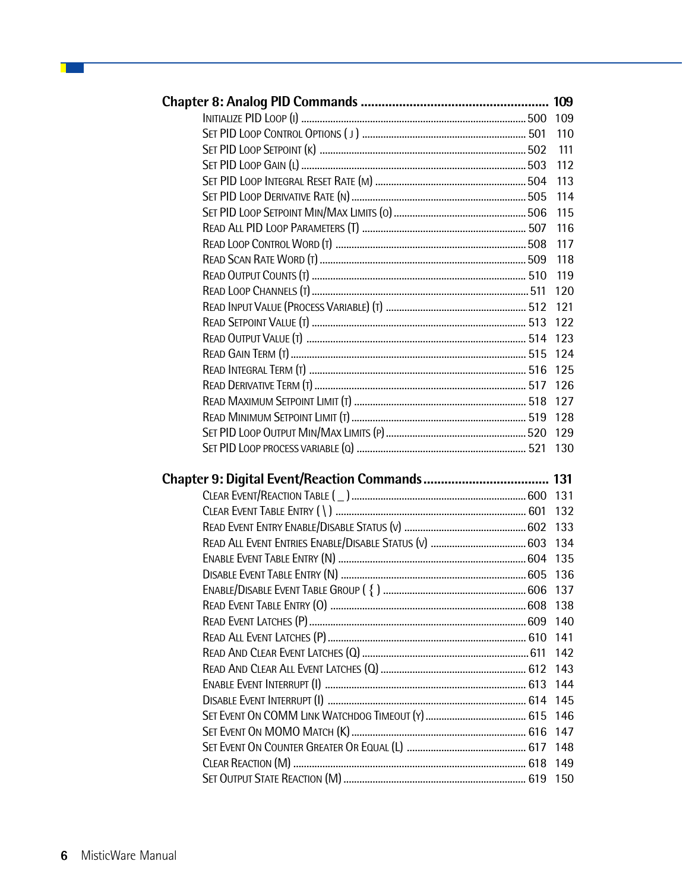| 110 |
|-----|
| 111 |
| 112 |
|     |
|     |
|     |
| 116 |
| 117 |
| 118 |
| 119 |
|     |
|     |
|     |
|     |
|     |
|     |
|     |
|     |
|     |
|     |
|     |
|     |
|     |
|     |
|     |
|     |
|     |
|     |
|     |
|     |
|     |
|     |
| 142 |
| 143 |
| 144 |
| 145 |
| 146 |
| 147 |
| 148 |
| 149 |
| 150 |
|     |

 $\mathbf{E}$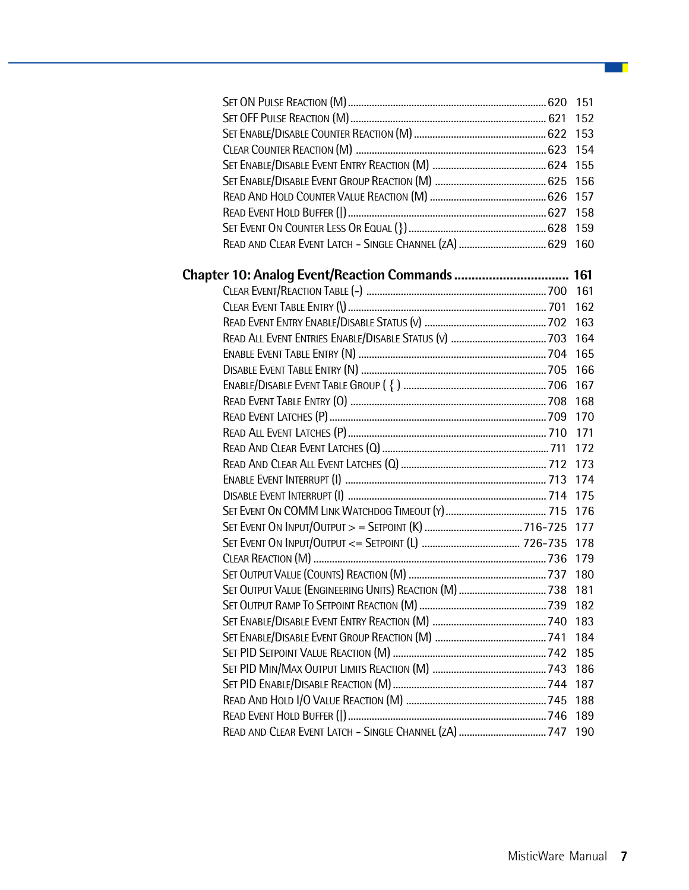|                                                       | 151 |
|-------------------------------------------------------|-----|
|                                                       | 152 |
|                                                       | 153 |
|                                                       | 154 |
|                                                       | 155 |
|                                                       | 156 |
|                                                       | 157 |
|                                                       | 158 |
|                                                       | 159 |
| READ AND CLEAR EVENT LATCH - SINGLE CHANNEL (ZA)  629 | 160 |
| Chapter 10: Analog Event/Reaction Commands  161       |     |
|                                                       | 161 |
|                                                       | 162 |
|                                                       | 163 |
|                                                       | 164 |
|                                                       | 165 |
|                                                       | 166 |
|                                                       | 167 |
|                                                       | 168 |
|                                                       | 170 |
|                                                       | 171 |
|                                                       | 172 |
|                                                       | 173 |
|                                                       | 174 |
|                                                       | 175 |
|                                                       | 176 |
|                                                       | 177 |
|                                                       | 178 |
|                                                       | 179 |
|                                                       | 180 |
|                                                       | 181 |
|                                                       | 182 |
|                                                       | 183 |
|                                                       | 184 |
|                                                       | 185 |
|                                                       | 186 |
|                                                       | 187 |
|                                                       | 188 |
|                                                       | 189 |
|                                                       | 190 |

**Tara**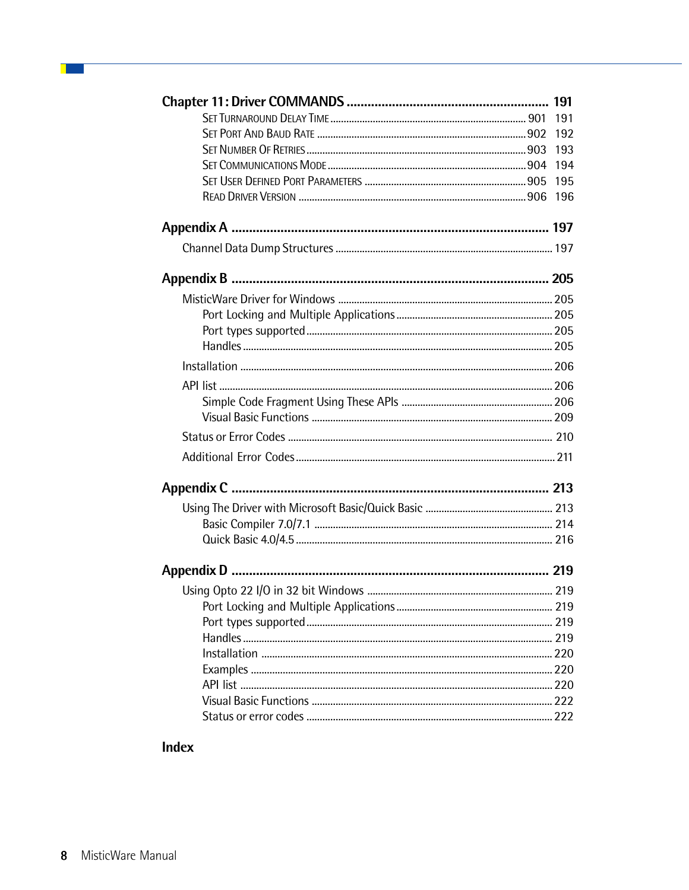| 192 |
|-----|
|     |
|     |
| 195 |
|     |
|     |
|     |
|     |
|     |
|     |
|     |
|     |
|     |
|     |
|     |
|     |
|     |
|     |
|     |
|     |
|     |
|     |
|     |
|     |
|     |
|     |
|     |
|     |
|     |
|     |
|     |
|     |

## Index

 $\mathcal{L}^{\text{max}}_{\text{max}}$ П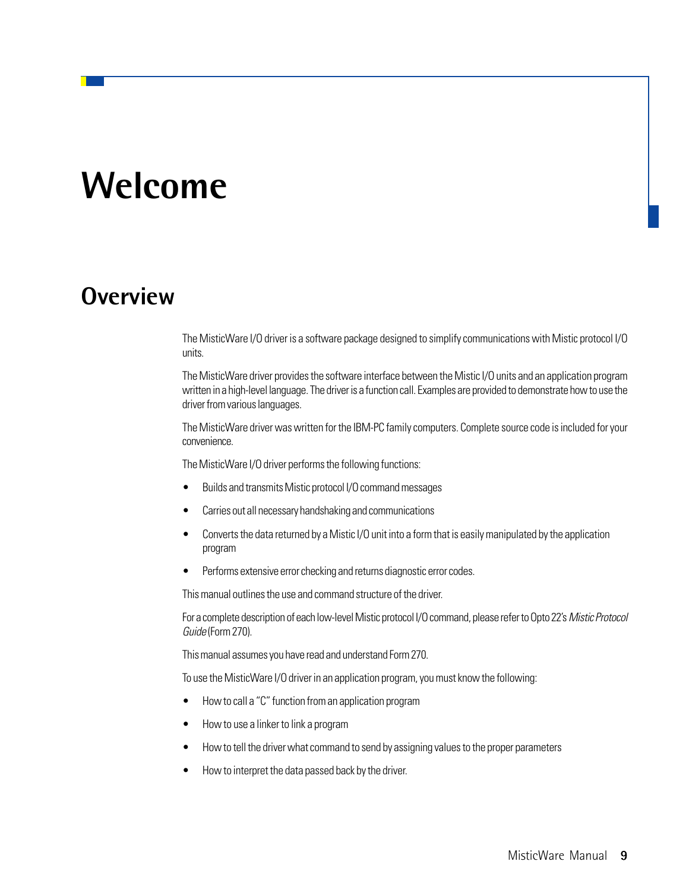# **Welcome**

# **Overview**

The MisticWare I/O driver is a software package designed to simplify communications with Mistic protocol I/O units.

The MisticWare driver provides the software interface between the Mistic I/O units and an application program written in a high-level language. The driver is a function call. Examples are provided to demonstrate how to use the driver from various languages.

The MisticWare driver was written for the IBM-PC family computers. Complete source code is included for your convenience.

The MisticWare I/O driver performs the following functions:

- Builds and transmits Mistic protocol I/O command messages
- Carries out all necessary handshaking and communications
- Converts the data returned by a Mistic I/O unit into a form that is easily manipulated by the application program
- Performs extensive error checking and returns diagnostic error codes.

This manual outlines the use and command structure of the driver.

For a complete description of each low-level Mistic protocol I/O command, please refer to Opto 22's Mistic Protocol Guide (Form 270).

This manual assumes you have read and understand Form 270.

To use the MisticWare I/O driver in an application program, you must know the following:

- How to call a "C" function from an application program
- How to use a linker to link a program
- How to tell the driver what command to send by assigning values to the proper parameters
- How to interpret the data passed back by the driver.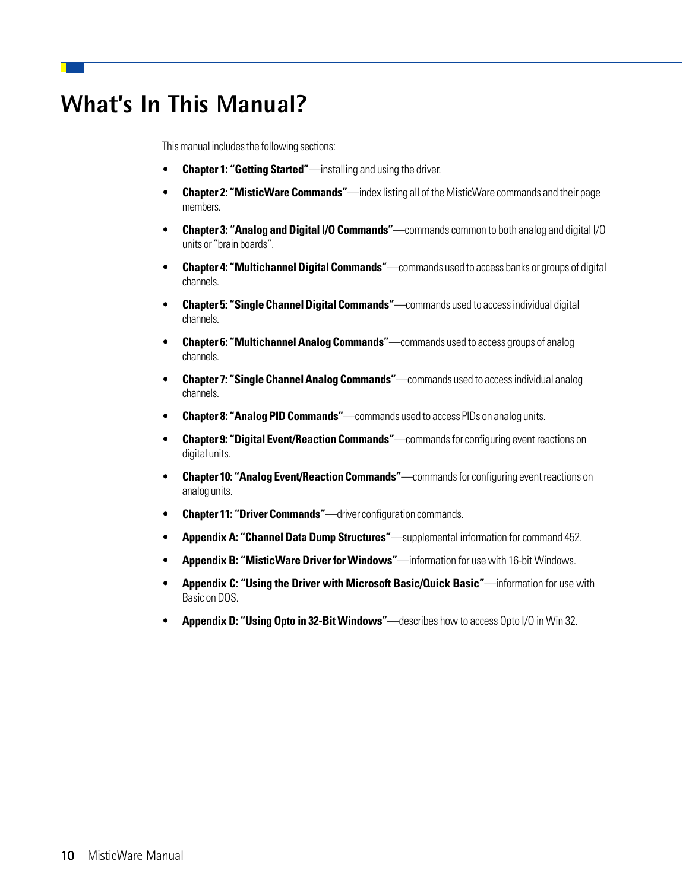# **What's In This Manual?**

This manual includes the following sections:

- **Chapter 1: "Getting Started"**—installing and using the driver.
- **Chapter 2: "MisticWare Commands"**—index listing all of the MisticWare commands and their page members.
- **Chapter 3: "Analog and Digital I/O Commands"**—commands common to both analog and digital I/O units or "brain boards".
- **Chapter 4: "Multichannel Digital Commands"**—commands used to access banks or groups of digital channels.
- **Chapter 5: "Single Channel Digital Commands"**—commands used to access individual digital channels.
- **Chapter 6: "Multichannel Analog Commands"**—commands used to access groups of analog channels.
- **Chapter 7: "Single Channel Analog Commands"**—commands used to access individual analog channels.
- **Chapter 8: "Analog PID Commands"**—commands used to access PIDs on analog units.
- **Chapter 9: "Digital Event/Reaction Commands"**—commands for configuring event reactions on digital units.
- **Chapter 10: "Analog Event/Reaction Commands"**—commands for configuring event reactions on analog units.
- **Chapter 11: "Driver Commands"**—driver configuration commands.
- **Appendix A: "Channel Data Dump Structures"**—supplemental information for command 452.
- **Appendix B: "MisticWare Driver for Windows"**—information for use with 16-bit Windows.
- **Appendix C: "Using the Driver with Microsoft Basic/Quick Basic"**—information for use with Basic on DOS.
- **Appendix D: "Using Opto in 32-Bit Windows"**—describes how to access Opto I/O in Win 32.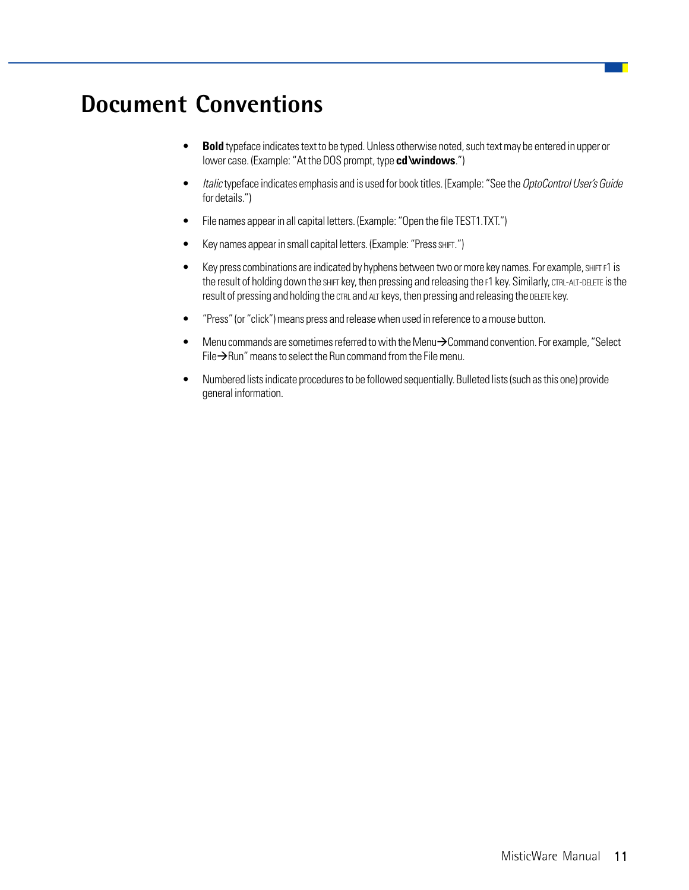# **Document Conventions**

- **Bold** typeface indicates text to be typed. Unless otherwise noted, such text may be entered in upper or lower case. (Example: "At the DOS prompt, type **cd \windows**.")
- Italic typeface indicates emphasis and is used for book titles. (Example: "See the OptoControl User's Guide for details.")
- File names appear in all capital letters. (Example: "Open the file TEST1.TXT.")
- Key names appear in small capital letters. (Example: "Press SHIFT.")
- Key press combinations are indicated by hyphens between two or more key names. For example, SHIFT F1 is the result of holding down the SHIFT key, then pressing and releasing the F1 key. Similarly, CTRL-ALT-DELETE is the result of pressing and holding the CTRL and ALT keys, then pressing and releasing the DELETE key.
- "Press" (or "click") means press and release when used in reference to a mouse button.
- Menu commands are sometimes referred to with the Menu $\rightarrow$ Command convention. For example, "Select File  $\rightarrow$  Run" means to select the Run command from the File menu.
- Numbered lists indicate procedures to be followed sequentially. Bulleted lists (such as this one) provide general information.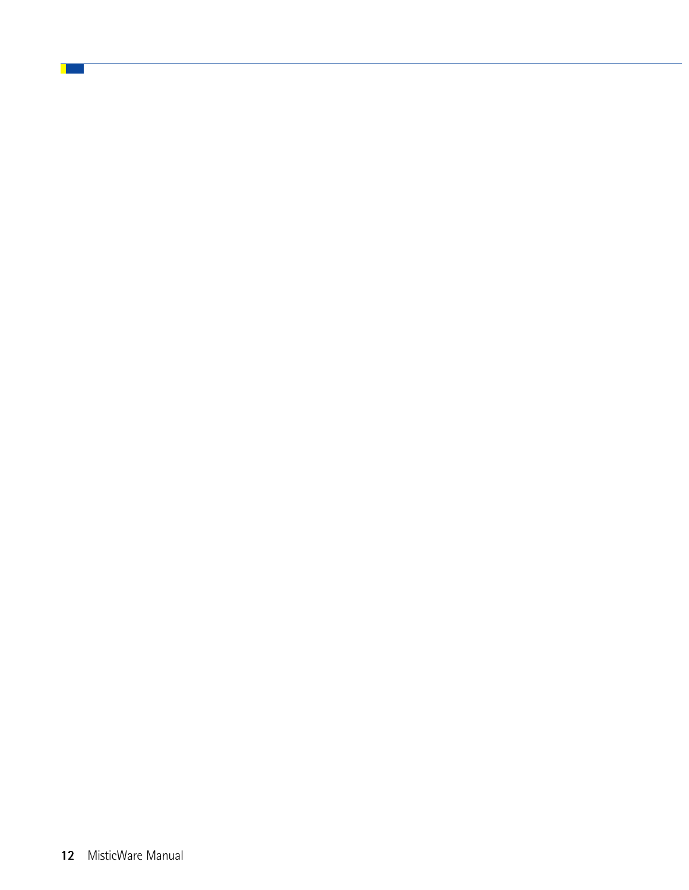12 MisticWare Manual

<mark>a</mark> sa T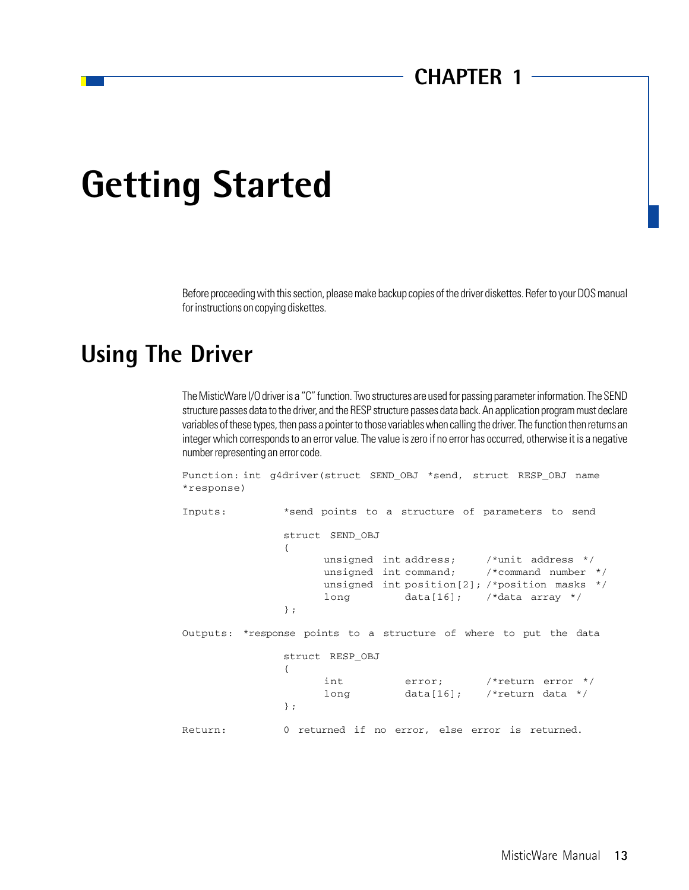**CHAPTER 1**

# **Getting Started**

Before proceeding with this section, please make backup copies of the driver diskettes. Refer to your DOS manual for instructions on copying diskettes.

# **Using The Driver**

The MisticWare I/O driver is a "C" function. Two structures are used for passing parameter information. The SEND structure passes data to the driver, and the RESP structure passes data back. An application program must declare variables of these types, then pass a pointer to those variables when calling the driver. The function then returns an integer which corresponds to an error value. The value is zero if no error has occurred, otherwise it is a negative number representing an error code.

```
Function: int g4driver(struct SEND_OBJ *send, struct RESP_OBJ name
*response)
Inputs: *send points to a structure of parameters to send
              struct SEND_OBJ
              {
                    unsigned int address; /*unit address */
                    unsigned int command; /*command number */
                    unsigned int position[2]; /*position masks */
                    long data[16]; /*data array */
              } ;
Outputs: *response points to a structure of where to put the data
              struct RESP_OBJ
              {
                    int error; /*return error */
                    long data[16]; /*return data */
              } ;
Return: 0 returned if no error, else error is returned.
```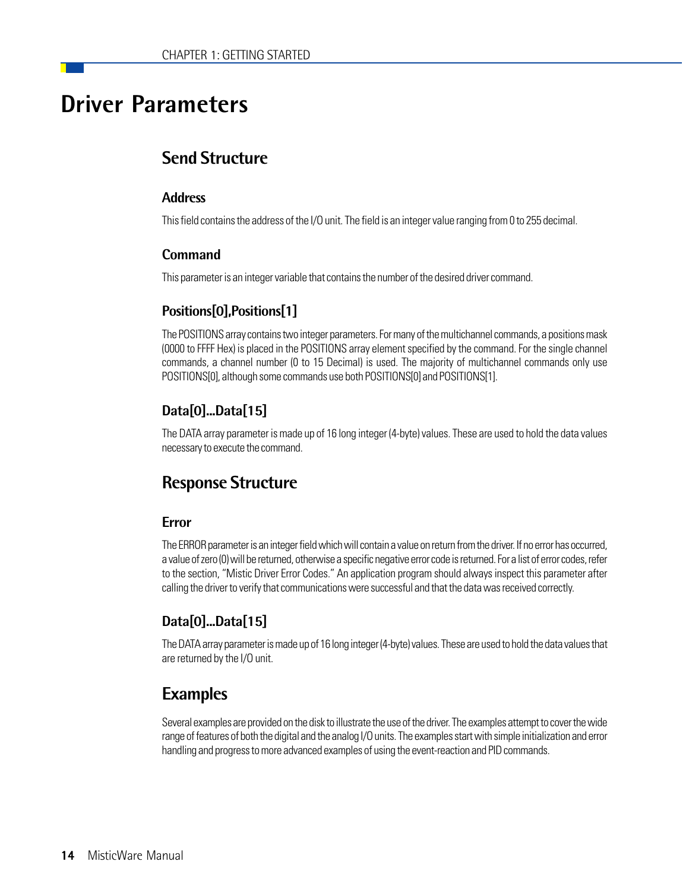# **Driver Parameters**

## **Send Structure**

#### **Address**

This field contains the address of the I/O unit. The field is an integer value ranging from 0 to 255 decimal.

#### **Command**

This parameter is an integer variable that contains the number of the desired driver command.

## **Positions[0],Positions[1]**

The POSITIONS array contains two integer parameters. For many of the multichannel commands, a positions mask (0000 to FFFF Hex) is placed in the POSITIONS array element specified by the command. For the single channel commands, a channel number (0 to 15 Decimal) is used. The majority of multichannel commands only use POSITIONS[0], although some commands use both POSITIONS[0] and POSITIONS[1].

### **Data[0]...Data[15]**

The DATA array parameter is made up of 16 long integer (4-byte) values. These are used to hold the data values necessary to execute the command.

## **Response Structure**

#### **Error**

The ERROR parameter is an integer field which will contain a value on return from the driver. If no error has occurred, a value of zero (0) will be returned, otherwise a specific negative error code is returned. For a list of error codes, refer to the section, "Mistic Driver Error Codes." An application program should always inspect this parameter after calling the driver to verify that communications were successful and that the data was received correctly.

### **Data[0]...Data[15]**

The DATA array parameter is made up of 16 long integer (4-byte) values. These are used to hold the data values that are returned by the I/O unit.

## **Examples**

Several examples are provided on the disk to illustrate the use of the driver. The examples attempt to cover the wide range of features of both the digital and the analog I/O units. The examples start with simple initialization and error handling and progress to more advanced examples of using the event-reaction and PID commands.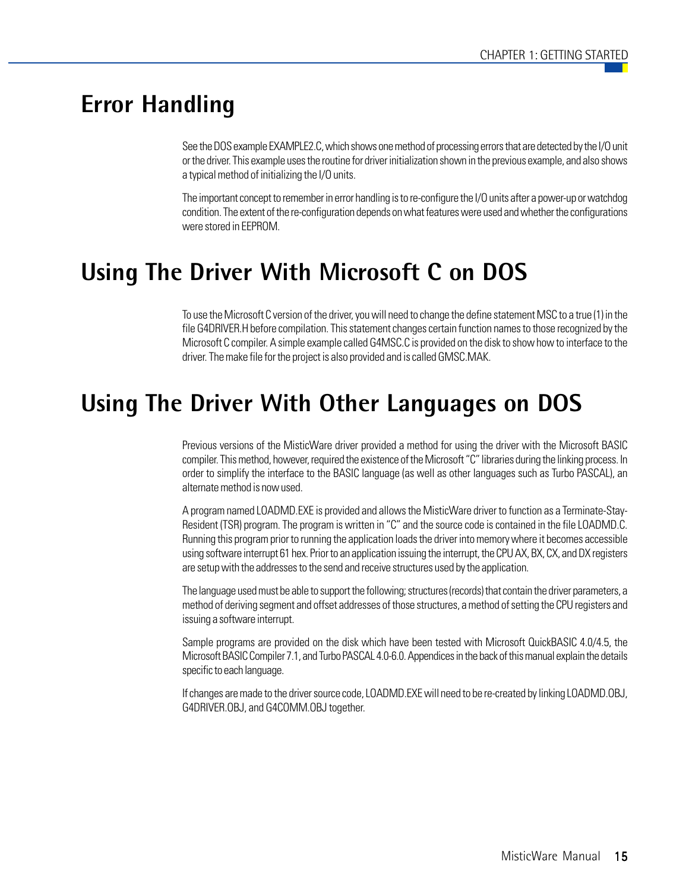# **Error Handling**

See the DOS example EXAMPLE2.C, which shows one method of processing errors that are detected by the I/O unit or the driver. This example uses the routine for driver initialization shown in the previous example, and also shows a typical method of initializing the I/O units.

The important concept to remember in error handling is to re-configure the I/O units after a power-up or watchdog condition. The extent of the re-configuration depends on what features were used and whether the configurations were stored in EEPROM.

# **Using The Driver With Microsoft C on DOS**

To use the Microsoft C version of the driver, you will need to change the define statement MSC to a true (1) in the file G4DRIVER.H before compilation. This statement changes certain function names to those recognized by the Microsoft C compiler. A simple example called G4MSC.C is provided on the disk to show how to interface to the driver. The make file for the project is also provided and is called GMSC.MAK.

# **Using The Driver With Other Languages on DOS**

Previous versions of the MisticWare driver provided a method for using the driver with the Microsoft BASIC compiler. This method, however, required the existence of the Microsoft "C" libraries during the linking process. In order to simplify the interface to the BASIC language (as well as other languages such as Turbo PASCAL), an alternate method is now used.

A program named LOADMD.EXE is provided and allows the MisticWare driver to function as a Terminate-Stay-Resident (TSR) program. The program is written in "C" and the source code is contained in the file LOADMD.C. Running this program prior to running the application loads the driver into memory where it becomes accessible using software interrupt 61 hex. Prior to an application issuing the interrupt, the CPU AX, BX, CX, and DX registers are setup with the addresses to the send and receive structures used by the application.

The language used must be able to support the following; structures (records) that contain the driver parameters, a method of deriving segment and offset addresses of those structures, a method of setting the CPU registers and issuing a software interrupt.

Sample programs are provided on the disk which have been tested with Microsoft QuickBASIC 4.0/4.5, the Microsoft BASIC Compiler 7.1, and Turbo PASCAL 4.0-6.0. Appendices in the back of this manual explain the details specific to each language.

If changes are made to the driver source code, LOADMD.EXE will need to be re-created by linking LOADMD.OBJ, G4DRIVER.OBJ, and G4COMM.OBJ together.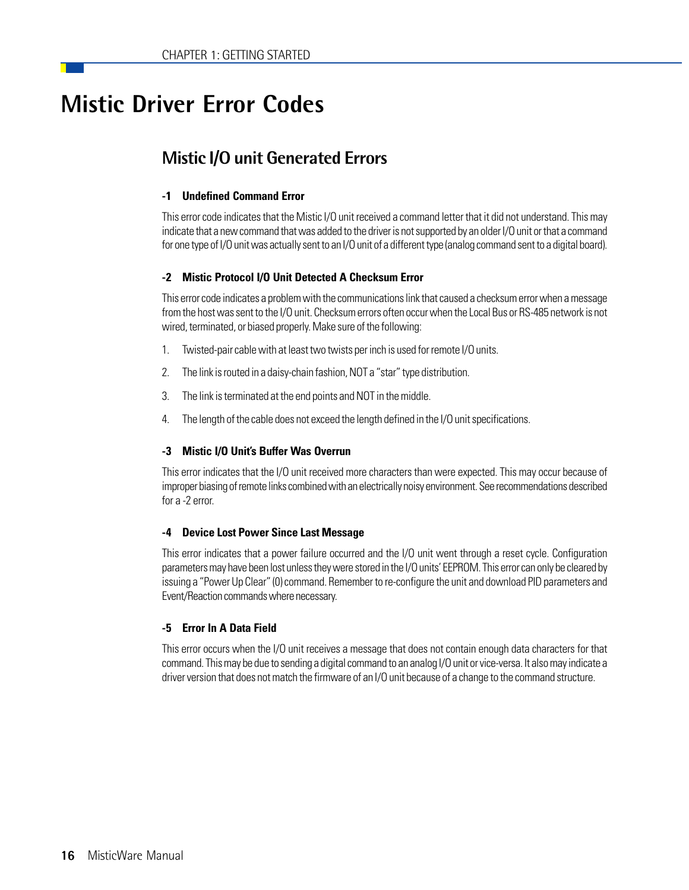# **Mistic Driver Error Codes**

## **Mistic I/O unit Generated Errors**

#### **-1 Undefined Command Error**

This error code indicates that the Mistic I/O unit received a command letter that it did not understand. This may indicate that a new command that was added to the driver is not supported by an older I/O unit or that a command for one type of I/O unit was actually sent to an I/O unit of a different type (analog command sent to a digital board).

#### **-2 Mistic Protocol I/O Unit Detected A Checksum Error**

This error code indicates a problem with the communications link that caused a checksum error when a message from the host was sent to the I/O unit. Checksum errors often occur when the Local Bus or RS-485 network is not wired, terminated, or biased properly. Make sure of the following:

- 1. Twisted-pair cable with at least two twists per inch is used for remote I/O units.
- 2. The link is routed in a daisy-chain fashion, NOT a "star" type distribution.
- 3. The link is terminated at the end points and NOT in the middle.
- 4. The length of the cable does not exceed the length defined in the I/O unit specifications.

#### **-3 Mistic I/O Unit's Buffer Was Overrun**

This error indicates that the I/O unit received more characters than were expected. This may occur because of improper biasing of remote links combined with an electrically noisy environment. See recommendations described for a -2 error.

#### **-4 Device Lost Power Since Last Message**

This error indicates that a power failure occurred and the I/O unit went through a reset cycle. Configuration parameters may have been lost unless they were stored in the I/O units' EEPROM. This error can only be cleared by issuing a "Power Up Clear" (0) command. Remember to re-configure the unit and download PID parameters and Event/Reaction commands where necessary.

#### **-5 Error In A Data Field**

This error occurs when the I/O unit receives a message that does not contain enough data characters for that command. This may be due to sending a digital command to an analog I/O unit or vice-versa. It also may indicate a driver version that does not match the firmware of an I/O unit because of a change to the command structure.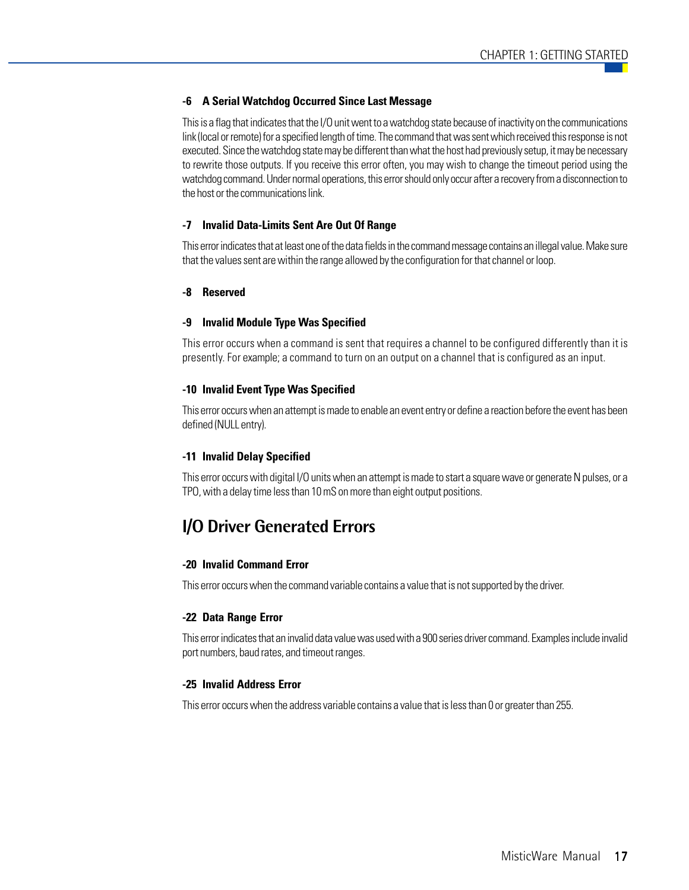#### **-6 A Serial Watchdog Occurred Since Last Message**

This is a flag that indicates that the I/O unit went to a watchdog state because of inactivity on the communications link (local or remote) for a specified length of time. The command that was sent which received this response is not executed. Since the watchdog state may be different than what the host had previously setup, it may be necessary to rewrite those outputs. If you receive this error often, you may wish to change the timeout period using the watchdog command. Under normal operations, this error should only occur after a recovery from a disconnection to the host or the communications link.

#### **-7 Invalid Data-Limits Sent Are Out Of Range**

This error indicates that at least one of the data fields in the command message contains an illegal value. Make sure that the values sent are within the range allowed by the configuration for that channel or loop.

#### **-8 Reserved**

#### **-9 Invalid Module Type Was Specified**

This error occurs when a command is sent that requires a channel to be configured differently than it is presently. For example; a command to turn on an output on a channel that is configured as an input.

#### **-10 Invalid Event Type Was Specified**

This error occurs when an attempt is made to enable an event entry or define a reaction before the event has been defined (NULL entry).

#### **-11 Invalid Delay Specified**

This error occurs with digital I/O units when an attempt is made to start a square wave or generate N pulses, or a TPO, with a delay time less than 10 mS on more than eight output positions.

## **I/O Driver Generated Errors**

#### **-20 Invalid Command Error**

This error occurs when the command variable contains a value that is not supported by the driver.

#### **-22 Data Range Error**

This error indicates that an invalid data value was used with a 900 series driver command. Examples include invalid port numbers, baud rates, and timeout ranges.

#### **-25 Invalid Address Error**

This error occurs when the address variable contains a value that is less than 0 or greater than 255.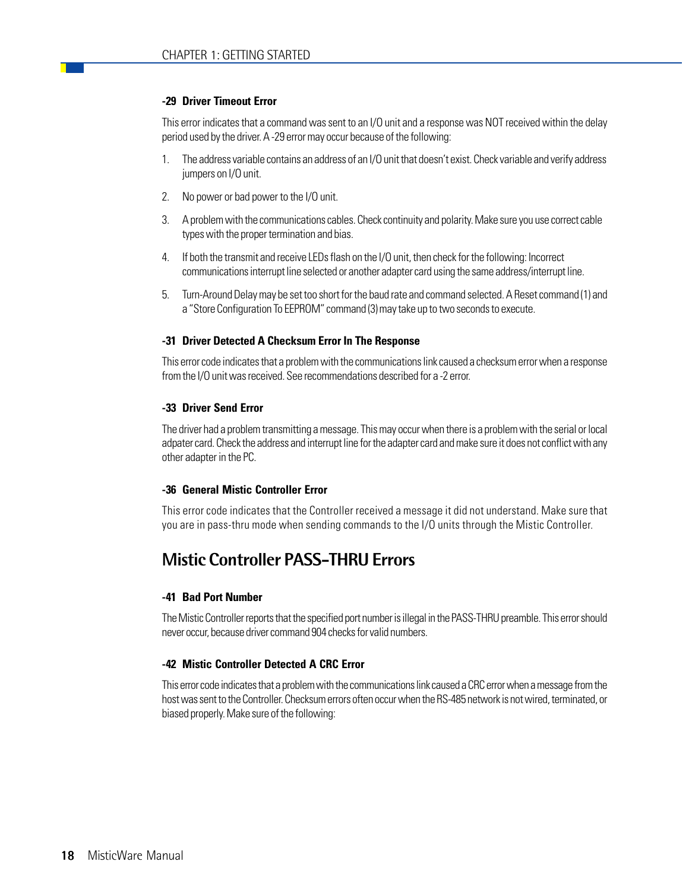#### **-29 Driver Timeout Error**

This error indicates that a command was sent to an I/O unit and a response was NOT received within the delay period used by the driver. A -29 error may occur because of the following:

- 1. The address variable contains an address of an I/O unit that doesn't exist. Check variable and verify address jumpers on I/O unit.
- 2. No power or bad power to the I/O unit.
- 3. A problem with the communications cables. Check continuity and polarity. Make sure you use correct cable types with the proper termination and bias.
- 4. If both the transmit and receive LEDs flash on the I/O unit, then check for the following: Incorrect communications interrupt line selected or another adapter card using the same address/interrupt line.
- 5. Turn-Around Delay may be set too short for the baud rate and command selected. A Reset command (1) and a "Store Configuration To EEPROM" command (3) may take up to two seconds to execute.

#### **-31 Driver Detected A Checksum Error In The Response**

This error code indicates that a problem with the communications link caused a checksum error when a response from the I/O unit was received. See recommendations described for a -2 error.

#### **-33 Driver Send Error**

The driver had a problem transmitting a message. This may occur when there is a problem with the serial or local adpater card. Check the address and interrupt line for the adapter card and make sure it does not conflict with any other adapter in the PC.

#### **-36 General Mistic Controller Error**

This error code indicates that the Controller received a message it did not understand. Make sure that you are in pass-thru mode when sending commands to the I/O units through the Mistic Controller.

## **Mistic Controller PASS-THRU Errors**

#### **-41 Bad Port Number**

The Mistic Controller reports that the specified port number is illegal in the PASS-THRU preamble. This error should never occur, because driver command 904 checks for valid numbers.

#### **-42 Mistic Controller Detected A CRC Error**

This error code indicates that a problem with the communications link caused a CRC error when a message from the host was sent to the Controller. Checksum errors often occur when the RS-485 network is not wired, terminated, or biased properly. Make sure of the following: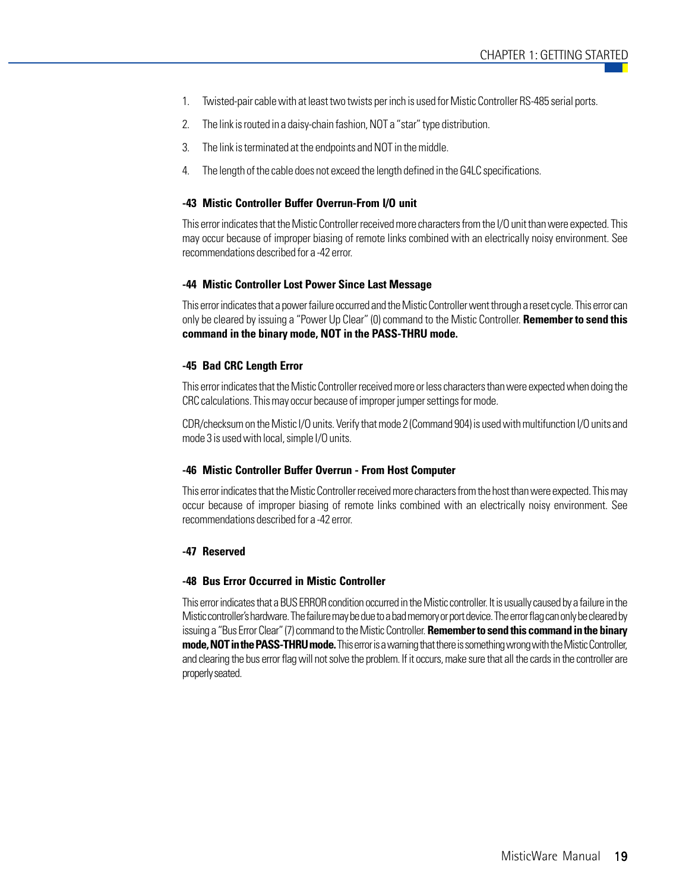- 1. Twisted-pair cable with at least two twists per inch is used for Mistic Controller RS-485 serial ports.
- 2. The link is routed in a daisy-chain fashion, NOT a "star" type distribution.
- 3. The link is terminated at the endpoints and NOT in the middle.
- 4. The length of the cable does not exceed the length defined in the G4LC specifications.

#### **-43 Mistic Controller Buffer Overrun-From I/O unit**

This error indicates that the Mistic Controller received more characters from the I/O unit than were expected. This may occur because of improper biasing of remote links combined with an electrically noisy environment. See recommendations described for a -42 error.

#### **-44 Mistic Controller Lost Power Since Last Message**

This error indicates that a power failure occurred and the Mistic Controller went through a reset cycle. This error can only be cleared by issuing a "Power Up Clear" (0) command to the Mistic Controller. **Remember to send this command in the binary mode, NOT in the PASS-THRU mode.**

#### **-45 Bad CRC Length Error**

This error indicates that the Mistic Controller received more or less characters than were expected when doing the CRC calculations. This may occur because of improper jumper settings for mode.

CDR/checksum on the Mistic I/O units. Verify that mode 2 (Command 904) is used with multifunction I/O units and mode 3 is used with local, simple I/O units.

#### **-46 Mistic Controller Buffer Overrun - From Host Computer**

This error indicates that the Mistic Controller received more characters from the host than were expected. This may occur because of improper biasing of remote links combined with an electrically noisy environment. See recommendations described for a -42 error.

#### **-47 Reserved**

#### **-48 Bus Error Occurred in Mistic Controller**

This error indicates that a BUS ERROR condition occurred in the Mistic controller. It is usually caused by a failure in the Mistic controller's hardware. The failure may be due to a bad memory or port device. The error flag can only be cleared by issuing a "Bus Error Clear" (7) command to the Mistic Controller. **Remember to send this command in the binary mode, NOT in the PASS-THRU mode.** This error is a warning that there is something wrong with the Mistic Controller, and clearing the bus error flag will not solve the problem. If it occurs, make sure that all the cards in the controller are properly seated.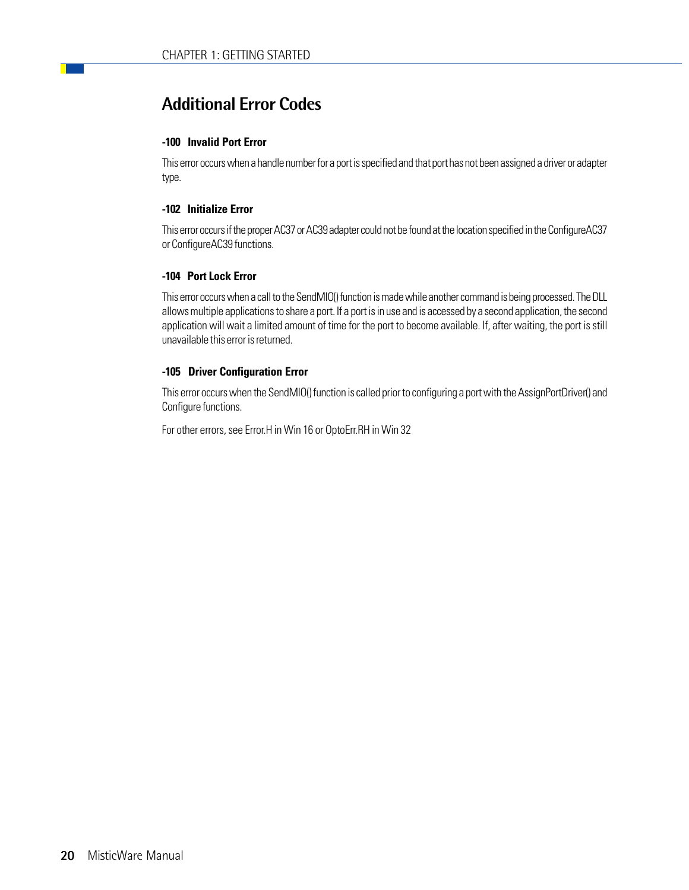## **Additional Error Codes**

#### **-100 Invalid Port Error**

This error occurs when a handle number for a port is specified and that port has not been assigned a driver or adapter type.

#### **-102 Initialize Error**

This error occurs if the proper AC37 or AC39 adapter could not be found at the location specified in the ConfigureAC37 or ConfigureAC39 functions.

#### **-104 Port Lock Error**

This error occurs when a call to the SendMIO() function is made while another command is being processed. The DLL allows multiple applications to share a port. If a port is in use and is accessed by a second application, the second application will wait a limited amount of time for the port to become available. If, after waiting, the port is still unavailable this error is returned.

#### **-105 Driver Configuration Error**

This error occurs when the SendMIO() function is called prior to configuring a port with the AssignPortDriver() and Configure functions.

For other errors, see Error.H in Win 16 or OptoErr.RH in Win 32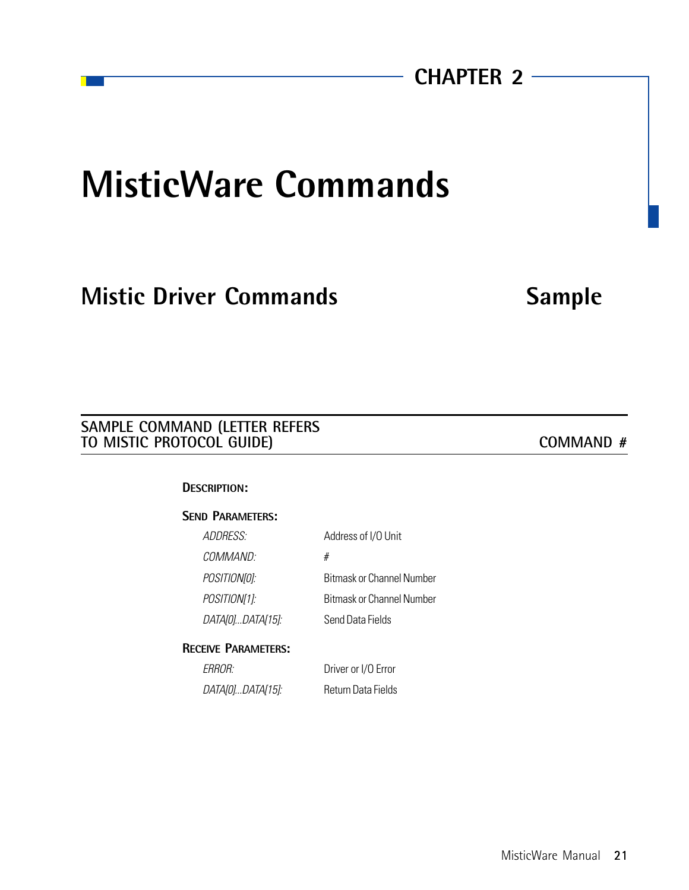**CHAPTER 2**

# **MisticWare Commands**

# **Mistic Driver Commands Sample**

### **SAMPLE COMMAND (LETTER REFERS TO MISTIC PROTOCOL GUIDE) COMMAND #**

#### **DESCRIPTION:**

**SEND PARAMETERS:**

| <i>ADDRESS:</i>            | Address of I/O Unit       |
|----------------------------|---------------------------|
| COMMAND:                   | #                         |
| POSITION[0]:               | Bitmask or Channel Number |
| <i>POSITION[1]:</i>        | Bitmask or Channel Number |
| DATA[0]DATA[15]:           | Send Data Fields          |
| <b>RECEIVE PARAMETERS:</b> |                           |

| <i>ERROR:</i> | Driver or I/O Error |
|---------------|---------------------|
|               |                     |

DATA[0]...DATA[15]: Return Data Fields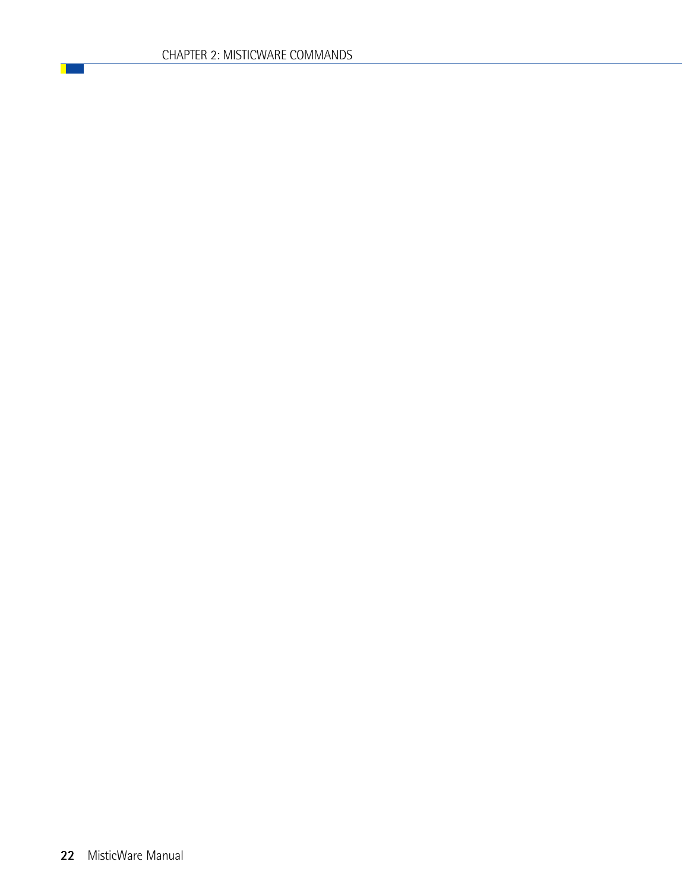П  $\mathcal{L}(\mathcal{A})$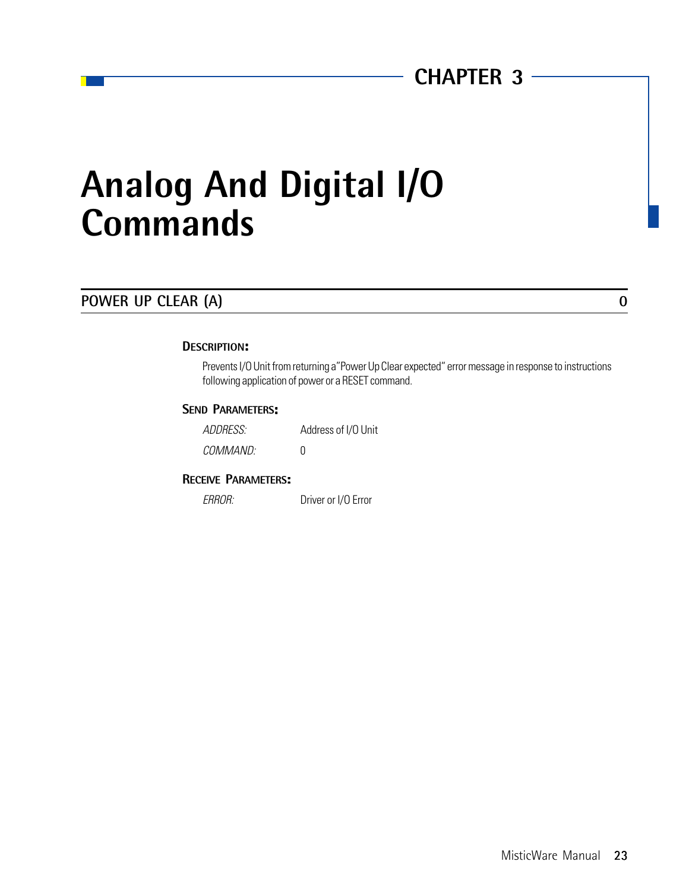# **CHAPTER 3**

# **Analog And Digital I/O Commands**

### **POWER UP CLEAR (A)** 0

#### **DESCRIPTION:**

Prevents I/O Unit from returning a"Power Up Clear expected" error message in response to instructions following application of power or a RESET command.

#### **SEND PARAMETERS:**

| ADDRESS:        | Address of I/O Unit |
|-----------------|---------------------|
| <i>COMMAND:</i> | n                   |

#### **RECEIVE PARAMETERS:**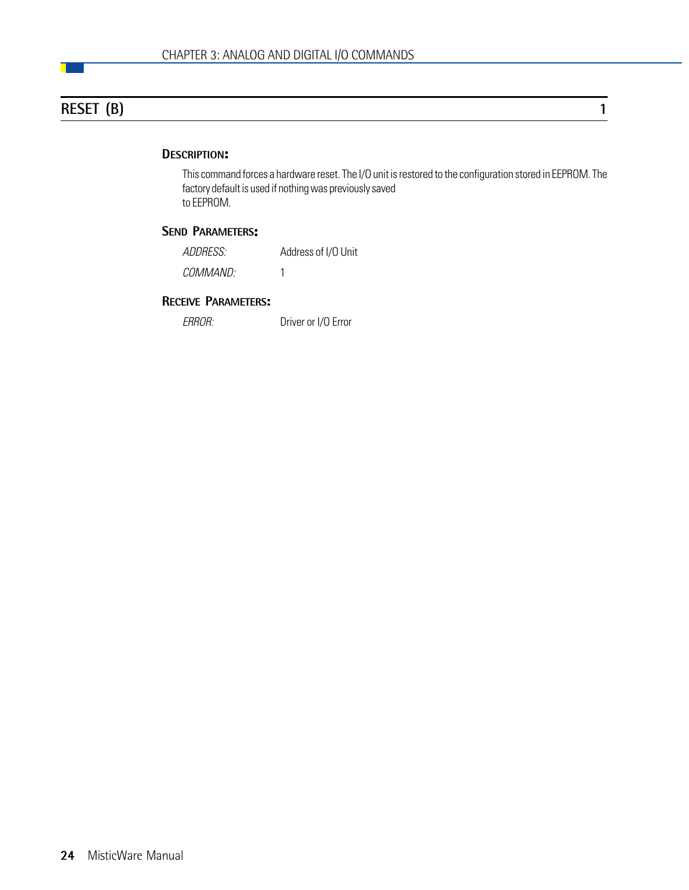## **RESET (B)** 1

 $\sim 10^{11}$ П

#### **DESCRIPTION:**

This command forces a hardware reset. The I/O unit is restored to the configuration stored in EEPROM. The factory default is used if nothing was previously saved to EEPROM.

#### **SEND PARAMETERS:**

| <i>ADDRESS:</i> | Address of I/O Unit |
|-----------------|---------------------|
| <i>COMMAND:</i> |                     |

#### **RECEIVE PARAMETERS:**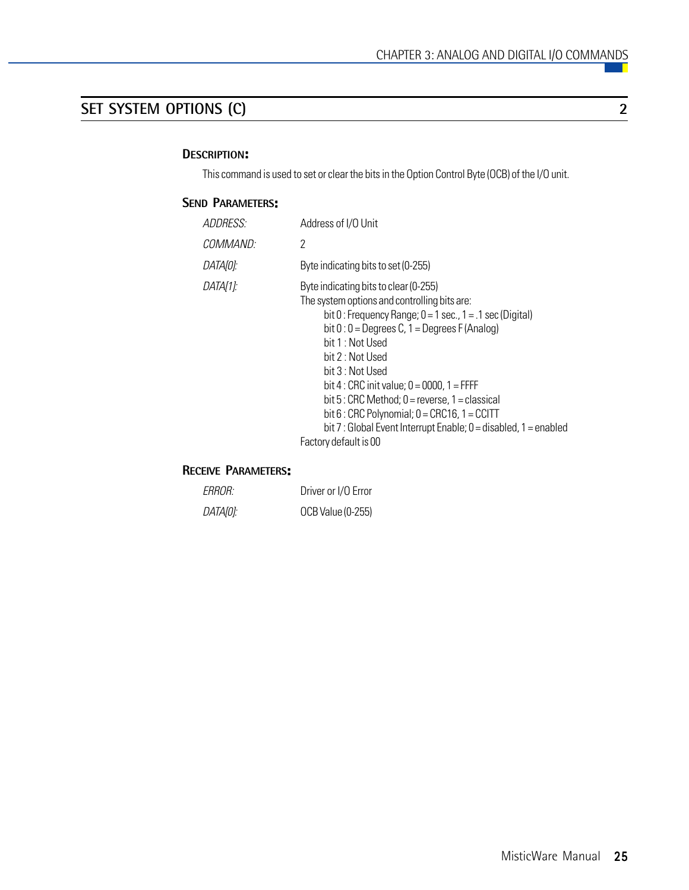# **SET SYSTEM OPTIONS (C)** 2

#### **DESCRIPTION:**

This command is used to set or clear the bits in the Option Control Byte (OCB) of the I/O unit.

#### **SEND PARAMETERS:**

| <i>ADDRESS:</i> | Address of I/O Unit                                                                                                                                                                                                                                                                                                                                                                                                                                                                                |
|-----------------|----------------------------------------------------------------------------------------------------------------------------------------------------------------------------------------------------------------------------------------------------------------------------------------------------------------------------------------------------------------------------------------------------------------------------------------------------------------------------------------------------|
| COMMAND:        | 2                                                                                                                                                                                                                                                                                                                                                                                                                                                                                                  |
| DATA[0]:        | Byte indicating bits to set (0-255)                                                                                                                                                                                                                                                                                                                                                                                                                                                                |
| DATA[1]:        | Byte indicating bits to clear (0-255)<br>The system options and controlling bits are:<br>bit 0: Frequency Range; $0 = 1$ sec., $1 = .1$ sec (Digital)<br>bit $0:0 =$ Degrees C, 1 = Degrees F (Analog)<br>bit 1: Not Used<br>bit 2 : Not Used<br>hit 3: Not Used<br>bit 4 : CRC init value; $0 = 0000$ , $1 =$ FFFF<br>bit 5: CRC Method; $0 =$ reverse, $1 =$ classical<br>bit 6 : CRC Polynomial; $0 = CRC16$ , $1 = CCIT$<br>bit 7 : Global Event Interrupt Enable; $0 =$ disabled, 1 = enabled |
|                 | Factory default is 00                                                                                                                                                                                                                                                                                                                                                                                                                                                                              |

#### **RECEIVE PARAMETERS:**

| <i>ERROR:</i> | Driver or I/O Error |
|---------------|---------------------|
| DATA[0]:      | OCB Value (0-255)   |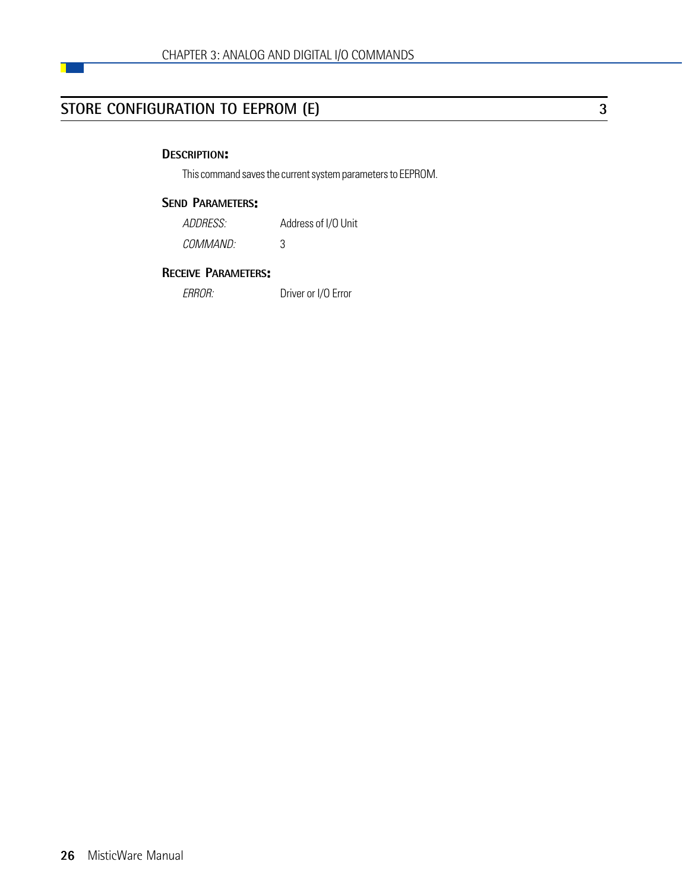# **STORE CONFIGURATION TO EEPROM (E)** 3

#### **DESCRIPTION:**

This command saves the current system parameters to EEPROM.

#### **SEND PARAMETERS:**

| <i>ADDRESS:</i> | Address of I/O Unit |
|-----------------|---------------------|
| <i>COMMAND:</i> |                     |

#### **RECEIVE PARAMETERS:**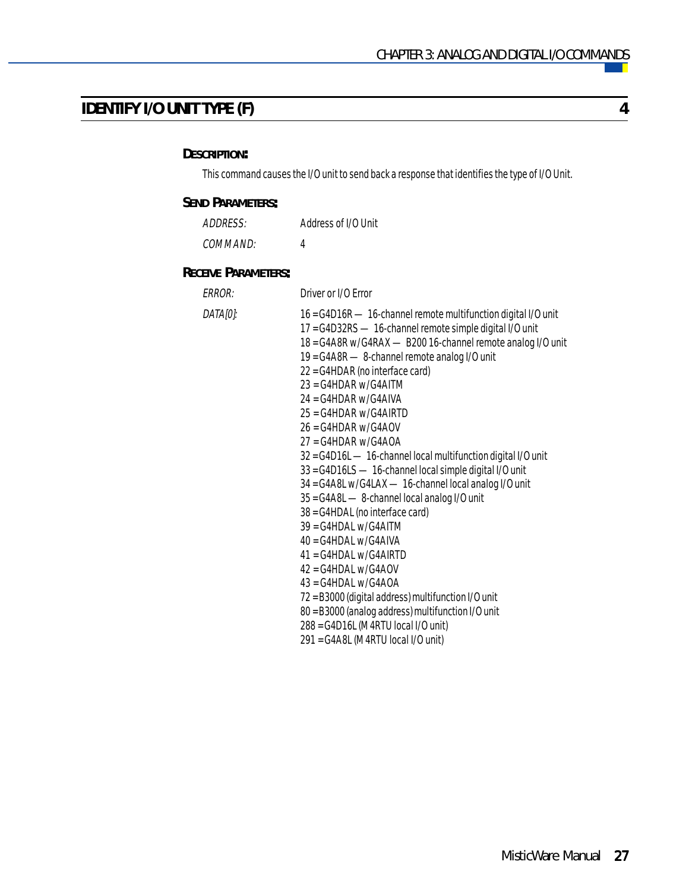a ka

# **IDENTIFY I/O UNIT TYPE (F) 4**

#### **DESCRIPTION:**

This command causes the I/O unit to send back a response that identifies the type of I/O Unit.

#### **SEND PARAMETERS:**

| <i>ADDRESS:</i> | Address of I/O Unit |
|-----------------|---------------------|
| <i>COMMAND:</i> |                     |

**RECEIVE PARAMETERS:**

| ULIVL I AIVAIVILILIVJ. |                                                                                                                                                                                                                                                                                                                                                                                                                                                                                                                                                                                                                                                                                                                                                                                                                                                                                                                                                                                                       |
|------------------------|-------------------------------------------------------------------------------------------------------------------------------------------------------------------------------------------------------------------------------------------------------------------------------------------------------------------------------------------------------------------------------------------------------------------------------------------------------------------------------------------------------------------------------------------------------------------------------------------------------------------------------------------------------------------------------------------------------------------------------------------------------------------------------------------------------------------------------------------------------------------------------------------------------------------------------------------------------------------------------------------------------|
| <i>ERROR:</i>          | Driver or I/O Error                                                                                                                                                                                                                                                                                                                                                                                                                                                                                                                                                                                                                                                                                                                                                                                                                                                                                                                                                                                   |
| DATA[0]:               | 16 = G4D16R - 16-channel remote multifunction digital I/O unit<br>17 = G4D32RS - 16-channel remote simple digital I/O unit<br>18 = G4A8R w/G4RAX - B200 16-channel remote analog I/O unit<br>19 = G4A8R - 8-channel remote analog I/O unit<br>$22 = G4HDAR$ (no interface card)<br>$23 = G4HDAR W/G4AITM$<br>$24 = G4HDAR W/G4AIVA$<br>25 = G4HDAR w/G4AIRTD<br>$26 = G4HDAR$ w/G4AOV<br>27 = G4HDAR w/G4AOA<br>32 = G4D16L - 16-channel local multifunction digital I/O unit<br>33 = G4D16LS — 16-channel local simple digital I/O unit<br>34 = G4A8L w/G4LAX - 16-channel local analog I/O unit<br>35 = G4A8L - 8-channel local analog I/O unit<br>38 = G4HDAL (no interface card)<br>39 = G4HDAL w/G4AITM<br>40 = G4HDAL w/G4AIVA<br>41 = G4HDAL w/G4AIRTD<br>42 = G4HDAL w/G4AOV<br>43 = G4HDAL w/G4AOA<br>72 = B3000 (digital address) multifunction I/O unit<br>80 = B3000 (analog address) multifunction I/O unit<br>288 = G4D16L (M4RTU local I/O unit)<br>291 = G4A8L (M4RTU local I/O unit) |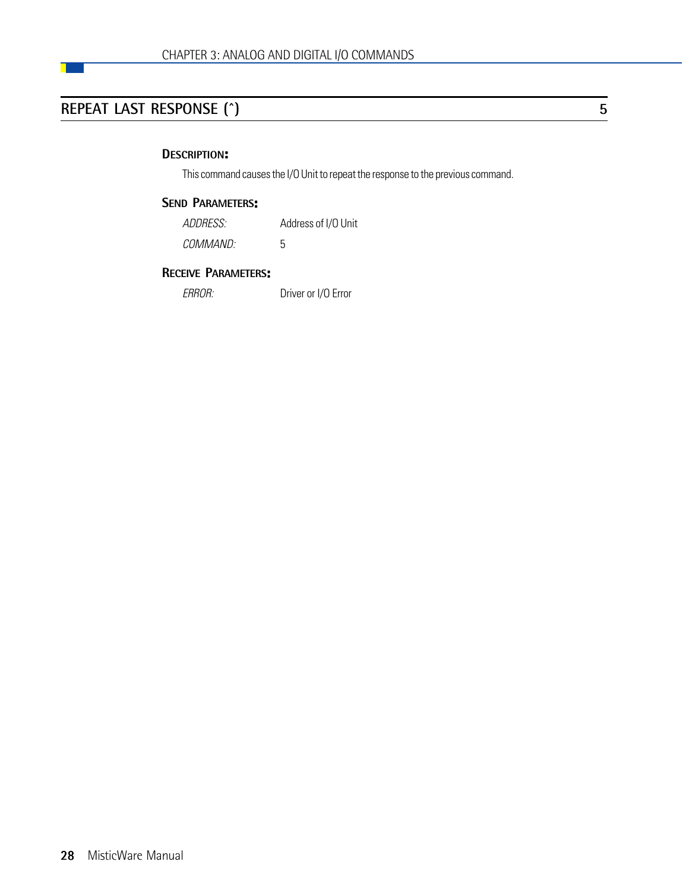# **REPEAT LAST RESPONSE (^)** 5

#### **DESCRIPTION:**

This command causes the I/O Unit to repeat the response to the previous command.

#### **SEND PARAMETERS:**

| <i>ADDRESS:</i> | Address of I/O Unit |
|-----------------|---------------------|
| <i>COMMAND:</i> | 5                   |

#### **RECEIVE PARAMETERS:**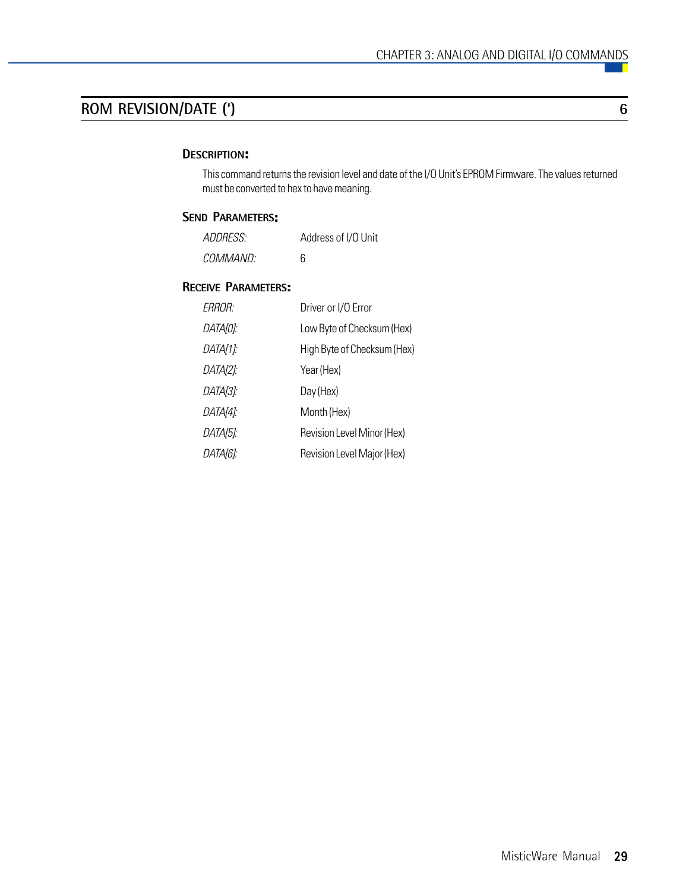# **ROM REVISION/DATE (') 6**

#### **DESCRIPTION:**

This command returns the revision level and date of the I/O Unit's EPROM Firmware. The values returned must be converted to hex to have meaning.

#### **SEND PARAMETERS:**

| <i>ADDRESS:</i> | Address of I/O Unit |
|-----------------|---------------------|
| <i>COMMAND:</i> | հ                   |

#### **RECEIVE PARAMETERS:**

| <i>ERROR:</i> | Driver or I/O Error         |
|---------------|-----------------------------|
| DATA[0]:      | Low Byte of Checksum (Hex)  |
| DATA[1]:      | High Byte of Checksum (Hex) |
| DATA[2]:      | Year (Hex)                  |
| DATA[3]:      | Day (Hex)                   |
| DATA[4]:      | Month (Hex)                 |
| DATA[5]:      | Revision Level Minor (Hex)  |
| DATA[6]:      | Revision Level Major (Hex)  |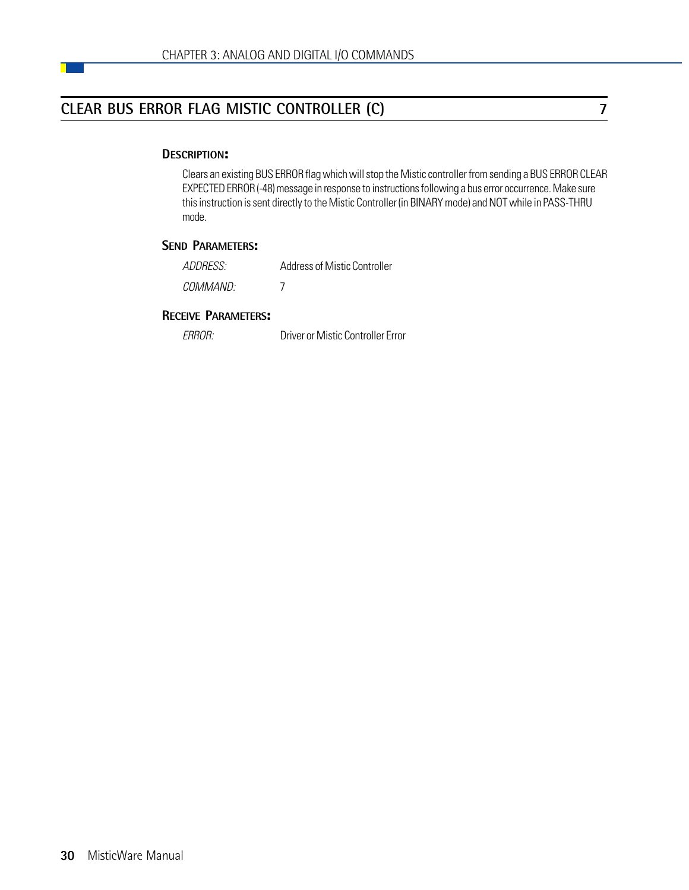### **CLEAR BUS ERROR FLAG MISTIC CONTROLLER (C) 7**

#### **DESCRIPTION:**

Clears an existing BUS ERROR flag which will stop the Mistic controller from sending a BUS ERROR CLEAR EXPECTED ERROR (-48) message in response to instructions following a bus error occurrence. Make sure this instruction is sent directly to the Mistic Controller (in BINARY mode) and NOT while in PASS-THRU mode.

#### **SEND PARAMETERS:**

| <i>ADDRESS:</i> | Address of Mistic Controller |
|-----------------|------------------------------|
| <i>COMMAND:</i> |                              |

#### **RECEIVE PARAMETERS:**

ERROR: Driver or Mistic Controller Error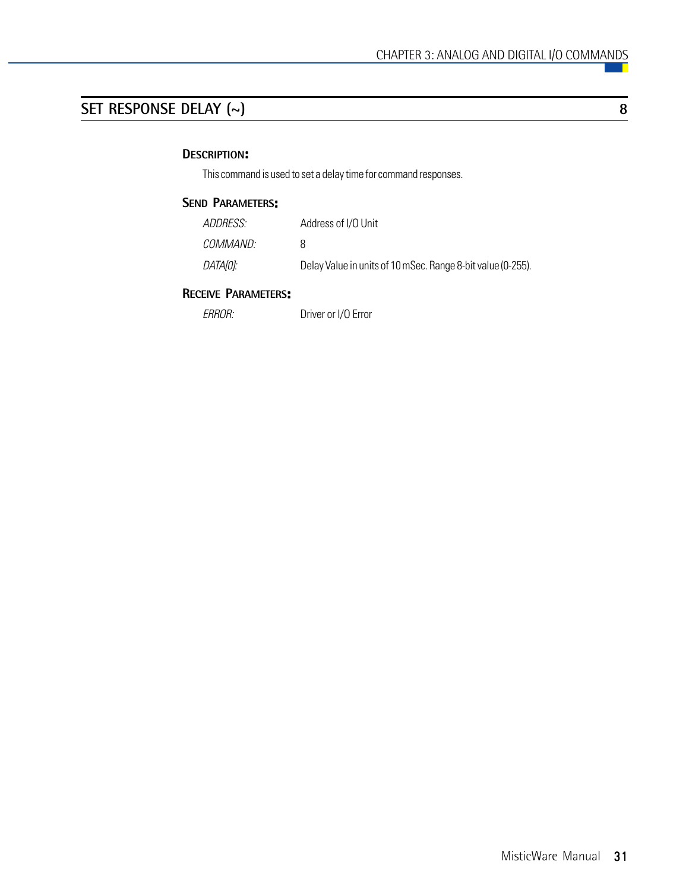# **SET RESPONSE DELAY (~)** 8

#### **DESCRIPTION:**

This command is used to set a delay time for command responses.

#### **SEND PARAMETERS:**

| <i>ADDRESS:</i> | Address of I/O Unit                                         |
|-----------------|-------------------------------------------------------------|
| <i>COMMAND:</i> | Χ                                                           |
| DATA[0]:        | Delay Value in units of 10 mSec. Range 8-bit value (0-255). |

#### **RECEIVE PARAMETERS:**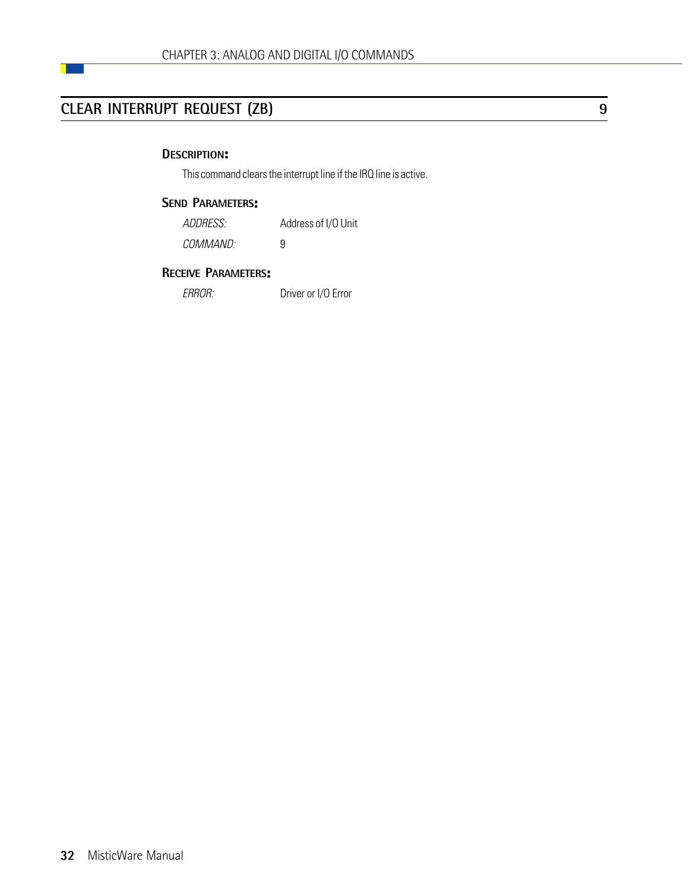## **CLEAR INTERRUPT REQUEST (ZB) 9**

#### **DESCRIPTION:**

This command clears the interrupt line if the IRQ line is active.

#### **SEND PARAMETERS:**

| <i>ADDRESS:</i> | Address of I/O Unit |
|-----------------|---------------------|
| <i>COMMAND:</i> | g                   |

#### **RECEIVE PARAMETERS:**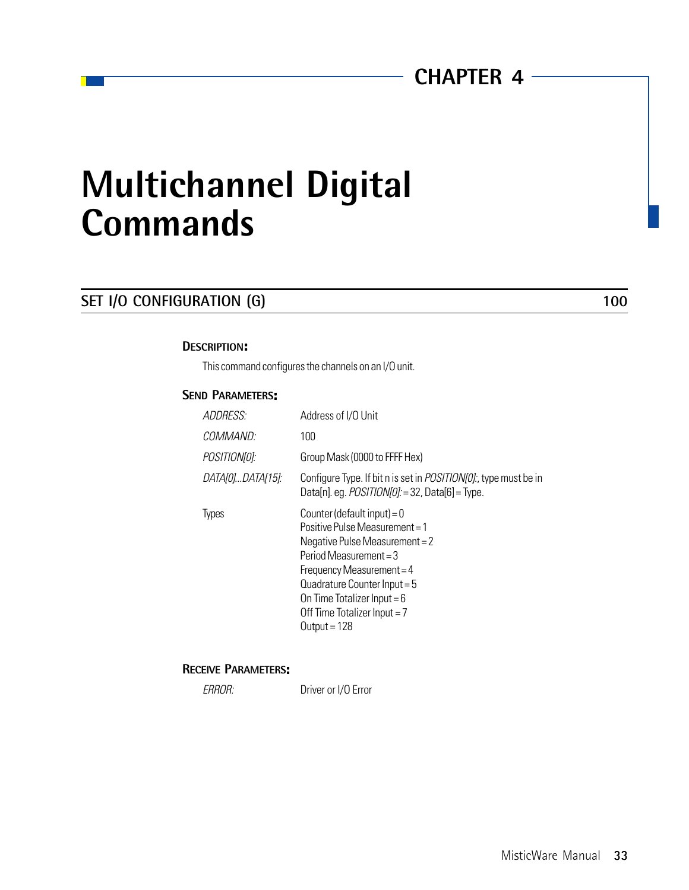# **CHAPTER 4**

# **Multichannel Digital Commands**

## **SET I/O CONFIGURATION (G)** 100

#### **DESCRIPTION:**

This command configures the channels on an I/O unit.

#### **SEND PARAMETERS:**

| <i>ADDRESS:</i>  | Address of I/O Unit                                                                                                                                                                                                                                                               |
|------------------|-----------------------------------------------------------------------------------------------------------------------------------------------------------------------------------------------------------------------------------------------------------------------------------|
| COMMAND:         | 100                                                                                                                                                                                                                                                                               |
| POSITION[0]:     | Group Mask (0000 to FFFF Hex)                                                                                                                                                                                                                                                     |
| DATA[0]DATA[15]: | Configure Type. If bit n is set in <i>POSITION[0]</i> ; type must be in<br>Data[n]. eg. $POSITION[0]$ : = 32, Data[6] = Type.                                                                                                                                                     |
| <b>Types</b>     | Counter (default input) = $0$<br>Positive Pulse Measurement = 1<br>Negative Pulse Measurement = $2$<br>Period Measurement = $3$<br>Frequency Measurement = $4$<br>Quadrature Counter Input = 5<br>On Time Totalizer Input = $6$<br>Off Time Totalizer Input = $7$<br>Output = 128 |

#### **RECEIVE PARAMETERS:**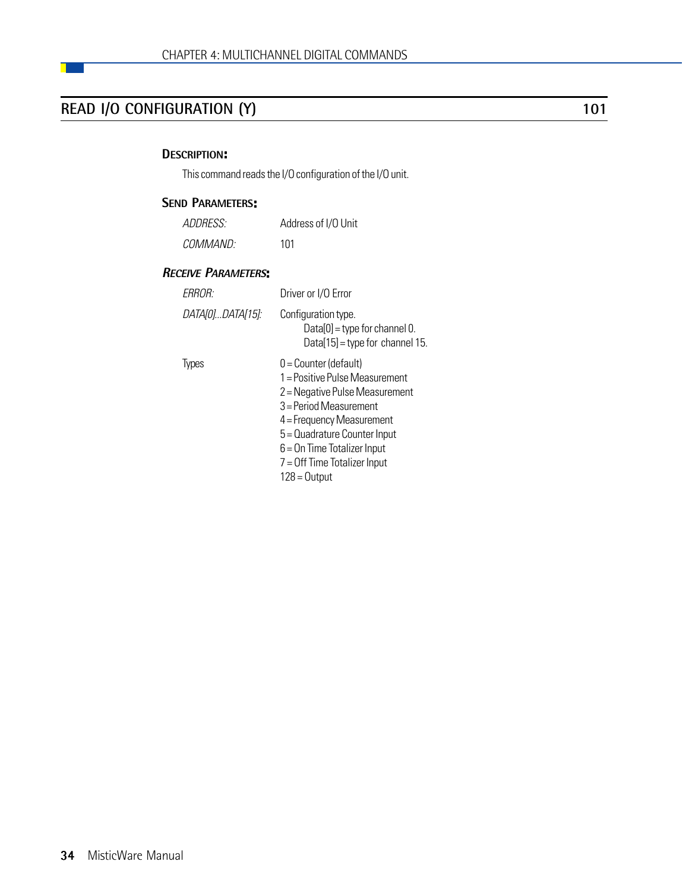# **READ I/O CONFIGURATION (Y)** 101

**T**he Co

#### **DESCRIPTION:**

This command reads the I/O configuration of the I/O unit.

#### **SEND PARAMETERS:**

| <i>ADDRESS:</i> | Address of I/O Unit |
|-----------------|---------------------|
| <i>COMMAND:</i> | 101                 |

#### **RECEIVE PARAMETERS:**

| ΊR·              | Driver or I/O Error                                                                                                                                                                                                                                                     |
|------------------|-------------------------------------------------------------------------------------------------------------------------------------------------------------------------------------------------------------------------------------------------------------------------|
| DATA[0]DATA[15]: | Configuration type.<br>$Data[0] = type for channel 0.$<br>Data[15] = type for channel 15.                                                                                                                                                                               |
| Types            | $0 =$ Counter (default)<br>1 = Positive Pulse Measurement<br>2 = Negative Pulse Measurement<br>$3 = Period$ Measurement<br>4 = Frequency Measurement<br>5 = Quadrature Counter Input<br>$6 =$ On Time Totalizer Input<br>7 = Off Time Totalizer Input<br>$128 =$ Output |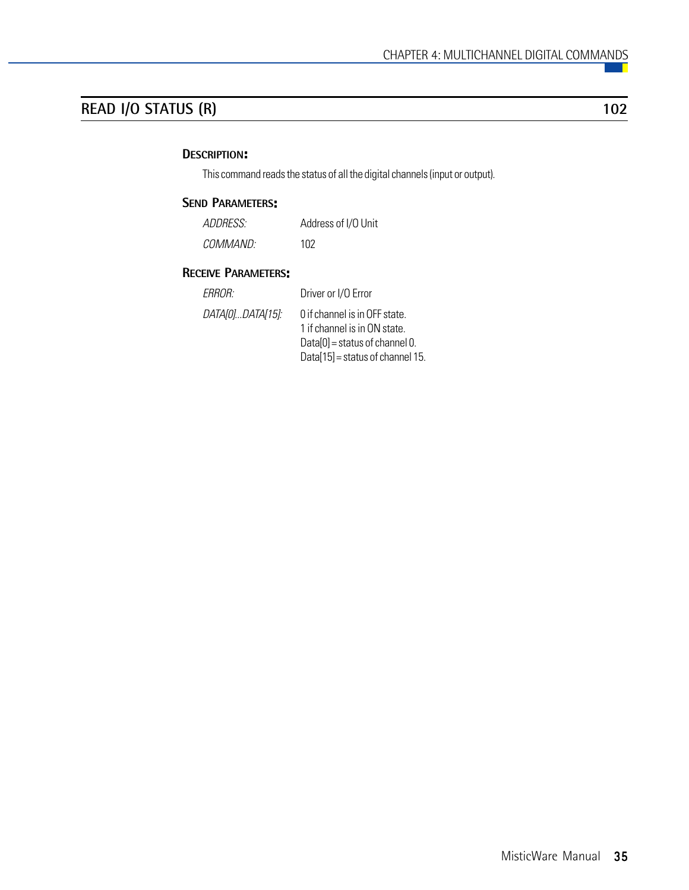# READ I/O STATUS (R) 102

a ka

#### **DESCRIPTION:**

This command reads the status of all the digital channels (input or output).

Data[15] = status of channel 15.

#### **SEND PARAMETERS:**

| <i>ADDRESS:</i> | Address of I/O Unit |
|-----------------|---------------------|
| <i>COMMAND:</i> | 102                 |

#### **RECEIVE PARAMETERS:**

ERROR: Driver or I/O Error DATA[0]...DATA[15]: 0 if channel is in OFF state. 1 if channel is in ON state. Data[0] = status of channel 0.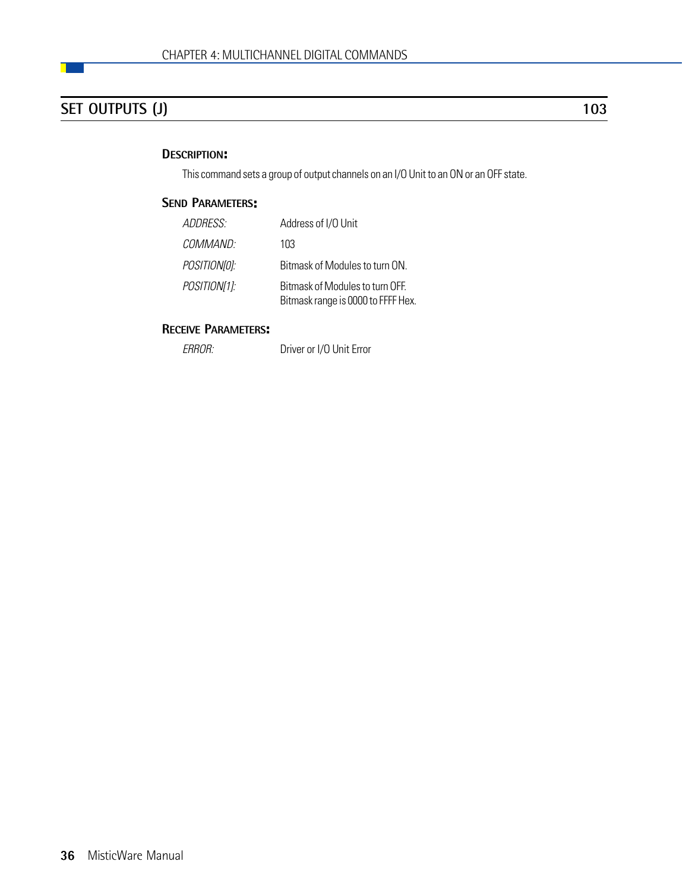# **SET OUTPUTS (J)** 103

П

#### **DESCRIPTION:**

This command sets a group of output channels on an I/O Unit to an ON or an OFF state.

#### **SEND PARAMETERS:**

| <i>ADDRESS:</i>     | Address of I/O Unit                                                   |
|---------------------|-----------------------------------------------------------------------|
| <i>COMMAND:</i>     | 103                                                                   |
| <i>POSITIONIOI:</i> | Bitmask of Modules to turn ON.                                        |
| <i>POSITION[1]:</i> | Bitmask of Modules to turn OFF.<br>Bitmask range is 0000 to FFFF Hex. |

#### **RECEIVE PARAMETERS:**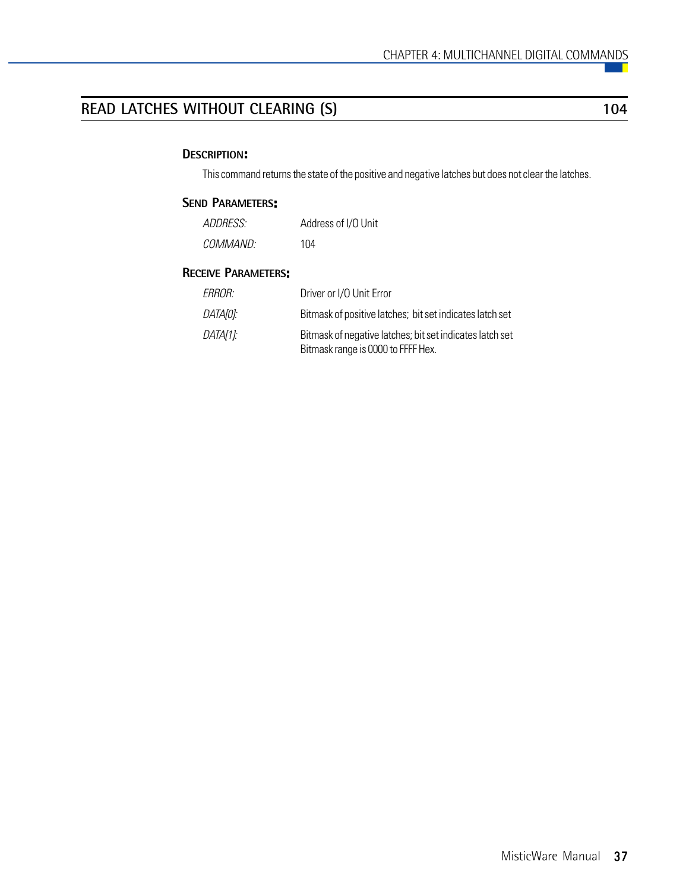## **READ LATCHES WITHOUT CLEARING (S)** 104

#### **DESCRIPTION:**

This command returns the state of the positive and negative latches but does not clear the latches.

#### **SEND PARAMETERS:**

| <i>ADDRESS:</i> | Address of I/O Unit |
|-----------------|---------------------|
| <i>COMMAND:</i> | 104                 |

| <i>ERROR:</i> | Driver or I/O Unit Error                                                                       |
|---------------|------------------------------------------------------------------------------------------------|
| DATA[0]:      | Bitmask of positive latches; bit set indicates latch set                                       |
| DATA[1]       | Bitmask of negative latches; bit set indicates latch set<br>Bitmask range is 0000 to FFFF Hex. |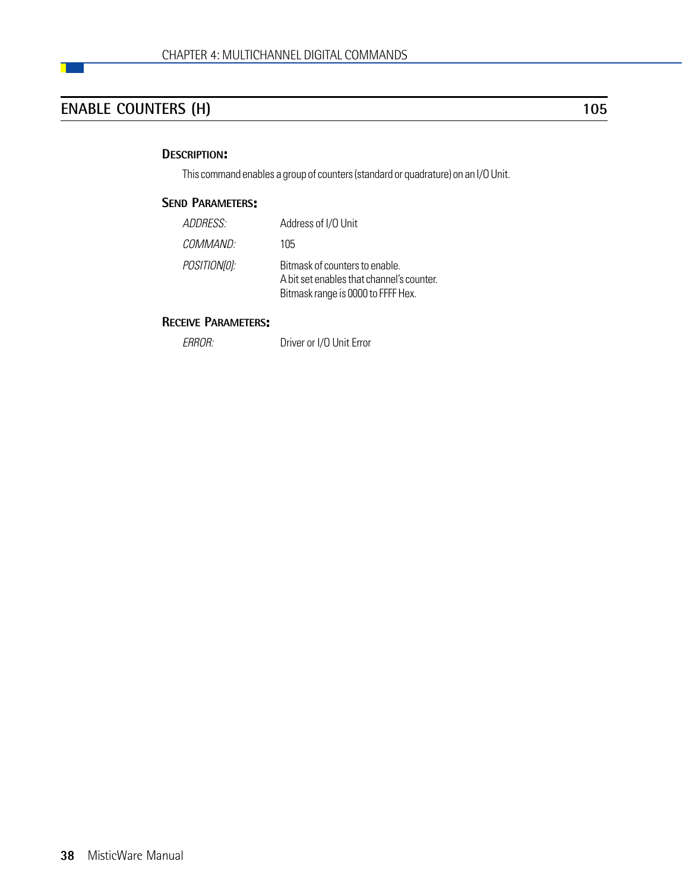## **ENABLE COUNTERS (H)** 105

 $\mathcal{L}(\mathcal{A})$ П

#### **DESCRIPTION:**

This command enables a group of counters (standard or quadrature) on an I/O Unit.

#### **SEND PARAMETERS:**

| <i>ADDRESS:</i> | Address of I/O Unit                                                                                               |
|-----------------|-------------------------------------------------------------------------------------------------------------------|
| <i>COMMAND:</i> | 105                                                                                                               |
| POSITIONIOI:    | Bitmask of counters to enable.<br>A bit set enables that channel's counter.<br>Bitmask range is 0000 to FFFF Hex. |

### **RECEIVE PARAMETERS:**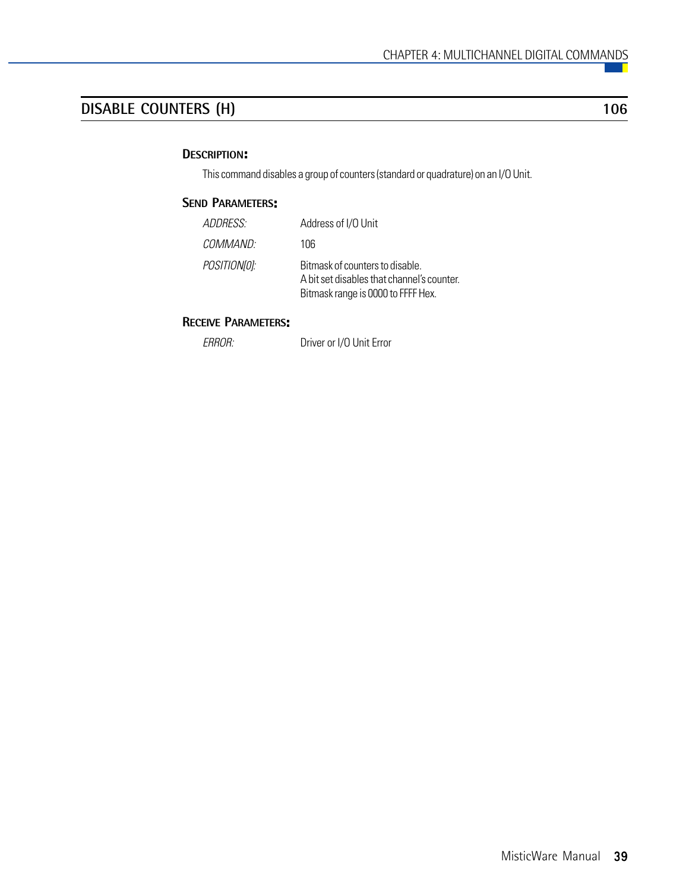## **DISABLE COUNTERS (H)** 106

#### **DESCRIPTION:**

This command disables a group of counters (standard or quadrature) on an I/O Unit.

#### **SEND PARAMETERS:**

| <i>ADDRESS:</i> | Address of I/O Unit                                                                                                 |
|-----------------|---------------------------------------------------------------------------------------------------------------------|
| <i>COMMAND:</i> | 106                                                                                                                 |
| POSITION[0]:    | Bitmask of counters to disable.<br>A bit set disables that channel's counter.<br>Bitmask range is 0000 to FFFF Hex. |

### **RECEIVE PARAMETERS:**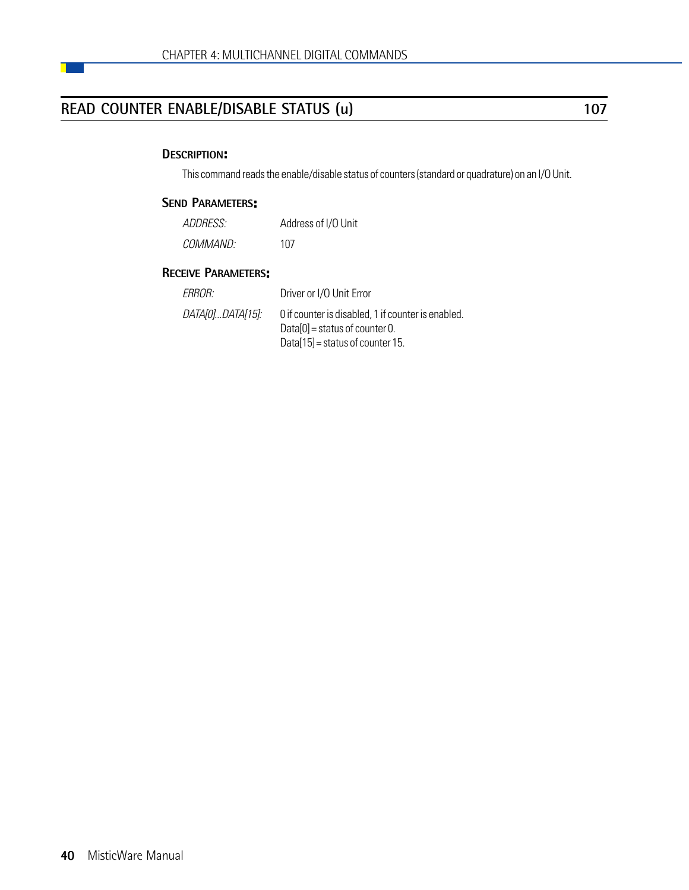## READ COUNTER ENABLE/DISABLE STATUS (u) 107

#### **DESCRIPTION:**

**T**he C

This command reads the enable/disable status of counters (standard or quadrature) on an I/O Unit.

#### **SEND PARAMETERS:**

| <i>ADDRESS:</i> | Address of I/O Unit |
|-----------------|---------------------|
| <i>COMMAND:</i> | 107                 |

| <i>ERROR:</i>    | Driver or I/O Unit Error                                                                                                   |
|------------------|----------------------------------------------------------------------------------------------------------------------------|
| DATA[0]DATA[15]: | 0 if counter is disabled, 1 if counter is enabled.<br>$Data[0] = status of counter 0.$<br>Data[15] = status of counter 15. |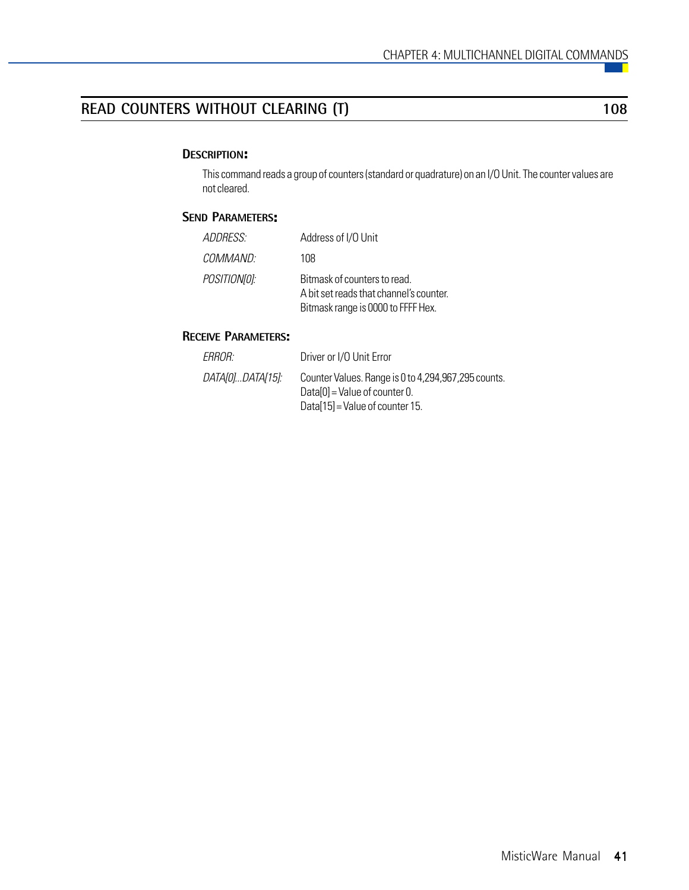## READ COUNTERS WITHOUT CLEARING (T) 108

a a <mark>i I</mark>

#### **DESCRIPTION:**

This command reads a group of counters (standard or quadrature) on an I/O Unit. The counter values are not cleared.

#### **SEND PARAMETERS:**

| <i>ADDRESS:</i> | Address of I/O Unit                                                                                           |
|-----------------|---------------------------------------------------------------------------------------------------------------|
| <i>COMMAND:</i> | 108                                                                                                           |
| POSITION[0]:    | Bitmask of counters to read.<br>A bit set reads that channel's counter.<br>Bitmask range is 0000 to FFFF Hex. |

| ERROR:           | Driver or I/O Unit Error                                                                                                   |
|------------------|----------------------------------------------------------------------------------------------------------------------------|
| DATA[0]DATA[15]: | Counter Values. Range is 0 to 4,294,967,295 counts.<br>Data $[0]$ = Value of counter 0.<br>Data[15] = Value of counter 15. |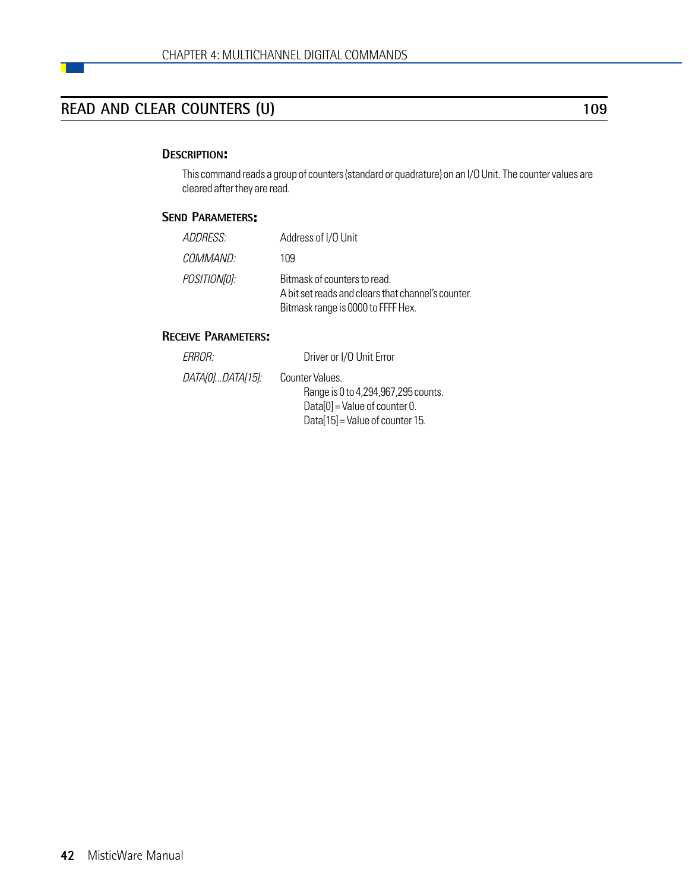## **READ AND CLEAR COUNTERS (U)** 109

Ш

#### **DESCRIPTION:**

This command reads a group of counters (standard or quadrature) on an I/O Unit. The counter values are cleared after they are read.

#### **SEND PARAMETERS:**

| <i>ADDRESS:</i> | Address of I/O Unit                                                                                                      |
|-----------------|--------------------------------------------------------------------------------------------------------------------------|
| <i>COMMAND:</i> | 109                                                                                                                      |
| POSITION[0]:    | Bitmask of counters to read.<br>A bit set reads and clears that channel's counter.<br>Bitmask range is 0000 to FFFF Hex. |

| <i>ERROR:</i>    | Driver or I/O Unit Error                                                                                                     |
|------------------|------------------------------------------------------------------------------------------------------------------------------|
| DATA[0]DATA[15]: | Counter Values.<br>Range is 0 to 4,294,967,295 counts.<br>$Data[0] = Value of counter 0.$<br>Data[15] = Value of counter 15. |
|                  |                                                                                                                              |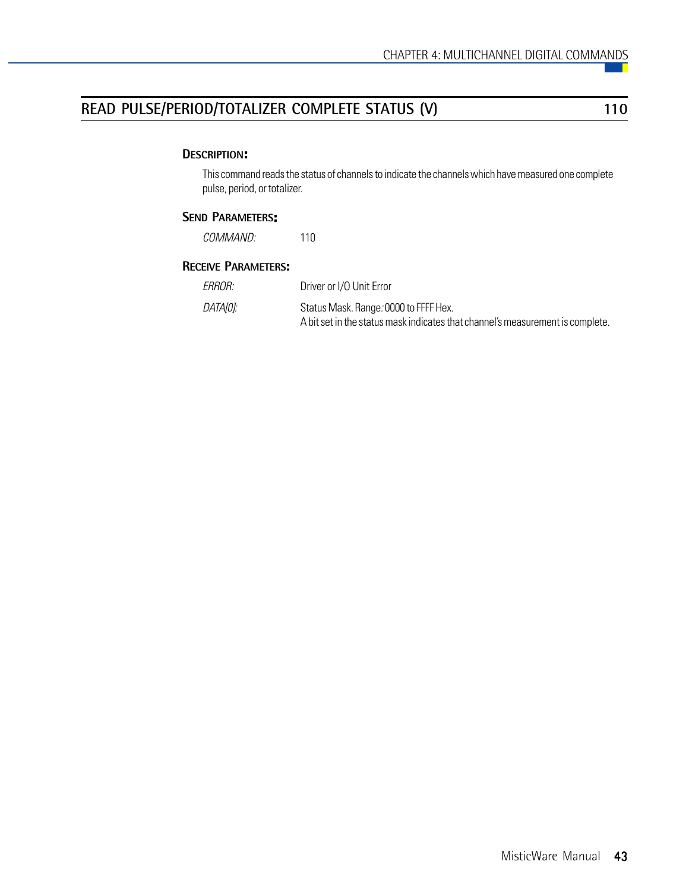## READ PULSE/PERIOD/TOTALIZER COMPLETE STATUS (V) 110

a sa <mark>tal</mark>

#### **DESCRIPTION:**

This command reads the status of channels to indicate the channels which have measured one complete pulse, period, or totalizer.

#### **SEND PARAMETERS:**

COMMAND: 110

| <i>ERROR:</i> | Driver or I/O Unit Error                                                       |
|---------------|--------------------------------------------------------------------------------|
| DATA[0]:      | Status Mask. Range: 0000 to FFFF Hex.                                          |
|               | A bit set in the status mask indicates that channel's measurement is complete. |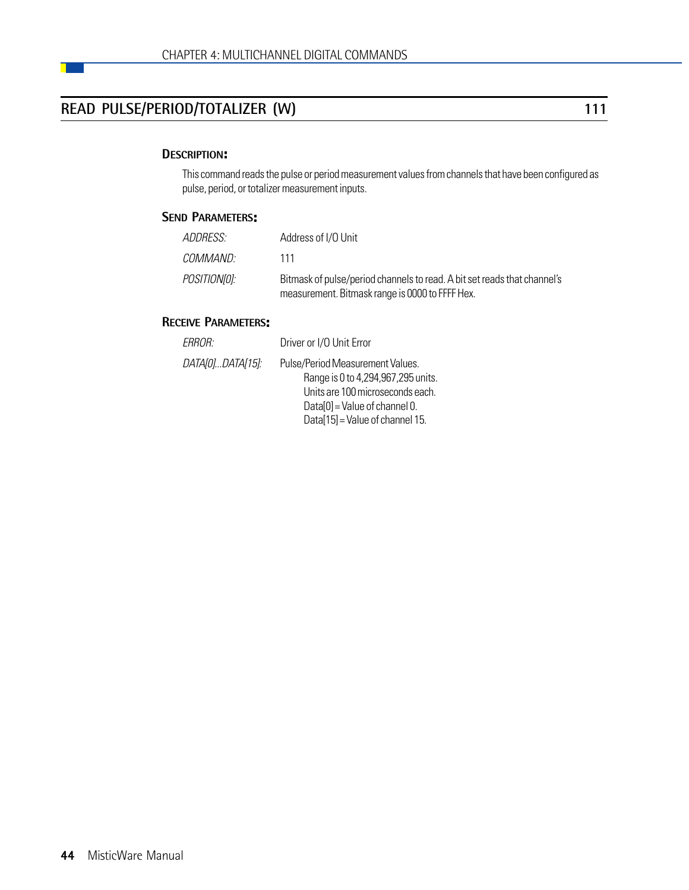## **READ PULSE/PERIOD/TOTALIZER (W)** 111

■

#### **DESCRIPTION:**

This command reads the pulse or period measurement values from channels that have been configured as pulse, period, or totalizer measurement inputs.

#### **SEND PARAMETERS:**

| <i>ADDRESS:</i> | Address of I/O Unit                                                                                                         |
|-----------------|-----------------------------------------------------------------------------------------------------------------------------|
| <i>COMMAND:</i> | 111                                                                                                                         |
| POSITIONIOI:    | Bitmask of pulse/period channels to read. A bit set reads that channel's<br>measurement. Bitmask range is 0000 to FFFF Hex. |

| <i>FRROR:</i>    | Driver or I/O Unit Error                                                                                                                                                         |
|------------------|----------------------------------------------------------------------------------------------------------------------------------------------------------------------------------|
| DATA[0]DATA[15]: | Pulse/Period Measurement Values.<br>Range is 0 to 4,294,967,295 units.<br>Units are 100 microseconds each.<br>$Data[0] = Value of channel 0.$<br>Data[15] = Value of channel 15. |
|                  |                                                                                                                                                                                  |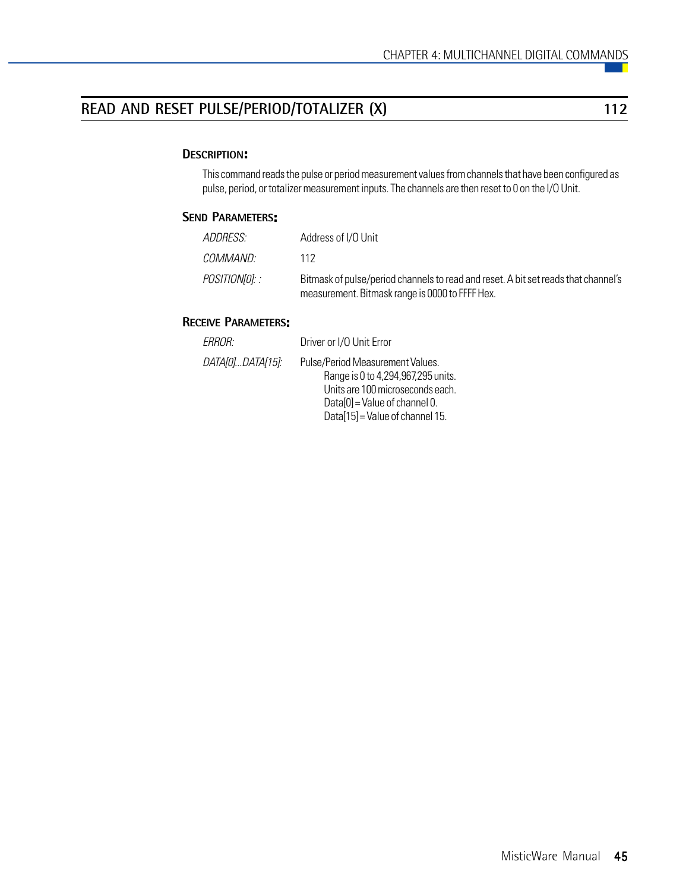## READ AND RESET PULSE/PERIOD/TOTALIZER (X) 112

#### **DESCRIPTION:**

This command reads the pulse or period measurement values from channels that have been configured as pulse, period, or totalizer measurement inputs. The channels are then reset to 0 on the I/O Unit.

#### **SEND PARAMETERS:**

| ADDRESS:        | Address of I/O Unit                                                                                                                   |
|-----------------|---------------------------------------------------------------------------------------------------------------------------------------|
| <i>COMMAND:</i> | 112                                                                                                                                   |
| POSITIONIOI : . | Bitmask of pulse/period channels to read and reset. A bit set reads that channel's<br>measurement. Bitmask range is 0000 to FFFF Hex. |

### **RECEIVE PARAMETERS:**

ERROR: Driver or I/O Unit Error DATA[0]...DATA[15]: Pulse/Period Measurement Values. Range is 0 to 4,294,967,295 units. Units are 100 microseconds each. Data[0] = Value of channel 0. Data[15] = Value of channel 15.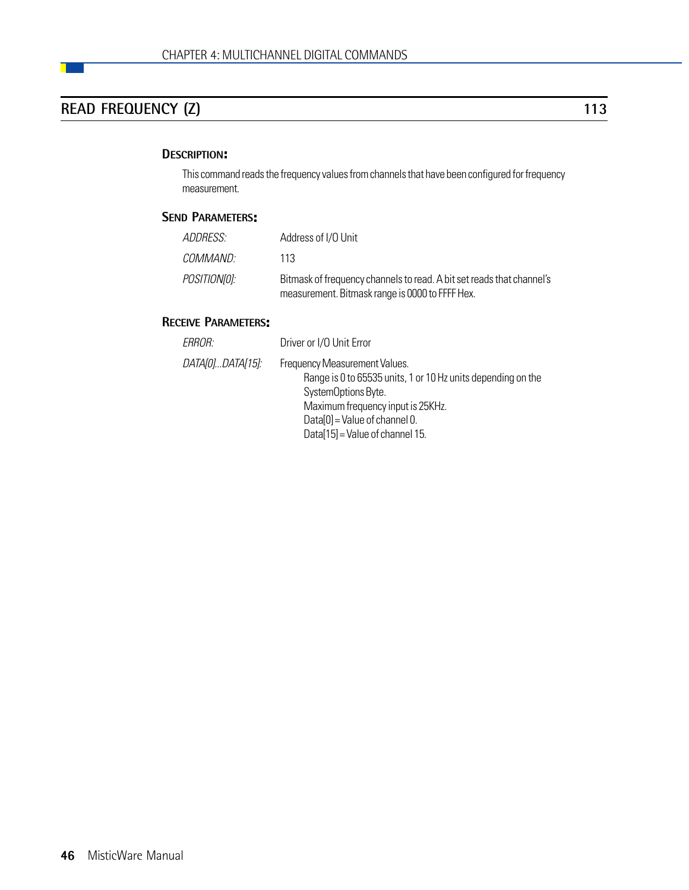## **READ FREQUENCY (Z)** 113

#### **DESCRIPTION:**

This command reads the frequency values from channels that have been configured for frequency measurement.

#### **SEND PARAMETERS:**

| <i>ADDRESS:</i> | Address of I/O Unit                                                                                                      |
|-----------------|--------------------------------------------------------------------------------------------------------------------------|
| <i>COMMAND:</i> | 113                                                                                                                      |
| POSITIONIOI:    | Bitmask of frequency channels to read. A bit set reads that channel's<br>measurement. Bitmask range is 0000 to FFFF Hex. |

| <i>ERROR:</i>    | Driver or I/O Unit Error                                                                                                                                                                                                        |
|------------------|---------------------------------------------------------------------------------------------------------------------------------------------------------------------------------------------------------------------------------|
| DATA[0]DATA[15]: | Frequency Measurement Values.<br>Range is 0 to 65535 units, 1 or 10 Hz units depending on the<br>SystemOptions Byte.<br>Maximum frequency input is 25KHz.<br>$Data[0] = Value of channel 0.$<br>Data[15] = Value of channel 15. |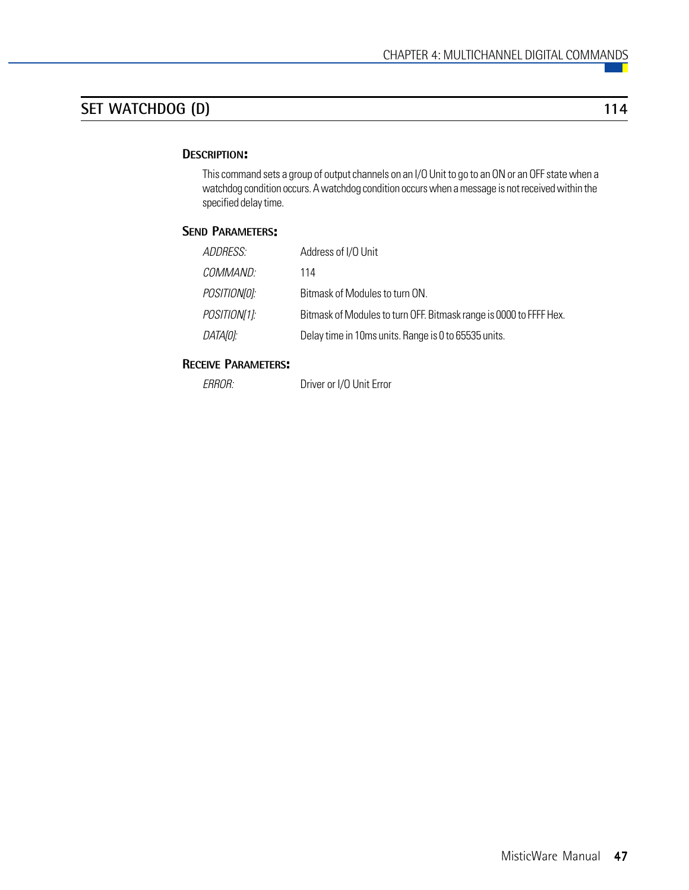## **SET WATCHDOG (D)** 114

### **DESCRIPTION:**

This command sets a group of output channels on an I/O Unit to go to an ON or an OFF state when a watchdog condition occurs. A watchdog condition occurs when a message is not received within the specified delay time.

### **SEND PARAMETERS:**

| <i>ADDRESS:</i> | Address of I/O Unit                                                |
|-----------------|--------------------------------------------------------------------|
| <i>COMMAND:</i> | 114                                                                |
| POSITION[0]:    | Bitmask of Modules to turn ON.                                     |
| POSITION[1]:    | Bitmask of Modules to turn OFF. Bitmask range is 0000 to FFFF Hex. |
| DATA[0]:        | Delay time in 10ms units. Range is 0 to 65535 units.               |

#### **RECEIVE PARAMETERS:**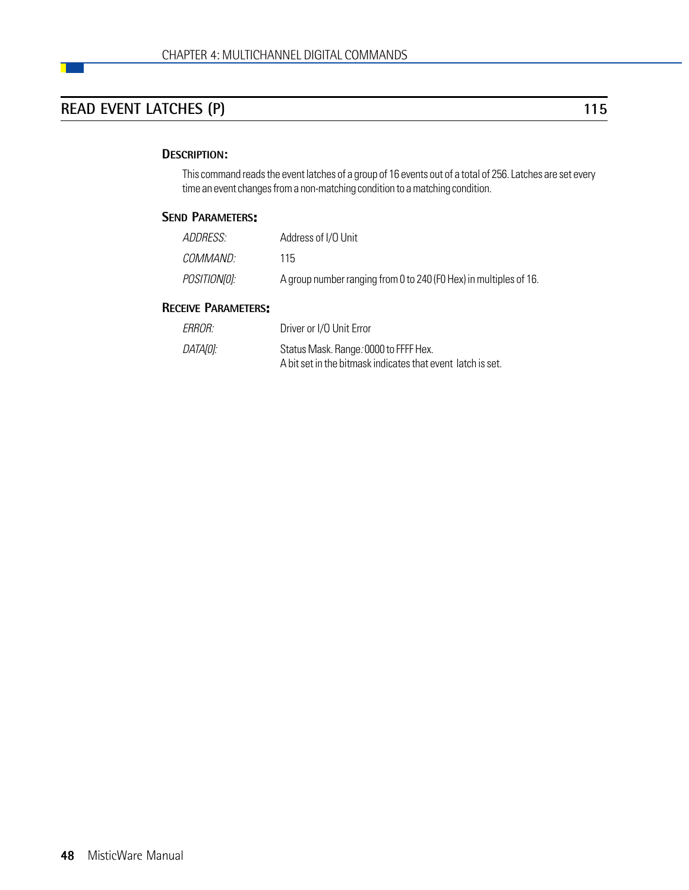## **READ EVENT LATCHES (P)** 115

#### **DESCRIPTION:**

This command reads the event latches of a group of 16 events out of a total of 256. Latches are set every time an event changes from a non-matching condition to a matching condition.

### **SEND PARAMETERS:**

| <i>ADDRESS:</i>     | Address of I/O Unit                                               |
|---------------------|-------------------------------------------------------------------|
| <i>COMMAND:</i>     | 115                                                               |
| <i>POSITION[0]:</i> | A group number ranging from 0 to 240 (F0 Hex) in multiples of 16. |

| <i>ERROR:</i> | Driver or I/O Unit Error                                    |
|---------------|-------------------------------------------------------------|
| DATA[0]:      | Status Mask. Range: 0000 to FFFF Hex.                       |
|               | A bit set in the bitmask indicates that event latch is set. |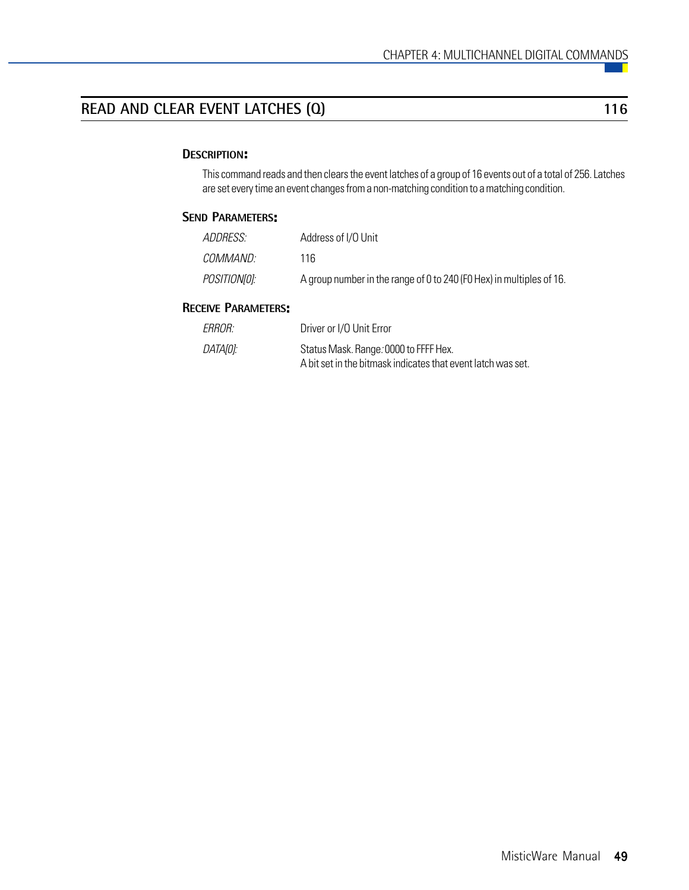## **READ AND CLEAR EVENT LATCHES (Q)** 116

a a <mark>i I</mark>

#### **DESCRIPTION:**

This command reads and then clears the event latches of a group of 16 events out of a total of 256. Latches are set every time an event changes from a non-matching condition to a matching condition.

#### **SEND PARAMETERS:**

| ADDRESS:        | Address of I/O Unit                                                  |
|-----------------|----------------------------------------------------------------------|
| <i>COMMAND:</i> | 116                                                                  |
| POSITION[0]:    | A group number in the range of 0 to 240 (F0 Hex) in multiples of 16. |

| <i>ERROR:</i> | Driver or I/O Unit Error                                     |
|---------------|--------------------------------------------------------------|
| DATA[0]:      | Status Mask. Range: 0000 to FFFF Hex.                        |
|               | A bit set in the bitmask indicates that event latch was set. |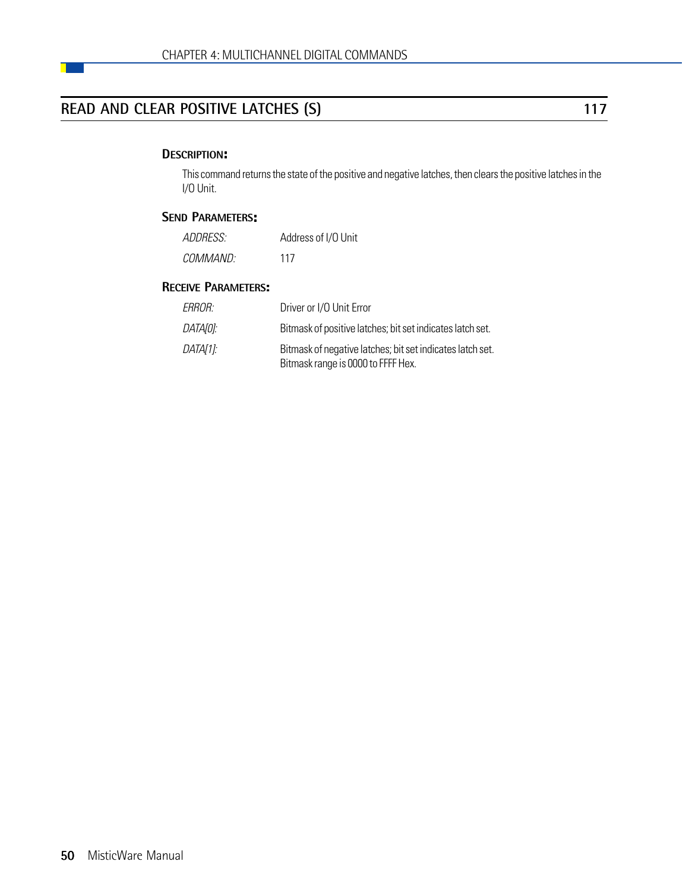## **READ AND CLEAR POSITIVE LATCHES (S)** 117

П

#### **DESCRIPTION:**

This command returns the state of the positive and negative latches, then clears the positive latches in the I/O Unit.

#### **SEND PARAMETERS:**

| <i>ADDRESS:</i> | Address of I/O Unit |
|-----------------|---------------------|
| <i>COMMAND:</i> | 117                 |

| <i>ERROR:</i> | Driver or I/O Unit Error                                                                        |
|---------------|-------------------------------------------------------------------------------------------------|
| DATA[0]:      | Bitmask of positive latches; bit set indicates latch set.                                       |
| DATA[1]       | Bitmask of negative latches; bit set indicates latch set.<br>Bitmask range is 0000 to FFFF Hex. |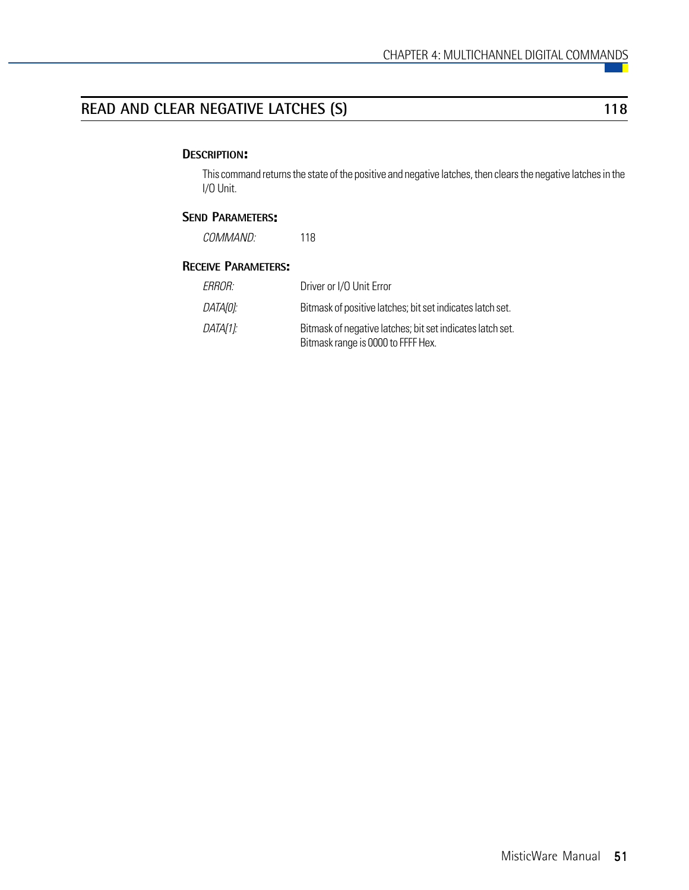## **READ AND CLEAR NEGATIVE LATCHES (S)** 118

a a <mark>i I</mark>

#### **DESCRIPTION:**

This command returns the state of the positive and negative latches, then clears the negative latches in the I/O Unit.

#### **SEND PARAMETERS:**

COMMAND: 118

| <i>ERROR:</i> | Driver or I/O Unit Error                                                                        |
|---------------|-------------------------------------------------------------------------------------------------|
| DATA[0]:      | Bitmask of positive latches; bit set indicates latch set.                                       |
| DATA[1]:      | Bitmask of negative latches; bit set indicates latch set.<br>Bitmask range is 0000 to FFFF Hex. |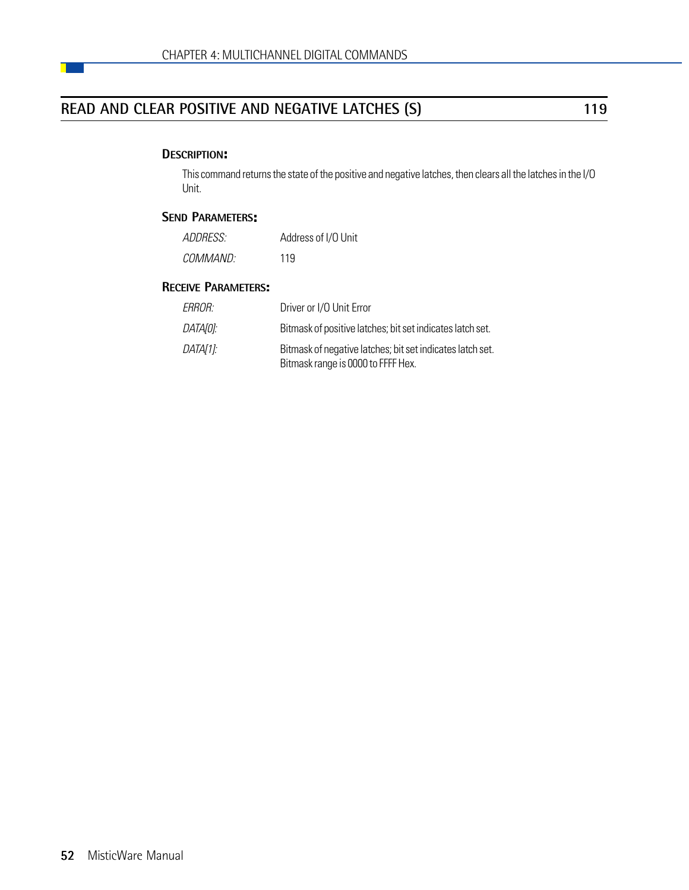## READ AND CLEAR POSITIVE AND NEGATIVE LATCHES (S) 119

#### **DESCRIPTION:**

This command returns the state of the positive and negative latches, then clears all the latches in the I/O Unit.

### **SEND PARAMETERS:**

| <i>ADDRESS:</i> | Address of I/O Unit |
|-----------------|---------------------|
| <i>COMMAND:</i> | 119                 |

| <i>ERROR:</i> | Driver or I/O Unit Error                                                                        |
|---------------|-------------------------------------------------------------------------------------------------|
| DATA[0]:      | Bitmask of positive latches; bit set indicates latch set.                                       |
| DATA[1]:      | Bitmask of negative latches; bit set indicates latch set.<br>Bitmask range is 0000 to FFFF Hex. |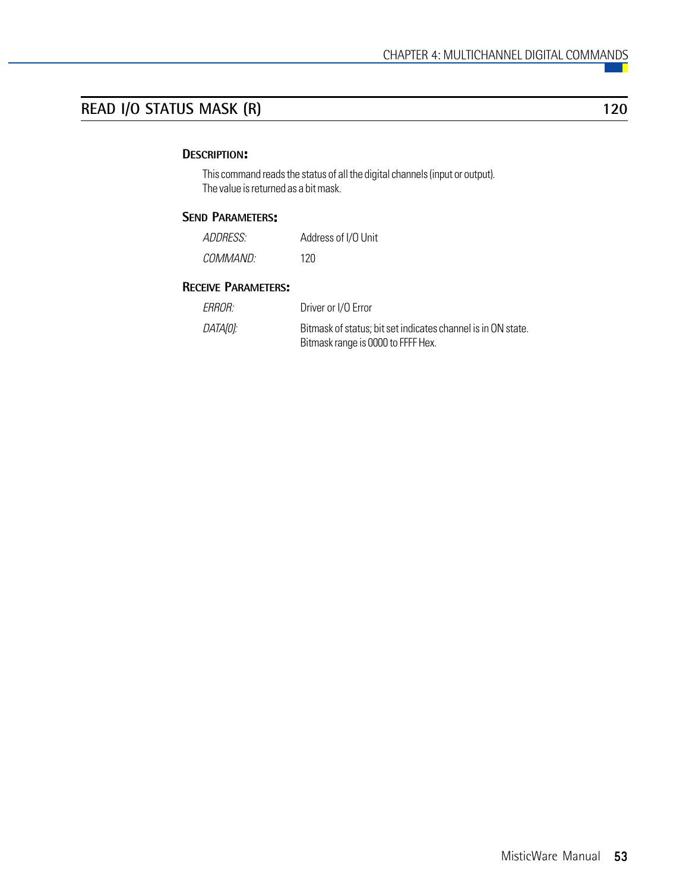## **READ I/O STATUS MASK (R)** 120

#### **DESCRIPTION:**

This command reads the status of all the digital channels (input or output). The value is returned as a bit mask.

#### **SEND PARAMETERS:**

| <i>ADDRESS:</i> | Address of I/O Unit |
|-----------------|---------------------|
| <i>COMMAND:</i> | 12N                 |

| <i>ERROR:</i> | Driver or I/O Error                                          |
|---------------|--------------------------------------------------------------|
| DATA[0]:      | Bitmask of status; bit set indicates channel is in ON state. |
|               | Bitmask range is 0000 to FFFF Hex.                           |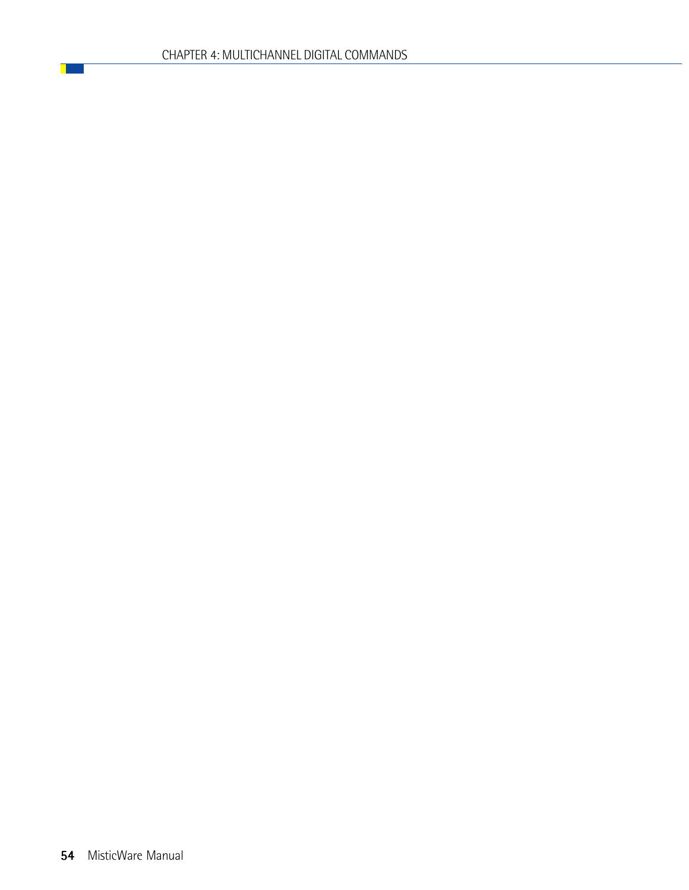П  $\sim$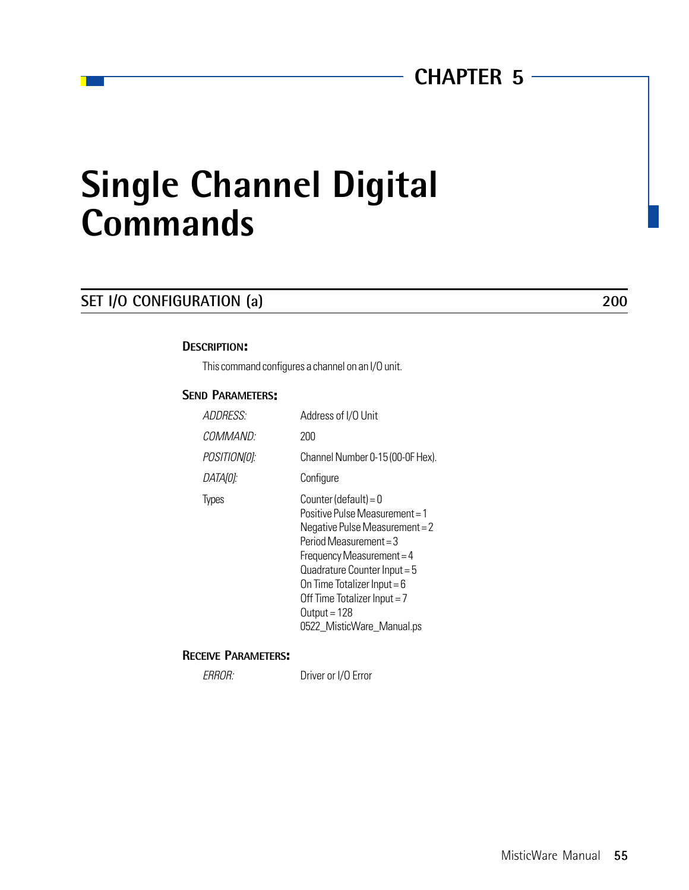## **CHAPTER 5**

# **Single Channel Digital Commands**

## **SET I/O CONFIGURATION (a) 200**

#### **DESCRIPTION:**

This command configures a channel on an I/O unit.

#### **SEND PARAMETERS:**

| <i>ADDRESS:</i> | Address of I/O Unit                                                                                                                                                                                                                                                                                  |
|-----------------|------------------------------------------------------------------------------------------------------------------------------------------------------------------------------------------------------------------------------------------------------------------------------------------------------|
| COMMAND:        | 200                                                                                                                                                                                                                                                                                                  |
| POSITION[0]:    | Channel Number 0-15 (00-0F Hex).                                                                                                                                                                                                                                                                     |
| DATA[0]:        | Configure                                                                                                                                                                                                                                                                                            |
| Types           | Counter (default) = $0$<br>Positive Pulse Measurement = 1<br>Negative Pulse Measurement = $2$<br>Period Measurement = 3<br>Frequency Measurement = 4<br>Quadrature Counter Input = 5<br>On Time Totalizer Input = $6$<br>Off Time Totalizer Input = 7<br>Output = $128$<br>0522_MisticWare_Manual.ps |

#### **RECEIVE PARAMETERS:**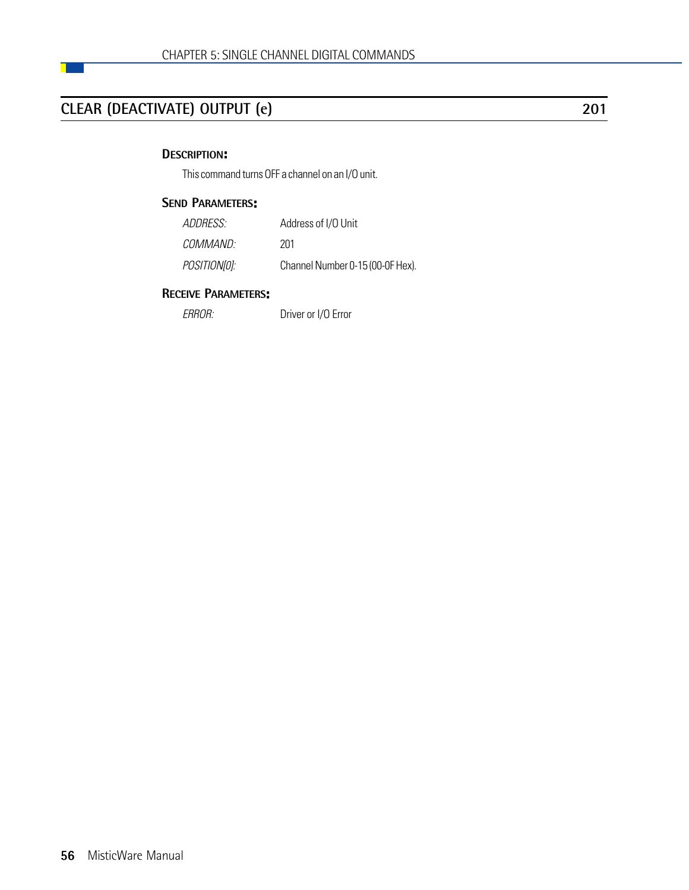## **CLEAR (DEACTIVATE) OUTPUT (e) 201**

**T**he Co

#### **DESCRIPTION:**

This command turns OFF a channel on an I/O unit.

#### **SEND PARAMETERS:**

| <i>ADDRESS:</i>     | Address of I/O Unit              |
|---------------------|----------------------------------|
| <i>COMMAND:</i>     | 201                              |
| <i>POSITIONIOI:</i> | Channel Number 0-15 (00-0F Hex). |

### **RECEIVE PARAMETERS:**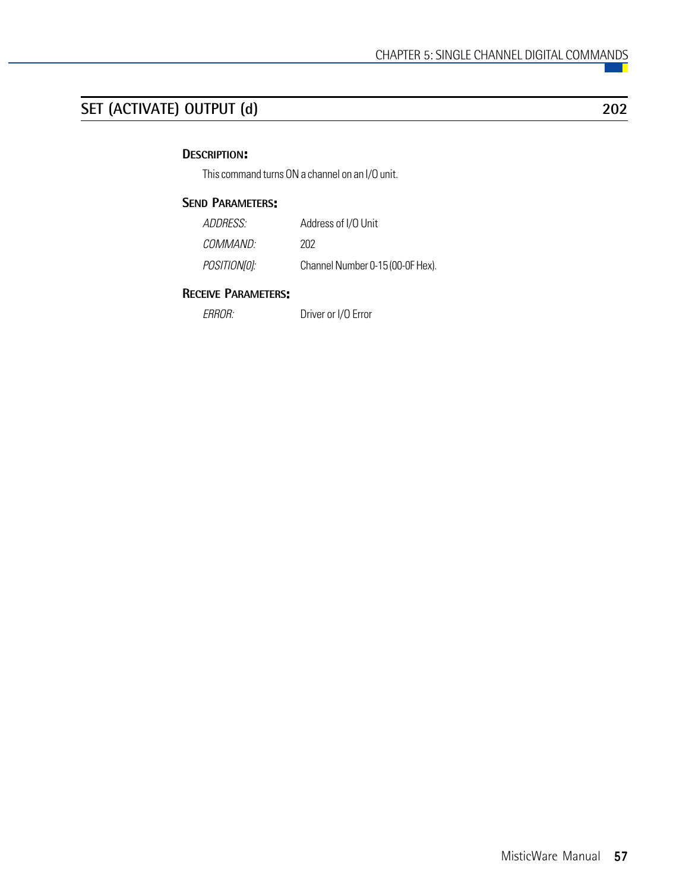## **SET (ACTIVATE) OUTPUT (d) 202**

a a <mark>i I</mark>

#### **DESCRIPTION:**

This command turns ON a channel on an I/O unit.

#### **SEND PARAMETERS:**

| <i>ADDRESS:</i>     | Address of I/O Unit              |
|---------------------|----------------------------------|
| <i>COMMAND:</i>     | 202                              |
| <i>POSITION[0]:</i> | Channel Number 0-15 (00-0F Hex). |

### **RECEIVE PARAMETERS:**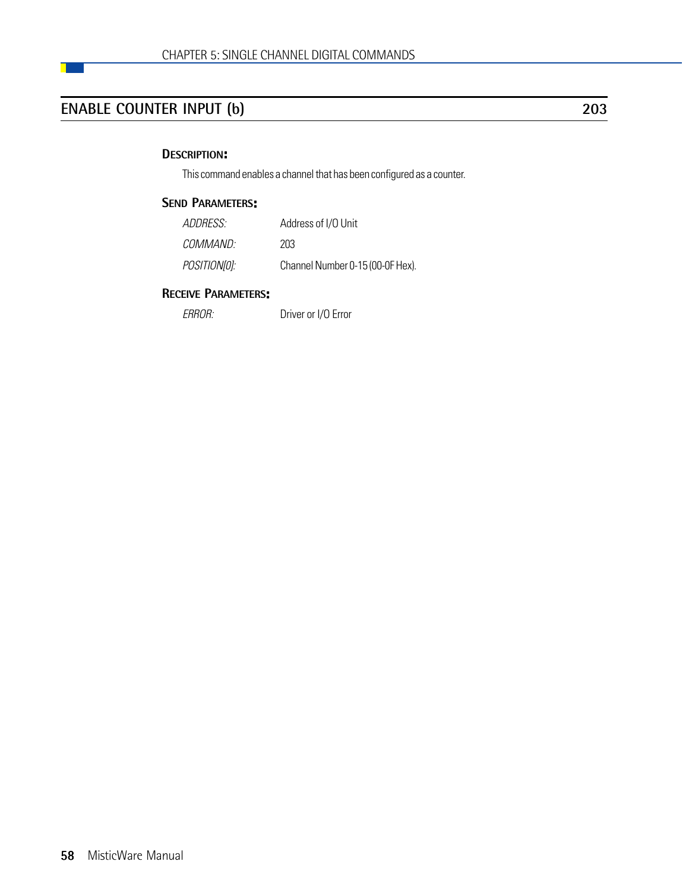## **ENABLE COUNTER INPUT (b)** 203

#### **DESCRIPTION:**

This command enables a channel that has been configured as a counter.

#### **SEND PARAMETERS:**

| <i>ADDRESS:</i> | Address of I/O Unit              |
|-----------------|----------------------------------|
| <i>COMMAND:</i> | 203                              |
| POSITIONIOI:    | Channel Number 0-15 (00-0F Hex). |

### **RECEIVE PARAMETERS:**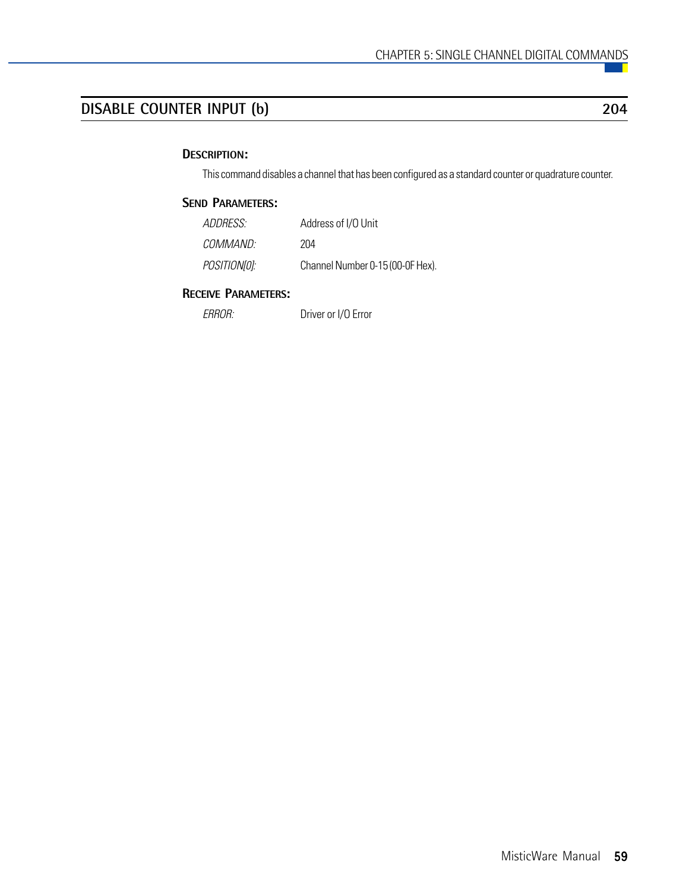## **DISABLE COUNTER INPUT (b) 204**

#### **DESCRIPTION:**

This command disables a channel that has been configured as a standard counter or quadrature counter.

#### **SEND PARAMETERS:**

| <i>ADDRESS:</i>     | Address of I/O Unit              |
|---------------------|----------------------------------|
| <i>COMMAND:</i>     | 204                              |
| <i>POSITIONIOI:</i> | Channel Number 0-15 (00-0F Hex). |

### **RECEIVE PARAMETERS:**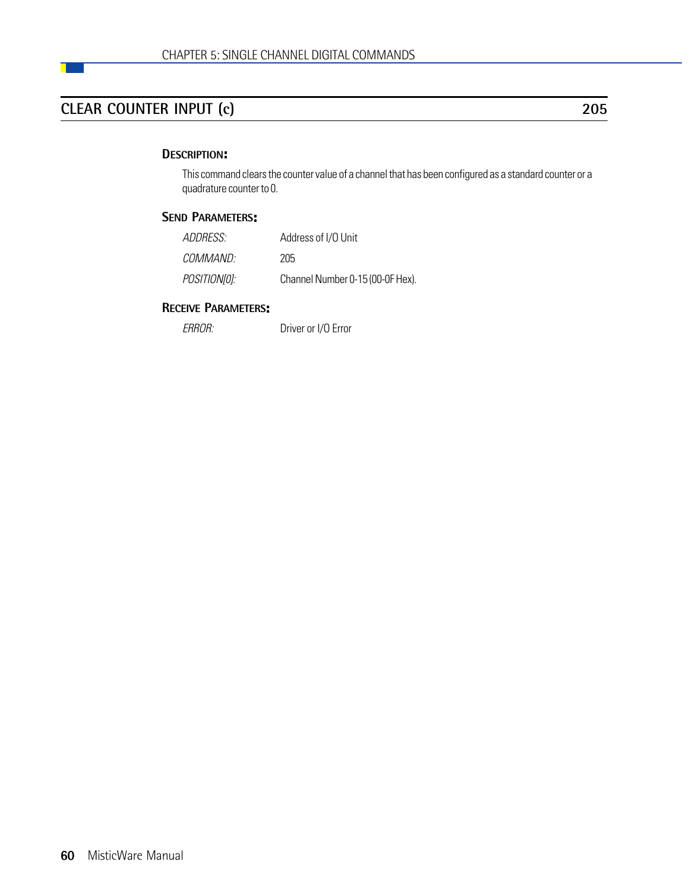## **CLEAR COUNTER INPUT (c) 205**

#### **DESCRIPTION:**

This command clears the counter value of a channel that has been configured as a standard counter or a quadrature counter to 0.

#### **SEND PARAMETERS:**

| <i>ADDRESS:</i> | Address of I/O Unit              |
|-----------------|----------------------------------|
| <i>COMMAND:</i> | 205                              |
| POSITIONIOI:    | Channel Number 0-15 (00-0F Hex). |

#### **RECEIVE PARAMETERS:**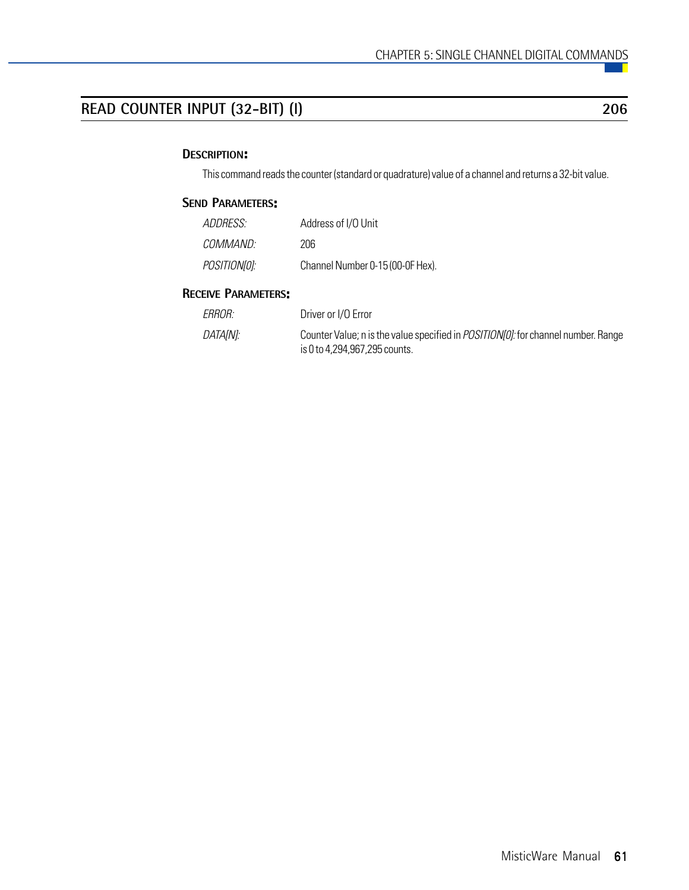## **READ COUNTER INPUT (32-BIT) (l) 206**

#### **DESCRIPTION:**

This command reads the counter (standard or quadrature) value of a channel and returns a 32-bit value.

#### **SEND PARAMETERS:**

| <i>ADDRESS:</i> | Address of I/O Unit              |
|-----------------|----------------------------------|
| <i>COMMAND:</i> | 206                              |
| POSITIONIOI:    | Channel Number 0-15 (00-0F Hex). |

| ERROR:     | Driver or I/O Error                                                                                                |
|------------|--------------------------------------------------------------------------------------------------------------------|
| DATA[N]: I | Counter Value; n is the value specified in POSITION[0]: for channel number. Range<br>is 0 to 4.294.967.295 counts. |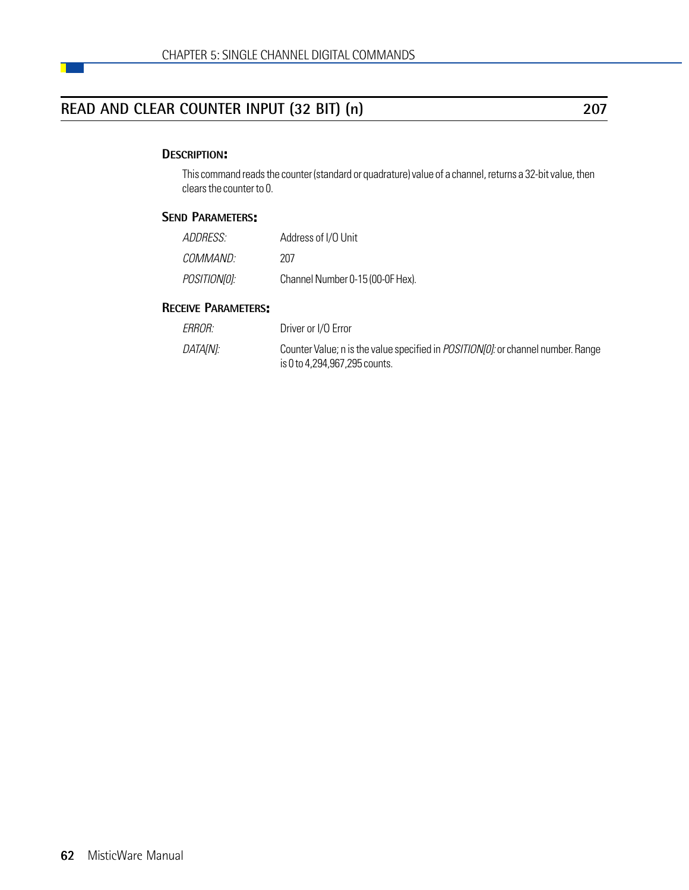## **READ AND CLEAR COUNTER INPUT (32 BIT) (n) 207**

#### **DESCRIPTION:**

Ш

This command reads the counter (standard or quadrature) value of a channel, returns a 32-bit value, then clears the counter to 0.

#### **SEND PARAMETERS:**

| <i>ADDRESS:</i>     | Address of I/O Unit              |
|---------------------|----------------------------------|
| <i>COMMAND:</i>     | 207                              |
| <i>POSITIONIOI:</i> | Channel Number 0-15 (00-0F Hex). |

| ERROR:     | Driver or I/O Error                                                                                                       |
|------------|---------------------------------------------------------------------------------------------------------------------------|
| DATA[N]: I | Counter Value; n is the value specified in <i>POSITION[0]</i> : or channel number. Range<br>is 0 to 4.294.967.295 counts. |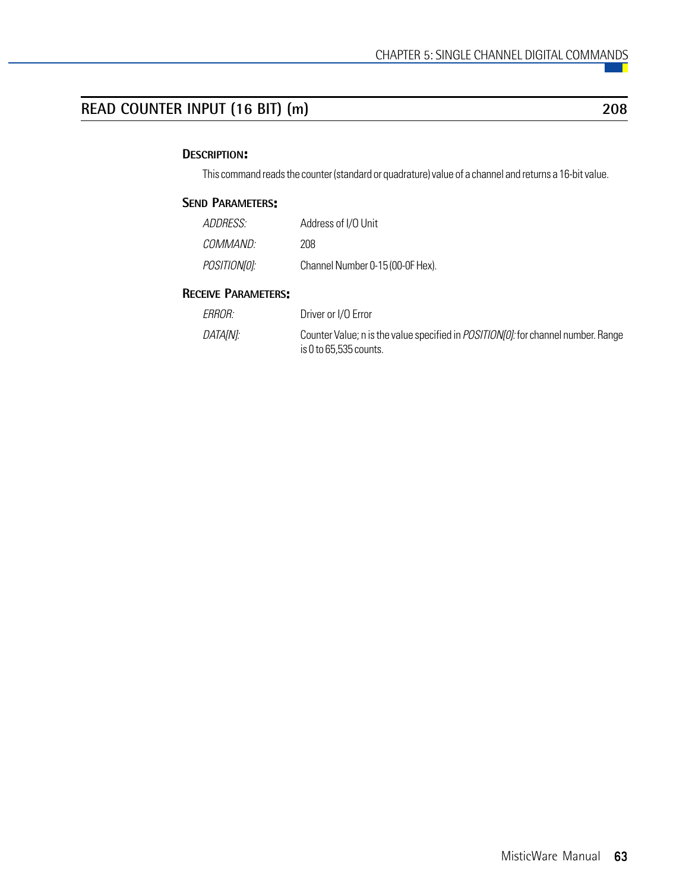## **READ COUNTER INPUT (16 BIT) (m) 208**

#### **DESCRIPTION:**

This command reads the counter (standard or quadrature) value of a channel and returns a 16-bit value.

#### **SEND PARAMETERS:**

| <i>ADDRESS:</i> | Address of I/O Unit              |
|-----------------|----------------------------------|
| <i>COMMAND:</i> | 208                              |
| POSITIONIOI:    | Channel Number 0-15 (00-0F Hex). |

| ERROR:     | Driver or I/O Error                                                                                         |
|------------|-------------------------------------------------------------------------------------------------------------|
| DATA[N]: I | Counter Value; n is the value specified in POSITION[0]: for channel number. Range<br>is 0 to 65.535 counts. |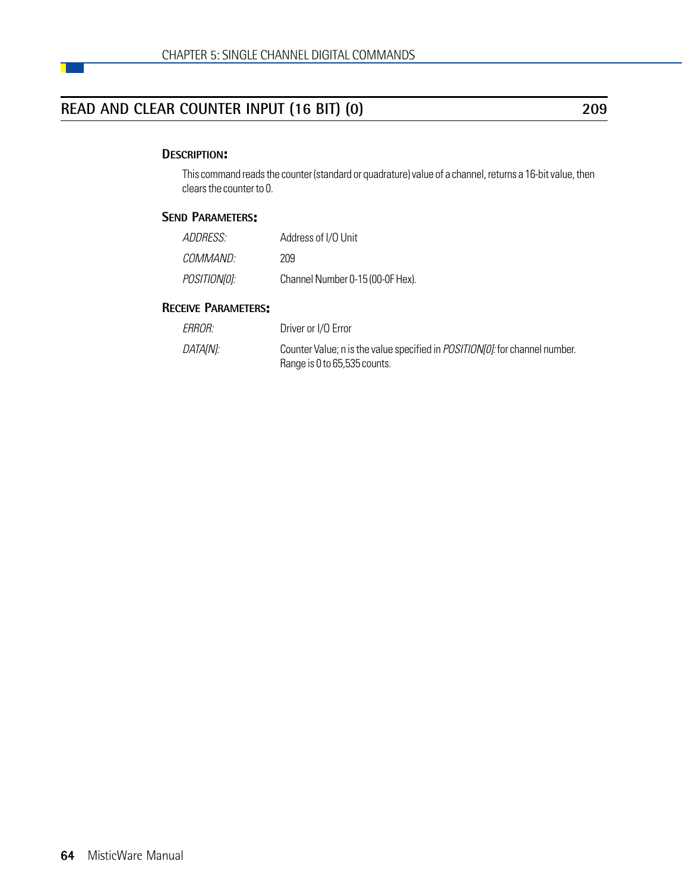## **READ AND CLEAR COUNTER INPUT (16 BIT) (0) 209**

#### **DESCRIPTION:**

This command reads the counter (standard or quadrature) value of a channel, returns a 16-bit value, then clears the counter to 0.

#### **SEND PARAMETERS:**

| <i>ADDRESS:</i>     | Address of I/O Unit              |
|---------------------|----------------------------------|
| <i>COMMAND:</i>     | 209                              |
| <i>POSITIONIOI:</i> | Channel Number 0-15 (00-0F Hex). |

| ERROR:   | Driver or I/O Error                                                                                                 |
|----------|---------------------------------------------------------------------------------------------------------------------|
| DATA[N]: | Counter Value; n is the value specified in <i>POSITION[0]</i> : for channel number.<br>Range is 0 to 65,535 counts. |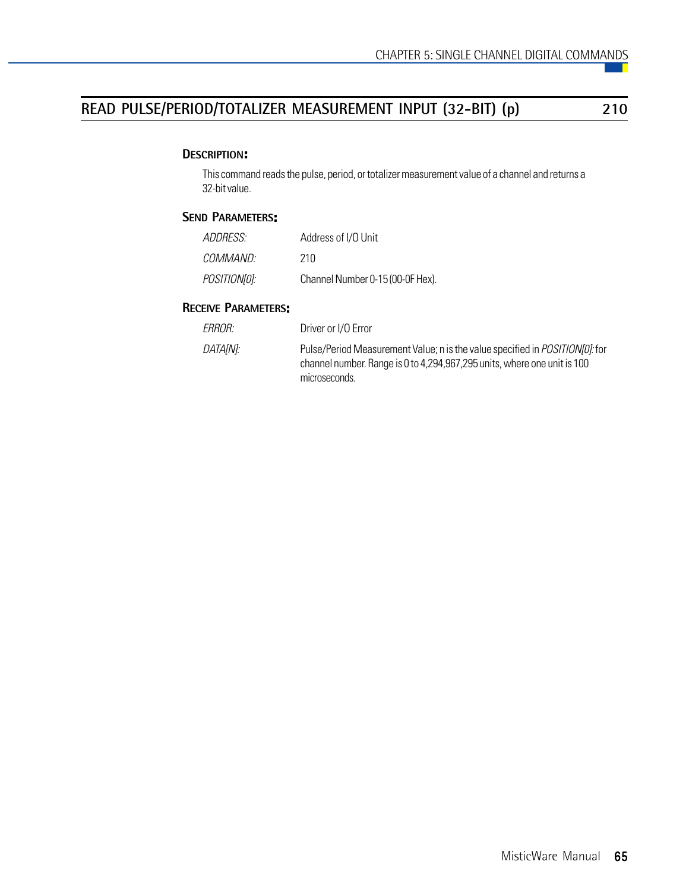## **READ PULSE/PERIOD/TOTALIZER MEASUREMENT INPUT (32-BIT) (p) 210**

a a <mark>i I</mark>

#### **DESCRIPTION:**

This command reads the pulse, period, or totalizer measurement value of a channel and returns a 32-bit value.

#### **SEND PARAMETERS:**

| ADDRESS:        | Address of I/O Unit              |
|-----------------|----------------------------------|
| <i>COMMAND:</i> | 21N                              |
| POSITION[0]:    | Channel Number 0-15 (00-0F Hex). |

| <i>ERROR:</i> | Driver or I/O Error                                                                                                                                                              |
|---------------|----------------------------------------------------------------------------------------------------------------------------------------------------------------------------------|
| DATA[N]:      | Pulse/Period Measurement Value; n is the value specified in <i>POSITION[0]:</i> for<br>channel number. Range is 0 to 4,294,967,295 units, where one unit is 100<br>microseconds. |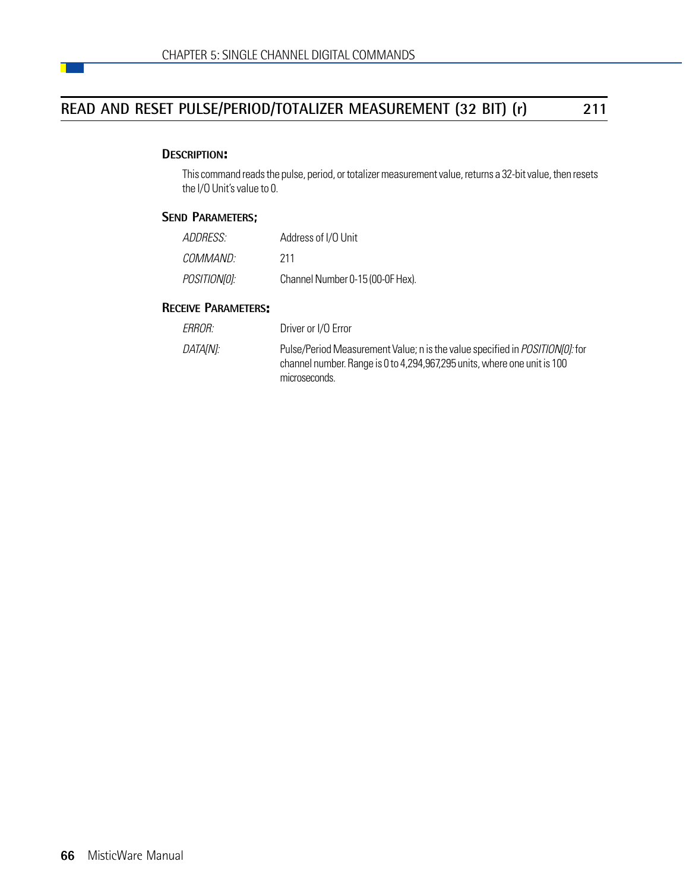## **READ AND RESET PULSE/PERIOD/TOTALIZER MEASUREMENT (32 BIT) (r) 211**

#### **DESCRIPTION:**

Ш

This command reads the pulse, period, or totalizer measurement value, returns a 32-bit value, then resets the I/O Unit's value to 0.

#### **SEND PARAMETERS;**

| <i>ADDRESS:</i>     | Address of I/O Unit              |
|---------------------|----------------------------------|
| <i>COMMAND:</i>     | 211                              |
| <i>POSITIONIOI:</i> | Channel Number 0-15 (00-0F Hex). |

| <i>ERROR:</i> | Driver or I/O Error                                                                                                                                                              |
|---------------|----------------------------------------------------------------------------------------------------------------------------------------------------------------------------------|
| DATA[N]:      | Pulse/Period Measurement Value; n is the value specified in <i>POSITION[0]:</i> for<br>channel number. Range is 0 to 4,294,967,295 units, where one unit is 100<br>microseconds. |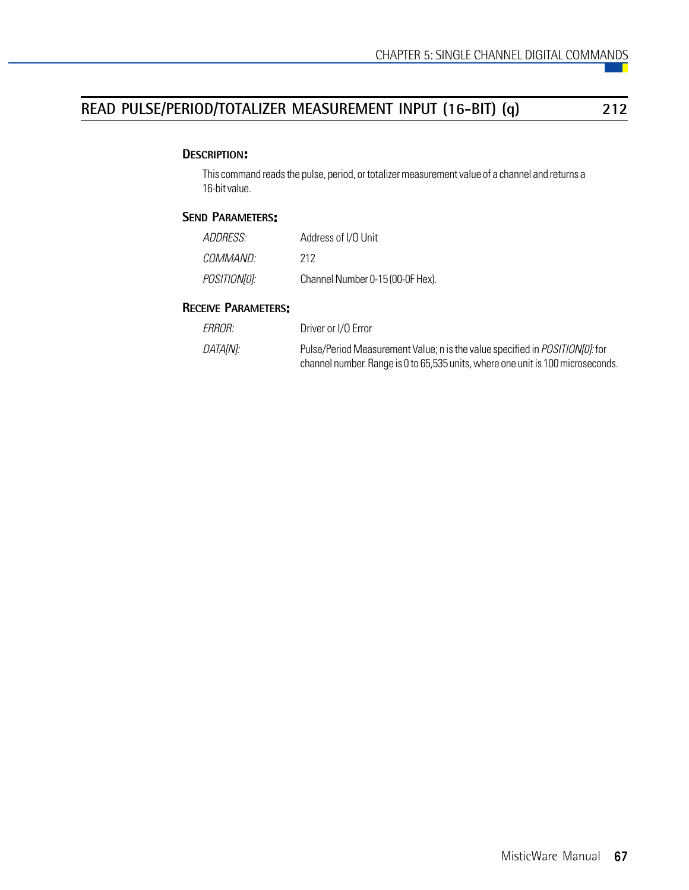## **READ PULSE/PERIOD/TOTALIZER MEASUREMENT INPUT (16-BIT) (q) 212**

a a <mark>i I</mark>

#### **DESCRIPTION:**

This command reads the pulse, period, or totalizer measurement value of a channel and returns a 16-bit value.

#### **SEND PARAMETERS:**

| <i>ADDRESS:</i> | Address of I/O Unit              |
|-----------------|----------------------------------|
| <i>COMMAND:</i> | 212                              |
| POSITION[0]:    | Channel Number 0-15 (00-0F Hex). |

| <i>ERROR:</i> | Driver or I/O Error                                                                                                                                             |
|---------------|-----------------------------------------------------------------------------------------------------------------------------------------------------------------|
| DATA[N]:      | Pulse/Period Measurement Value; n is the value specified in POSITION[0]: for<br>channel number. Range is 0 to 65,535 units, where one unit is 100 microseconds. |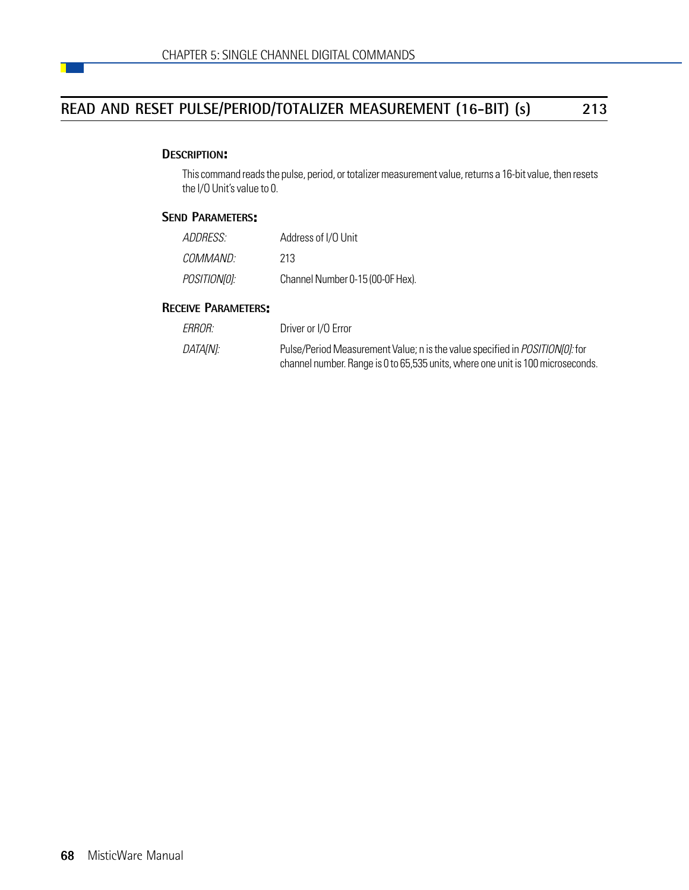## **READ AND RESET PULSE/PERIOD/TOTALIZER MEASUREMENT (16-BIT) (s) 213**

#### **DESCRIPTION:**

Ш

This command reads the pulse, period, or totalizer measurement value, returns a 16-bit value, then resets the I/O Unit's value to 0.

#### **SEND PARAMETERS:**

| <i>ADDRESS:</i>     | Address of I/O Unit              |
|---------------------|----------------------------------|
| <i>COMMAND:</i>     | 213                              |
| <i>POSITIONIOI:</i> | Channel Number 0-15 (00-0F Hex). |

| <i>ERROR:</i> | Driver or I/O Error                                                                                                                                             |
|---------------|-----------------------------------------------------------------------------------------------------------------------------------------------------------------|
| DATA[N]:      | Pulse/Period Measurement Value; n is the value specified in POSITION[0]: for<br>channel number. Range is 0 to 65,535 units, where one unit is 100 microseconds. |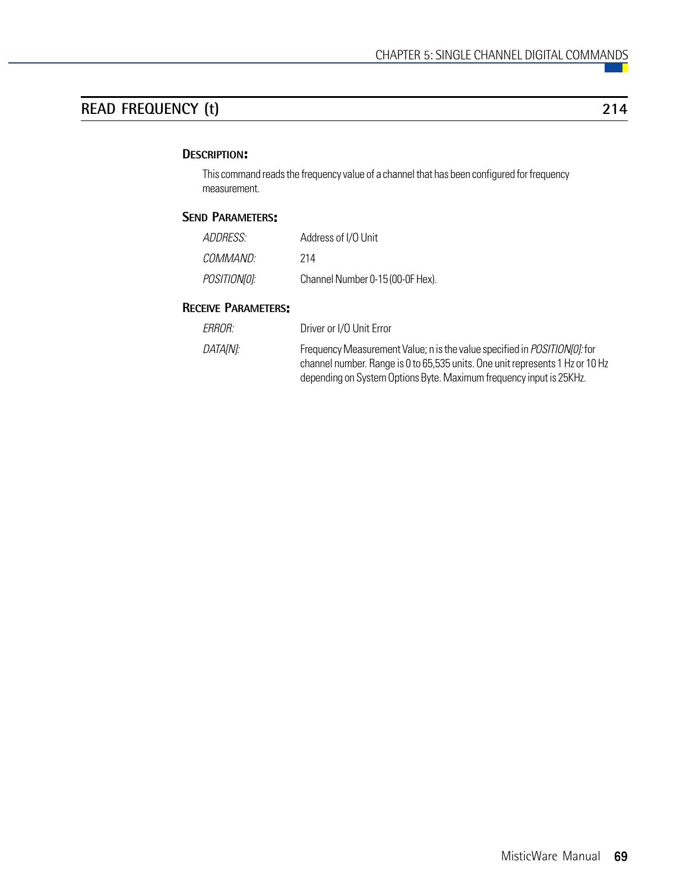## **READ FREQUENCY (t)** 214

#### **DESCRIPTION:**

This command reads the frequency value of a channel that has been configured for frequency measurement.

#### **SEND PARAMETERS:**

| ADDRESS:        | Address of I/O Unit              |
|-----------------|----------------------------------|
| <i>COMMAND:</i> | 214                              |
| POSITION[0]:    | Channel Number 0-15 (00-0F Hex). |

| <i>ERROR:</i> | Driver or I/O Unit Error                                                                                                                                                                                                          |
|---------------|-----------------------------------------------------------------------------------------------------------------------------------------------------------------------------------------------------------------------------------|
| DATA[N]:      | Frequency Measurement Value; n is the value specified in POSITION[0]: for<br>channel number. Range is 0 to 65,535 units. One unit represents 1 Hz or 10 Hz<br>depending on System Options Byte. Maximum frequency input is 25KHz. |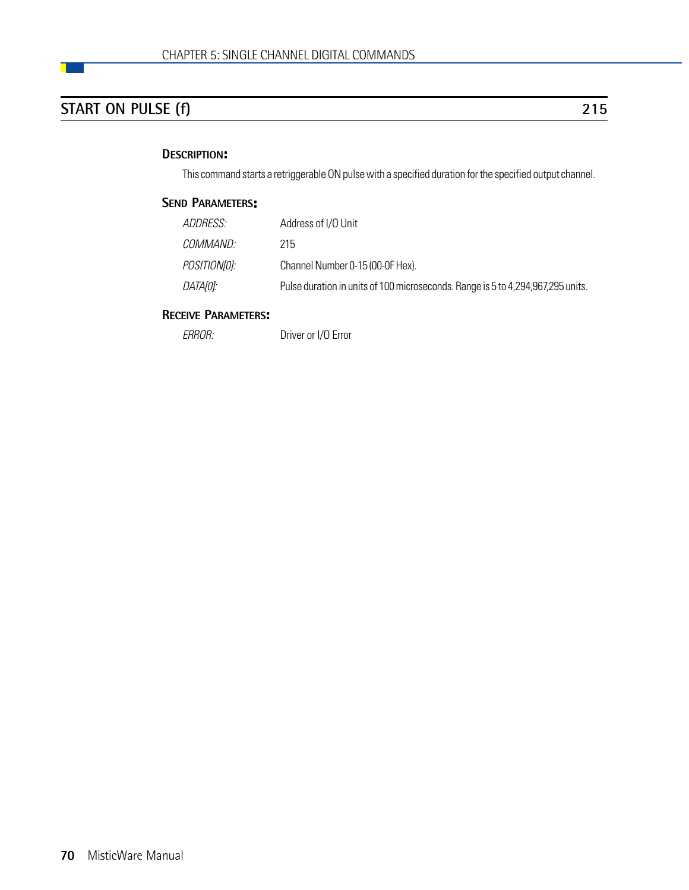## **START ON PULSE (f)** 215

#### **DESCRIPTION:**

This command starts a retriggerable ON pulse with a specified duration for the specified output channel.

#### **SEND PARAMETERS:**

| ADDRESS:        | Address of I/O Unit                                                             |
|-----------------|---------------------------------------------------------------------------------|
| <i>COMMAND:</i> | 215                                                                             |
| POSITION[0]:    | Channel Number 0-15 (00-0F Hex).                                                |
| DATA[0]:        | Pulse duration in units of 100 microseconds. Range is 5 to 4,294,967,295 units. |

#### **RECEIVE PARAMETERS:**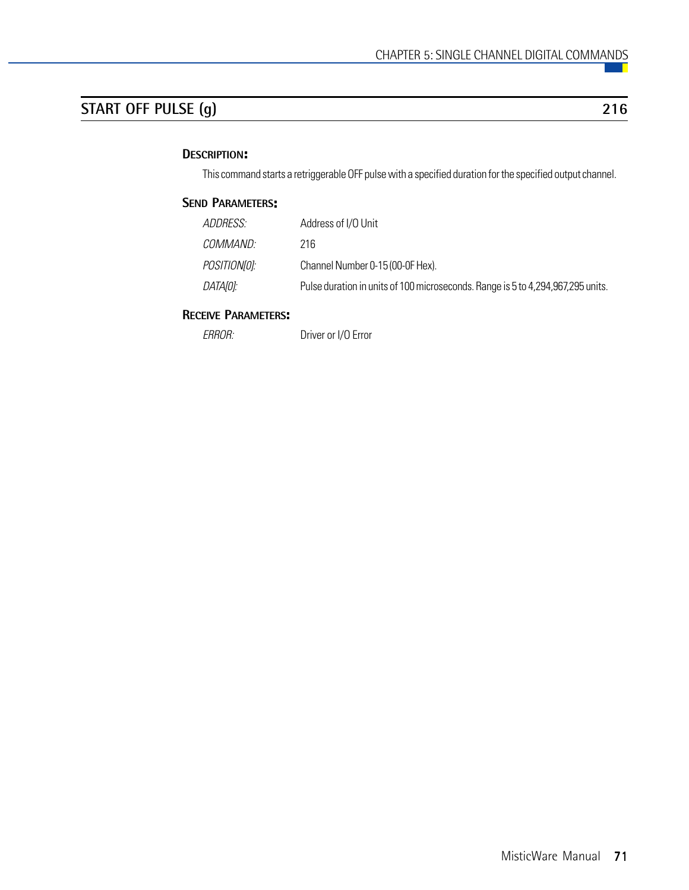a a <mark>i I</mark>

## **START OFF PULSE (g)** 216

#### **DESCRIPTION:**

This command starts a retriggerable OFF pulse with a specified duration for the specified output channel.

#### **SEND PARAMETERS:**

| ADDRESS:        | Address of I/O Unit                                                             |
|-----------------|---------------------------------------------------------------------------------|
| <i>COMMAND:</i> | 216                                                                             |
| POSITIONIOI:    | Channel Number 0-15 (00-0F Hex).                                                |
| DATA[0]:        | Pulse duration in units of 100 microseconds. Range is 5 to 4,294,967,295 units. |

### **RECEIVE PARAMETERS:**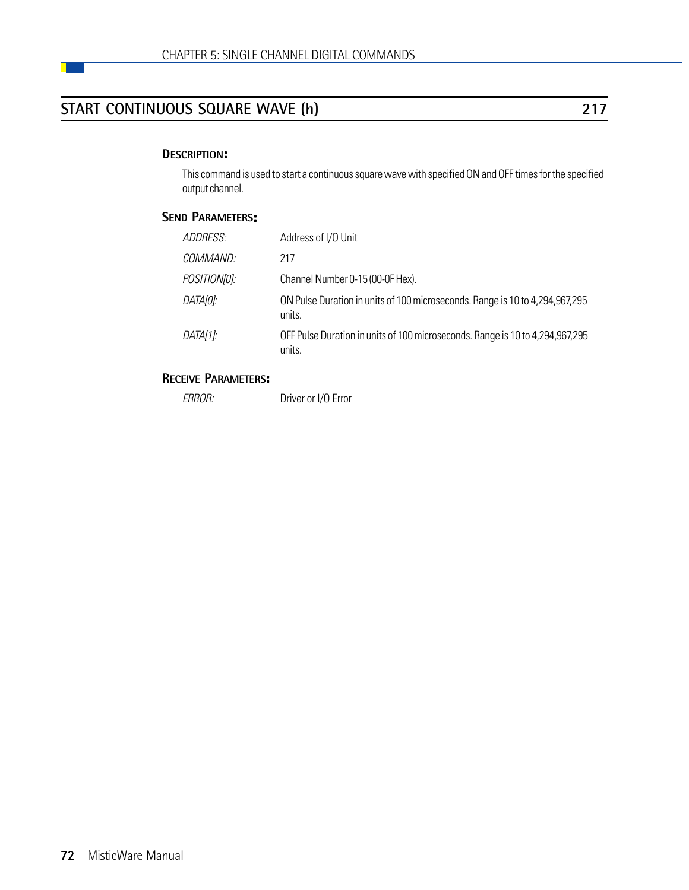## **START CONTINUOUS SQUARE WAVE (h)** 217

#### **DESCRIPTION:**

This command is used to start a continuous square wave with specified ON and OFF times for the specified output channel.

### **SEND PARAMETERS:**

| <i>ADDRESS:</i> | Address of I/O Unit                                                                     |
|-----------------|-----------------------------------------------------------------------------------------|
| <i>COMMAND:</i> | 217                                                                                     |
| POSITION[0]:    | Channel Number 0-15 (00-0F Hex).                                                        |
| DATA[0]:        | ON Pulse Duration in units of 100 microseconds. Range is 10 to 4,294,967,295<br>units.  |
| DATA[1]:        | OFF Pulse Duration in units of 100 microseconds. Range is 10 to 4,294,967,295<br>units. |

### **RECEIVE PARAMETERS:**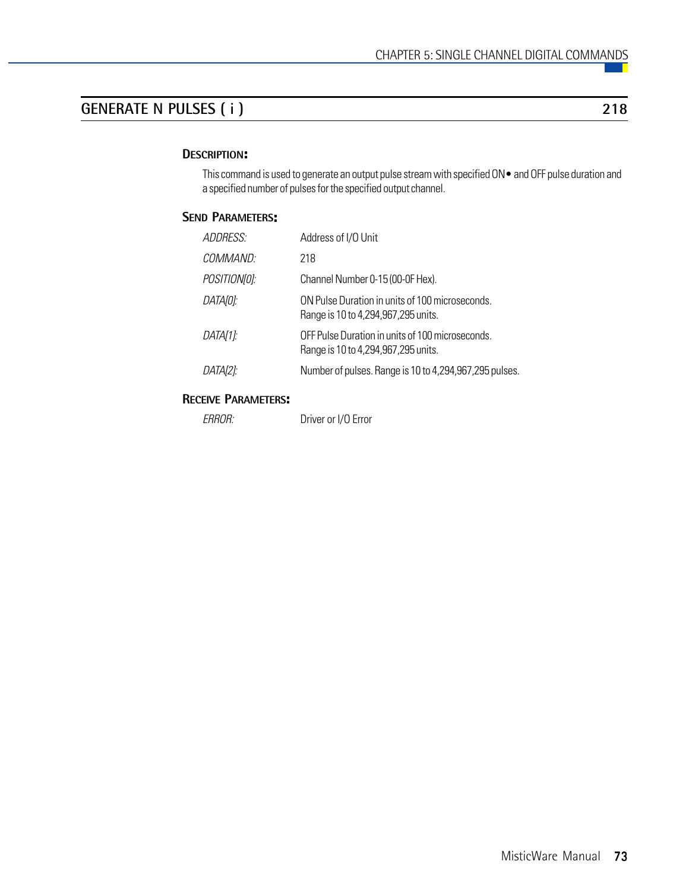a a <mark>i I</mark>

## **GENERATE N PULSES ( i )** 218

#### **DESCRIPTION:**

This command is used to generate an output pulse stream with specified ON• and OFF pulse duration and a specified number of pulses for the specified output channel.

#### **SEND PARAMETERS:**

| <i>ADDRESS:</i> | Address of I/O Unit                                                                     |
|-----------------|-----------------------------------------------------------------------------------------|
| <i>COMMAND:</i> | 218                                                                                     |
| POSITION[0]:    | Channel Number 0-15 (00-0F Hex).                                                        |
| DATA[0]:        | ON Pulse Duration in units of 100 microseconds.<br>Range is 10 to 4,294,967,295 units.  |
| DATA[1]:        | OFF Pulse Duration in units of 100 microseconds.<br>Range is 10 to 4,294,967,295 units. |
| DATA[2]:        | Number of pulses. Range is 10 to 4,294,967,295 pulses.                                  |

### **RECEIVE PARAMETERS:**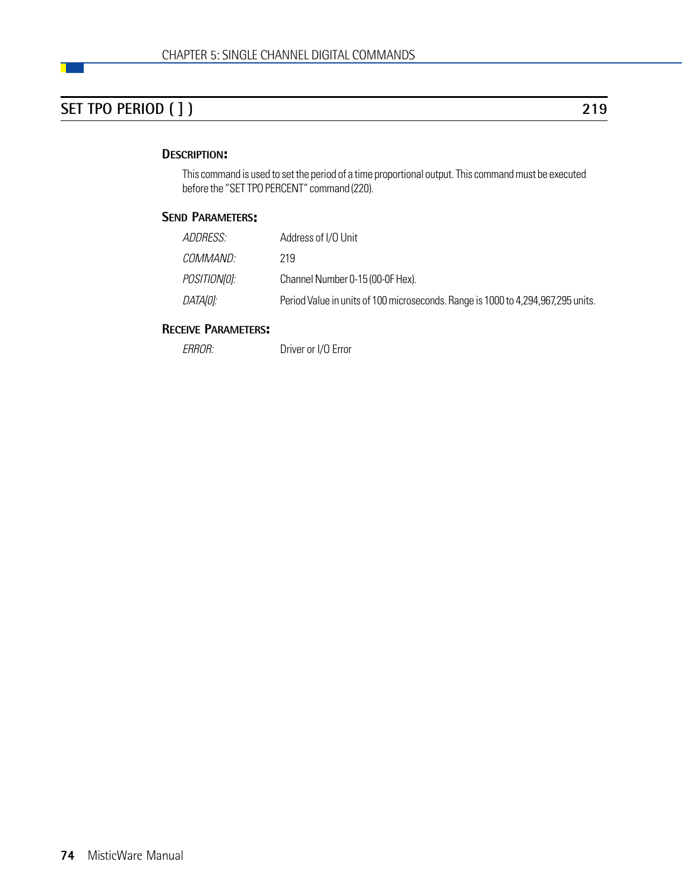## **SET TPO PERIOD ( ] )** 219

#### **DESCRIPTION:**

This command is used to set the period of a time proportional output. This command must be executed before the "SET TPO PERCENT" command (220).

#### **SEND PARAMETERS:**

| ADDRESS:        | Address of I/O Unit                                                              |
|-----------------|----------------------------------------------------------------------------------|
| <i>COMMAND:</i> | 219                                                                              |
| POSITIONIOI:    | Channel Number 0-15 (00-0F Hex).                                                 |
| DATA[0]:        | Period Value in units of 100 microseconds. Range is 1000 to 4,294,967,295 units. |
|                 |                                                                                  |

#### **RECEIVE PARAMETERS:**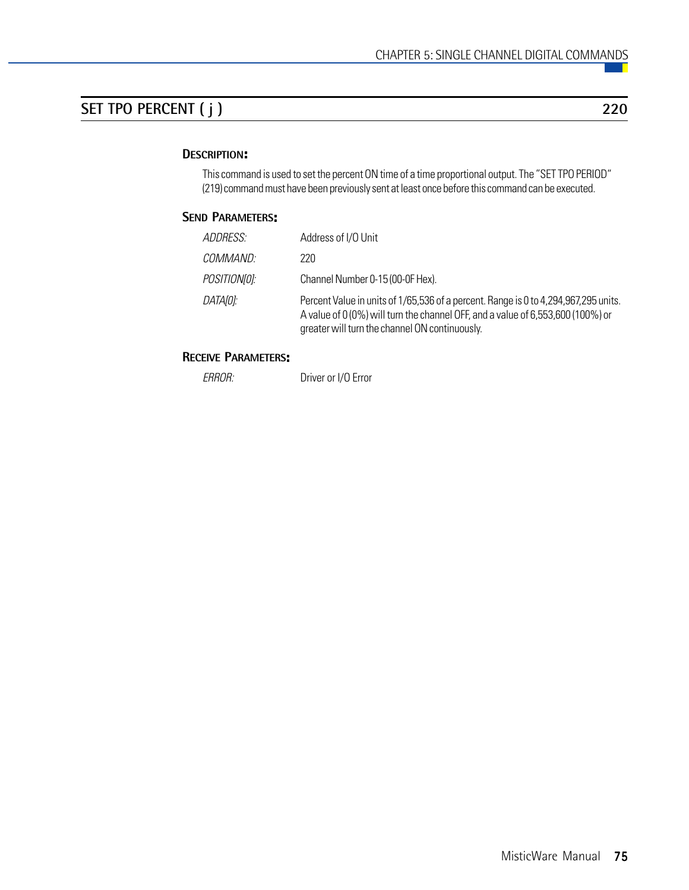a a <mark>i I</mark>

## **SET TPO PERCENT ( j )** 220

#### **DESCRIPTION:**

This command is used to set the percent ON time of a time proportional output. The "SET TPO PERIOD" (219) command must have been previously sent at least once before this command can be executed.

#### **SEND PARAMETERS:**

| ADDRESS:        | Address of I/O Unit                                                                                                                                                                                                      |
|-----------------|--------------------------------------------------------------------------------------------------------------------------------------------------------------------------------------------------------------------------|
| <i>COMMAND:</i> | 220                                                                                                                                                                                                                      |
| POSITION[0]:    | Channel Number 0-15 (00-0F Hex).                                                                                                                                                                                         |
| DATA[0]:        | Percent Value in units of 1/65,536 of a percent. Range is 0 to 4,294,967,295 units.<br>A value of 0 (0%) will turn the channel OFF, and a value of 6,553,600 (100%) or<br>greater will turn the channel ON continuously. |

### **RECEIVE PARAMETERS:**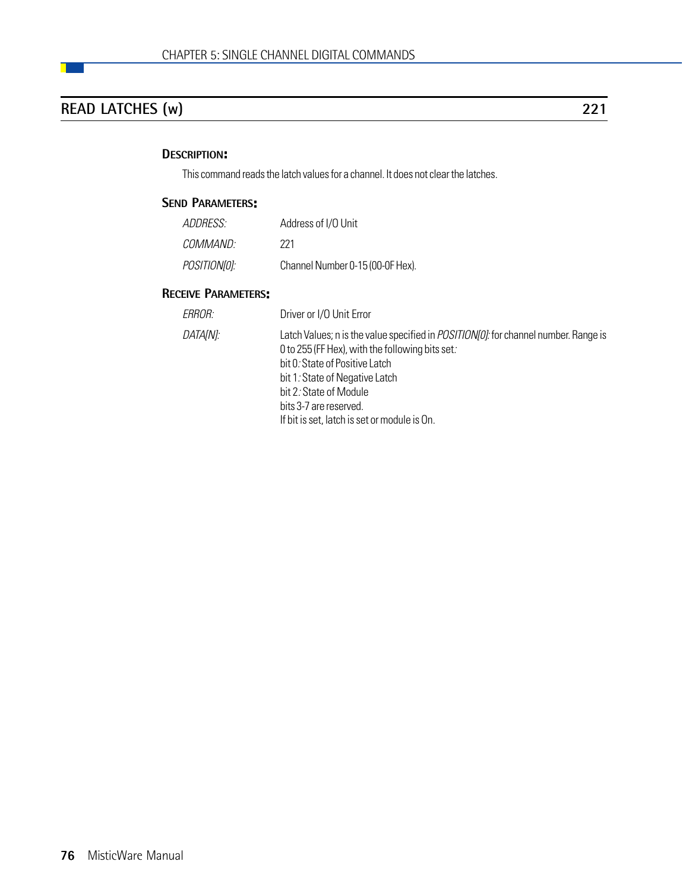## **READ LATCHES (w)** 221

**T**he Co

#### **DESCRIPTION:**

This command reads the latch values for a channel. It does not clear the latches.

#### **SEND PARAMETERS:**

| <i>ADDRESS:</i>     | Address of I/O Unit              |
|---------------------|----------------------------------|
| <i>COMMAND:</i>     | 221                              |
| <i>POSITION[0]:</i> | Channel Number 0-15 (00-0F Hex). |

| <i>ERROR:</i> | Driver or I/O Unit Error                                                                                                                                                                                                                                                                                       |
|---------------|----------------------------------------------------------------------------------------------------------------------------------------------------------------------------------------------------------------------------------------------------------------------------------------------------------------|
| DATA[N]: I    | Latch Values; n is the value specified in POSITION[0]: for channel number. Range is<br>0 to 255 (FF Hex), with the following bits set.<br>bit 0. State of Positive Latch<br>bit 1: State of Negative Latch<br>bit 2. State of Module<br>bits 3-7 are reserved.<br>If bit is set, latch is set or module is On. |
|               |                                                                                                                                                                                                                                                                                                                |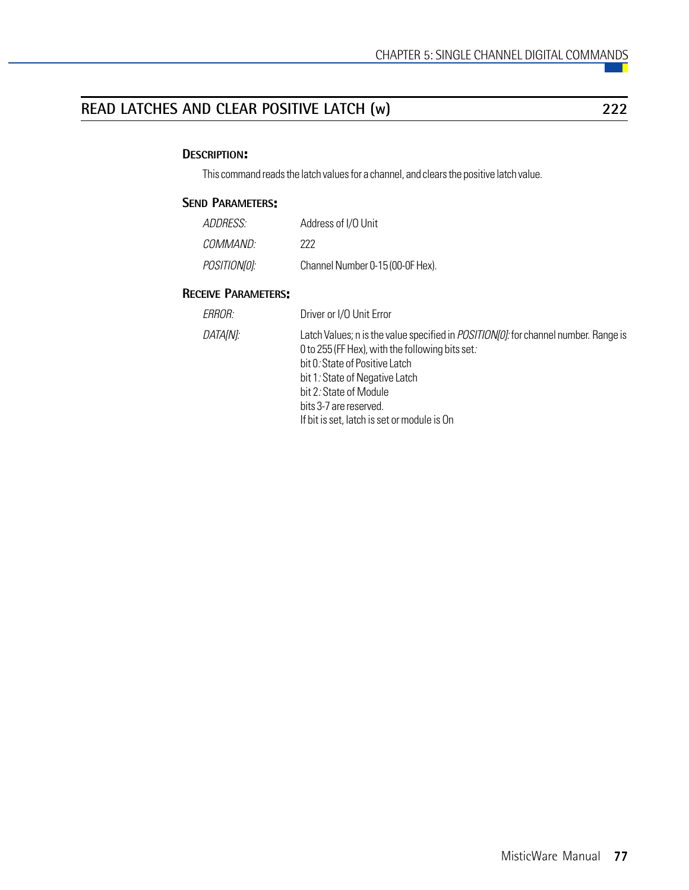## **READ LATCHES AND CLEAR POSITIVE LATCH (w) 222**

a a <mark>i I</mark>

### **DESCRIPTION:**

This command reads the latch values for a channel, and clears the positive latch value.

#### **SEND PARAMETERS:**

| <i>ADDRESS:</i> | Address of I/O Unit              |
|-----------------|----------------------------------|
| <i>COMMAND:</i> | 222                              |
| POSITIONIOI:    | Channel Number 0-15 (00-0F Hex). |

| ERROR:     | Driver or I/O Unit Error                                                                                                                                                                                                                                       |
|------------|----------------------------------------------------------------------------------------------------------------------------------------------------------------------------------------------------------------------------------------------------------------|
| DATA[N]: I | Latch Values; n is the value specified in POSITION[0]: for channel number. Range is<br>0 to 255 (FF Hex), with the following bits set.<br>bit 0. State of Positive Latch<br>bit 1: State of Negative Latch<br>bit 2. State of Module<br>bits 3-7 are reserved. |
|            | If bit is set, latch is set or module is On                                                                                                                                                                                                                    |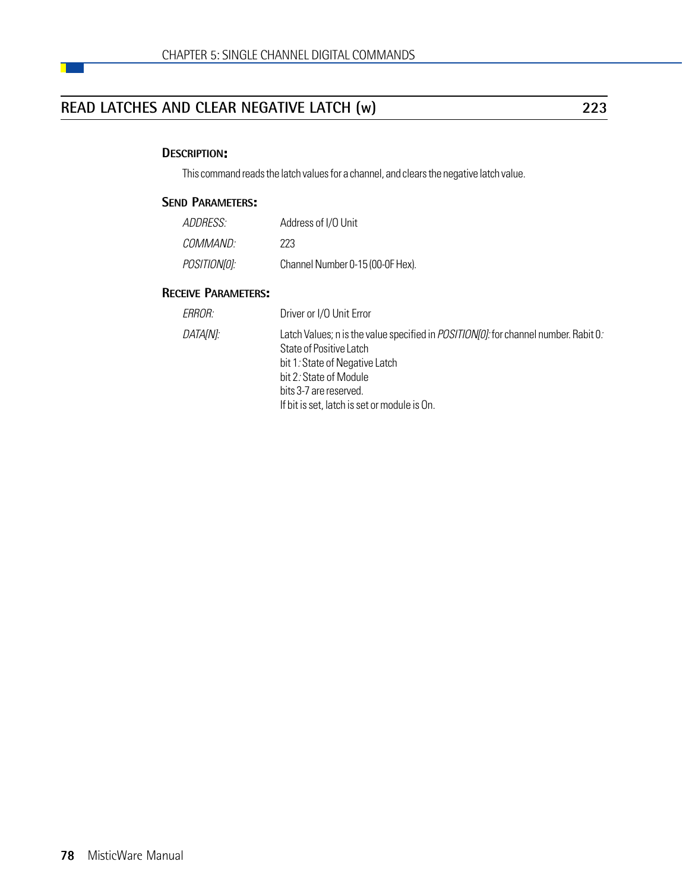## **READ LATCHES AND CLEAR NEGATIVE LATCH (w) 223**

### **DESCRIPTION:**

This command reads the latch values for a channel, and clears the negative latch value.

#### **SEND PARAMETERS:**

| <i>ADDRESS:</i> | Address of I/O Unit              |
|-----------------|----------------------------------|
| <i>COMMAND:</i> | 223                              |
| POSITION[0]:    | Channel Number 0-15 (00-0F Hex). |

| <i>ERROR:</i> | Driver or I/O Unit Error                                                                                                                                                                                                                             |
|---------------|------------------------------------------------------------------------------------------------------------------------------------------------------------------------------------------------------------------------------------------------------|
| DATA[N]: I    | Latch Values; n is the value specified in POSITION[0]: for channel number. Rabit 0:<br>State of Positive Latch<br>bit 1: State of Negative Latch<br>bit 2: State of Module<br>bits 3-7 are reserved.<br>If bit is set, latch is set or module is On. |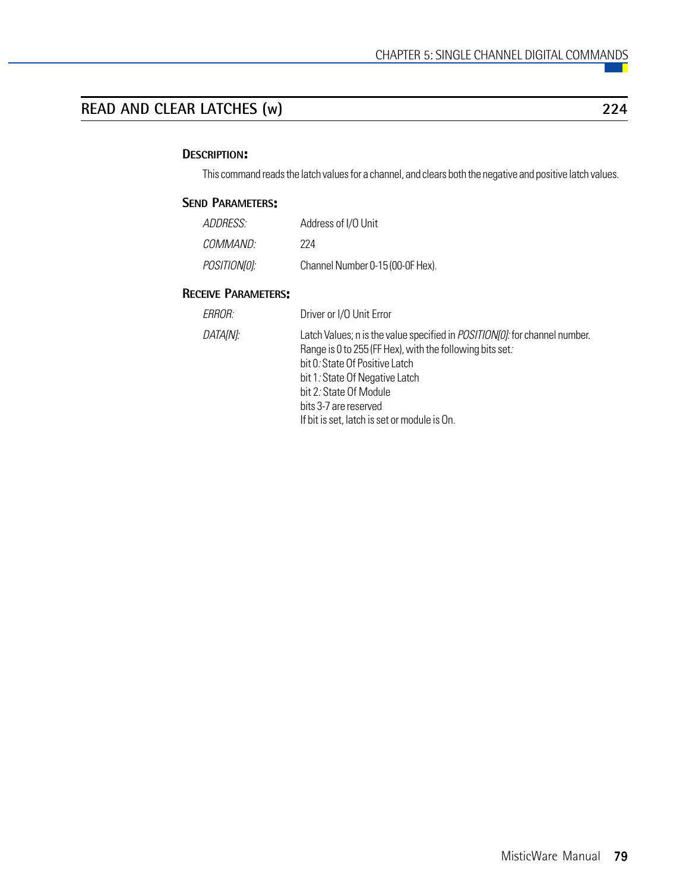## **READ AND CLEAR LATCHES (w)** 224

#### **DESCRIPTION:**

This command reads the latch values for a channel, and clears both the negative and positive latch values.

#### **SEND PARAMETERS:**

| <i>ADDRESS:</i> | Address of I/O Unit              |
|-----------------|----------------------------------|
| <i>COMMAND:</i> | 224                              |
| POSITIONIOI:    | Channel Number 0-15 (00-0F Hex). |

| <i>ERROR:</i> | Driver or I/O Unit Error                                                                                                                                                                                                                                                                                              |
|---------------|-----------------------------------------------------------------------------------------------------------------------------------------------------------------------------------------------------------------------------------------------------------------------------------------------------------------------|
| DATA[N]:      | Latch Values; n is the value specified in <i>POSITION[0]</i> : for channel number.<br>Range is 0 to 255 (FF Hex), with the following bits set.<br>bit 0. State Of Positive Latch<br>bit 1: State Of Negative Latch<br>bit 2: State Of Module<br>bits 3-7 are reserved<br>If bit is set, latch is set or module is On. |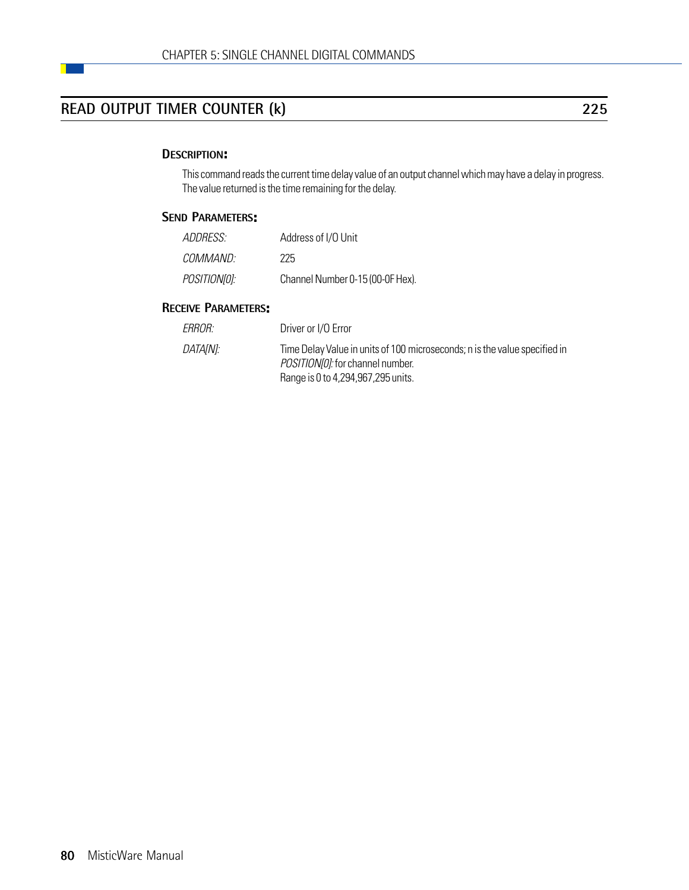## **READ OUTPUT TIMER COUNTER (k) 225**

#### **DESCRIPTION:**

This command reads the current time delay value of an output channel which may have a delay in progress. The value returned is the time remaining for the delay.

#### **SEND PARAMETERS:**

| <i>ADDRESS:</i>     | Address of I/O Unit              |
|---------------------|----------------------------------|
| <i>COMMAND:</i>     | 225                              |
| <i>POSITIONIOI:</i> | Channel Number 0-15 (00-0F Hex). |

| <i>ERROR:</i> | Driver or I/O Error                                                                                                                                         |
|---------------|-------------------------------------------------------------------------------------------------------------------------------------------------------------|
| DATA[N]:      | Time Delay Value in units of 100 microseconds; n is the value specified in<br><i>POSITION[0]:</i> for channel number.<br>Range is 0 to 4,294,967,295 units. |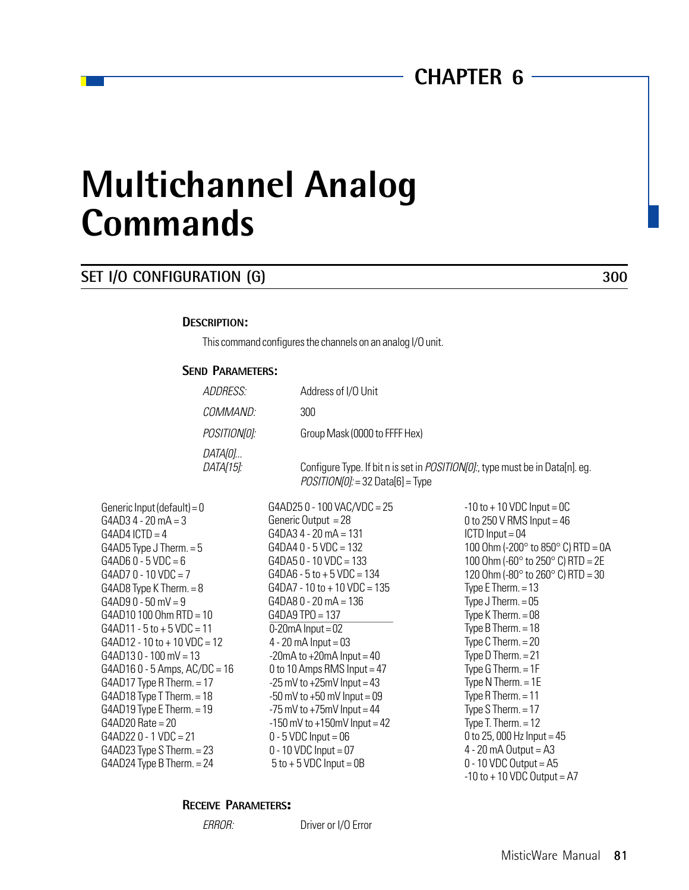## **CHAPTER 6**

# **Multichannel Analog Commands**

### **SET I/O CONFIGURATION (G)** 300

#### **DESCRIPTION:**

This command configures the channels on an analog I/O unit.

### **SEND PARAMETERS:**

| <b>ADDRESS:</b> | Address of I/O Unit                                                                                                                                                                                                                                                                                                                           |                                                                                                                                                                                                                                                                                                                                                                                                                                                                                                                                                                                                   |                                                                                                                                                                                                                                                                                                                               |
|-----------------|-----------------------------------------------------------------------------------------------------------------------------------------------------------------------------------------------------------------------------------------------------------------------------------------------------------------------------------------------|---------------------------------------------------------------------------------------------------------------------------------------------------------------------------------------------------------------------------------------------------------------------------------------------------------------------------------------------------------------------------------------------------------------------------------------------------------------------------------------------------------------------------------------------------------------------------------------------------|-------------------------------------------------------------------------------------------------------------------------------------------------------------------------------------------------------------------------------------------------------------------------------------------------------------------------------|
|                 | 300                                                                                                                                                                                                                                                                                                                                           |                                                                                                                                                                                                                                                                                                                                                                                                                                                                                                                                                                                                   |                                                                                                                                                                                                                                                                                                                               |
|                 |                                                                                                                                                                                                                                                                                                                                               |                                                                                                                                                                                                                                                                                                                                                                                                                                                                                                                                                                                                   |                                                                                                                                                                                                                                                                                                                               |
|                 |                                                                                                                                                                                                                                                                                                                                               |                                                                                                                                                                                                                                                                                                                                                                                                                                                                                                                                                                                                   |                                                                                                                                                                                                                                                                                                                               |
|                 |                                                                                                                                                                                                                                                                                                                                               | $-10$ to $+10$ VDC Input = 0C<br>0 to 250 V RMS Input = $46$<br>$ICTD Input = 04$<br>100 Ohm (-200 $^{\circ}$ to 850 $^{\circ}$ C) RTD = 0A<br>100 Ohm (-60 $^{\circ}$ to 250 $^{\circ}$ C) RTD = 2E<br>120 Ohm (-80 $^{\circ}$ to 260 $^{\circ}$ C) RTD = 30<br>Type E Therm. $= 13$<br>Type J Therm. $= 05$<br>Type K Therm. $= 08$<br>Type B Therm. $= 18$<br>Type C Therm. $= 20$<br>Type D Therm. $= 21$<br>Type G Therm. $= 1F$<br>Type N Therm. $= 1E$<br>Type R Therm. $= 11$<br>Type $S$ Therm. = 17<br>Type T. Therm. $= 12$<br>0 to 25, 000 Hz Input = $45$<br>$4 - 20$ mA Output = A3 |                                                                                                                                                                                                                                                                                                                               |
|                 | <i>COMMAND:</i><br>POSITION[0]:<br>DATA[0]<br>DATA[15]:<br>G4AD10 100 Ohm RTD = 10<br>G4AD11 - 5 to $+5$ VDC = 11<br>G4AD12 - 10 to + 10 VDC = 12<br>G4AD16 0 - 5 Amps, $AC/DC = 16$<br>G4AD17 Type R Therm. $= 17$<br>G4AD18 Type T Therm. $=$ 18<br>G4AD19 Type E Therm. = 19<br>G4AD23 Type S Therm. $= 23$<br>G4AD24 Type B Therm. $= 24$ | Generic Output = 28<br>G4DA3 4 - 20 mA = 131<br>$G4DA40 - 5 VDC = 132$<br>$G4DA50 - 10 VDC = 133$<br>$G4DA6 - 5$ to $+ 5$ VDC = 134<br>G4DA8 $0 - 20$ mA = 136<br>G4DA9 TPO = 137<br>$0-20$ m $A$ Input = 02<br>$4 - 20$ mA Input = 03<br>-20 $mA$ to +20 $mA$ lnput = 40<br>0 to 10 Amps RMS Input = $47$<br>$-25$ mV to $+25$ mV Input = 43<br>$-50$ mV to $+50$ mV lnput = 09<br>$-75$ mV to $+75$ mV Input = 44<br>$0 - 5$ VDC Input = 06<br>$0 - 10$ VDC Input = 07<br>$5$ to $+5$ VDC Input = 0B                                                                                            | Group Mask (0000 to FFFF Hex)<br>Configure Type. If bit n is set in <i>POSITION[0]:</i> , type must be in Data[n]. eg.<br>$POSITION[0]:=32 Data[6] = Type$<br>$G4AD250 - 100$ VAC/VDC = 25<br>G4DA7 - 10 to + 10 VDC = 135<br>$-150$ mV to $+150$ mV Input = 42<br>$0 - 10$ VDC Output = A5<br>$-10$ to $+10$ VDC Output = A7 |

#### **RECEIVE PARAMETERS:**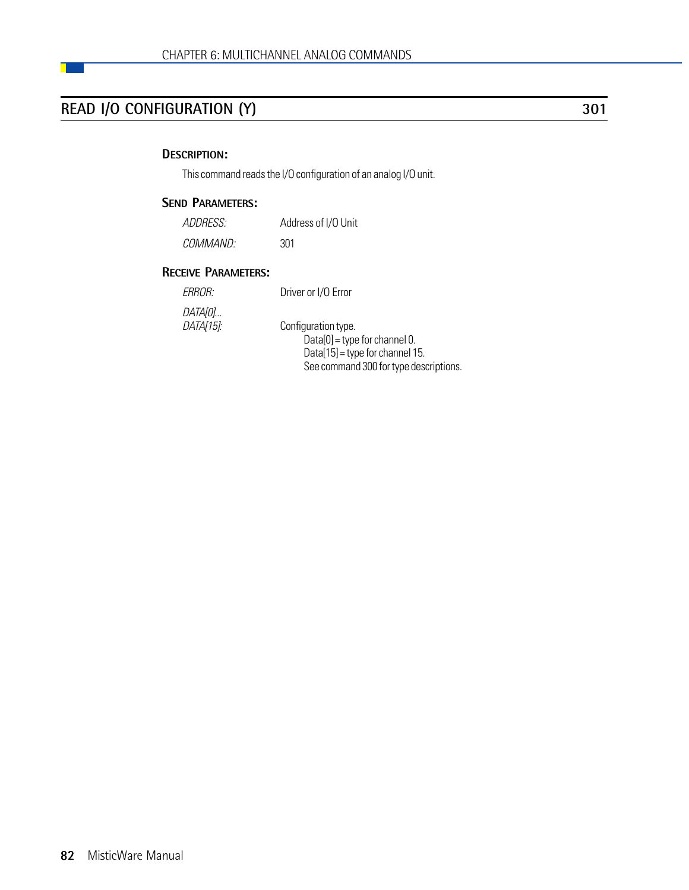## **READ I/O CONFIGURATION (Y)** 301

#### **DESCRIPTION:**

This command reads the I/O configuration of an analog I/O unit.

#### **SEND PARAMETERS:**

| <i>ADDRESS:</i> | Address of I/O Unit |
|-----------------|---------------------|
| <i>COMMAND:</i> | 301.                |

### **RECEIVE PARAMETERS:**

ERROR: Driver or I/O Error

DATA[0]...

DATA[15]: Configuration type. Data[0] = type for channel 0. Data[15] = type for channel 15. See command 300 for type descriptions.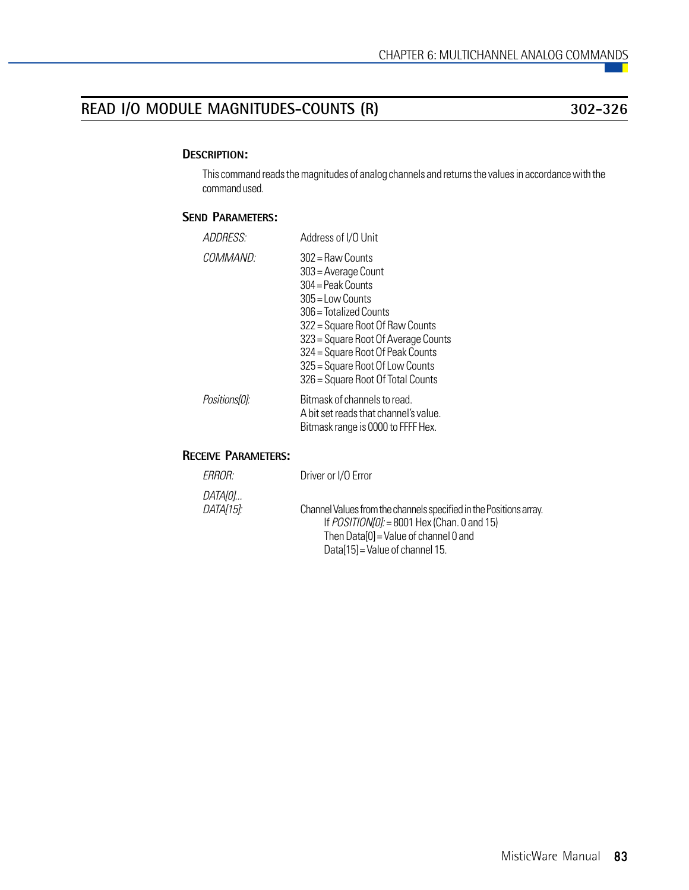## **READ I/O MODULE MAGNITUDES-COUNTS (R) 302-326**

### **DESCRIPTION:**

This command reads the magnitudes of analog channels and returns the values in accordance with the command used.

#### **SEND PARAMETERS:**

| <i>ADDRESS:</i> | Address of I/O Unit                                                                                                                                                                                                                                                                                  |
|-----------------|------------------------------------------------------------------------------------------------------------------------------------------------------------------------------------------------------------------------------------------------------------------------------------------------------|
| <i>COMMAND:</i> | $302$ = Raw Counts<br>303 = Average Count<br>$304$ = Peak Counts<br>305 = Low Counts<br>306 = Totalized Counts<br>322 = Square Root Of Raw Counts<br>323 = Square Root Of Average Counts<br>324 = Square Root Of Peak Counts<br>325 = Square Root Of Low Counts<br>326 = Square Root Of Total Counts |
| Positions[0]:   | Bitmask of channels to read.<br>A bit set reads that channel's value.<br>Bitmask range is 0000 to FFFF Hex.                                                                                                                                                                                          |

| <i>ERROR:</i>               | Driver or I/O Error                                                                                                                                                                               |
|-----------------------------|---------------------------------------------------------------------------------------------------------------------------------------------------------------------------------------------------|
| <i>DATA[0]</i><br>DATA[15]: | Channel Values from the channels specified in the Positions array.<br>If $POSITION[0] = 8001$ Hex (Chan. 0 and 15)<br>Then Data $[0]$ = Value of channel 0 and<br>Data[15] = Value of channel 15. |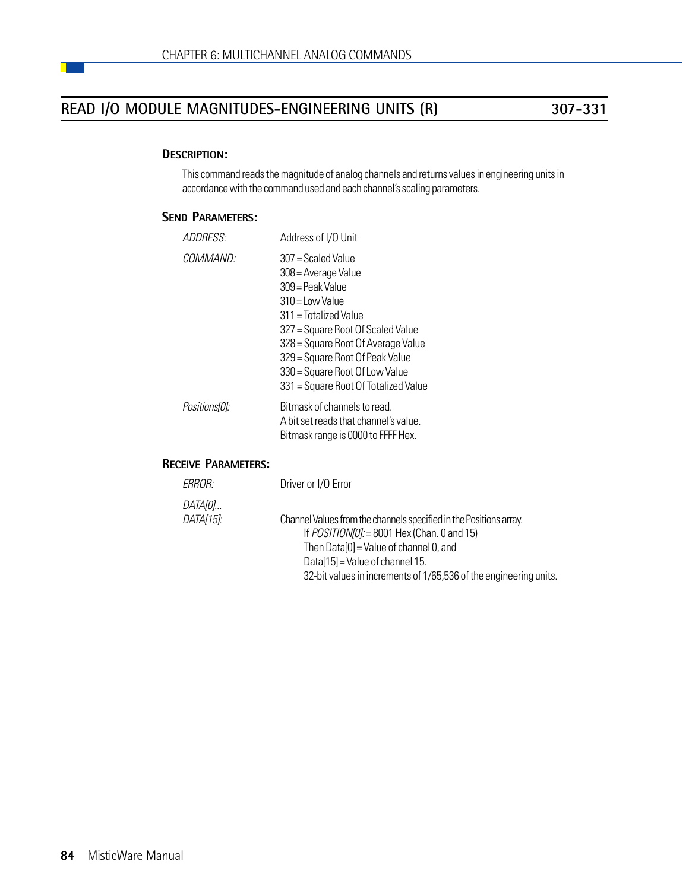## **READ I/O MODULE MAGNITUDES-ENGINEERING UNITS (R) 307-331**

#### **DESCRIPTION:**

This command reads the magnitude of analog channels and returns values in engineering units in accordance with the command used and each channel's scaling parameters.

#### **SEND PARAMETERS:**

| <i>ADDRESS:</i> | Address of I/O Unit                                                                                                                                                                                                                                                                                        |
|-----------------|------------------------------------------------------------------------------------------------------------------------------------------------------------------------------------------------------------------------------------------------------------------------------------------------------------|
| COMMAND:        | 307 = Scaled Value<br>308 = Average Value<br>309 = Peak Value<br>310 = Low Value<br>$311 = \text{Totalized Value}$<br>327 = Square Root Of Scaled Value<br>328 = Square Root Of Average Value<br>329 = Square Root Of Peak Value<br>330 = Square Root Of Low Value<br>331 = Square Root Of Totalized Value |
| Positions[0]:   | Bitmask of channels to read.<br>A bit set reads that channel's value.<br>Bitmask range is 0000 to FFFF Hex.                                                                                                                                                                                                |

| <i>ERROR:</i>  | Driver or I/O Error                                                |
|----------------|--------------------------------------------------------------------|
| <i>DATA[0]</i> |                                                                    |
| DATA[15]:      | Channel Values from the channels specified in the Positions array. |
|                | If $POSITION[0]$ : = 8001 Hex (Chan. 0 and 15)                     |
|                | Then Data $[0]$ = Value of channel 0, and                          |
|                | Data[15] = Value of channel 15.                                    |
|                | 32-bit values in increments of 1/65,536 of the engineering units.  |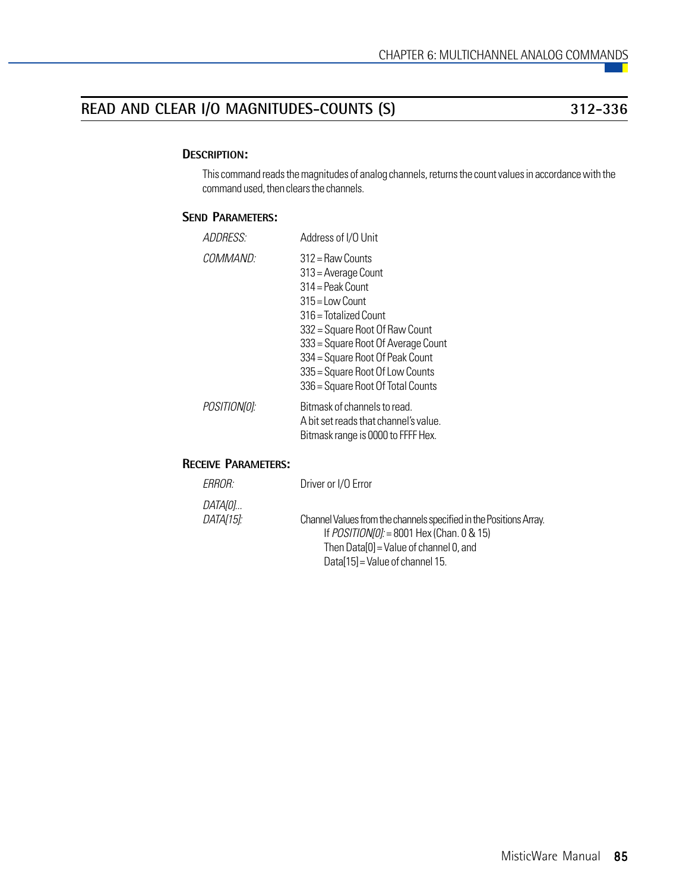## **READ AND CLEAR I/O MAGNITUDES-COUNTS (S) 312-336**

#### **DESCRIPTION:**

This command reads the magnitudes of analog channels, returns the count values in accordance with the command used, then clears the channels.

#### **SEND PARAMETERS:**

| <i>ADDRESS:</i>     | Address of I/O Unit                                                                                                                                                                                                                                                                                     |
|---------------------|---------------------------------------------------------------------------------------------------------------------------------------------------------------------------------------------------------------------------------------------------------------------------------------------------------|
| COMMAND:            | $312$ = Raw Counts<br>313 = Average Count<br>$314 =$ Peak Count<br>315 = Low Count<br>$316 = \text{Totalized Count}$<br>332 = Square Root Of Raw Count<br>333 = Square Root Of Average Count<br>334 = Square Root Of Peak Count<br>335 = Square Root Of Low Counts<br>336 = Square Root Of Total Counts |
| <i>POSITIONIOI:</i> | Bitmask of channels to read.<br>A bit set reads that channel's value.<br>Bitmask range is 0000 to FFFF Hex.                                                                                                                                                                                             |

| <i>ERROR:</i> | Driver or I/O Error                                                |
|---------------|--------------------------------------------------------------------|
| DATA[0]       |                                                                    |
| DATA[15]:     | Channel Values from the channels specified in the Positions Array. |
|               | If <i>POSITION[0]</i> : = 8001 Hex (Chan. 0 & 15)                  |
|               | Then Data $[0]$ = Value of channel 0, and                          |
|               | Data[15] = Value of channel 15.                                    |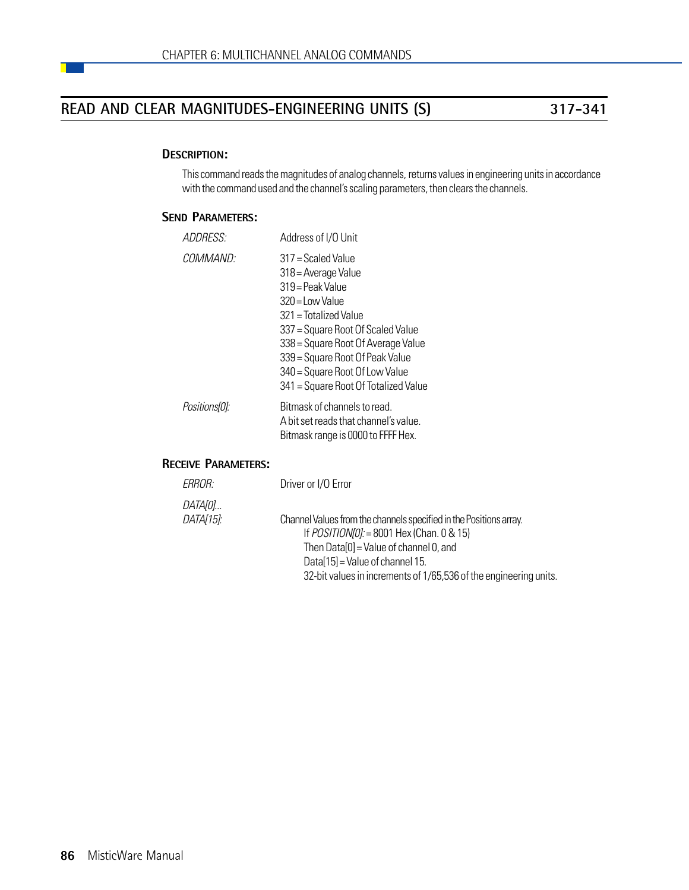## **READ AND CLEAR MAGNITUDES-ENGINEERING UNITS (S) 317-341**

#### **DESCRIPTION:**

This command reads the magnitudes of analog channels, returns values in engineering units in accordance with the command used and the channel's scaling parameters, then clears the channels.

### **SEND PARAMETERS:**

| <i>ADDRESS:</i> | Address of I/O Unit                                                                                                                                                                                                                                                                                   |
|-----------------|-------------------------------------------------------------------------------------------------------------------------------------------------------------------------------------------------------------------------------------------------------------------------------------------------------|
| COMMAND:        | $317 =$ Scaled Value<br>318 = Average Value<br>319 = Peak Value<br>320 = Low Value<br>$321 =$ Totalized Value<br>337 = Square Root Of Scaled Value<br>338 = Square Root Of Average Value<br>339 = Square Root Of Peak Value<br>340 = Square Root Of Low Value<br>341 = Square Root Of Totalized Value |
| Positions[0]:   | Bitmask of channels to read.<br>A bit set reads that channel's value.<br>Bitmask range is 0000 to FFFF Hex.                                                                                                                                                                                           |

| <b>ERROR:</b>  | Driver or I/O Error                                                |
|----------------|--------------------------------------------------------------------|
| <i>DATA[0]</i> |                                                                    |
| DATA[15]:      | Channel Values from the channels specified in the Positions array. |
|                | If <i>POSITION[0]</i> : = 8001 Hex (Chan. 0 & 15)                  |
|                | Then Data $[0]$ = Value of channel 0, and                          |
|                | Data[15] = Value of channel 15.                                    |
|                | 32-bit values in increments of 1/65,536 of the engineering units.  |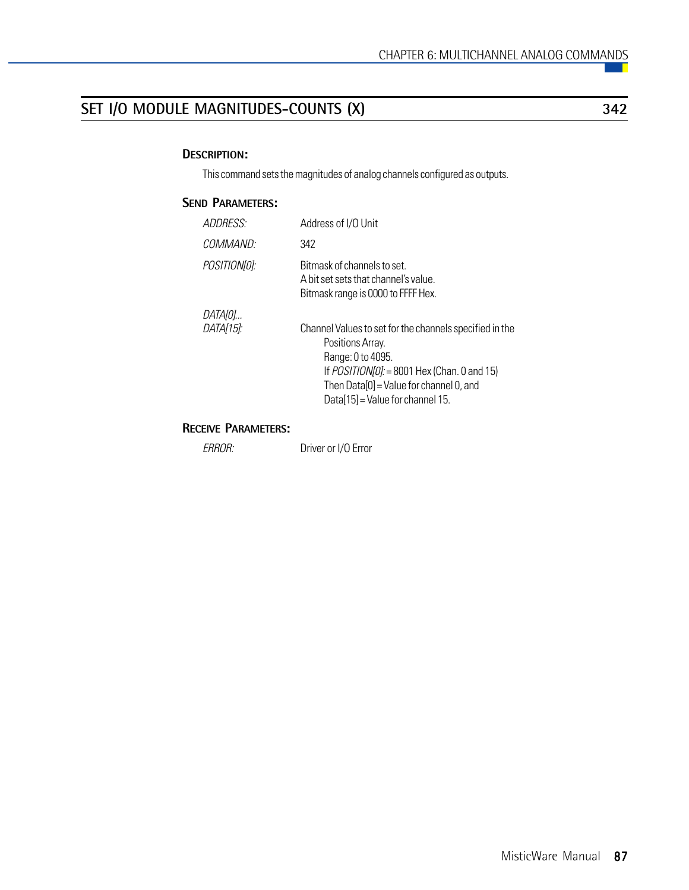## **SET I/O MODULE MAGNITUDES-COUNTS (X)** 342

#### **DESCRIPTION:**

This command sets the magnitudes of analog channels configured as outputs.

#### **SEND PARAMETERS:**

| <i>ADDRESS:</i>      | Address of I/O Unit                                                                                                                                                                                                                |
|----------------------|------------------------------------------------------------------------------------------------------------------------------------------------------------------------------------------------------------------------------------|
| COMMAND:             | 342                                                                                                                                                                                                                                |
| POSITION[0]:         | Bitmask of channels to set.<br>A bit set sets that channel's value.<br>Bitmask range is 0000 to FFFF Hex.                                                                                                                          |
| DATA[0]<br>DATA[15]: | Channel Values to set for the channels specified in the<br>Positions Array.<br>Range: 0 to 4095.<br>If $POSITION[0] = 8001$ Hex (Chan. 0 and 15)<br>Then Data $[0]$ = Value for channel 0, and<br>Data[15] = Value for channel 15. |

#### **RECEIVE PARAMETERS:**

ERROR: Driver or I/O Error

a a <mark>i I</mark>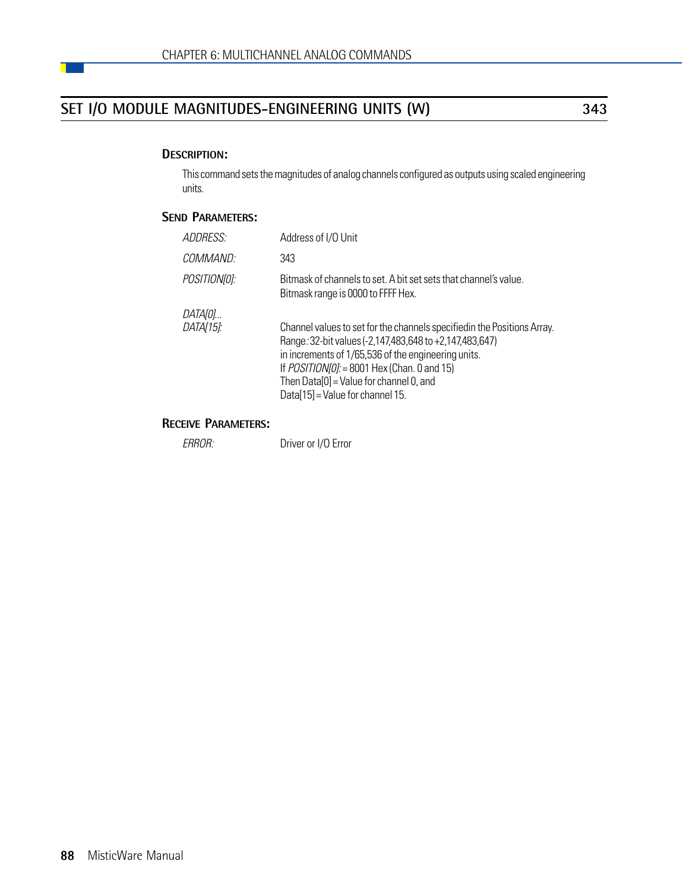## **SET I/O MODULE MAGNITUDES-ENGINEERING UNITS (W) 343**

#### **DESCRIPTION:**

П

This command sets the magnitudes of analog channels configured as outputs using scaled engineering units.

### **SEND PARAMETERS:**

| <i>ADDRESS:</i> | Address of I/O Unit                                                                                                                                                                                                                                                                                                       |
|-----------------|---------------------------------------------------------------------------------------------------------------------------------------------------------------------------------------------------------------------------------------------------------------------------------------------------------------------------|
| COMMAND:        | 343                                                                                                                                                                                                                                                                                                                       |
| POSITION[0]:    | Bitmask of channels to set. A bit set sets that channel's value.<br>Bitmask range is 0000 to FFFF Hex.                                                                                                                                                                                                                    |
| DATA[0]         |                                                                                                                                                                                                                                                                                                                           |
| DATA[15]:       | Channel values to set for the channels specified in the Positions Array.<br>Range: 32-bit values (-2,147,483,648 to +2,147,483,647)<br>in increments of 1/65,536 of the engineering units.<br>If $POSITION[0] = 8001$ Hex (Chan. 0 and 15)<br>Then Data[0] = Value for channel 0, and<br>Data[15] = Value for channel 15. |

### **RECEIVE PARAMETERS:**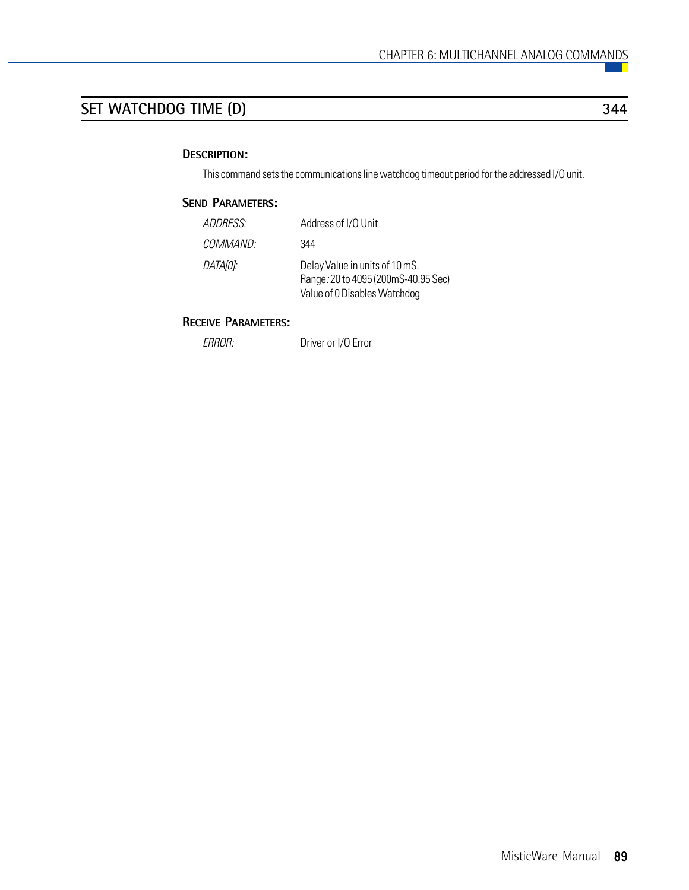## **SET WATCHDOG TIME (D)** 344

a a <mark>i I</mark>

#### **DESCRIPTION:**

This command sets the communications line watchdog timeout period for the addressed I/O unit.

#### **SEND PARAMETERS:**

| <i>ADDRESS:</i> | Address of I/O Unit                                                                                   |
|-----------------|-------------------------------------------------------------------------------------------------------|
| <i>COMMAND:</i> | 344                                                                                                   |
| DATA[0]:        | Delay Value in units of 10 mS.<br>Range: 20 to 4095 (200mS-40.95 Sec)<br>Value of 0 Disables Watchdog |

### **RECEIVE PARAMETERS:**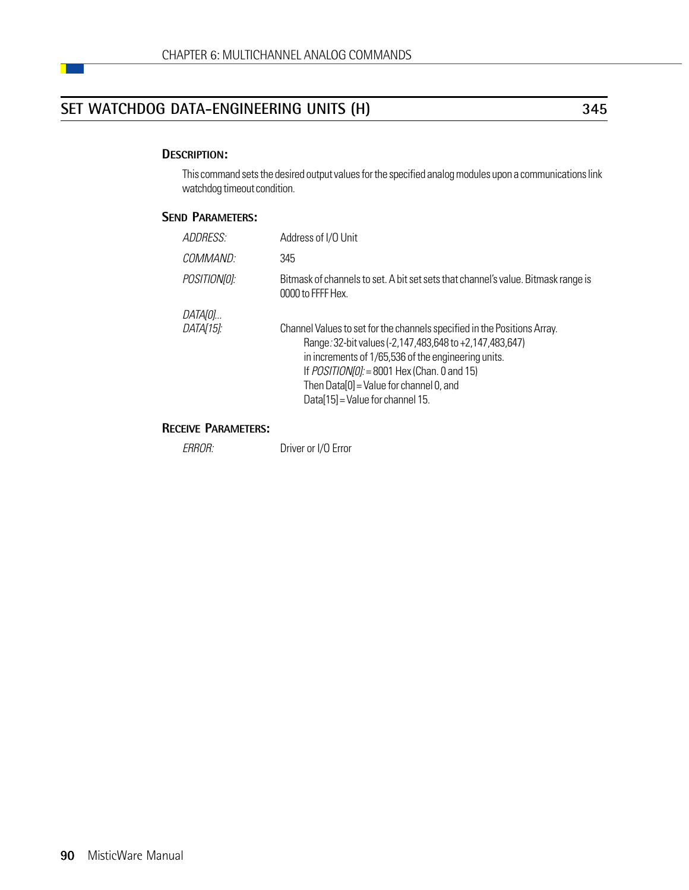## **SET WATCHDOG DATA-ENGINEERING UNITS (H) 345**

#### **DESCRIPTION:**

This command sets the desired output values for the specified analog modules upon a communications link watchdog timeout condition.

#### **SEND PARAMETERS:**

| <i>ADDRESS:</i> | Address of I/O Unit                                                                                                                                                                                                                                                                                                         |
|-----------------|-----------------------------------------------------------------------------------------------------------------------------------------------------------------------------------------------------------------------------------------------------------------------------------------------------------------------------|
| <i>COMMAND:</i> | 345                                                                                                                                                                                                                                                                                                                         |
| POSITION[0]:    | Bitmask of channels to set. A bit set sets that channel's value. Bitmask range is<br>0000 to FFFF Hex.                                                                                                                                                                                                                      |
| DATA[0]         |                                                                                                                                                                                                                                                                                                                             |
| DATA[15]:       | Channel Values to set for the channels specified in the Positions Array.<br>Range: 32-bit values (-2,147,483,648 to +2,147,483,647)<br>in increments of 1/65,536 of the engineering units.<br>If $POSITION[0]$ : = 8001 Hex (Chan. 0 and 15)<br>Then Data[0] = Value for channel 0, and<br>Data[15] = Value for channel 15. |

#### **RECEIVE PARAMETERS:**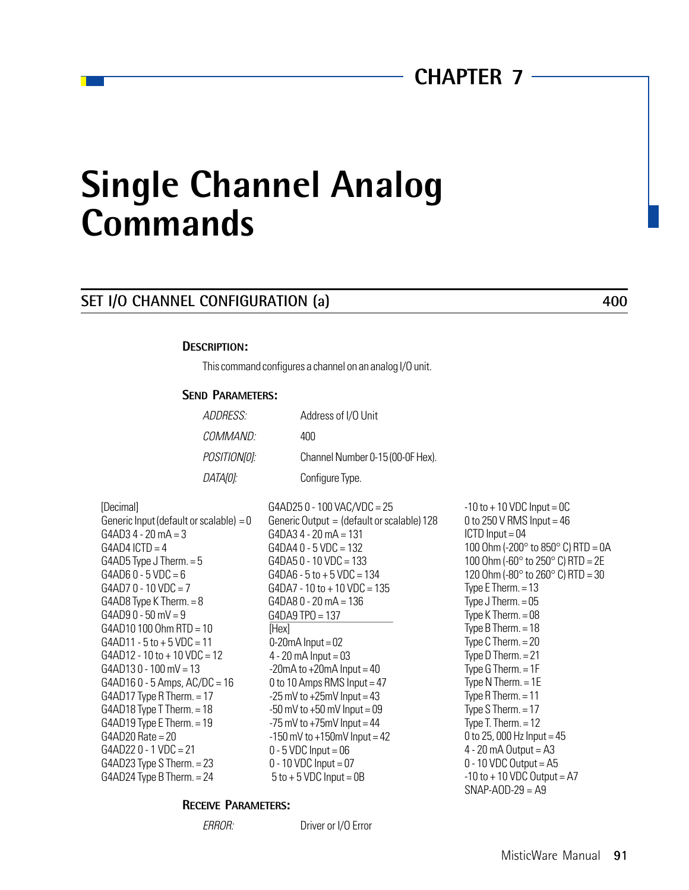## **CHAPTER 7**

# **Single Channel Analog Commands**

## **SET I/O CHANNEL CONFIGURATION (a)** 400

#### **DESCRIPTION:**

This command configures a channel on an analog I/O unit.

### **SEND PARAMETERS:**

| <i>ADDRESS:</i> | Address of I/O Unit              |
|-----------------|----------------------------------|
| <i>COMMAND:</i> | 400                              |
| POSITION[0]:    | Channel Number 0-15 (00-0F Hex). |
| DATA[0]:-       | Configure Type.                  |

| [Decimal]                                 | $G4AD250 - 100$ VAC/VDC = 25               | $-10$ to $+10$ VDC Input = 0C                          |
|-------------------------------------------|--------------------------------------------|--------------------------------------------------------|
| Generic Input (default or scalable) = $0$ | Generic Output = (default or scalable) 128 | 0 to 250 V RMS Input = $46$                            |
| $G4AD34 - 20 mA = 3$                      | G4DA3 4 - 20 mA = 131                      | $ICTD$ Input = 04                                      |
| $GAAD4$ ICTD = 4                          | $G4DA40 - 5 VDC = 132$                     | 100 Ohm (-200 $^{\circ}$ to 850 $^{\circ}$ C) RTD = 0A |
| G4AD5 Type J Therm. $=5$                  | $G4DA50 - 10 VDC = 133$                    | 100 Ohm (-60 $^{\circ}$ to 250 $^{\circ}$ C) RTD = 2E  |
| $G4AD60 - 5 VDC = 6$                      | $G4DAB - 5$ to $+ 5$ VDC = 134             | 120 Ohm (-80 $^{\circ}$ to 260 $^{\circ}$ C) RTD = 30  |
| $G4AD70 - 10 VDC = 7$                     | G4DA7 - 10 to + 10 VDC = 135               | Type E Therm. $= 13$                                   |
| G4AD8 Type K Therm. $= 8$                 | $G4DAB 0 - 20 mA = 136$                    | Type J Therm. $= 05$                                   |
| $G4AD90 - 50$ mV = 9                      | G4DA9 TPO = 137                            | Type K Therm. $= 08$                                   |
| G4AD10 100 Ohm RTD = 10                   | [Hex]                                      | Type B Therm. $= 18$                                   |
| $G4AD11 - 5$ to $+ 5$ VDC = 11            | $0-20$ m $A$ Input = 02                    | Type C Therm. $= 20$                                   |
| G4AD12 - 10 to + 10 VDC = 12              | $4 - 20$ mA Input = 03                     | Type D Therm. $= 21$                                   |
| $GAAD130 - 100$ mV = 13                   | -20 $mA$ to +20 $mA$ lnput = 40            | Type G Therm. $= 1F$                                   |
| G4AD16 0 - 5 Amps, $AC/DC = 16$           | 0 to 10 Amps RMS Input $=$ 47              | Type N Therm. $= 1E$                                   |
| G4AD17 Type R Therm. $= 17$               | $-25$ mV to $+25$ mV Input = 43            | Type R Therm. $= 11$                                   |
| G4AD18 Type T Therm. $= 18$               | $-50$ mV to $+50$ mV lnput = 09            | Type $S$ Therm. = 17                                   |
| G4AD19 Type E Therm. $= 19$               | $-75$ mV to $+75$ mV Input = 44            | Type T. Therm. $= 12$                                  |
| $G4AD20$ Rate = 20                        | $-150$ mV to $+150$ mV Input = 42          | 0 to 25, 000 Hz Input = $45$                           |
| $GAAD220 - 1 VDC = 21$                    | $0 - 5$ VDC Input = 06                     | $4 - 20$ mA Output = A3                                |
| G4AD23 Type S Therm. $= 23$               | $0 - 10$ VDC Input = 07                    | $0 - 10$ VDC Output = A5                               |
| G4AD24 Type B Therm. $= 24$               | $5$ to $+5$ VDC Input = 0B                 | $-10$ to $+10$ VDC Output = A7                         |

#### **RECEIVE PARAMETERS:**

ERROR: Driver or I/O Error

MisticWare Manual 91

 $SNAP-AOD-29 = A9$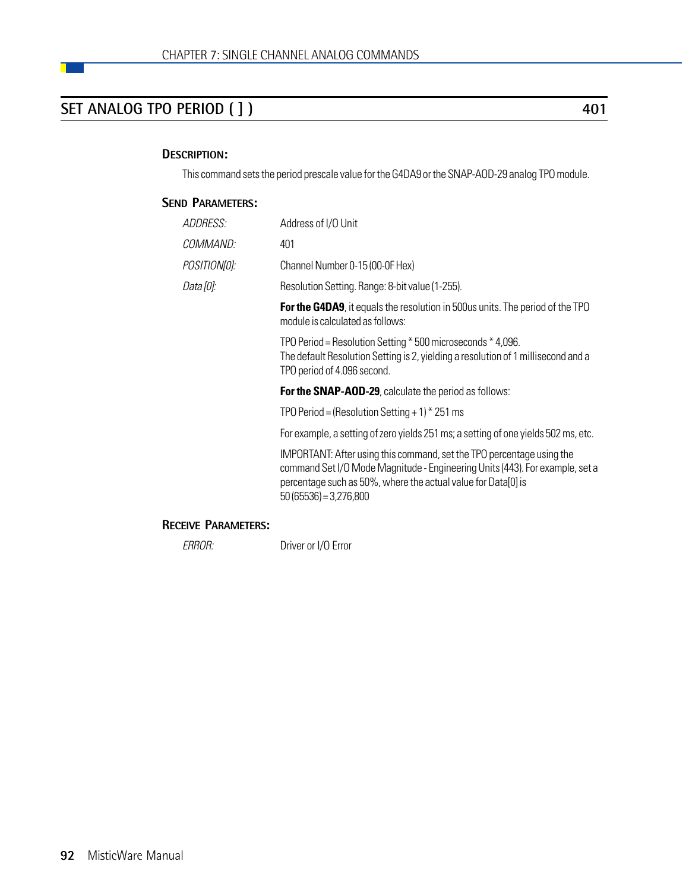## **SET ANALOG TPO PERIOD ( ] ) 401**

#### **DESCRIPTION:**

This command sets the period prescale value for the G4DA9 or the SNAP-AOD-29 analog TPO module.

#### **SEND PARAMETERS:**

| ADDRESS:        | Address of I/O Unit                                                                                                                                                                                                                               |
|-----------------|---------------------------------------------------------------------------------------------------------------------------------------------------------------------------------------------------------------------------------------------------|
| <i>COMMAND:</i> | 401                                                                                                                                                                                                                                               |
| POSITION[0]:    | Channel Number 0-15 (00-0F Hex)                                                                                                                                                                                                                   |
| Data [0]:       | Resolution Setting. Range: 8-bit value (1-255).                                                                                                                                                                                                   |
|                 | <b>For the G4DA9</b> , it equals the resolution in 500us units. The period of the TPO<br>module is calculated as follows:                                                                                                                         |
|                 | TPO Period = Resolution Setting * 500 microseconds * 4,096.<br>The default Resolution Setting is 2, yielding a resolution of 1 millisecond and a<br>TPO period of 4.096 second.                                                                   |
|                 | For the SNAP-AOD-29, calculate the period as follows:                                                                                                                                                                                             |
|                 | TPO Period = (Resolution Setting + 1) $*$ 251 ms                                                                                                                                                                                                  |
|                 | For example, a setting of zero yields 251 ms; a setting of one yields 502 ms, etc.                                                                                                                                                                |
|                 | IMPORTANT: After using this command, set the TPO percentage using the<br>command Set I/O Mode Magnitude - Engineering Units (443). For example, set a<br>percentage such as 50%, where the actual value for Data[0] is<br>$50(65536) = 3,276,800$ |
|                 |                                                                                                                                                                                                                                                   |

### **RECEIVE PARAMETERS:**

ERROR: Driver or I/O Error

92 MisticWare Manual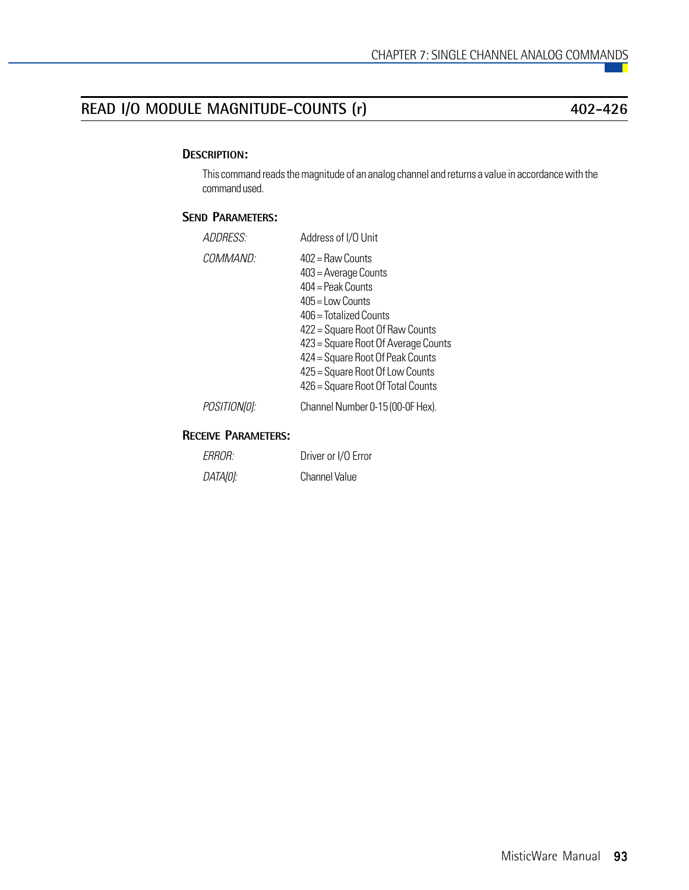## READ I/O MODULE MAGNITUDE-COUNTS (r) 402-426

#### **DESCRIPTION:**

This command reads the magnitude of an analog channel and returns a value in accordance with the command used.

#### **SEND PARAMETERS:**

| <i>ADDRESS:</i> | Address of I/O Unit                                                                                                                                                                                                                                                                               |
|-----------------|---------------------------------------------------------------------------------------------------------------------------------------------------------------------------------------------------------------------------------------------------------------------------------------------------|
| <i>COMMAND:</i> | 402 = Raw Counts<br>403 = Average Counts<br>404 = Peak Counts<br>405 = Low Counts<br>406 = Totalized Counts<br>422 = Square Root Of Raw Counts<br>423 = Square Root Of Average Counts<br>424 = Square Root Of Peak Counts<br>425 = Square Root Of Low Counts<br>426 = Square Root Of Total Counts |
| DOCUTIONIIOI.   | $O_{\text{beam}}$ Muschau $O$ 4F (00 OF Haut                                                                                                                                                                                                                                                      |

POSITION[0]: Channel Number 0-15 (00-0F Hex).

| <i>ERROR:</i> | Driver or I/O Error |
|---------------|---------------------|
| DATA[0]:      | Channel Value       |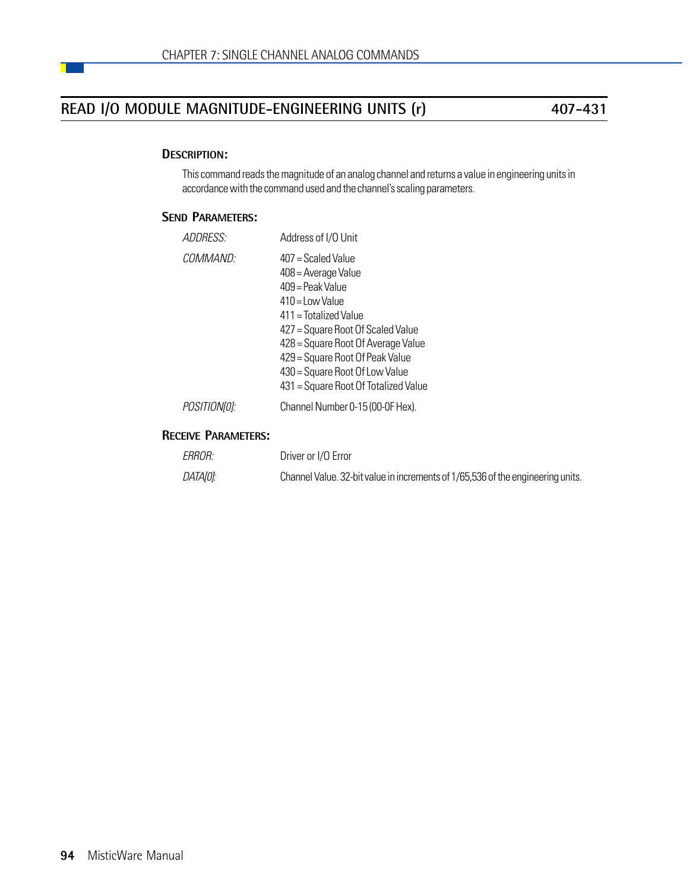## READ I/O MODULE MAGNITUDE-ENGINEERING UNITS (r) 407-431

#### **DESCRIPTION:**

This command reads the magnitude of an analog channel and returns a value in engineering units in accordance with the command used and the channel's scaling parameters.

#### **SEND PARAMETERS:**

| <b>ADDRESS:</b> | Address of I/O Unit                                                                                                                                                                                                                                                                               |
|-----------------|---------------------------------------------------------------------------------------------------------------------------------------------------------------------------------------------------------------------------------------------------------------------------------------------------|
| <i>COMMAND:</i> | 407 = Scaled Value<br>408 = Average Value<br>409 = Peak Value<br>410 = Low Value<br>411 = Totalized Value<br>427 = Square Root Of Scaled Value<br>428 = Square Root Of Average Value<br>429 = Square Root Of Peak Value<br>430 = Square Root Of Low Value<br>431 = Square Root Of Totalized Value |
| POSITION[0]:    | Channel Number 0-15 (00-0F Hex).                                                                                                                                                                                                                                                                  |

| <i>ERROR:</i> | Driver or I/O Error                                                             |
|---------------|---------------------------------------------------------------------------------|
| DATA[0]:      | Channel Value. 32-bit value in increments of 1/65,536 of the engineering units. |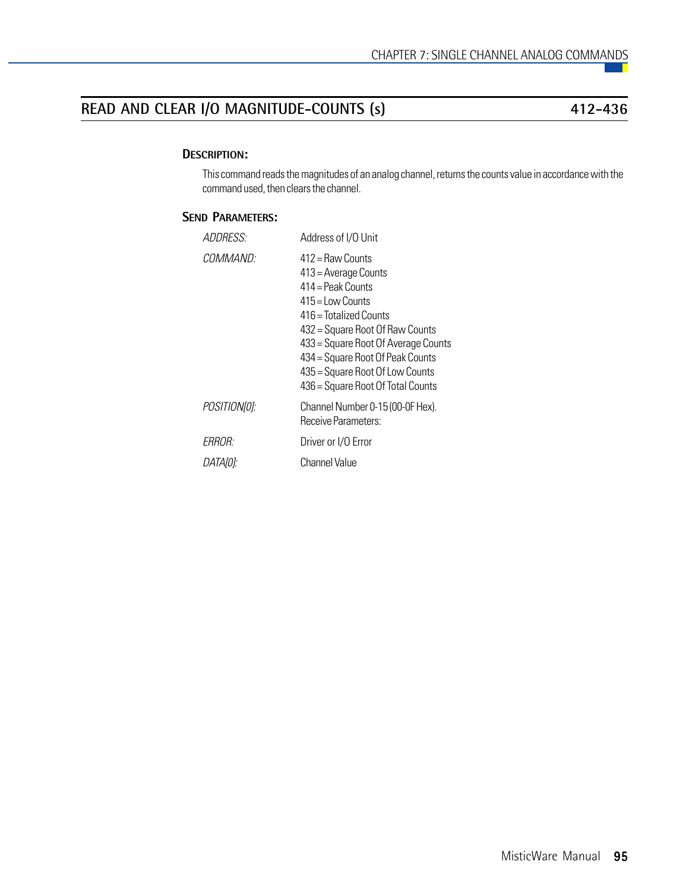## **READ AND CLEAR I/O MAGNITUDE-COUNTS (s) 412-436**

#### **DESCRIPTION:**

This command reads the magnitudes of an analog channel, returns the counts value in accordance with the command used, then clears the channel.

#### **SEND PARAMETERS:**

| <i>ADDRESS:</i> | Address of I/O Unit                                                                                                                                                                                                                                                                                 |
|-----------------|-----------------------------------------------------------------------------------------------------------------------------------------------------------------------------------------------------------------------------------------------------------------------------------------------------|
| COMMAND:        | 412 = Raw Counts<br>413 = Average Counts<br>$414 =$ Peak Counts<br>415 = Low Counts<br>416 = Totalized Counts<br>432 = Square Root Of Raw Counts<br>433 = Square Root Of Average Counts<br>434 = Square Root Of Peak Counts<br>435 = Square Root Of Low Counts<br>436 = Square Root Of Total Counts |
| POSITION[0]:    | Channel Number 0-15 (00-0F Hex).<br>Receive Parameters:                                                                                                                                                                                                                                             |
| <i>ERROR:</i>   | Driver or I/O Error                                                                                                                                                                                                                                                                                 |
| DATAIUI:        | Channel Value                                                                                                                                                                                                                                                                                       |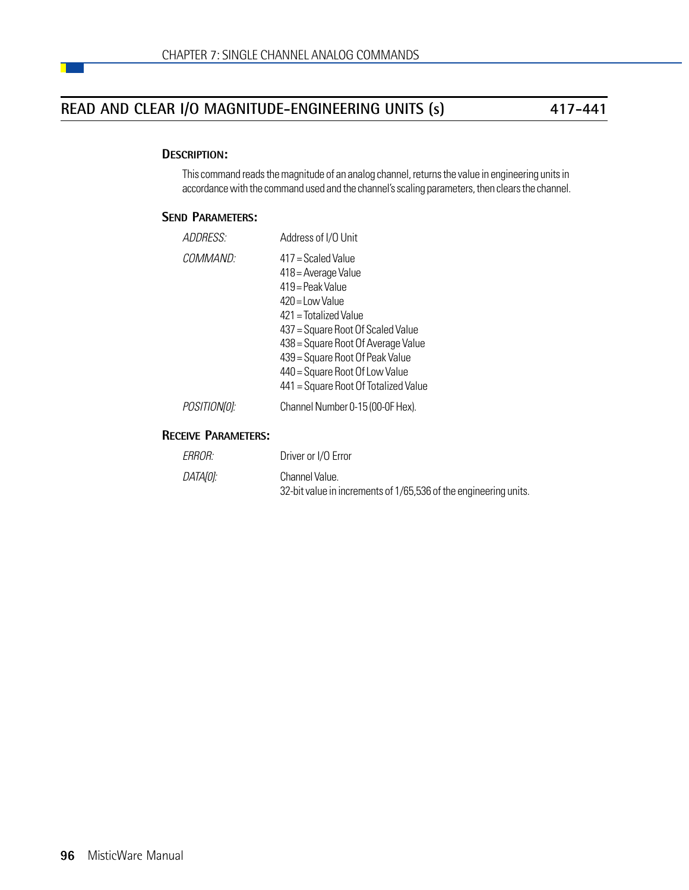## **READ AND CLEAR I/O MAGNITUDE-ENGINEERING UNITS (s) 417-441**

#### **DESCRIPTION:**

This command reads the magnitude of an analog channel, returns the value in engineering units in accordance with the command used and the channel's scaling parameters, then clears the channel.

#### **SEND PARAMETERS:**

| <i>ADDRESS:</i> | Address of I/O Unit                                                                                                                                                                                                                                                                               |
|-----------------|---------------------------------------------------------------------------------------------------------------------------------------------------------------------------------------------------------------------------------------------------------------------------------------------------|
| <i>COMMAND:</i> | 417 = Scaled Value<br>418 = Average Value<br>419 = Peak Value<br>420 = Low Value<br>421 = Totalized Value<br>437 = Square Root Of Scaled Value<br>438 = Square Root Of Average Value<br>439 = Square Root Of Peak Value<br>440 = Square Root Of Low Value<br>441 = Square Root Of Totalized Value |
| POSITION[0]:    | Channel Number 0-15 (00-0F Hex).                                                                                                                                                                                                                                                                  |

| <i>ERROR:</i> | Driver or I/O Error                                                                |
|---------------|------------------------------------------------------------------------------------|
| DATA[0]:      | Channel Value.<br>32-bit value in increments of 1/65,536 of the engineering units. |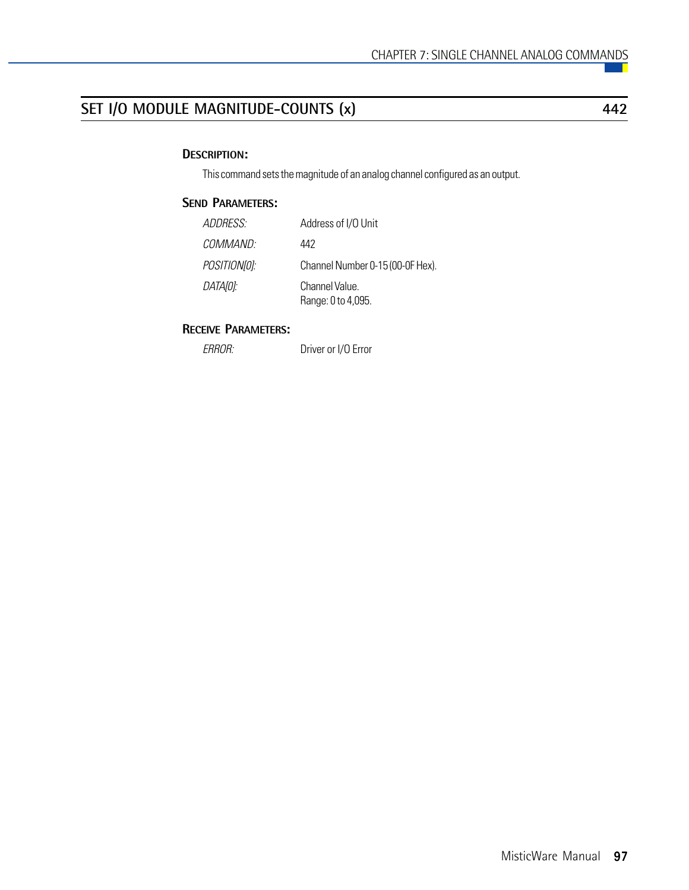## **SET I/O MODULE MAGNITUDE-COUNTS (x)** 442

a sa <mark>tal</mark>

### **DESCRIPTION:**

This command sets the magnitude of an analog channel configured as an output.

### **SEND PARAMETERS:**

| <i>ADDRESS:</i>     | Address of I/O Unit                  |
|---------------------|--------------------------------------|
| <i>COMMAND:</i>     | 442                                  |
| <i>POSITIONIOI:</i> | Channel Number 0-15 (00-0F Hex).     |
| DATA[0]:            | Channel Value.<br>Range: 0 to 4,095. |

### **RECEIVE PARAMETERS:**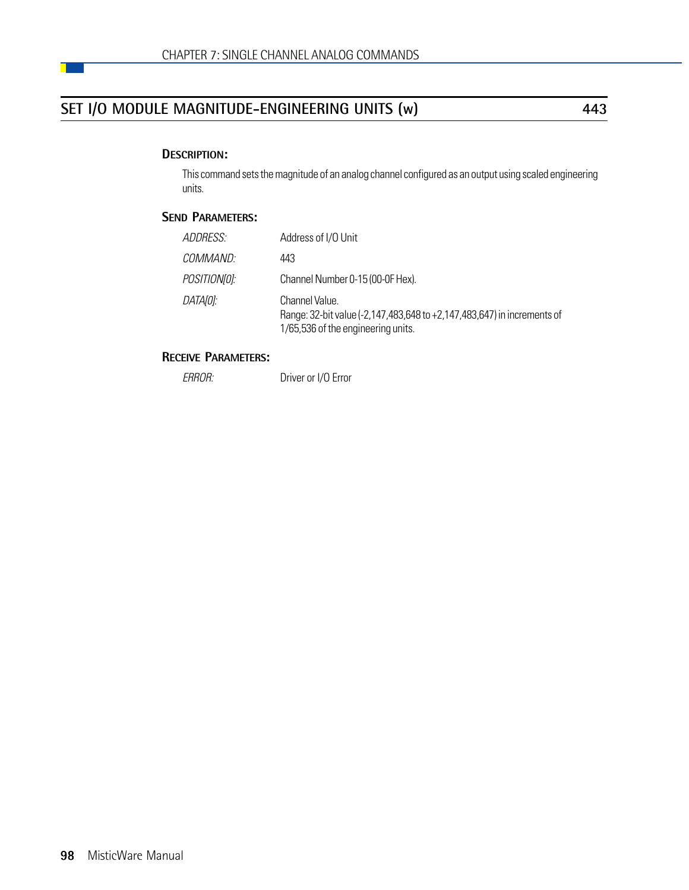## **SET I/O MODULE MAGNITUDE-ENGINEERING UNITS (w) 443**

#### **DESCRIPTION:**

П

This command sets the magnitude of an analog channel configured as an output using scaled engineering units.

### **SEND PARAMETERS:**

| <i>ADDRESS:</i> | Address of I/O Unit                                                                                                             |
|-----------------|---------------------------------------------------------------------------------------------------------------------------------|
| <i>COMMAND:</i> | 443                                                                                                                             |
| POSITION[0]:    | Channel Number 0-15 (00-0F Hex).                                                                                                |
| DATA[0]:        | Channel Value.<br>Range: 32-bit value (-2,147,483,648 to +2,147,483,647) in increments of<br>1/65,536 of the engineering units. |

#### **RECEIVE PARAMETERS:**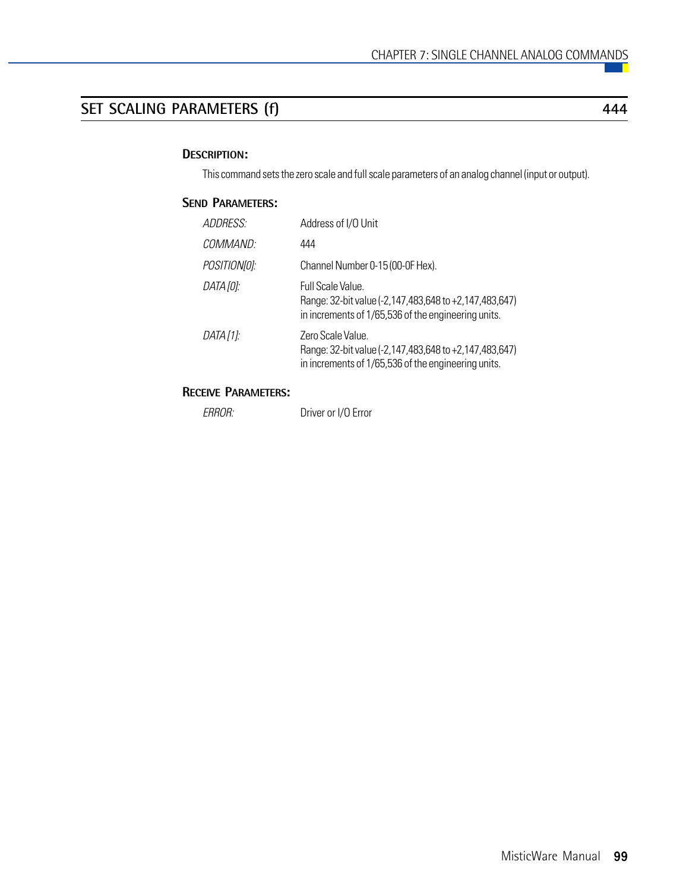a a <mark>i I</mark>

## **SET SCALING PARAMETERS (f)** 444

#### **DESCRIPTION:**

This command sets the zero scale and full scale parameters of an analog channel (input or output).

#### **SEND PARAMETERS:**

| <i>ADDRESS:</i> | Address of I/O Unit                                                                                                                |
|-----------------|------------------------------------------------------------------------------------------------------------------------------------|
| <i>COMMAND:</i> | 444                                                                                                                                |
| POSITION[0]:    | Channel Number 0-15 (00-0F Hex).                                                                                                   |
| DATA [0]:       | Full Scale Value.<br>Range: 32-bit value (-2,147,483,648 to +2,147,483,647)<br>in increments of 1/65,536 of the engineering units. |
| DATA [1]:       | Zero Scale Value.<br>Range: 32-bit value (-2,147,483,648 to +2,147,483,647)<br>in increments of 1/65,536 of the engineering units. |

### **RECEIVE PARAMETERS:**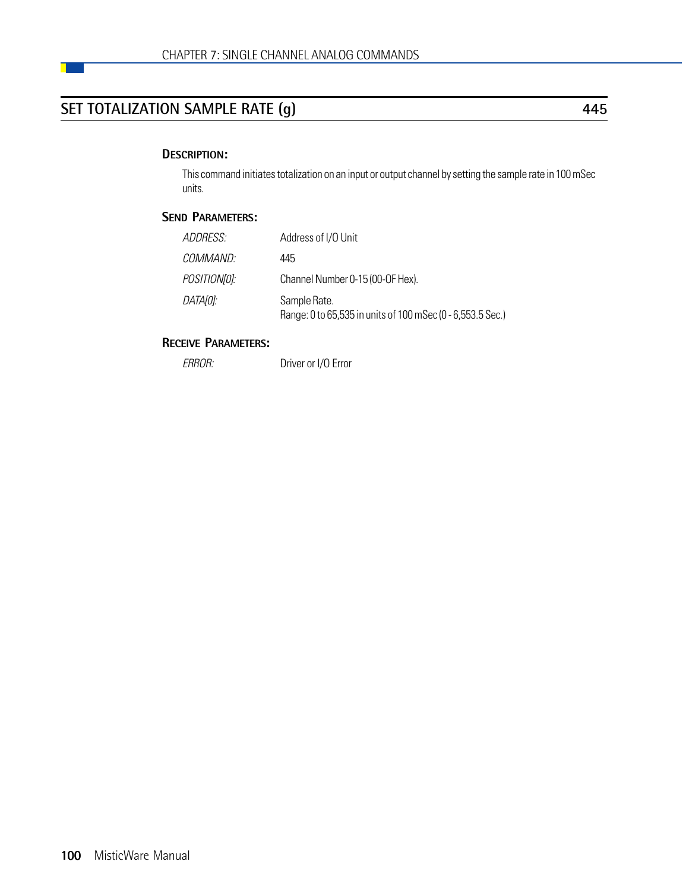## **SET TOTALIZATION SAMPLE RATE (g)** 445

#### **DESCRIPTION:**

This command initiates totalization on an input or output channel by setting the sample rate in 100 mSec units.

#### **SEND PARAMETERS:**

| <i>ADDRESS:</i> | Address of I/O Unit                                                        |
|-----------------|----------------------------------------------------------------------------|
| <i>COMMAND:</i> | 445                                                                        |
| POSITION[0]:    | Channel Number 0-15 (00-OF Hex).                                           |
| DATA[0]:        | Sample Rate.<br>Range: 0 to 65,535 in units of 100 mSec (0 - 6,553.5 Sec.) |

### **RECEIVE PARAMETERS:**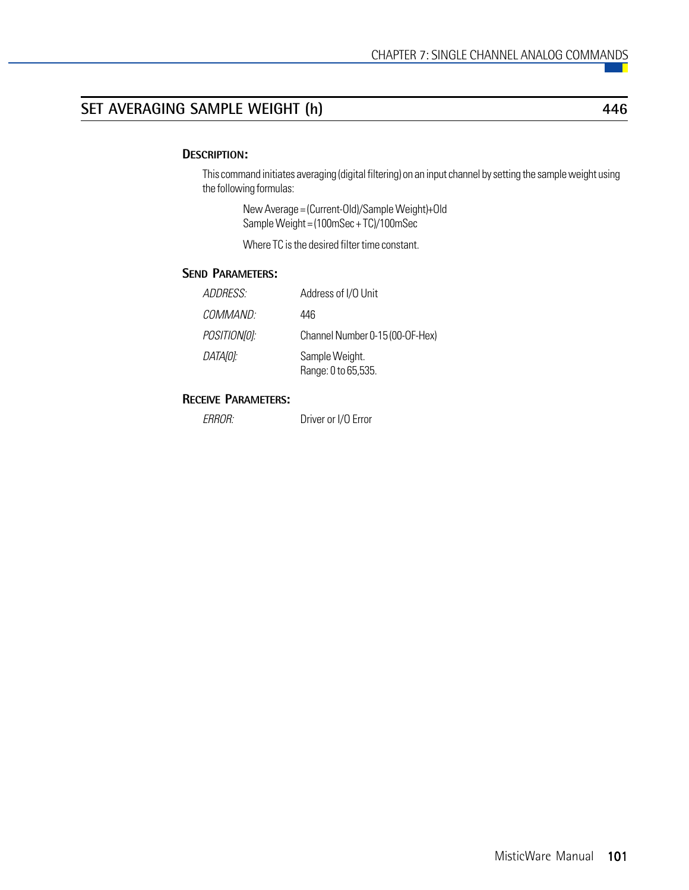## **SET AVERAGING SAMPLE WEIGHT (h) 446**

### **DESCRIPTION:**

This command initiates averaging (digital filtering) on an input channel by setting the sample weight using the following formulas:

New Average = (Current-Old)/Sample Weight)+Old Sample Weight = (100mSec + TC)/100mSec

Where TC is the desired filter time constant.

#### **SEND PARAMETERS:**

| ADDRESS:     | Address of I/O Unit                   |
|--------------|---------------------------------------|
| COMMAND:     | 446                                   |
| POSITION[0]: | Channel Number 0-15 (00-OF-Hex)       |
| DATA[0]:     | Sample Weight.<br>Range: 0 to 65,535. |

### **RECEIVE PARAMETERS:**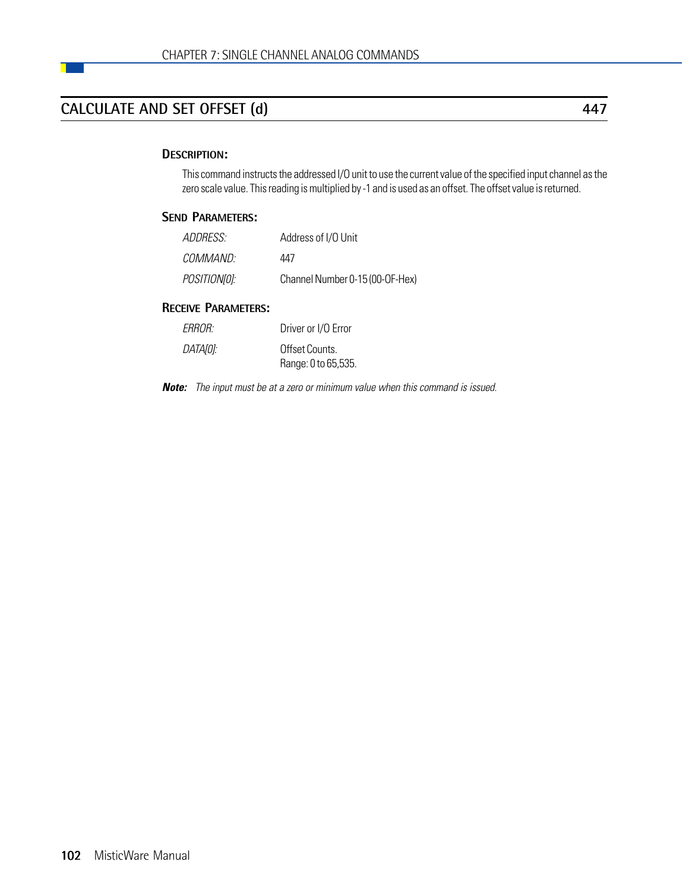## **CALCULATE AND SET OFFSET (d) 447**

#### **DESCRIPTION:**

This command instructs the addressed I/O unit to use the current value of the specified input channel as the zero scale value. This reading is multiplied by -1 and is used as an offset. The offset value is returned.

#### **SEND PARAMETERS:**

| <i>ADDRESS:</i>     | Address of I/O Unit             |
|---------------------|---------------------------------|
| <i>COMMAND:</i>     | 447                             |
| <i>POSITIONIOI:</i> | Channel Number 0-15 (00-OF-Hex) |

#### **RECEIVE PARAMETERS:**

| <i>FRROR:</i> | Driver or I/O Error                   |
|---------------|---------------------------------------|
| DATA[0]:      | Offset Counts.<br>Range: 0 to 65,535. |

**Note:** The input must be at a zero or minimum value when this command is issued.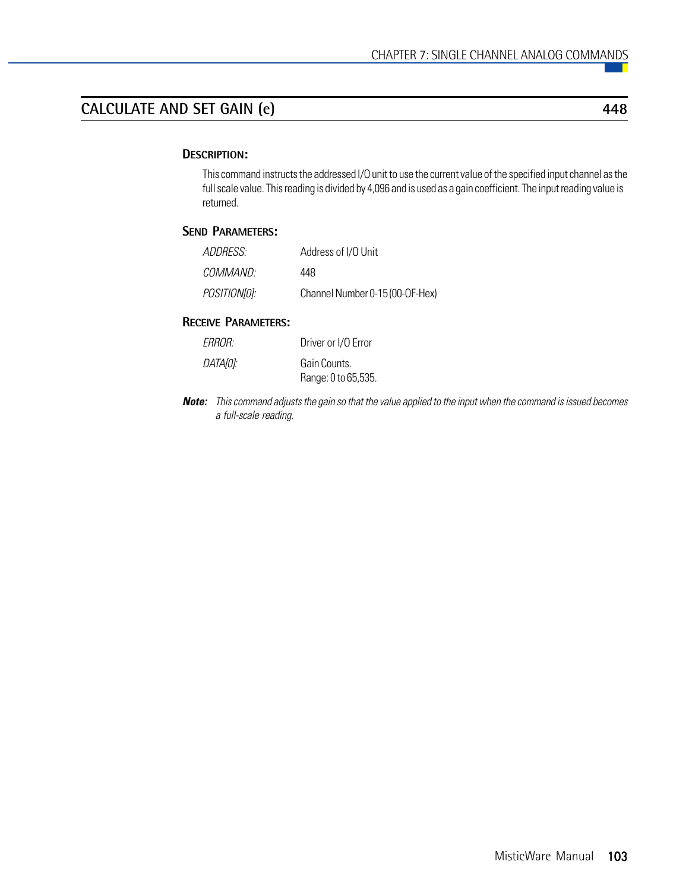### **DESCRIPTION:**

This command instructs the addressed I/O unit to use the current value of the specified input channel as the full scale value. This reading is divided by 4,096 and is used as a gain coefficient. The input reading value is returned.

### **SEND PARAMETERS:**

| ADDRESS:        | Address of I/O Unit             |
|-----------------|---------------------------------|
| <i>COMMAND:</i> | 448                             |
| POSITION[0]:    | Channel Number 0-15 (00-OF-Hex) |

### **RECEIVE PARAMETERS:**

| <i>ERROR:</i> | Driver or I/O Error                 |
|---------------|-------------------------------------|
| DATA[0]:      | Gain Counts.<br>Range: 0 to 65,535. |

**Note:** This command adjusts the gain so that the value applied to the input when the command is issued becomes a full-scale reading.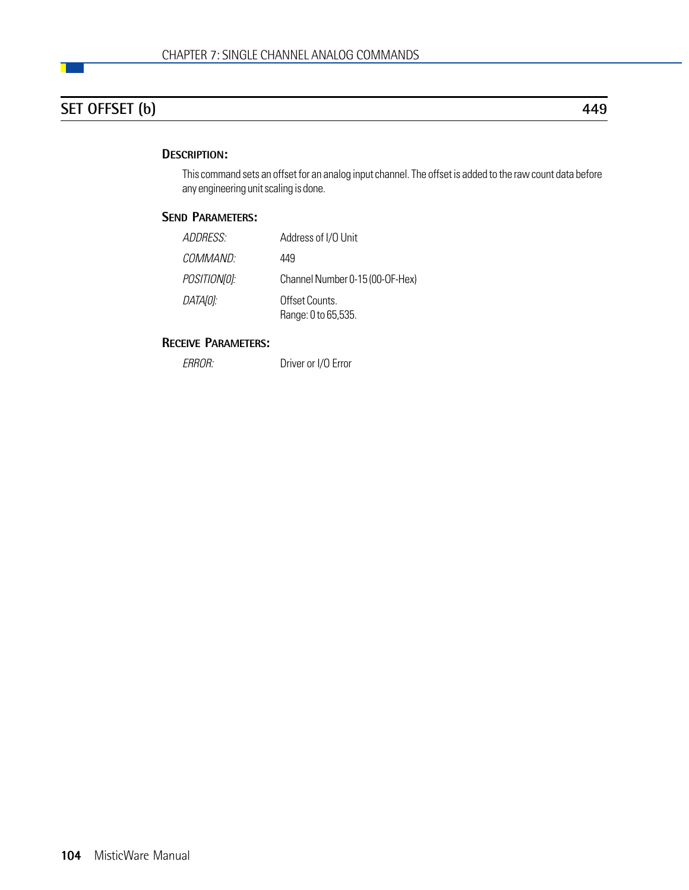## **SET OFFSET (b) 449**

#### **DESCRIPTION:**

This command sets an offset for an analog input channel. The offset is added to the raw count data before any engineering unit scaling is done.

#### **SEND PARAMETERS:**

| <i>ADDRESS:</i> | Address of I/O Unit                   |
|-----------------|---------------------------------------|
| <i>COMMAND:</i> | 449                                   |
| POSITION[0]:    | Channel Number 0-15 (00-OF-Hex)       |
| DATA[0]:        | Offset Counts.<br>Range: 0 to 65,535. |

### **RECEIVE PARAMETERS:**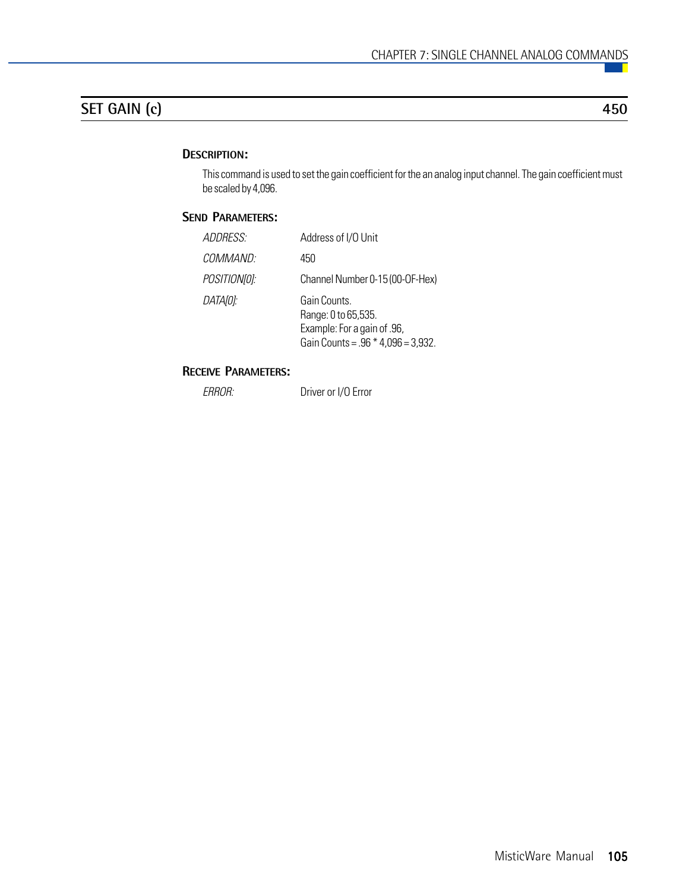## **SET GAIN (c)** 450

a a <mark>i I</mark>

### **DESCRIPTION:**

This command is used to set the gain coefficient for the an analog input channel. The gain coefficient must be scaled by 4,096.

#### **SEND PARAMETERS:**

| <i>ADDRESS:</i> | Address of I/O Unit                                                                                         |
|-----------------|-------------------------------------------------------------------------------------------------------------|
| <i>COMMAND:</i> | 450                                                                                                         |
| POSITION[0]:    | Channel Number 0-15 (00-OF-Hex)                                                                             |
| DATA[0]:        | Gain Counts.<br>Range: 0 to 65,535.<br>Example: For a gain of .96,<br>Gain Counts = $.96 * 4,096 = 3,932$ . |

### **RECEIVE PARAMETERS:**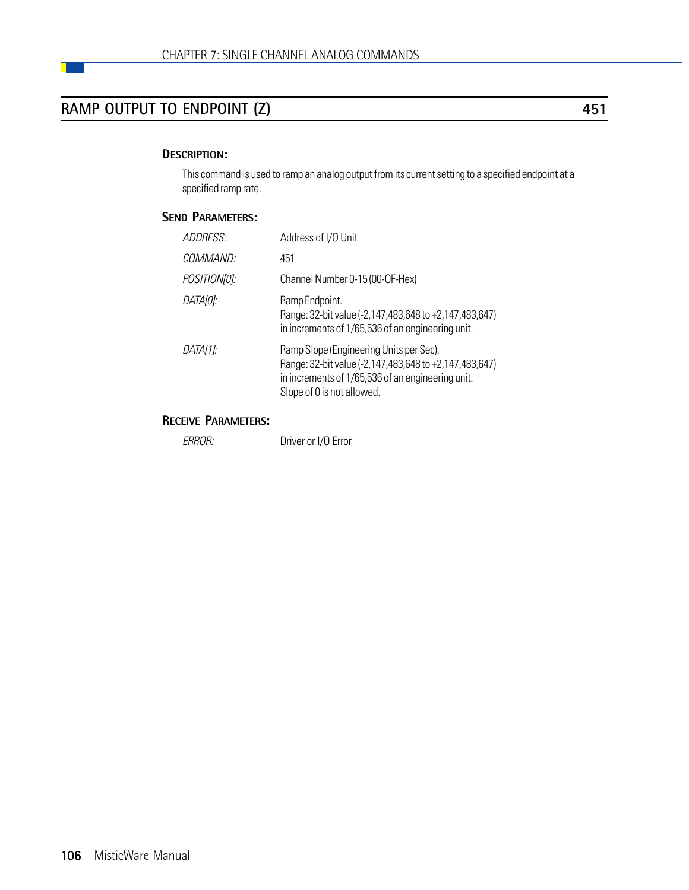## **RAMP OUTPUT TO ENDPOINT (Z)** 451

#### **DESCRIPTION:**

This command is used to ramp an analog output from its current setting to a specified endpoint at a specified ramp rate.

#### **SEND PARAMETERS:**

| ADDRESS:     | Address of I/O Unit                                                                                                                                                                  |
|--------------|--------------------------------------------------------------------------------------------------------------------------------------------------------------------------------------|
| COMMAND:     | 451                                                                                                                                                                                  |
| POSITION[0]: | Channel Number 0-15 (00-OF-Hex)                                                                                                                                                      |
| DATA[0]:     | Ramp Endpoint.<br>Range: 32-bit value (-2,147,483,648 to +2,147,483,647)<br>in increments of 1/65,536 of an engineering unit.                                                        |
| DATA[1]:     | Ramp Slope (Engineering Units per Sec).<br>Range: 32-bit value (-2,147,483,648 to +2,147,483,647)<br>in increments of 1/65,536 of an engineering unit.<br>Slope of 0 is not allowed. |

### **RECEIVE PARAMETERS:**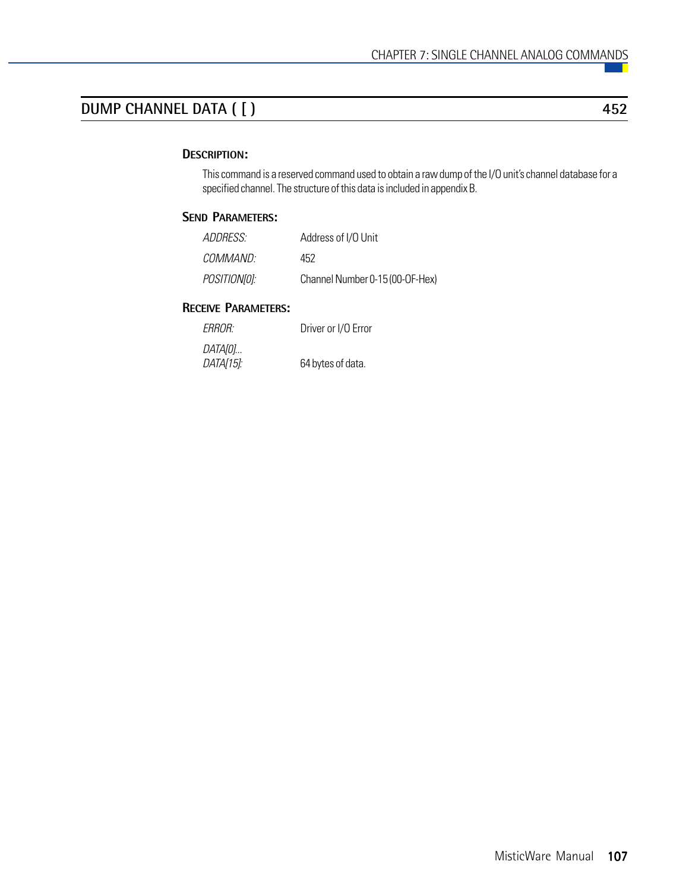| DUMP CHANNEL DATA ([) |  |
|-----------------------|--|
|-----------------------|--|

#### **DESCRIPTION:**

This command is a reserved command used to obtain a raw dump of the I/O unit's channel database for a specified channel. The structure of this data is included in appendix B.

#### **SEND PARAMETERS:**

| <i>ADDRESS:</i> | Address of I/O Unit             |
|-----------------|---------------------------------|
| <i>COMMAND:</i> | 452                             |
| POSITION[0]:    | Channel Number 0-15 (00-OF-Hex) |

| <i>ERROR:</i> | Driver or I/O Error |
|---------------|---------------------|
| DATA[0]       |                     |
| DATA[15]:     | 64 bytes of data.   |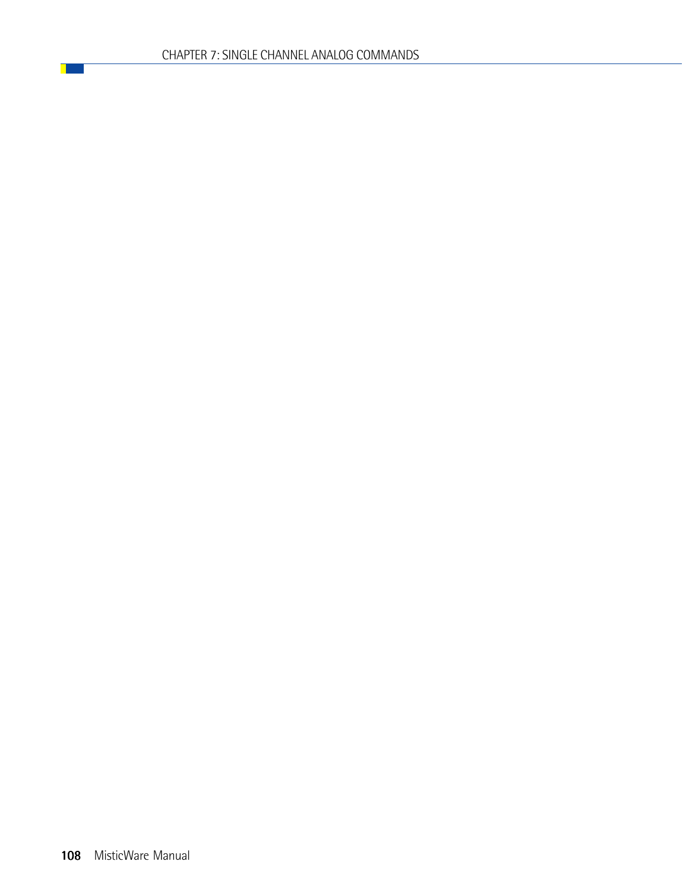**T**erry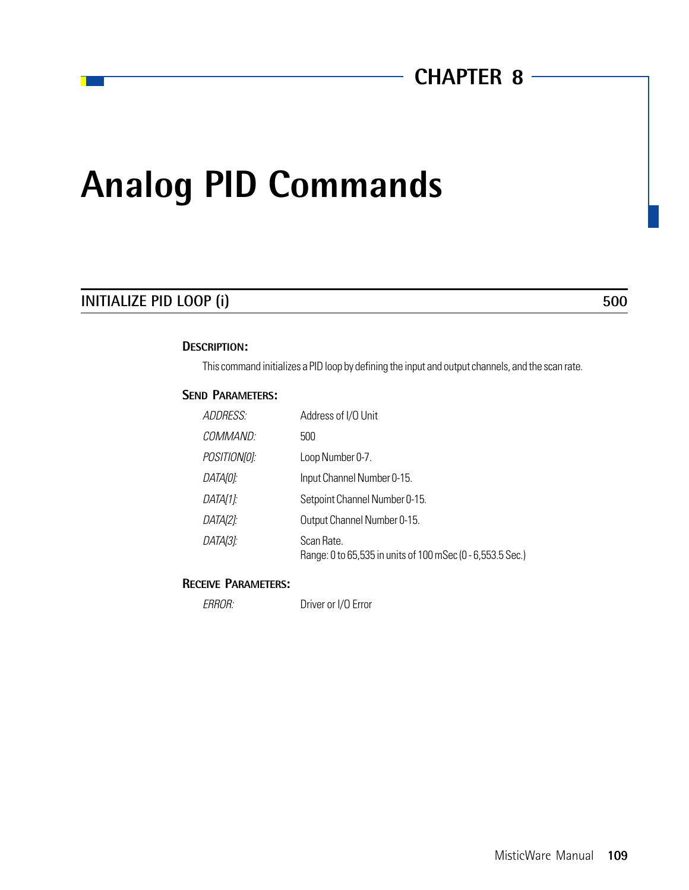## **CHAPTER 8**

# **Analog PID Commands**

## **INITIALIZE PID LOOP (i)** 500

#### **DESCRIPTION:**

This command initializes a PID loop by defining the input and output channels, and the scan rate.

#### **SEND PARAMETERS:**

| <i>ADDRESS:</i> | Address of I/O Unit                                                      |
|-----------------|--------------------------------------------------------------------------|
| <i>COMMAND:</i> | 500                                                                      |
| POSITION[0]:    | Loop Number 0-7.                                                         |
| DATA[0]:        | Input Channel Number 0-15.                                               |
| DATA[1]:        | Setpoint Channel Number 0-15.                                            |
| DATA[2]:        | Output Channel Number 0-15.                                              |
| DATA[3]:        | Scan Rate.<br>Range: 0 to 65,535 in units of 100 mSec (0 - 6,553.5 Sec.) |

#### **RECEIVE PARAMETERS:**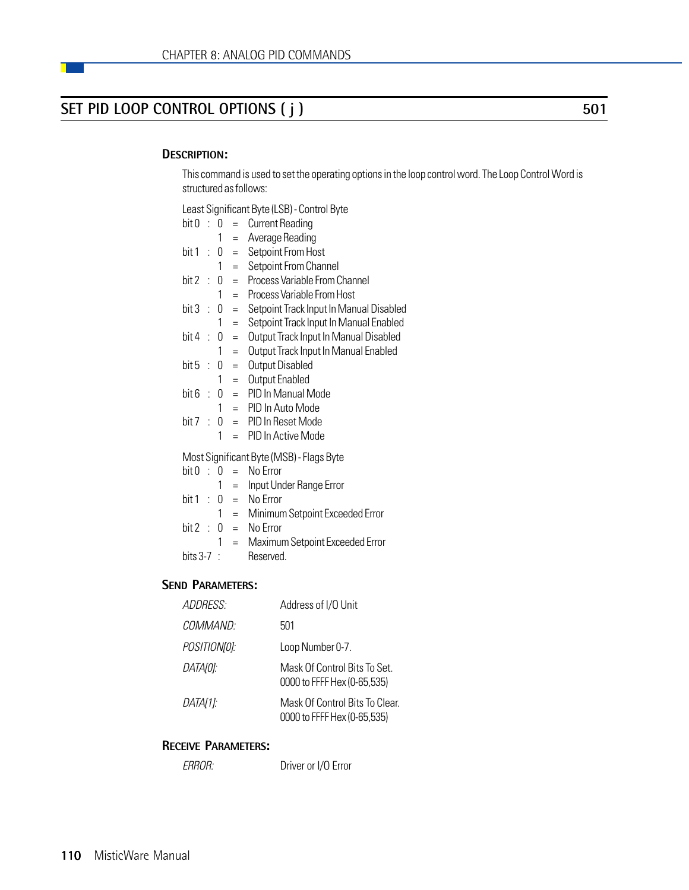## **SET PID LOOP CONTROL OPTIONS ( j )** 501

#### **DESCRIPTION:**

This command is used to set the operating options in the loop control word. The Loop Control Word is structured as follows:

Least Significant Byte (LSB) - Control Byte

| bit 0          | $\sim$                      | 0              | $=$ | <b>Current Reading</b>                   |
|----------------|-----------------------------|----------------|-----|------------------------------------------|
|                |                             | 1              | $=$ | Average Reading                          |
| bit 1          | $\mathcal{L}_{\mathcal{L}}$ | 0              | $=$ | Setpoint From Host                       |
|                |                             | 1              | $=$ | Setpoint From Channel                    |
| bit 2          | $\sim 10^{-1}$              | 0              | $=$ | Process Variable From Channel            |
|                |                             | 1              | $=$ | Process Variable From Host               |
| bit 3          | - 10                        | 0              | $=$ | Setpoint Track Input In Manual Disabled  |
|                |                             | 1              | $=$ | Setpoint Track Input In Manual Enabled   |
| bit 4          | $\sim$                      | 0              | $=$ | Output Track Input In Manual Disabled    |
|                |                             | 1              | $=$ | Output Track Input In Manual Enabled     |
| bit 5          | - 10                        | 0              | $=$ | Output Disabled                          |
|                |                             | 1              | $=$ | Output Enabled                           |
| bit 6          | $\sim$                      | 0              | $=$ | PID In Manual Mode                       |
|                |                             | 1              |     | $=$ PID In Auto Mode                     |
| $bit7$ :       |                             | 0              |     | $=$ PID In Reset Mode                    |
|                |                             | 1              | $=$ | PID In Active Mode                       |
|                |                             |                |     | Most Significant Byte (MSB) - Flags Byte |
| hit 0          |                             | $\therefore$ 0 | $=$ | No Error                                 |
|                |                             | 1              | $=$ | Input Under Range Error                  |
| bit 1 : 0      |                             |                | $=$ | No Error                                 |
|                |                             | 1              | $=$ | Minimum Setpoint Exceeded Error          |
| bit $2 \div 0$ |                             |                | $=$ | No Error                                 |
|                |                             | 1              | $=$ | Maximum Setpoint Exceeded Error          |
| hits 3-7       |                             |                |     | Reserved                                 |
|                |                             |                |     |                                          |

#### **SEND PARAMETERS:**

| <i>ADDRESS:</i> | Address of I/O Unit                                           |
|-----------------|---------------------------------------------------------------|
| COMMAND:        | 501                                                           |
| POSITION[0]:    | Loop Number 0-7.                                              |
| DATA[0]:        | Mask Of Control Bits To Set.<br>0000 to FFFF Hex (0-65,535)   |
| DATA[1]:        | Mask Of Control Bits To Clear.<br>0000 to FFFF Hex (0-65,535) |

#### **RECEIVE PARAMETERS:**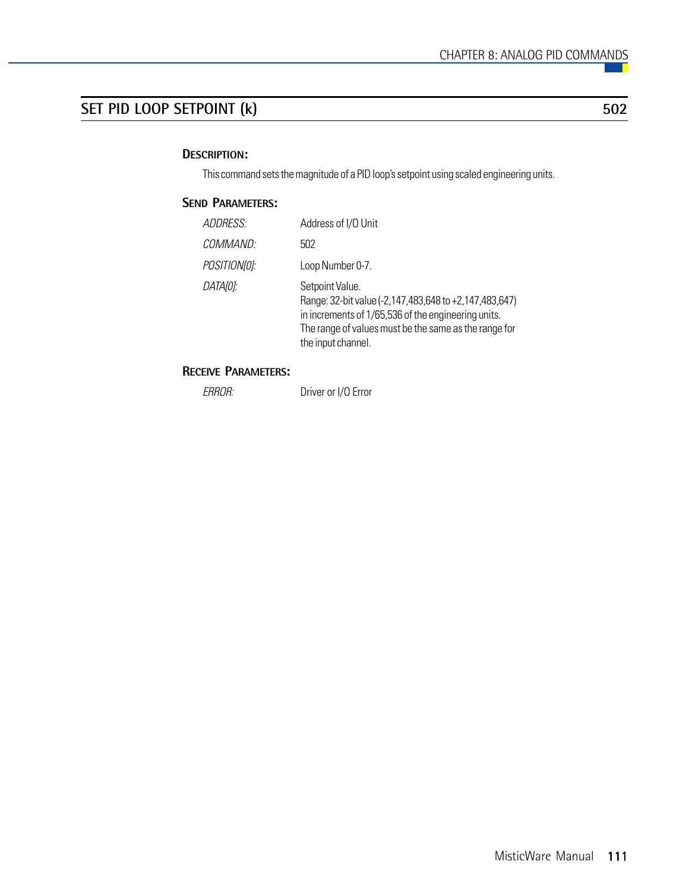## **SET PID LOOP SETPOINT (k)** 502

#### **DESCRIPTION:**

This command sets the magnitude of a PID loop's setpoint using scaled engineering units.

#### **SEND PARAMETERS:**

| <i>ADDRESS:</i> | Address of I/O Unit                                                                                                                                                                                             |
|-----------------|-----------------------------------------------------------------------------------------------------------------------------------------------------------------------------------------------------------------|
| COMMAND:        | 502                                                                                                                                                                                                             |
| POSITION[0]:    | Loop Number 0-7.                                                                                                                                                                                                |
| DATA[0]:        | Setpoint Value.<br>Range: 32-bit value (-2,147,483,648 to +2,147,483,647)<br>in increments of 1/65,536 of the engineering units.<br>The range of values must be the same as the range for<br>the input channel. |

#### **RECEIVE PARAMETERS:**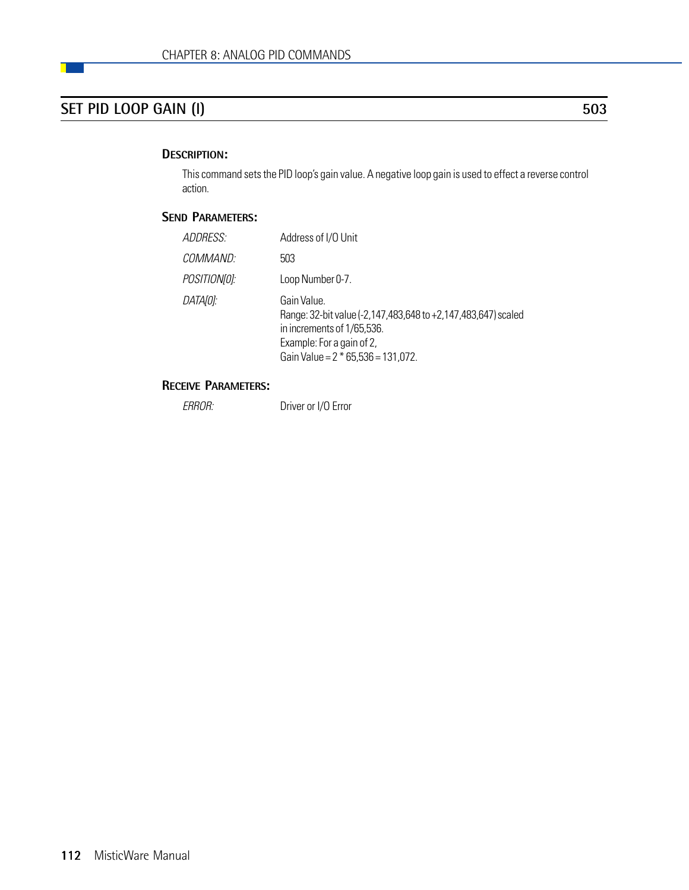## **SET PID LOOP GAIN (I)** 503

#### **DESCRIPTION:**

This command sets the PID loop's gain value. A negative loop gain is used to effect a reverse control action.

#### **SEND PARAMETERS:**

| ADDRESS:        | Address of I/O Unit                                                                                                                                                              |
|-----------------|----------------------------------------------------------------------------------------------------------------------------------------------------------------------------------|
| <i>COMMAND:</i> | 503                                                                                                                                                                              |
| POSITION[0]:    | Loop Number 0-7.                                                                                                                                                                 |
| DATA[0]:        | Gain Value.<br>Range: 32-bit value (-2,147,483,648 to +2,147,483,647) scaled<br>in increments of 1/65,536.<br>Example: For a gain of 2,<br>Gain Value = $2 * 65,536 = 131,072$ . |

### **RECEIVE PARAMETERS:**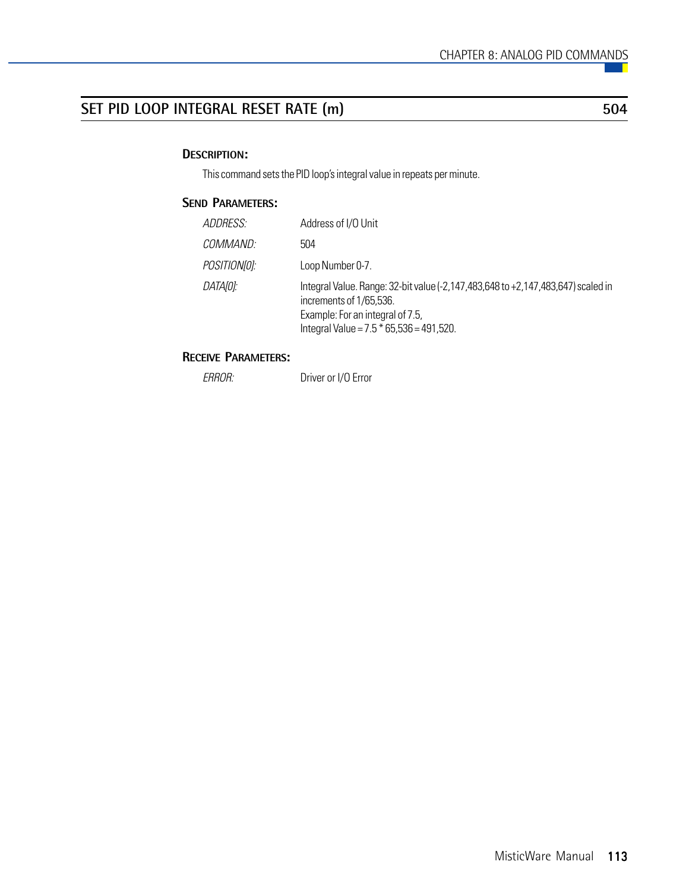## **SET PID LOOP INTEGRAL RESET RATE (m)** 504

## **DESCRIPTION:**

This command sets the PID loop's integral value in repeats per minute.

#### **SEND PARAMETERS:**

| ADDRESS:        | Address of I/O Unit                                                                                                                                                                            |
|-----------------|------------------------------------------------------------------------------------------------------------------------------------------------------------------------------------------------|
| <i>COMMAND:</i> | 504                                                                                                                                                                                            |
| POSITION[0]:    | Loop Number 0-7.                                                                                                                                                                               |
| DATA[0]:        | Integral Value. Range: 32-bit value (-2,147,483,648 to +2,147,483,647) scaled in<br>increments of 1/65,536.<br>Example: For an integral of 7.5,<br>Integral Value = $7.5 * 65,536 = 491,520$ . |

#### **RECEIVE PARAMETERS:**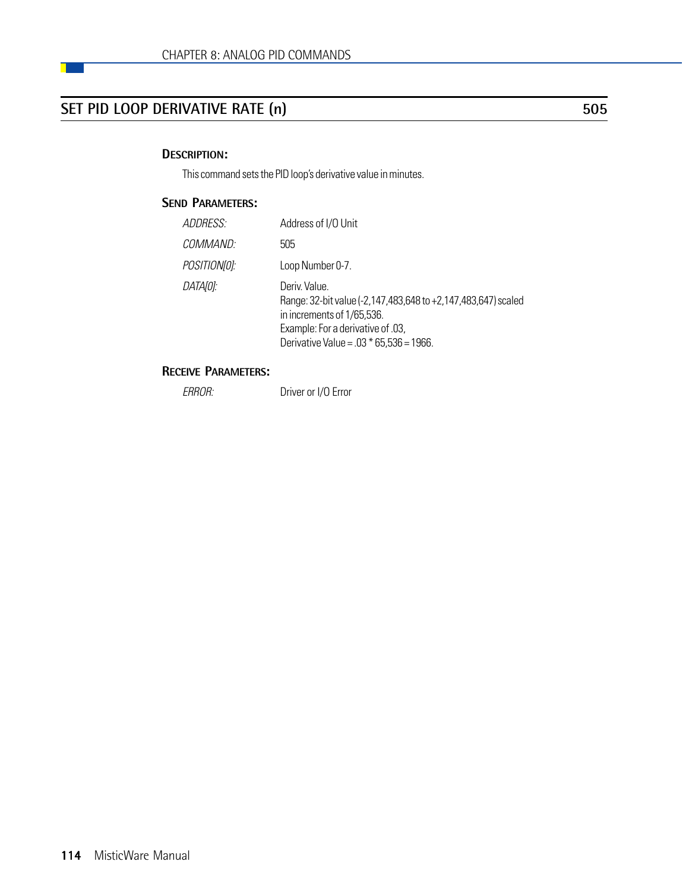## **SET PID LOOP DERIVATIVE RATE (n)** 505

П

#### **DESCRIPTION:**

This command sets the PID loop's derivative value in minutes.

#### **SEND PARAMETERS:**

| <i>ADDRESS:</i> | Address of I/O Unit                                                                                                                                                                             |
|-----------------|-------------------------------------------------------------------------------------------------------------------------------------------------------------------------------------------------|
| <i>COMMAND:</i> | 505                                                                                                                                                                                             |
| POSITION[0]:    | Loop Number 0-7.                                                                                                                                                                                |
| DATA[0]:        | Deriv. Value.<br>Range: 32-bit value (-2,147,483,648 to +2,147,483,647) scaled<br>in increments of 1/65,536.<br>Example: For a derivative of .03,<br>Derivative Value = $.03 * 65,536 = 1966$ . |

#### **RECEIVE PARAMETERS:**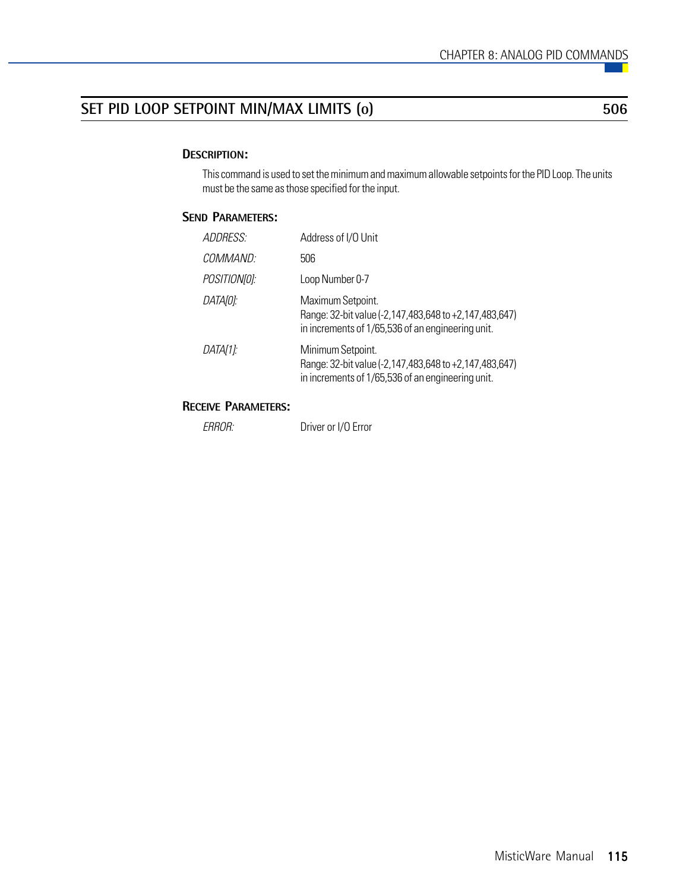## **SET PID LOOP SETPOINT MIN/MAX LIMITS (o) 506**

#### **DESCRIPTION:**

This command is used to set the minimum and maximum allowable setpoints for the PID Loop. The units must be the same as those specified for the input.

#### **SEND PARAMETERS:**

| <b>ADDRESS:</b> | Address of I/O Unit                                                                                                              |
|-----------------|----------------------------------------------------------------------------------------------------------------------------------|
| <i>COMMAND:</i> | 506                                                                                                                              |
| POSITION[0]:    | Loop Number 0-7                                                                                                                  |
| DATA[0]:        | Maximum Setpoint.<br>Range: 32-bit value (-2,147,483,648 to +2,147,483,647)<br>in increments of 1/65,536 of an engineering unit. |
| DATA[1]:        | Minimum Setpoint.<br>Range: 32-bit value (-2,147,483,648 to +2,147,483,647)<br>in increments of 1/65,536 of an engineering unit. |

#### **RECEIVE PARAMETERS:**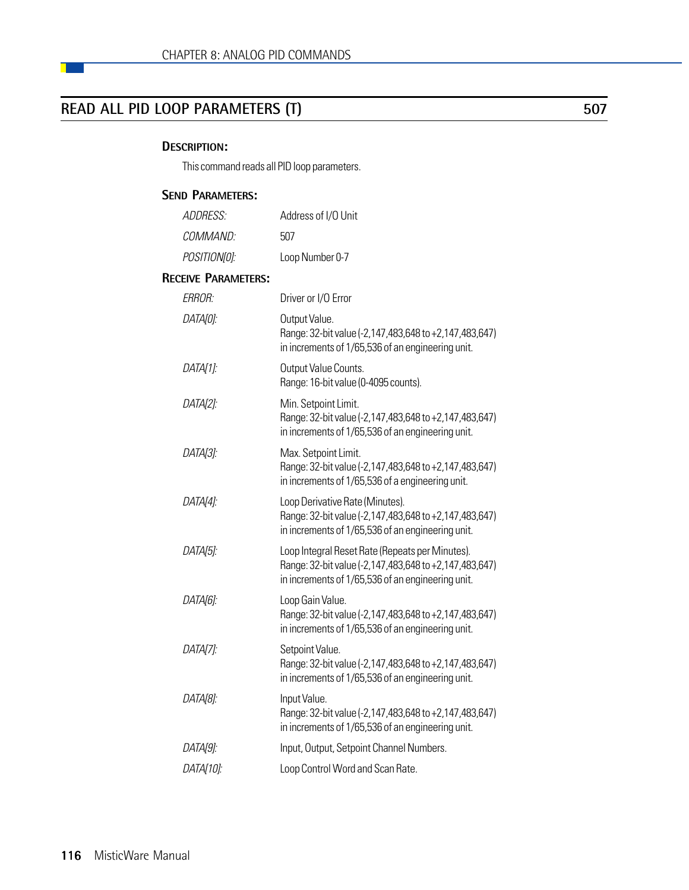## **READ ALL PID LOOP PARAMETERS (T)** 507

**T**he Co

#### **DESCRIPTION:**

This command reads all PID loop parameters.

### **SEND PARAMETERS:**

| <b>ADDRESS:</b>            | Address of I/O Unit                                                                                                                                            |
|----------------------------|----------------------------------------------------------------------------------------------------------------------------------------------------------------|
| COMMAND:                   | 507                                                                                                                                                            |
| POSITION[0]:               | Loop Number 0-7                                                                                                                                                |
| <b>RECEIVE PARAMETERS:</b> |                                                                                                                                                                |
| <b>ERROR:</b>              | Driver or I/O Error                                                                                                                                            |
| DATA[0]:                   | Output Value.<br>Range: 32-bit value (-2,147,483,648 to +2,147,483,647)<br>in increments of 1/65,536 of an engineering unit.                                   |
| DATA[1]:                   | Output Value Counts.<br>Range: 16-bit value (0-4095 counts).                                                                                                   |
| DATA[2]:                   | Min. Setpoint Limit.<br>Range: 32-bit value (-2,147,483,648 to +2,147,483,647)<br>in increments of 1/65,536 of an engineering unit.                            |
| DATA[3]:                   | Max. Setpoint Limit.<br>Range: 32-bit value (-2,147,483,648 to +2,147,483,647)<br>in increments of 1/65,536 of a engineering unit.                             |
| DATA[4]:                   | Loop Derivative Rate (Minutes).<br>Range: 32-bit value (-2,147,483,648 to +2,147,483,647)<br>in increments of 1/65,536 of an engineering unit.                 |
| DATA[5]:                   | Loop Integral Reset Rate (Repeats per Minutes).<br>Range: 32-bit value (-2,147,483,648 to +2,147,483,647)<br>in increments of 1/65,536 of an engineering unit. |
| DATA[6]:                   | Loop Gain Value.<br>Range: 32-bit value (-2,147,483,648 to +2,147,483,647)<br>in increments of 1/65,536 of an engineering unit.                                |
| DATA[7]:                   | Setpoint Value.<br>Range: 32-bit value (-2,147,483,648 to +2,147,483,647)<br>in increments of 1/65,536 of an engineering unit.                                 |
| DATA[8]:                   | Input Value.<br>Range: 32-bit value (-2,147,483,648 to +2,147,483,647)<br>in increments of 1/65,536 of an engineering unit.                                    |
| DATA[9]:                   | Input, Output, Setpoint Channel Numbers.                                                                                                                       |
| DATA[10]:                  | Loop Control Word and Scan Rate.                                                                                                                               |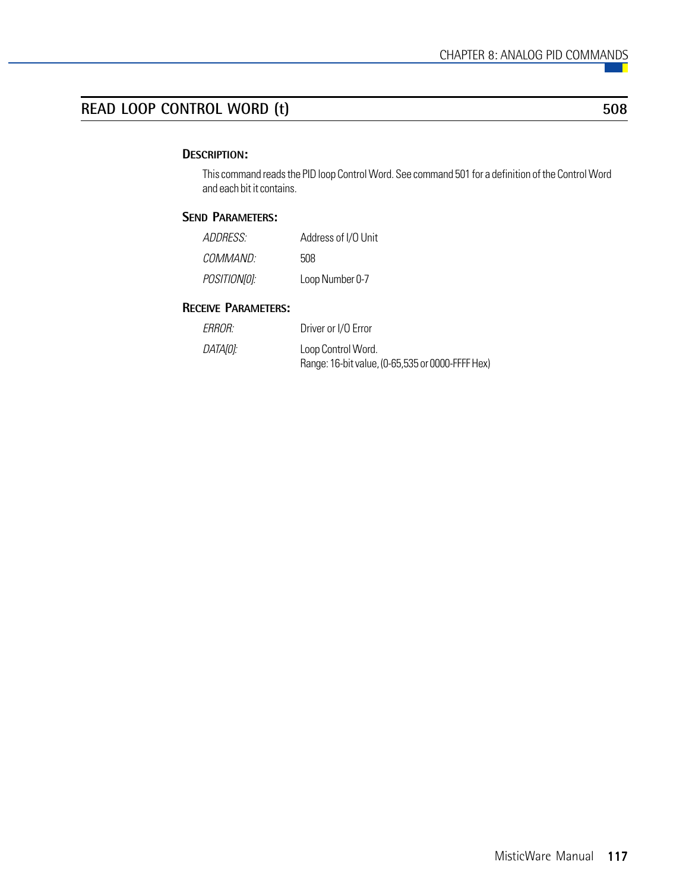## **READ LOOP CONTROL WORD (t)** 508

a a <mark>i I</mark>

#### **DESCRIPTION:**

This command reads the PID loop Control Word. See command 501 for a definition of the Control Word and each bit it contains.

#### **SEND PARAMETERS:**

| <i>ADDRESS:</i> | Address of I/O Unit |
|-----------------|---------------------|
| <i>COMMAND:</i> | 508                 |
| POSITION[0]:    | Loop Number 0-7     |

| <i>ERROR:</i> | Driver or I/O Error                                                    |
|---------------|------------------------------------------------------------------------|
| DATA[0]:      | Loop Control Word.<br>Range: 16-bit value, (0-65,535 or 0000-FFFF Hex) |
|               |                                                                        |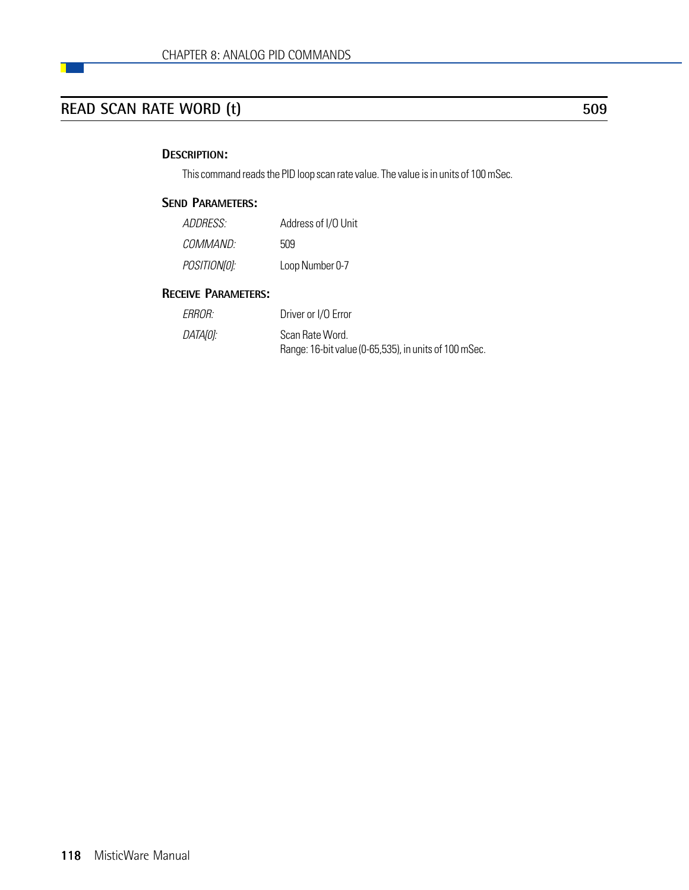## **READ SCAN RATE WORD (t)** 509

П

#### **DESCRIPTION:**

This command reads the PID loop scan rate value. The value is in units of 100 mSec.

#### **SEND PARAMETERS:**

| <i>ADDRESS:</i>     | Address of I/O Unit |
|---------------------|---------------------|
| COMMAND:            | 509                 |
| <i>POSITIONIOI:</i> | Loop Number 0-7     |

| ERROR:   | Driver or I/O Error                                                      |
|----------|--------------------------------------------------------------------------|
| DATA[0]: | Scan Rate Word.<br>Range: 16-bit value (0-65,535), in units of 100 mSec. |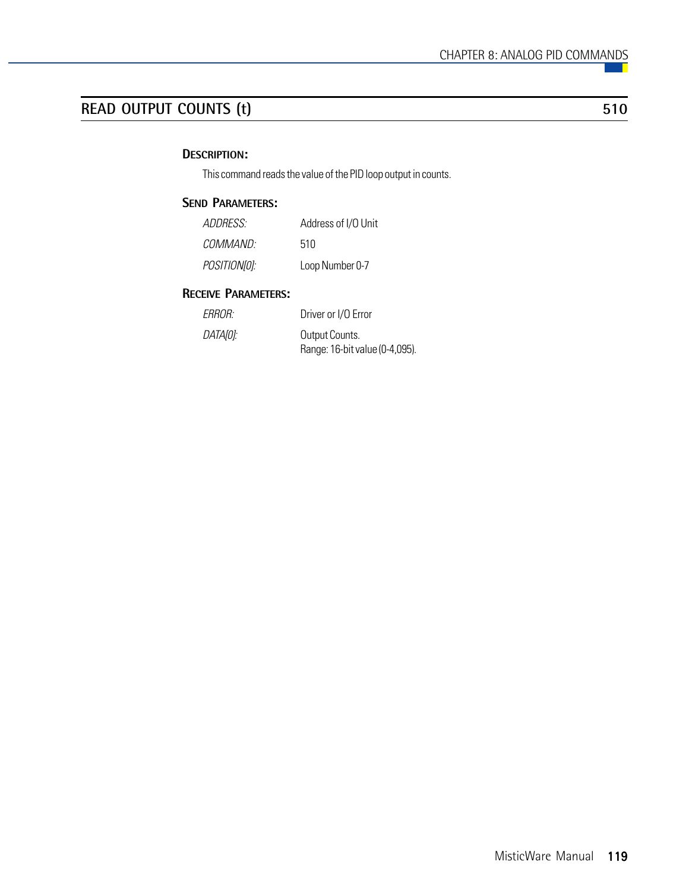## **READ OUTPUT COUNTS (t)** 510

#### **DESCRIPTION:**

This command reads the value of the PID loop output in counts.

#### **SEND PARAMETERS:**

| <i>ADDRESS:</i>     | Address of I/O Unit |
|---------------------|---------------------|
| COMMAND:            | 510                 |
| <i>POSITIONIOI:</i> | Loop Number 0-7     |

| <i>ERROR:</i> | Driver or I/O Error                              |
|---------------|--------------------------------------------------|
| DATA[0]:      | Output Counts.<br>Range: 16-bit value (0-4,095). |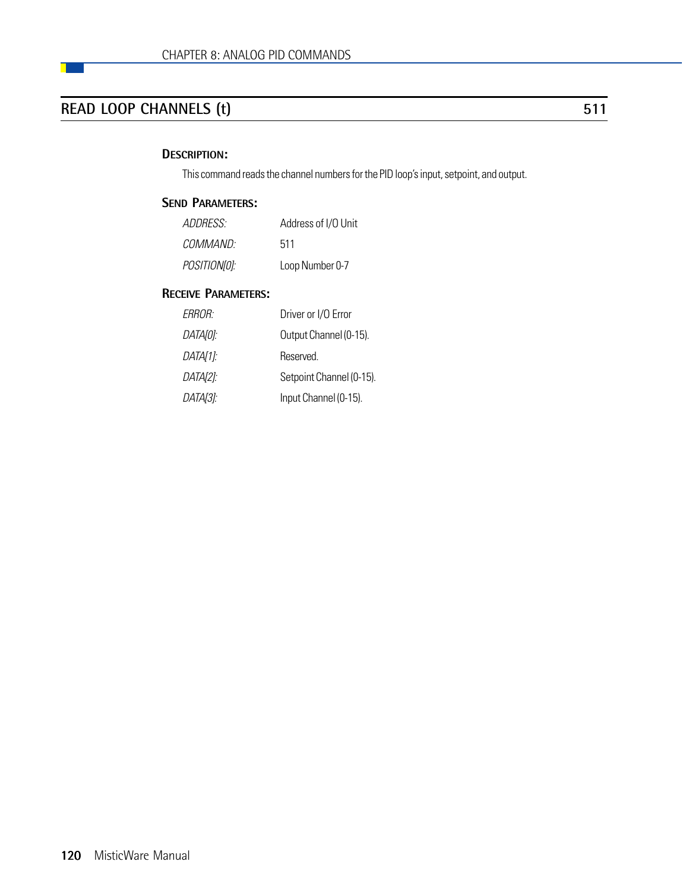## **READ LOOP CHANNELS (t)** 511

**T**he Co

#### **DESCRIPTION:**

This command reads the channel numbers for the PID loop's input, setpoint, and output.

#### **SEND PARAMETERS:**

| <i>ADDRESS:</i> | Address of I/O Unit |
|-----------------|---------------------|
| <i>COMMAND:</i> | 511                 |
| POSITIONIOI:    | Loop Number 0-7     |

| ERROR:   | Driver or I/O Error      |
|----------|--------------------------|
| DATA[0]: | Output Channel (0-15).   |
| DATA[1]: | Reserved.                |
| DATA[2]: | Setpoint Channel (0-15). |
| DATA[3]: | Input Channel (0-15).    |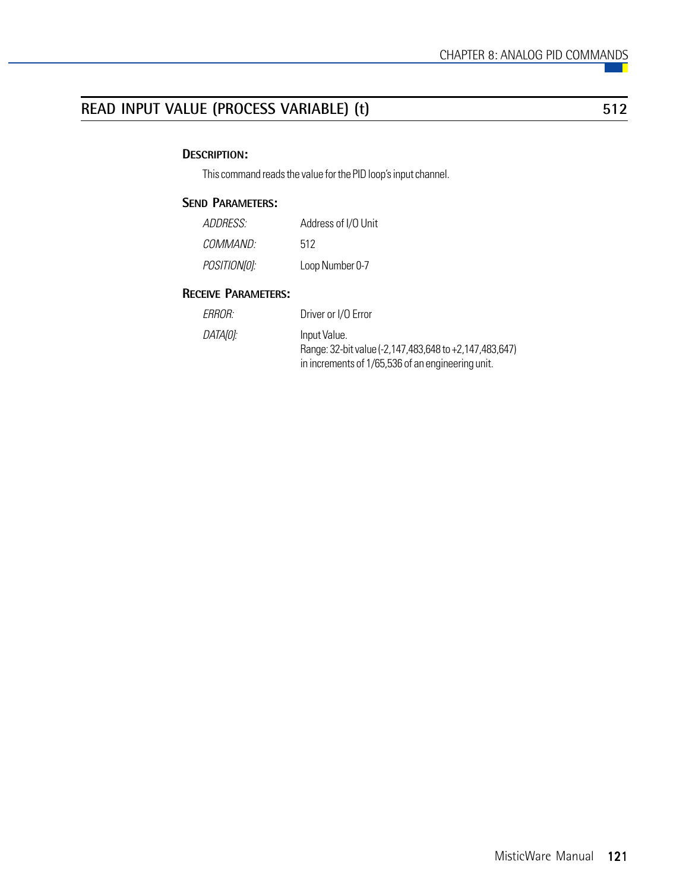## **READ INPUT VALUE (PROCESS VARIABLE) (t) 512**

#### **DESCRIPTION:**

This command reads the value for the PID loop's input channel.

#### **SEND PARAMETERS:**

| <i>ADDRESS:</i> | Address of I/O Unit |
|-----------------|---------------------|
| COMMAND:        | 512                 |
| POSITIONIOI:    | Loop Number 0-7     |

| ERROR:   | Driver or I/O Error                                                    |
|----------|------------------------------------------------------------------------|
| DATA[0]: | Input Value.<br>Range: 32-bit value (-2,147,483,648 to +2,147,483,647) |
|          | in increments of 1/65,536 of an engineering unit.                      |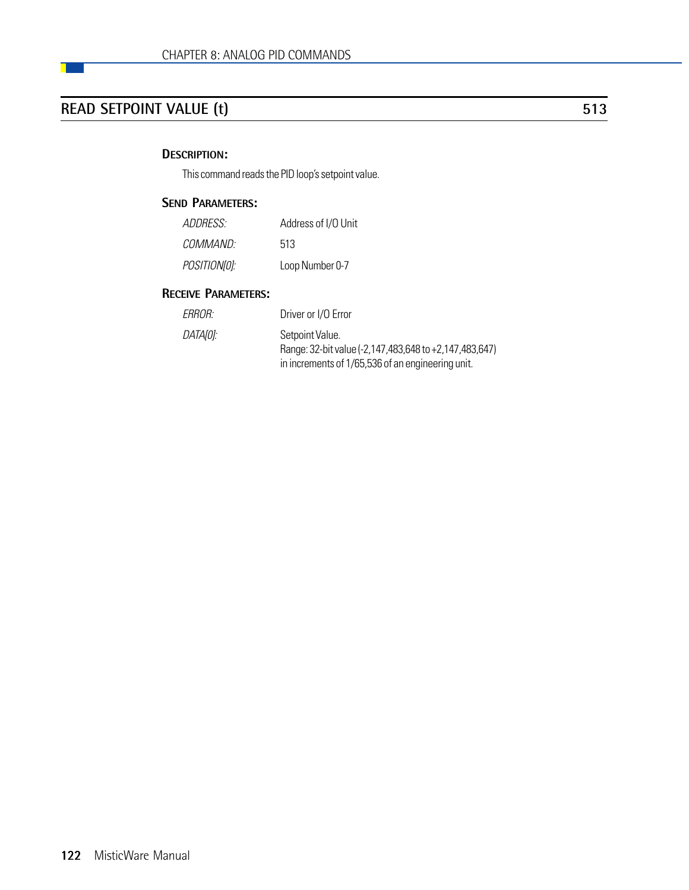## **READ SETPOINT VALUE (t)** 513

**T**he Co

#### **DESCRIPTION:**

This command reads the PID loop's setpoint value.

#### **SEND PARAMETERS:**

| <i>ADDRESS:</i>     | Address of I/O Unit |
|---------------------|---------------------|
| COMMAND:            | 513                 |
| <i>POSITIONIOI:</i> | Loop Number 0-7     |

| ERROR:   | Driver or I/O Error                                                                                                            |
|----------|--------------------------------------------------------------------------------------------------------------------------------|
| DATA[0]: | Setpoint Value.<br>Range: 32-bit value (-2,147,483,648 to +2,147,483,647)<br>in increments of 1/65,536 of an engineering unit. |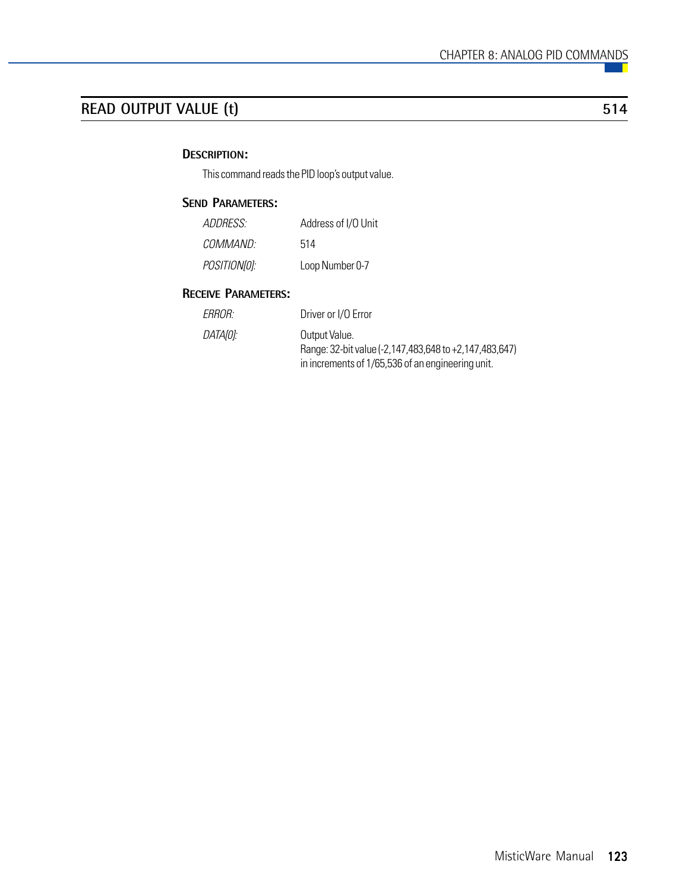## **READ OUTPUT VALUE (t)** 514

#### **DESCRIPTION:**

This command reads the PID loop's output value.

#### **SEND PARAMETERS:**

| <i>ADDRESS:</i>     | Address of I/O Unit |
|---------------------|---------------------|
| COMMAND:            | 514                 |
| <i>POSITIONIOI:</i> | Loop Number 0-7     |

| ERROR:   | Driver or I/O Error                                                                                                          |
|----------|------------------------------------------------------------------------------------------------------------------------------|
| DATA[0]: | Output Value.<br>Range: 32-bit value (-2,147,483,648 to +2,147,483,647)<br>in increments of 1/65,536 of an engineering unit. |
|          |                                                                                                                              |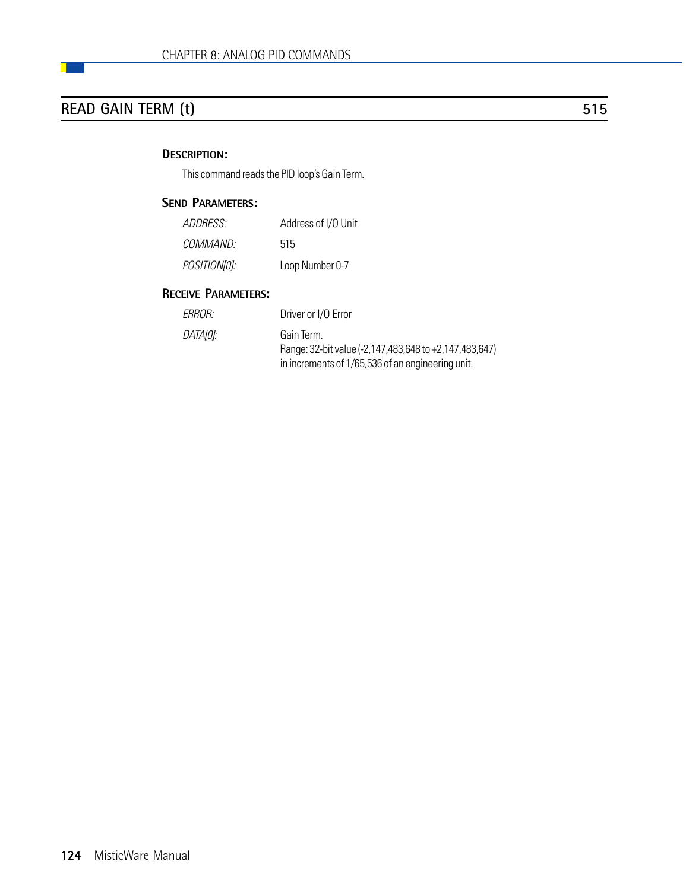## **READ GAIN TERM (t)** 515

**T**he Co

#### **DESCRIPTION:**

This command reads the PID loop's Gain Term.

#### **SEND PARAMETERS:**

| <i>ADDRESS:</i> | Address of I/O Unit |
|-----------------|---------------------|
| COMMAND:        | 515                 |
| POSITIONIOI:    | Loop Number 0-7     |

| ERROR:   | Driver or I/O Error                                                                                                       |
|----------|---------------------------------------------------------------------------------------------------------------------------|
| DATA[0]: | Gain Term.<br>Range: 32-bit value (-2,147,483,648 to +2,147,483,647)<br>in increments of 1/65,536 of an engineering unit. |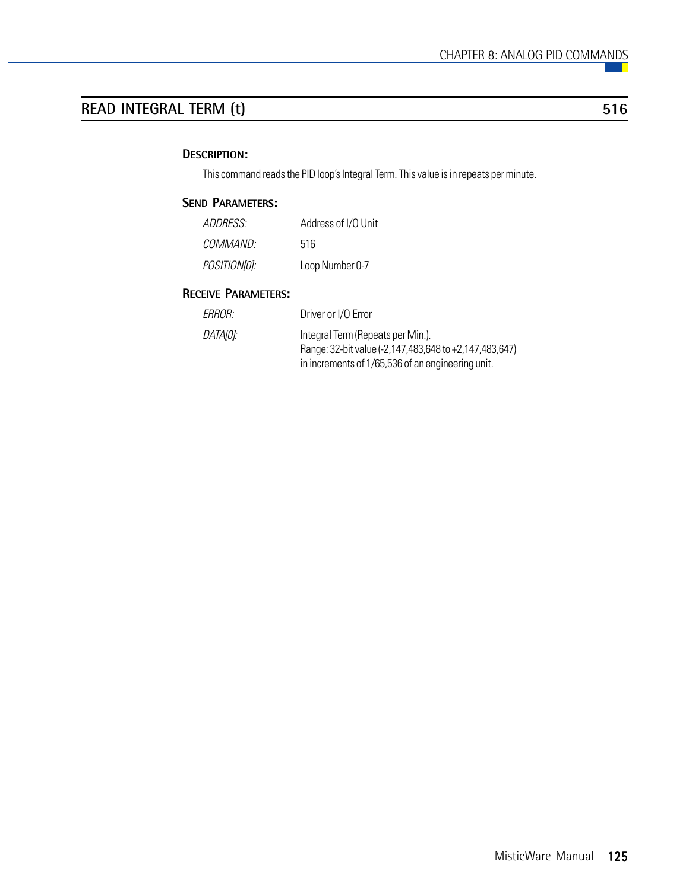## READ INTEGRAL TERM (t) 516

#### **DESCRIPTION:**

This command reads the PID loop's Integral Term. This value is in repeats per minute.

#### **SEND PARAMETERS:**

| <i>ADDRESS:</i>     | Address of I/O Unit |
|---------------------|---------------------|
| <i>COMMAND:</i>     | 516                 |
| <i>POSITIONIOI:</i> | Loop Number 0-7     |

| ERROR:   | Driver or I/O Error                                    |
|----------|--------------------------------------------------------|
| DATA[0]: | Integral Term (Repeats per Min.).                      |
|          | Range: 32-bit value (-2,147,483,648 to +2,147,483,647) |
|          | in increments of 1/65,536 of an engineering unit.      |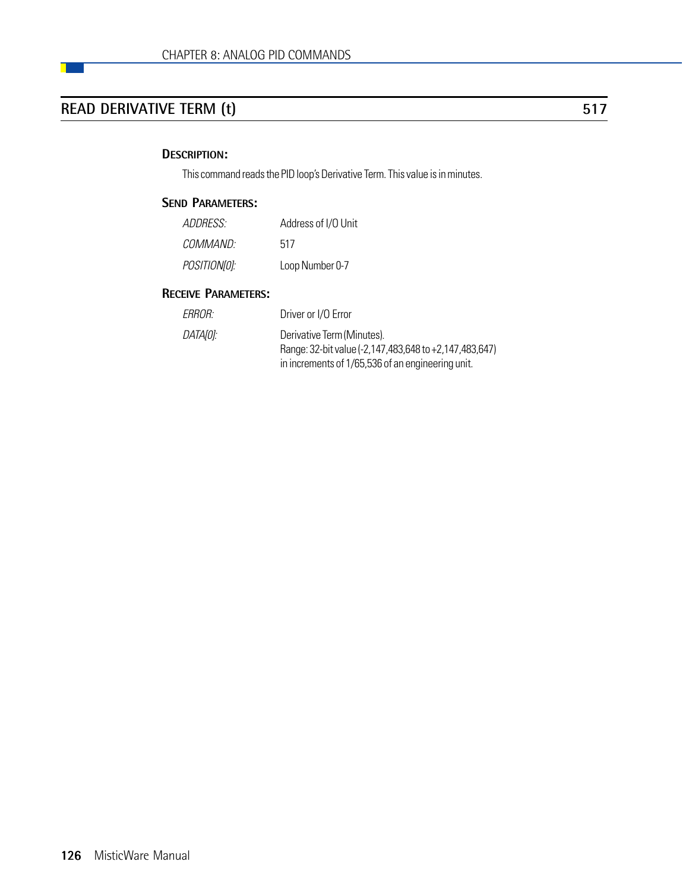## **READ DERIVATIVE TERM (t)** 517

**T**he C

#### **DESCRIPTION:**

This command reads the PID loop's Derivative Term. This value is in minutes.

#### **SEND PARAMETERS:**

| <i>ADDRESS:</i> | Address of I/O Unit |
|-----------------|---------------------|
| COMMAND:        | 517                 |
| POSITIONIOI:    | Loop Number 0-7     |

| <i>ERROR:</i> | Driver or I/O Error                                                                                                                       |
|---------------|-------------------------------------------------------------------------------------------------------------------------------------------|
| DATA[0]:      | Derivative Term (Minutes).<br>Range: 32-bit value (-2,147,483,648 to +2,147,483,647)<br>in increments of 1/65,536 of an engineering unit. |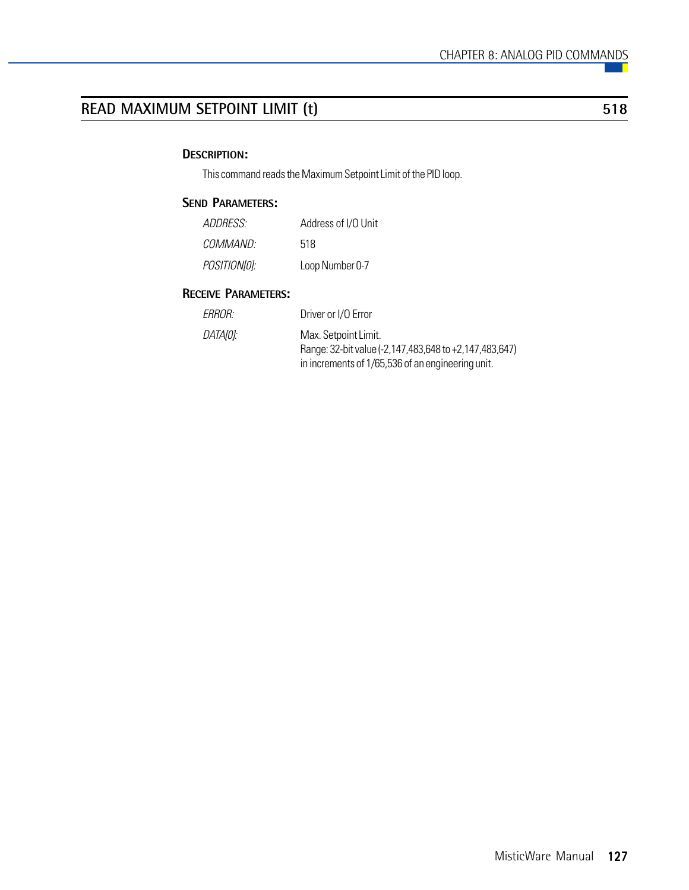## **READ MAXIMUM SETPOINT LIMIT (t)** 518

#### **DESCRIPTION:**

This command reads the Maximum Setpoint Limit of the PID loop.

#### **SEND PARAMETERS:**

| <i>ADDRESS:</i> | Address of I/O Unit |
|-----------------|---------------------|
| COMMAND:        | 518                 |
| POSITIONIOI:    | Loop Number 0-7     |

| <i>ERROR:</i> | Driver or I/O Error                                                                                                                 |
|---------------|-------------------------------------------------------------------------------------------------------------------------------------|
| DATA[0]:      | Max. Setpoint Limit.<br>Range: 32-bit value (-2,147,483,648 to +2,147,483,647)<br>in increments of 1/65,536 of an engineering unit. |
|               |                                                                                                                                     |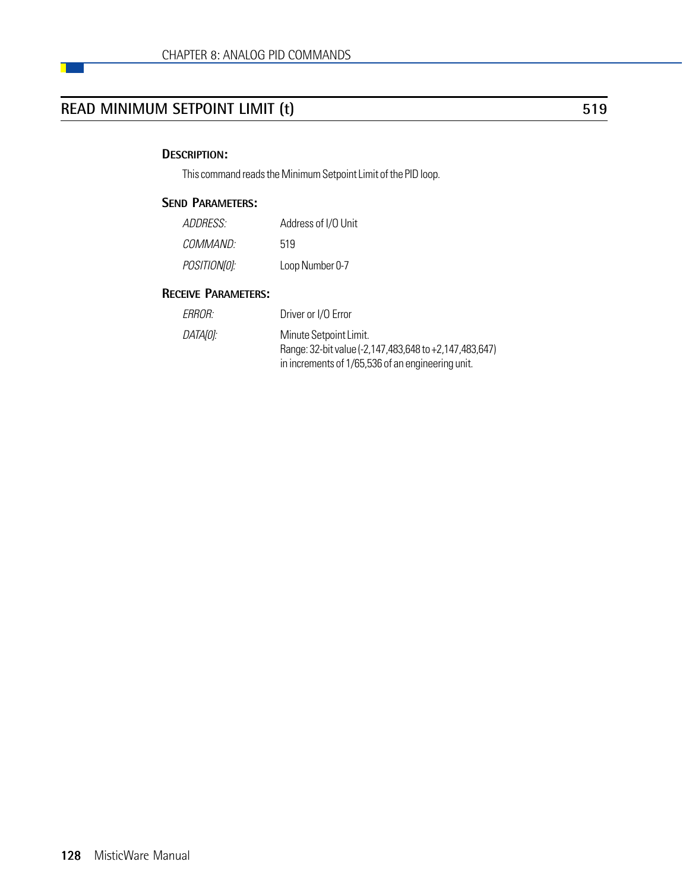## **READ MINIMUM SETPOINT LIMIT (t)** 519

**T**he Co

#### **DESCRIPTION:**

This command reads the Minimum Setpoint Limit of the PID loop.

#### **SEND PARAMETERS:**

| <i>ADDRESS:</i> | Address of I/O Unit |
|-----------------|---------------------|
| <i>COMMAND:</i> | 519                 |
| POSITIONIOI:    | Loop Number 0-7     |

| <i>ERROR:</i> | Driver or I/O Error                                                                                                                   |
|---------------|---------------------------------------------------------------------------------------------------------------------------------------|
| DATA[0]:      | Minute Setpoint Limit.<br>Range: 32-bit value (-2,147,483,648 to +2,147,483,647)<br>in increments of 1/65,536 of an engineering unit. |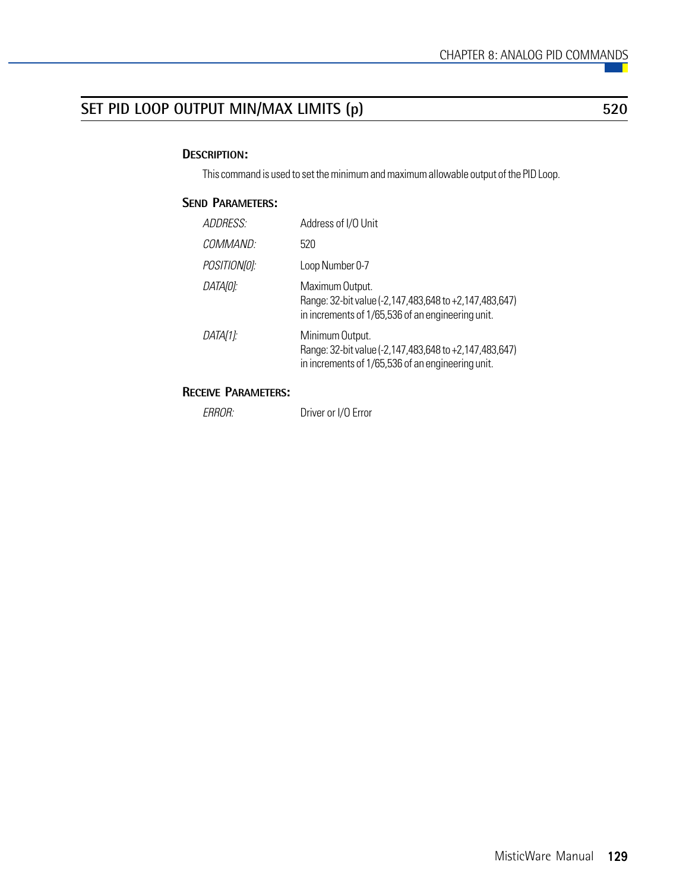## **SET PID LOOP OUTPUT MIN/MAX LIMITS (p)** 520

#### **DESCRIPTION:**

This command is used to set the minimum and maximum allowable output of the PID Loop.

#### **SEND PARAMETERS:**

| <b>ADDRESS:</b> | Address of I/O Unit                                                                                                            |
|-----------------|--------------------------------------------------------------------------------------------------------------------------------|
| <i>COMMAND:</i> | 520                                                                                                                            |
| POSITION[0]:    | Loop Number 0-7                                                                                                                |
| DATA[0]:        | Maximum Output.<br>Range: 32-bit value (-2,147,483,648 to +2,147,483,647)<br>in increments of 1/65,536 of an engineering unit. |
| DATA[1]:        | Minimum Output.<br>Range: 32-bit value (-2,147,483,648 to +2,147,483,647)<br>in increments of 1/65,536 of an engineering unit. |

#### **RECEIVE PARAMETERS:**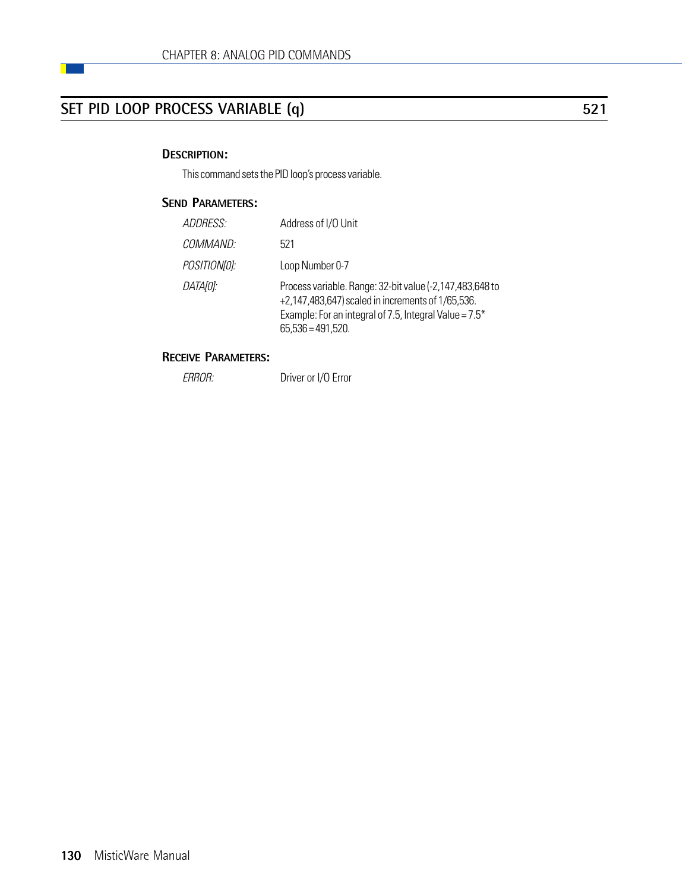## **SET PID LOOP PROCESS VARIABLE (q)** 521

#### **DESCRIPTION:**

This command sets the PID loop's process variable.

#### **SEND PARAMETERS:**

| <i>ADDRESS:</i> | Address of I/O Unit                                                                                                                                                                             |
|-----------------|-------------------------------------------------------------------------------------------------------------------------------------------------------------------------------------------------|
| <i>COMMAND:</i> | 521                                                                                                                                                                                             |
| POSITION[0]:    | Loop Number 0-7                                                                                                                                                                                 |
| DATA[0]:        | Process variable. Range: 32-bit value (-2,147,483,648 to<br>+2,147,483,647) scaled in increments of 1/65,536.<br>Example: For an integral of 7.5, Integral Value = $7.5*$<br>$65,536 = 491,520$ |

#### **RECEIVE PARAMETERS:**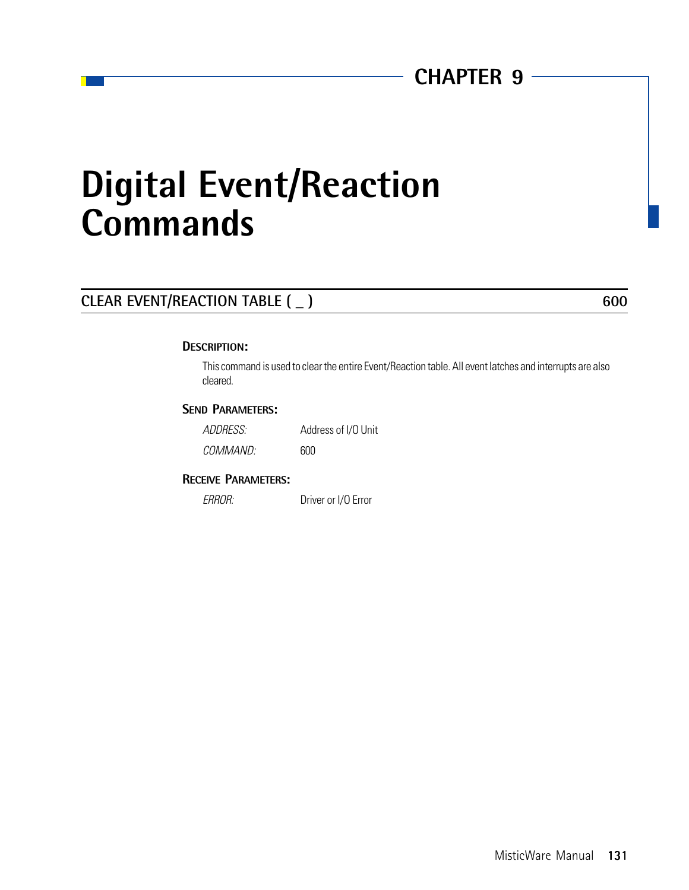**CHAPTER 9**

# **Digital Event/Reaction Commands**

## **CLEAR EVENT/REACTION TABLE ( \_ )** 600

**DESCRIPTION:**

This command is used to clear the entire Event/Reaction table. All event latches and interrupts are also cleared.

### **SEND PARAMETERS:**

ADDRESS: Address of I/O Unit COMMAND: 600

### **RECEIVE PARAMETERS:**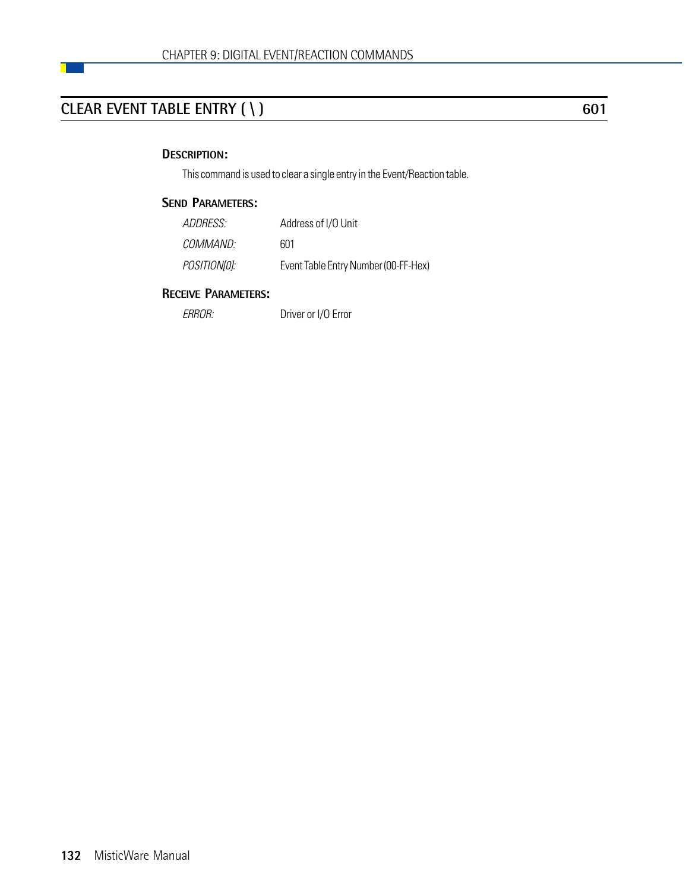## **CLEAR EVENT TABLE ENTRY ( \ )** 601

#### **DESCRIPTION:**

This command is used to clear a single entry in the Event/Reaction table.

#### **SEND PARAMETERS:**

| <i>ADDRESS:</i>     | Address of I/O Unit                  |
|---------------------|--------------------------------------|
| <i>COMMAND:</i>     | 601                                  |
| <i>POSITION[0]:</i> | Event Table Entry Number (00-FF-Hex) |

#### **RECEIVE PARAMETERS:**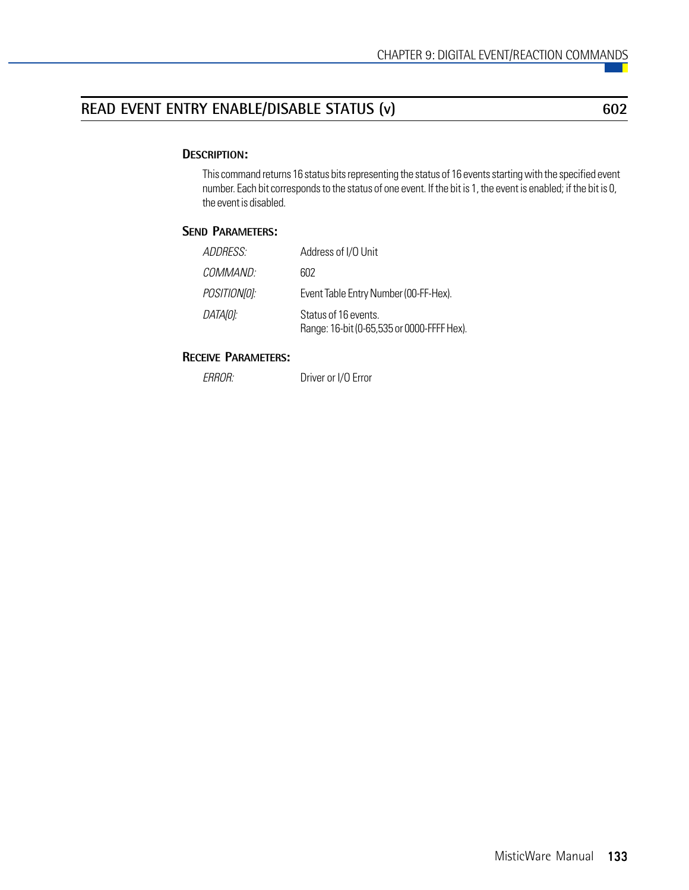#### **DESCRIPTION:**

This command returns 16 status bits representing the status of 16 events starting with the specified event number. Each bit corresponds to the status of one event. If the bit is 1, the event is enabled; if the bit is 0, the event is disabled.

#### **SEND PARAMETERS:**

| <i>ADDRESS:</i> | Address of I/O Unit                                                |
|-----------------|--------------------------------------------------------------------|
| <i>COMMAND:</i> | 602                                                                |
| POSITION[0]:    | Event Table Entry Number (00-FF-Hex).                              |
| DATA[0]:        | Status of 16 events.<br>Range: 16-bit (0-65,535 or 0000-FFFF Hex). |

#### **RECEIVE PARAMETERS:**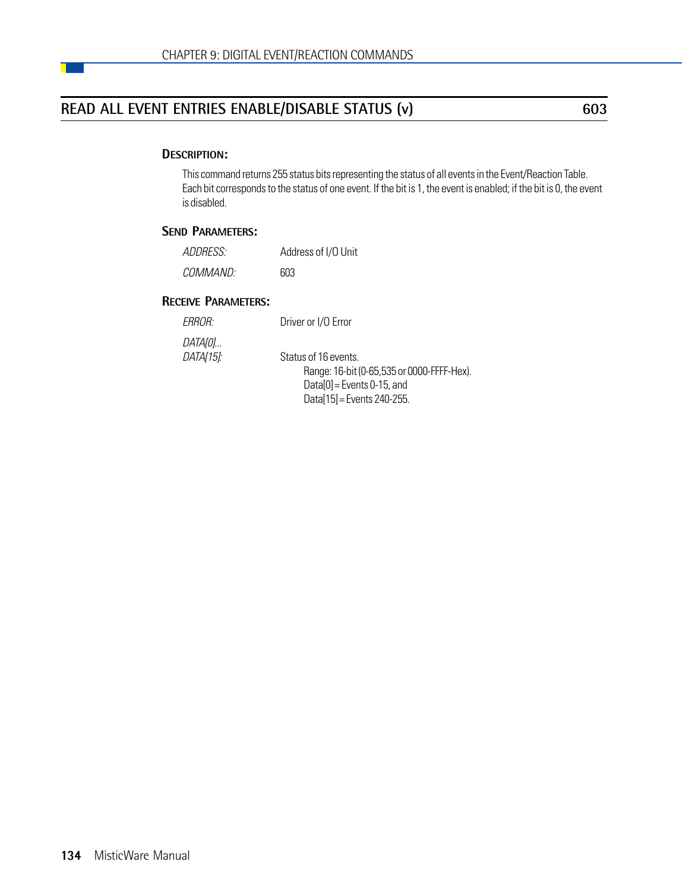## READ ALL EVENT ENTRIES ENABLE/DISABLE STATUS (v) 603

#### **DESCRIPTION:**

This command returns 255 status bits representing the status of all events in the Event/Reaction Table. Each bit corresponds to the status of one event. If the bit is 1, the event is enabled; if the bit is 0, the event is disabled.

#### **SEND PARAMETERS:**

| <i>ADDRESS:</i> | Address of I/O Unit |
|-----------------|---------------------|
| <i>COMMAND:</i> | 603                 |

| ERROR:               | Driver or I/O Error                        |
|----------------------|--------------------------------------------|
| DATA[0]<br>DATA[15]: | Status of 16 events.                       |
|                      | Range: 16-bit (0-65,535 or 0000-FFFF-Hex). |
|                      | Data $[0]$ = Events 0-15, and              |
|                      | Data[15] = Events 240-255.                 |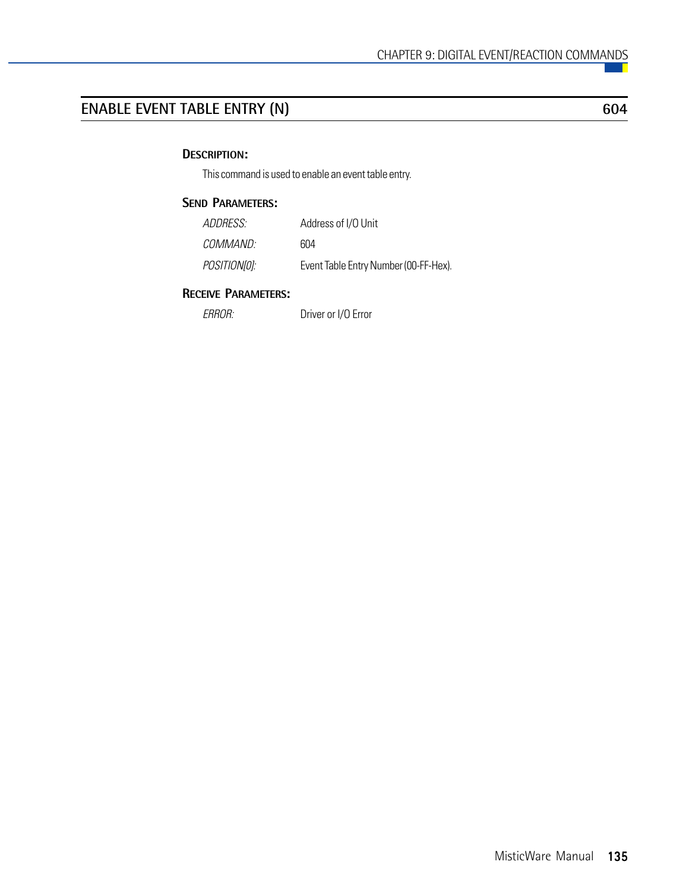## **ENABLE EVENT TABLE ENTRY (N)** 604

#### **DESCRIPTION:**

This command is used to enable an event table entry.

#### **SEND PARAMETERS:**

| <i>ADDRESS:</i>     | Address of I/O Unit                   |
|---------------------|---------------------------------------|
| <i>COMMAND:</i>     | 604                                   |
| <i>POSITIONIOI:</i> | Event Table Entry Number (00-FF-Hex). |

### **RECEIVE PARAMETERS:**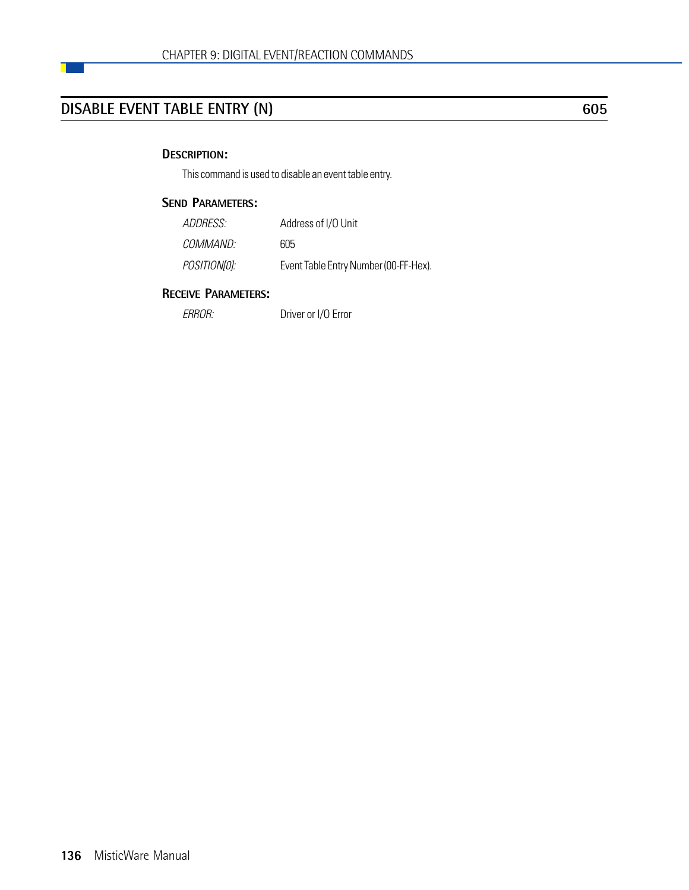## **DISABLE EVENT TABLE ENTRY (N)** 605

 $\mathcal{L}(\mathcal{A})$ Ш

#### **DESCRIPTION:**

This command is used to disable an event table entry.

#### **SEND PARAMETERS:**

| <i>ADDRESS:</i> | Address of I/O Unit                   |
|-----------------|---------------------------------------|
| <i>COMMAND:</i> | 605                                   |
| POSITIONIOI:    | Event Table Entry Number (00-FF-Hex). |

#### **RECEIVE PARAMETERS:**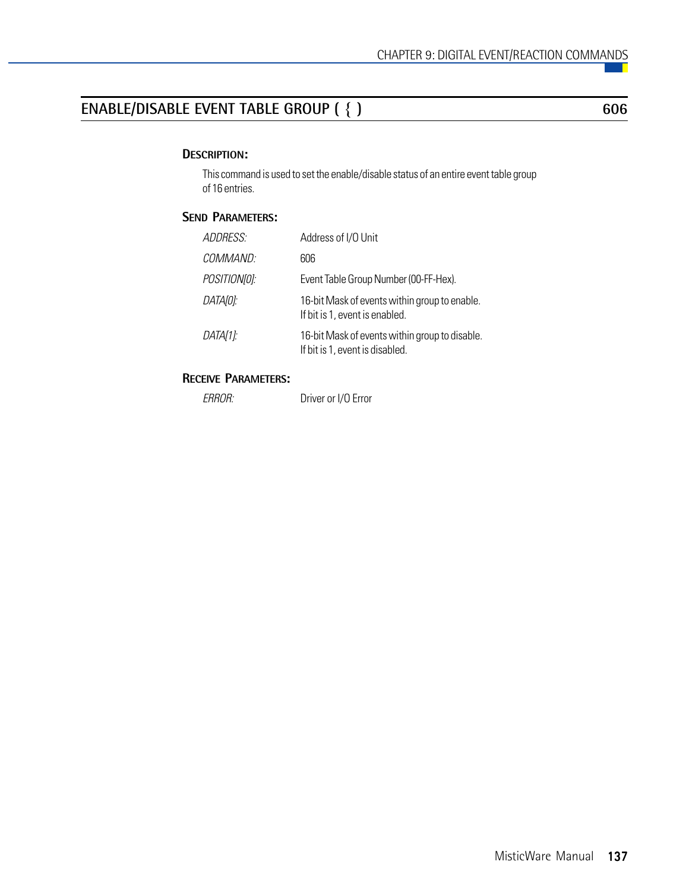## **ENABLE/DISABLE EVENT TABLE GROUP ( { ) 606**

#### **DESCRIPTION:**

This command is used to set the enable/disable status of an entire event table group of 16 entries.

#### **SEND PARAMETERS:**

| <i>ADDRESS:</i> | Address of I/O Unit                                                               |
|-----------------|-----------------------------------------------------------------------------------|
| <i>COMMAND:</i> | 606                                                                               |
| POSITION[0]:    | Event Table Group Number (00-FF-Hex).                                             |
| DATA[0]:        | 16-bit Mask of events within group to enable.<br>If bit is 1, event is enabled.   |
| DATA[1]:        | 16-bit Mask of events within group to disable.<br>If bit is 1, event is disabled. |

#### **RECEIVE PARAMETERS:**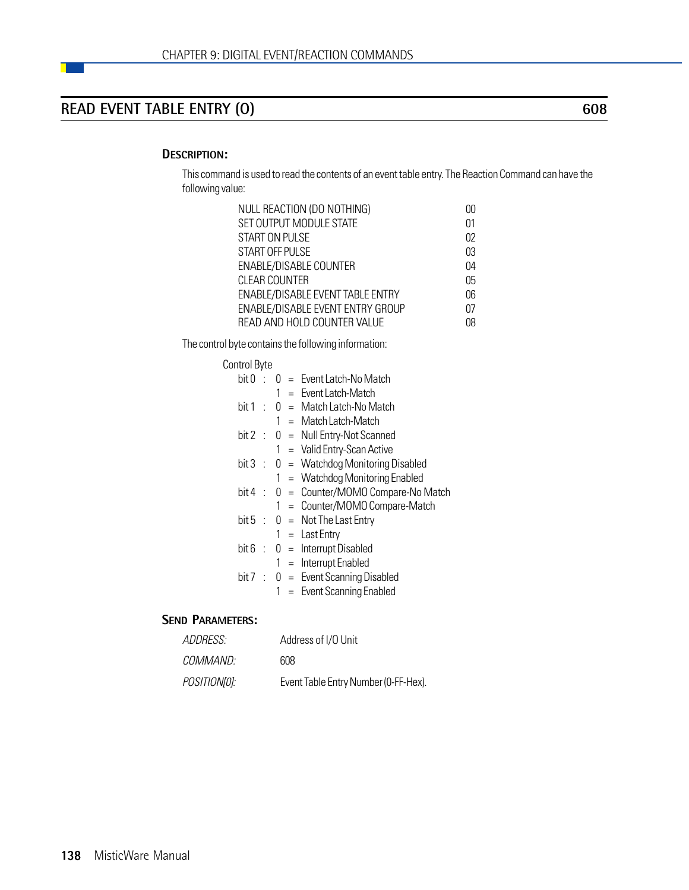## READ EVENT TABLE ENTRY (0) 608

#### **DESCRIPTION:**

This command is used to read the contents of an event table entry. The Reaction Command can have the following value:

| NULL REACTION (DO NOTHING)              | NU             |
|-----------------------------------------|----------------|
| SET OUTPUT MODULE STATE                 | Ω1             |
| START ON PULSE                          | በ2             |
| START OFF PULSE                         | O3             |
| <b>ENABLE/DISABLE COUNTER</b>           | N <sub>4</sub> |
| <b>CLEAR COUNTER</b>                    | 05             |
| <b>ENABLE/DISABLE EVENT TABLE ENTRY</b> | 0ĥ             |
| <b>ENABLE/DISABLE EVENT ENTRY GROUP</b> | በ7             |
| READ AND HOLD COUNTER VALUE             | N8             |

The control byte contains the following information:

| Control Byte |  |  |  |                                                        |
|--------------|--|--|--|--------------------------------------------------------|
|              |  |  |  | $\mathsf{hit} \, 0$ : $\, 0 \,$ = Fvent Latch-No Match |
|              |  |  |  | $1 =$ Fyent Latch-Match                                |
|              |  |  |  | $bit 1 \cdot 0 = Match$ Latch-No Match                 |
|              |  |  |  | $1 = \text{Match}$ atch-Match                          |
|              |  |  |  | $bit 2 : 0 = Null Entry-Not Scanned$                   |
|              |  |  |  | $1 =$ Valid Entry-Scan Active                          |
|              |  |  |  | bit $3 : 0 =$ Watchdog Monitoring Disabled             |
|              |  |  |  | 1 = Watchdog Monitoring Enabled                        |
|              |  |  |  | bit 4 : $0 =$ Counter/MOMO Compare-No Match            |
|              |  |  |  | 1 = Counter/MOMO Compare-Match                         |
|              |  |  |  | bit $5 : 0 = \text{Not The Last Entry}$                |
|              |  |  |  | $1 =$ Last Entry                                       |
|              |  |  |  | $bit 6 : 0 = Internet Disabled$                        |
|              |  |  |  | $1 =$ Interrupt Enabled                                |
|              |  |  |  | $bit7 : 0 = Event Scanning Disabled$                   |
|              |  |  |  | $1 =$ Event Scanning Enabled                           |
|              |  |  |  |                                                        |

#### **SEND PARAMETERS:**

| <i>ADDRESS:</i> | Address of I/O Unit                  |
|-----------------|--------------------------------------|
| <i>COMMAND:</i> | 608                                  |
| POSITION[0]:    | Event Table Entry Number (0-FF-Hex). |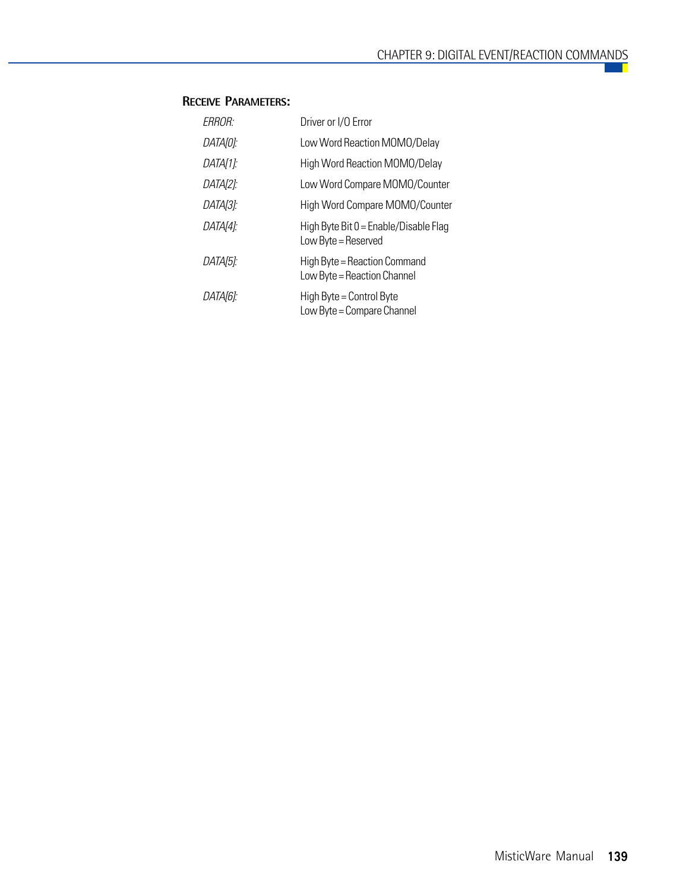| <i>FRROR:</i> | Driver or I/O Error                                            |
|---------------|----------------------------------------------------------------|
| DATA[0]:      | Low Word Reaction MOMO/Delay                                   |
| DATA[1]:      | <b>High Word Reaction MOMO/Delay</b>                           |
| DATA[2]:      | Low Word Compare MOMO/Counter                                  |
| DATA[3]:      | High Word Compare MOMO/Counter                                 |
| DATA[4]:      | High Byte Bit $0 =$ Enable/Disable Flag<br>Low Byte = Reserved |
| DATA[5]:      | High Byte = Reaction Command<br>Low Byte = Reaction Channel    |
| DATA[6]:      | High Byte = Control Byte<br>Low Byte = Compare Channel         |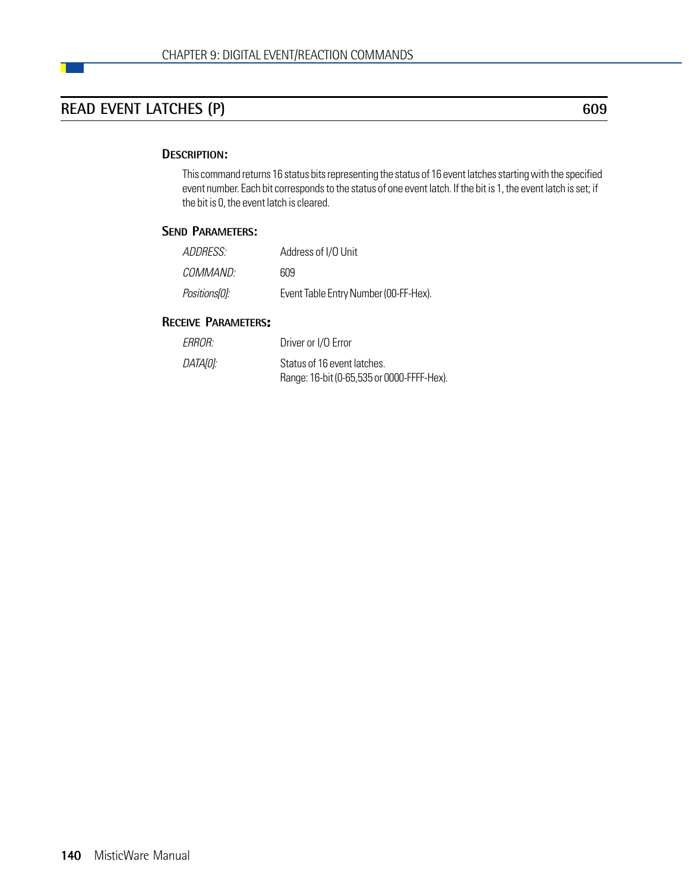## READ EVENT LATCHES (P) 609

#### **DESCRIPTION:**

This command returns 16 status bits representing the status of 16 event latches starting with the specified event number. Each bit corresponds to the status of one event latch. If the bit is 1, the event latch is set; if the bit is 0, the event latch is cleared.

#### **SEND PARAMETERS:**

| <i>ADDRESS:</i> | Address of I/O Unit                   |
|-----------------|---------------------------------------|
| <i>COMMAND:</i> | 609                                   |
| Positions[0]:   | Event Table Entry Number (00-FF-Hex). |

| ERROR:   | Driver or I/O Error                        |
|----------|--------------------------------------------|
| DATA[0]: | Status of 16 event latches.                |
|          | Range: 16-bit (0-65,535 or 0000-FFFF-Hex). |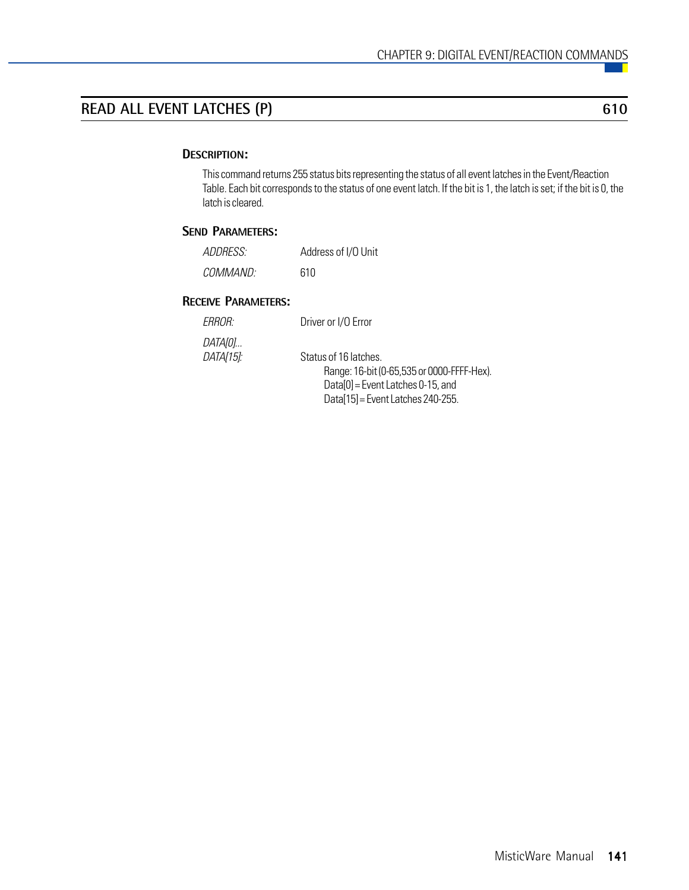#### **DESCRIPTION:**

This command returns 255 status bits representing the status of all event latches in the Event/Reaction Table. Each bit corresponds to the status of one event latch. If the bit is 1, the latch is set; if the bit is 0, the latch is cleared.

#### **SEND PARAMETERS:**

| <i>ADDRESS:</i> | Address of I/O Unit |
|-----------------|---------------------|
| <i>COMMAND:</i> | 610                 |

| ERROR:               | Driver or I/O Error                        |
|----------------------|--------------------------------------------|
| DATA[0]<br>DATA[15]: | Status of 16 latches.                      |
|                      |                                            |
|                      | Range: 16-bit (0-65,535 or 0000-FFFF-Hex). |
|                      | Data $[0]$ = Event Latches 0-15, and       |
|                      | Data $[15]$ = Event Latches 240-255.       |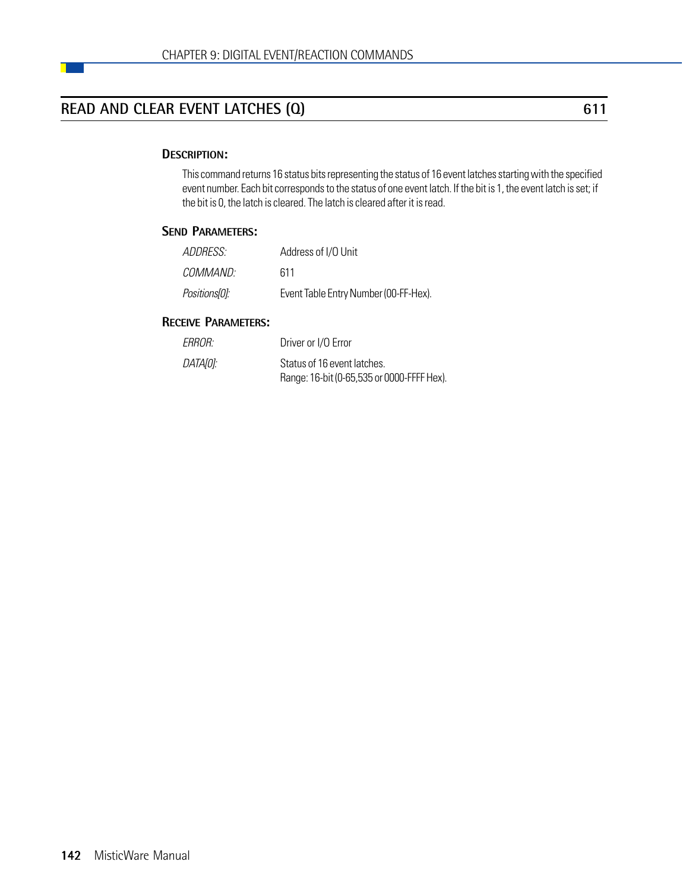## **READ AND CLEAR EVENT LATCHES (Q)** 611

#### **DESCRIPTION:**

This command returns 16 status bits representing the status of 16 event latches starting with the specified event number. Each bit corresponds to the status of one event latch. If the bit is 1, the event latch is set; if the bit is 0, the latch is cleared. The latch is cleared after it is read.

#### **SEND PARAMETERS:**

| <i>ADDRESS:</i> | Address of I/O Unit                   |
|-----------------|---------------------------------------|
| <i>COMMAND:</i> | 611                                   |
| Positions[0]:   | Event Table Entry Number (00-FF-Hex). |

| <i>ERROR:</i> | Driver or I/O Error                        |
|---------------|--------------------------------------------|
| DATA[0]:      | Status of 16 event latches.                |
|               | Range: 16-bit (0-65,535 or 0000-FFFF Hex). |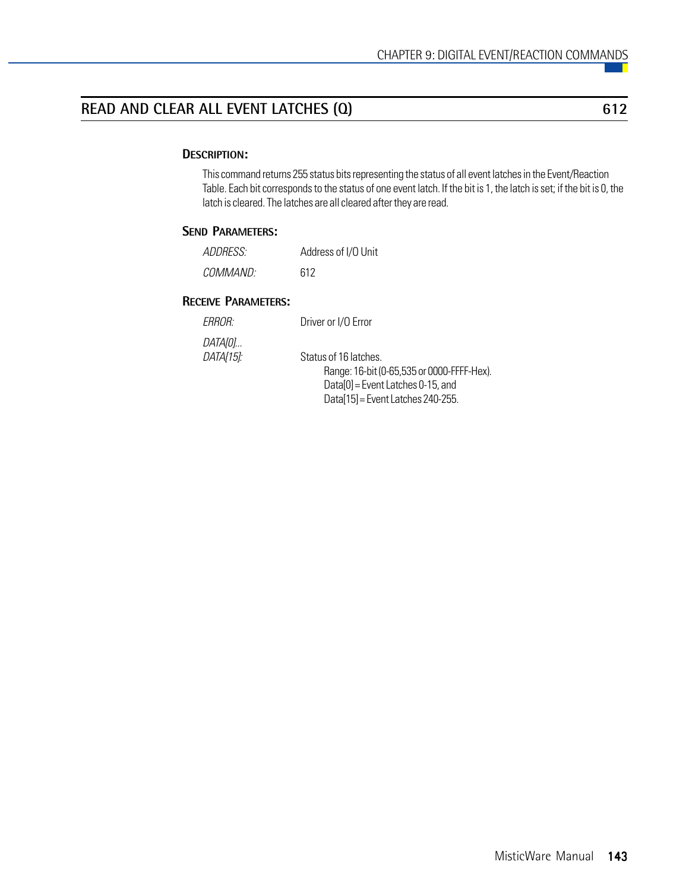## **READ AND CLEAR ALL EVENT LATCHES (Q)** 612

#### **DESCRIPTION:**

This command returns 255 status bits representing the status of all event latches in the Event/Reaction Table. Each bit corresponds to the status of one event latch. If the bit is 1, the latch is set; if the bit is 0, the latch is cleared. The latches are all cleared after they are read.

#### **SEND PARAMETERS:**

| <i>ADDRESS:</i> | Address of I/O Unit |
|-----------------|---------------------|
| <i>COMMAND:</i> | 612                 |

| <i>ERROR:</i>        | Driver or I/O Error                        |
|----------------------|--------------------------------------------|
| DATA[0]<br>DATA[15]: | Status of 16 latches.                      |
|                      |                                            |
|                      | Range: 16-bit (0-65,535 or 0000-FFFF-Hex). |
|                      | Data $[0]$ = Event Latches 0-15, and       |
|                      | Data $[15]$ = Event Latches 240-255.       |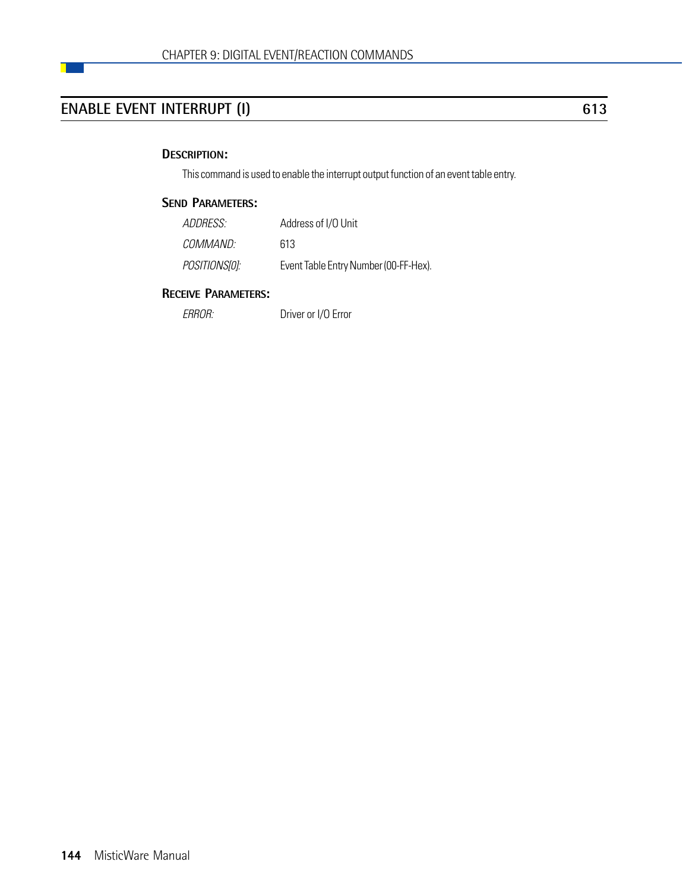## **ENABLE EVENT INTERRUPT (I)** 613

#### **DESCRIPTION:**

This command is used to enable the interrupt output function of an event table entry.

#### **SEND PARAMETERS:**

| <i>ADDRESS:</i> | Address of I/O Unit                   |
|-----------------|---------------------------------------|
| <i>COMMAND:</i> | 613                                   |
| POSITIONS[0]:   | Event Table Entry Number (00-FF-Hex). |

#### **RECEIVE PARAMETERS:**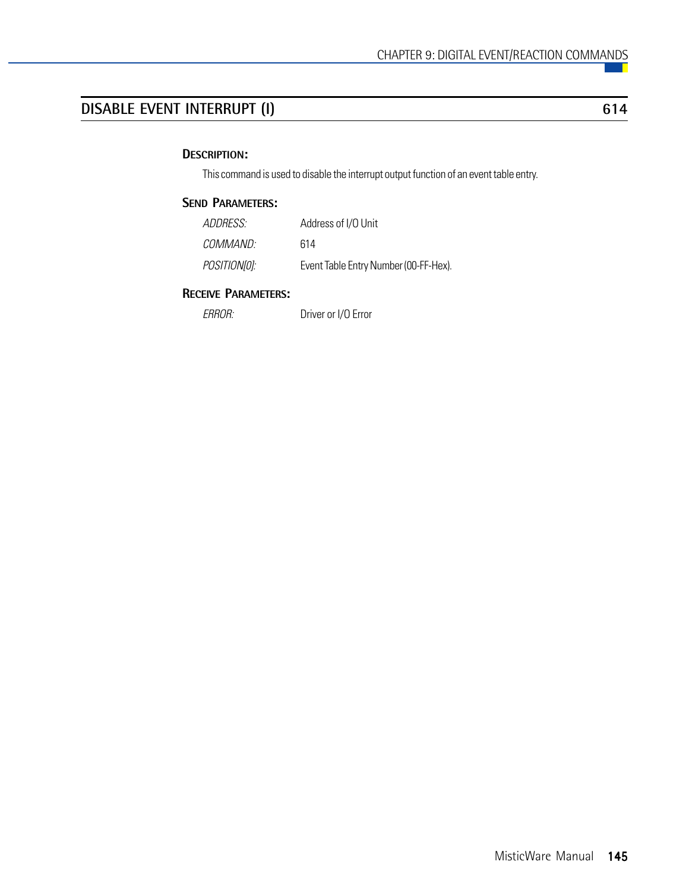## **DISABLE EVENT INTERRUPT (I)** 614

#### **DESCRIPTION:**

This command is used to disable the interrupt output function of an event table entry.

#### **SEND PARAMETERS:**

| <i>ADDRESS:</i>     | Address of I/O Unit                   |
|---------------------|---------------------------------------|
| <i>COMMAND:</i>     | 614                                   |
| <i>POSITIONIOI:</i> | Event Table Entry Number (00-FF-Hex). |

### **RECEIVE PARAMETERS:**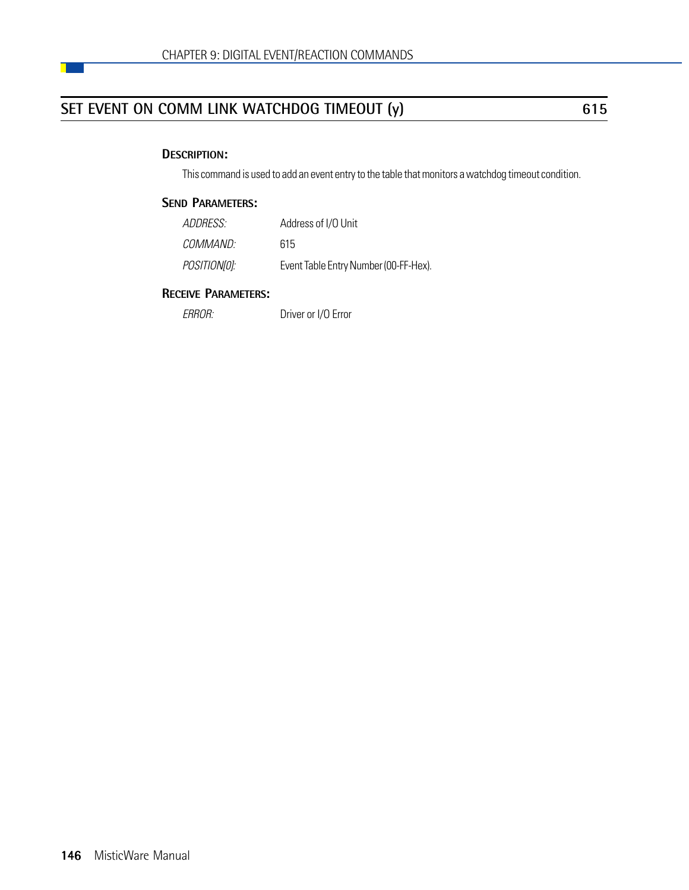## **SET EVENT ON COMM LINK WATCHDOG TIMEOUT (y)** 615

#### **DESCRIPTION:**

This command is used to add an event entry to the table that monitors a watchdog timeout condition.

#### **SEND PARAMETERS:**

| <i>ADDRESS:</i>     | Address of I/O Unit                   |
|---------------------|---------------------------------------|
| <i>COMMAND:</i>     | 615                                   |
| <i>POSITION[0]:</i> | Event Table Entry Number (00-FF-Hex). |

#### **RECEIVE PARAMETERS:**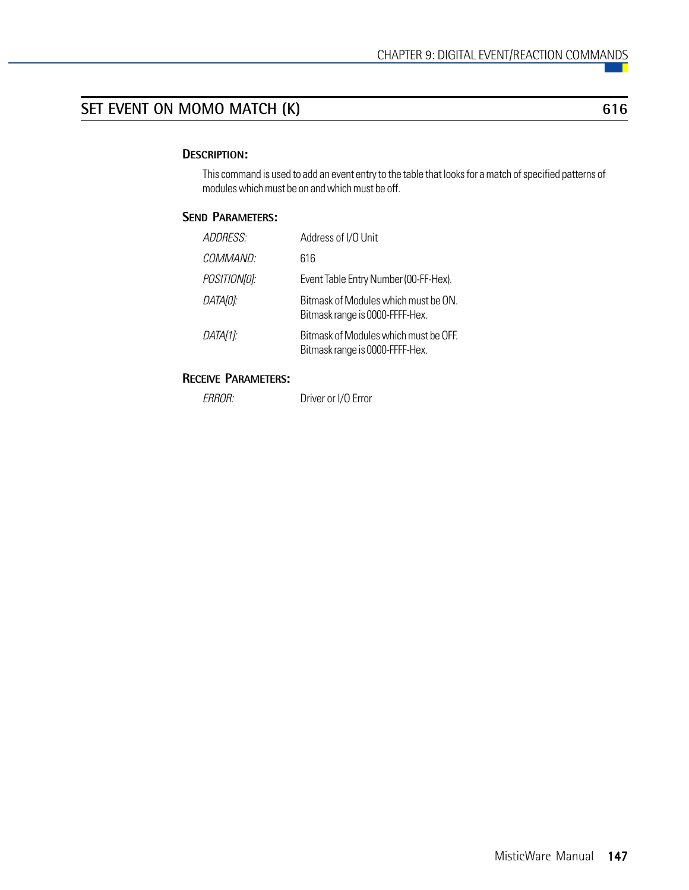## **SET EVENT ON MOMO MATCH (K)** 616

### **DESCRIPTION:**

This command is used to add an event entry to the table that looks for a match of specified patterns of modules which must be on and which must be off.

#### **SEND PARAMETERS:**

| <i>ADDRESS:</i> | Address of I/O Unit                                                      |
|-----------------|--------------------------------------------------------------------------|
| <i>COMMAND:</i> | 616                                                                      |
| POSITION[0]:    | Event Table Entry Number (00-FF-Hex).                                    |
| DATA[0]:        | Bitmask of Modules which must be ON.<br>Bitmask range is 0000-FFFF-Hex.  |
| DATA[1]:        | Bitmask of Modules which must be OFF.<br>Bitmask range is 0000-FFFF-Hex. |

### **RECEIVE PARAMETERS:**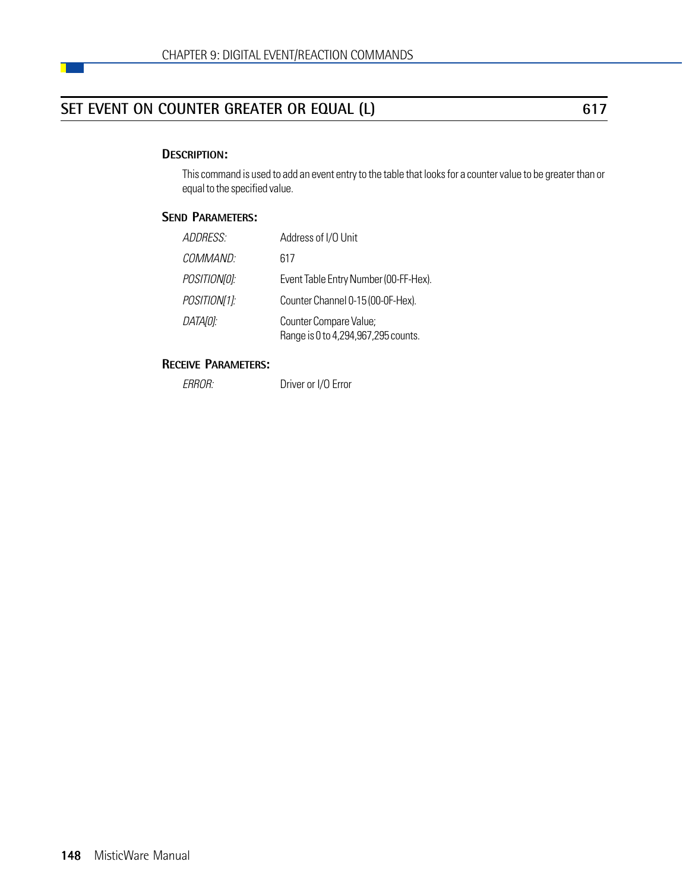## **SET EVENT ON COUNTER GREATER OR EQUAL (L)** 617

#### **DESCRIPTION:**

This command is used to add an event entry to the table that looks for a counter value to be greater than or equal to the specified value.

#### **SEND PARAMETERS:**

| <i>ADDRESS:</i> | Address of I/O Unit                                           |
|-----------------|---------------------------------------------------------------|
| COMMAND:        | 617                                                           |
| POSITION[0]:    | Event Table Entry Number (00-FF-Hex).                         |
| POSITION[1]:    | Counter Channel 0-15 (00-0F-Hex).                             |
| DATA[0]:        | Counter Compare Value;<br>Range is 0 to 4,294,967,295 counts. |

#### **RECEIVE PARAMETERS:**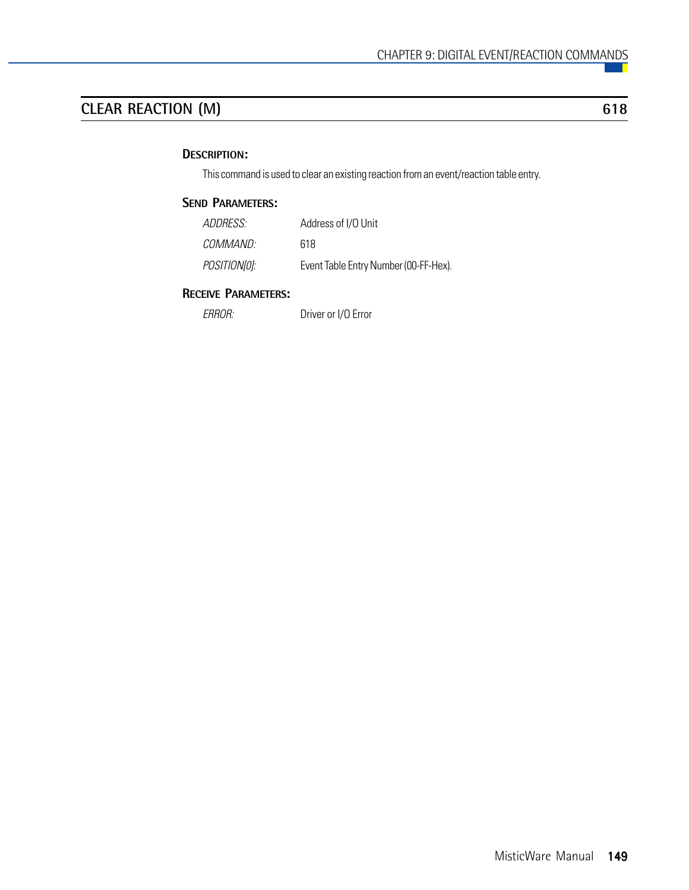## **CLEAR REACTION (M)** 618

#### **DESCRIPTION:**

This command is used to clear an existing reaction from an event/reaction table entry.

#### **SEND PARAMETERS:**

| <i>ADDRESS:</i>     | Address of I/O Unit                   |
|---------------------|---------------------------------------|
| <i>COMMAND:</i>     | 618                                   |
| <i>POSITIONIOI:</i> | Event Table Entry Number (00-FF-Hex). |

### **RECEIVE PARAMETERS:**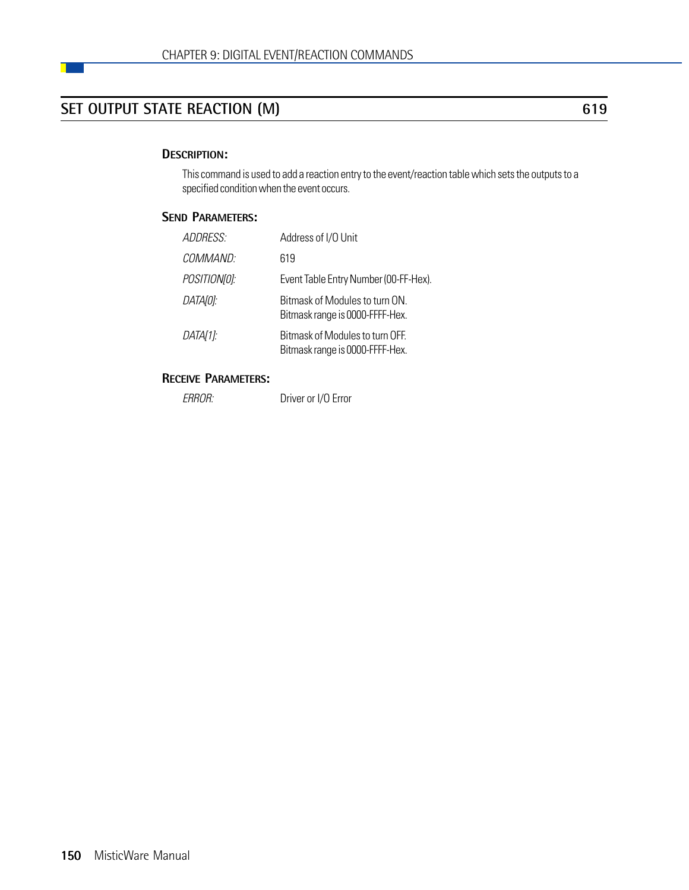## **SET OUTPUT STATE REACTION (M)** 619

#### **DESCRIPTION:**

This command is used to add a reaction entry to the event/reaction table which sets the outputs to a specified condition when the event occurs.

#### **SEND PARAMETERS:**

| <i>ADDRESS:</i> | Address of I/O Unit                                                |
|-----------------|--------------------------------------------------------------------|
| <i>COMMAND:</i> | 619                                                                |
| POSITION[0]:    | Event Table Entry Number (00-FF-Hex).                              |
| DATA[0]:        | Bitmask of Modules to turn ON.<br>Bitmask range is 0000-FFFF-Hex.  |
| DATA[1]:        | Bitmask of Modules to turn OFF.<br>Bitmask range is 0000-FFFF-Hex. |

### **RECEIVE PARAMETERS:**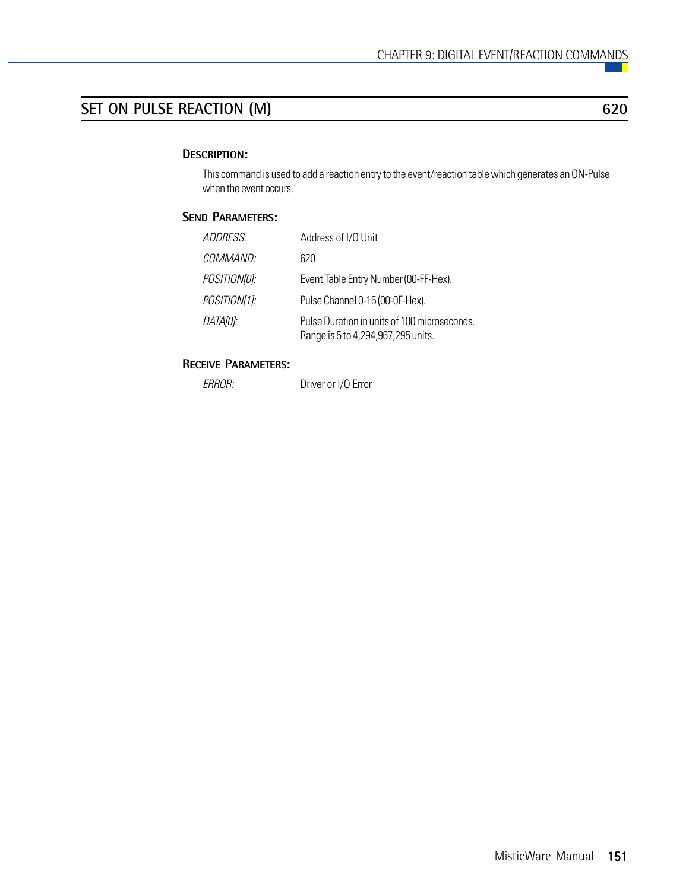a sa <mark>tal</mark>

## **SET ON PULSE REACTION (M)** 620

#### **DESCRIPTION:**

This command is used to add a reaction entry to the event/reaction table which generates an ON-Pulse when the event occurs.

#### **SEND PARAMETERS:**

| <i>ADDRESS:</i> | Address of I/O Unit                                                                |
|-----------------|------------------------------------------------------------------------------------|
| COMMAND:        | 620                                                                                |
| POSITION[0]:    | Event Table Entry Number (00-FF-Hex).                                              |
| POSITION[1]:    | Pulse Channel 0-15 (00-0F-Hex).                                                    |
| DATA[0]:        | Pulse Duration in units of 100 microseconds.<br>Range is 5 to 4,294,967,295 units. |

### **RECEIVE PARAMETERS:**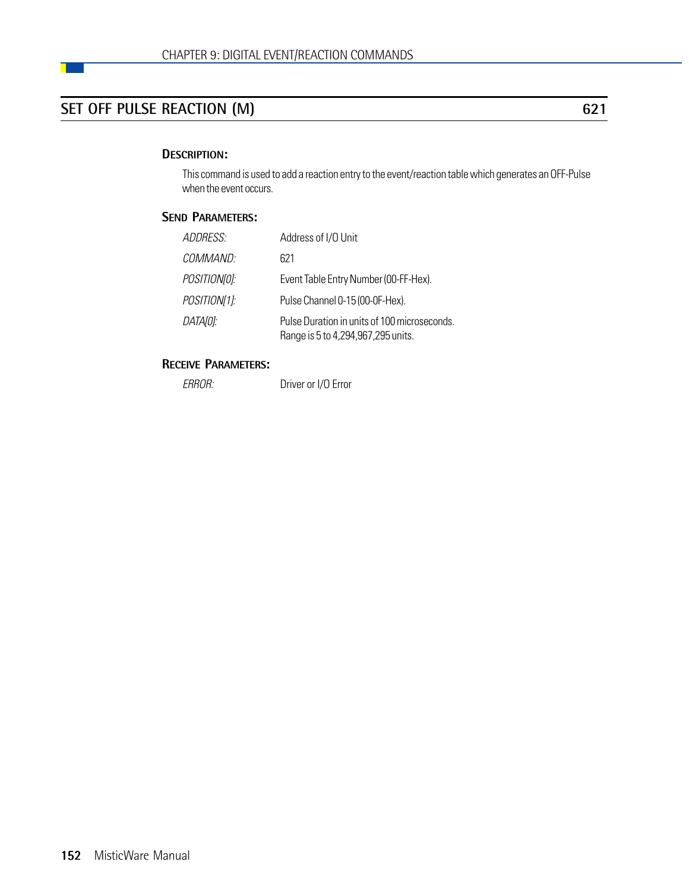## **SET OFF PULSE REACTION (M)** 621

#### **DESCRIPTION:**

This command is used to add a reaction entry to the event/reaction table which generates an OFF-Pulse when the event occurs.

#### **SEND PARAMETERS:**

| <b>ADDRESS:</b> | Address of I/O Unit                                                                |
|-----------------|------------------------------------------------------------------------------------|
| <i>COMMAND:</i> | 621                                                                                |
| POSITION[0]:    | Event Table Entry Number (00-FF-Hex).                                              |
| POSITION[1]:    | Pulse Channel 0-15 (00-0F-Hex).                                                    |
| DATA[0]:        | Pulse Duration in units of 100 microseconds.<br>Range is 5 to 4,294,967,295 units. |

#### **RECEIVE PARAMETERS:**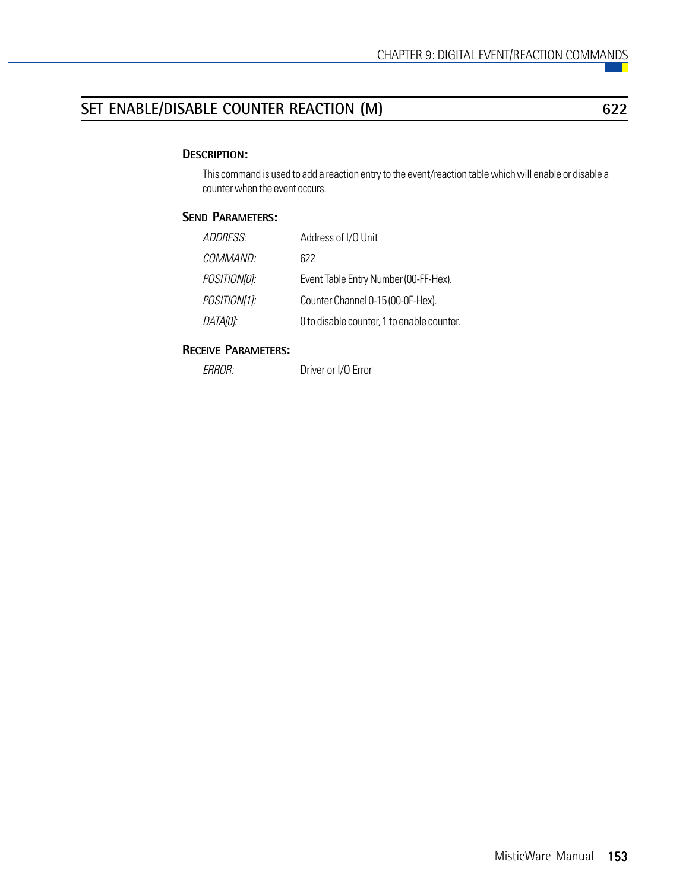## **SET ENABLE/DISABLE COUNTER REACTION (M) 622**

#### **DESCRIPTION:**

This command is used to add a reaction entry to the event/reaction table which will enable or disable a counter when the event occurs.

#### **SEND PARAMETERS:**

| <i>ADDRESS:</i> | Address of I/O Unit                        |
|-----------------|--------------------------------------------|
| COMMAND:        | 622                                        |
| POSITION[0]:    | Event Table Entry Number (00-FF-Hex).      |
| POSITION[1]:    | Counter Channel 0-15 (00-0F-Hex).          |
| DATA[0]:        | 0 to disable counter, 1 to enable counter. |

### **RECEIVE PARAMETERS:**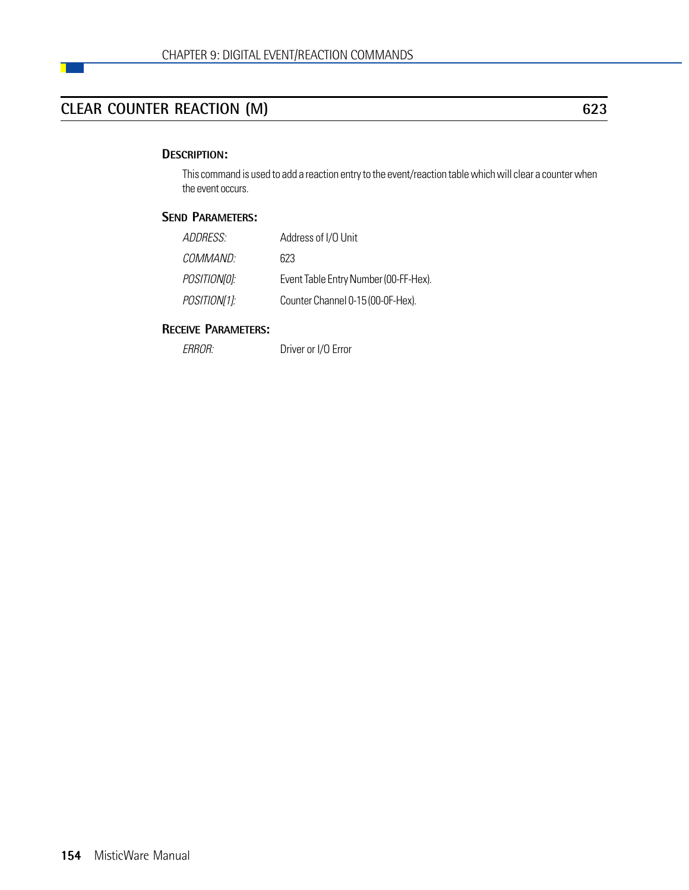## **CLEAR COUNTER REACTION (M) 623**

#### **DESCRIPTION:**

This command is used to add a reaction entry to the event/reaction table which will clear a counter when the event occurs.

#### **SEND PARAMETERS:**

| <i>ADDRESS:</i> | Address of I/O Unit                   |
|-----------------|---------------------------------------|
| <i>COMMAND:</i> | 623                                   |
| POSITION[0]:    | Event Table Entry Number (00-FF-Hex). |
| POSITION[1]:    | Counter Channel 0-15 (00-0F-Hex).     |

#### **RECEIVE PARAMETERS:**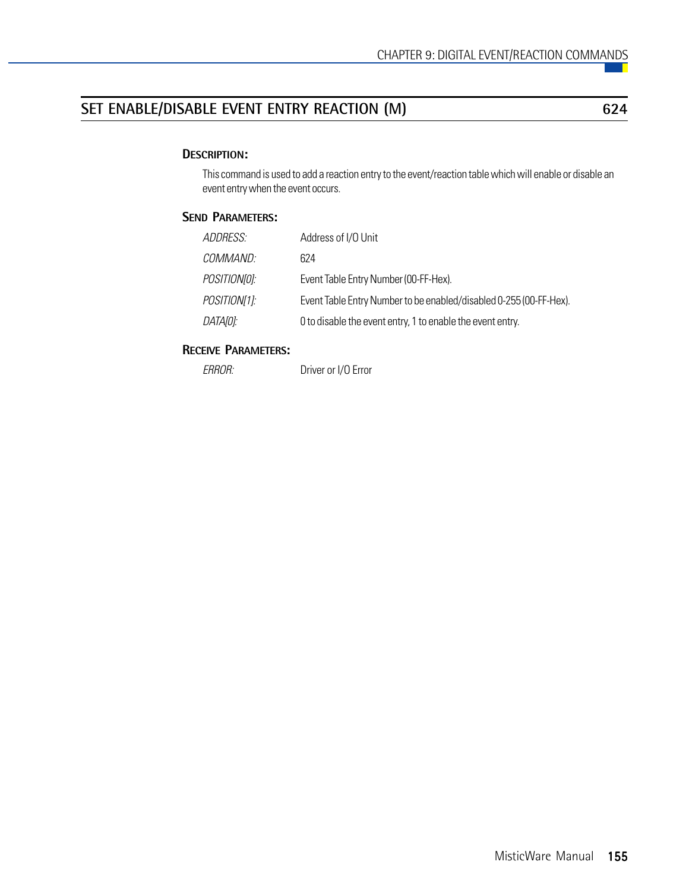## **SET ENABLE/DISABLE EVENT ENTRY REACTION (M)** 624

a sa <mark>tal</mark>

#### **DESCRIPTION:**

This command is used to add a reaction entry to the event/reaction table which will enable or disable an event entry when the event occurs.

#### **SEND PARAMETERS:**

| <i>COMMAND:</i><br>624<br>POSITION[0]:<br>Event Table Entry Number (00-FF-Hex).<br>POSITION[1]:<br>DATA[0]:<br>0 to disable the event entry, 1 to enable the event entry. | <i>ADDRESS:</i> | Address of I/O Unit                                                |
|---------------------------------------------------------------------------------------------------------------------------------------------------------------------------|-----------------|--------------------------------------------------------------------|
|                                                                                                                                                                           |                 |                                                                    |
|                                                                                                                                                                           |                 |                                                                    |
|                                                                                                                                                                           |                 | Event Table Entry Number to be enabled/disabled 0-255 (00-FF-Hex). |
|                                                                                                                                                                           |                 |                                                                    |

#### **RECEIVE PARAMETERS:**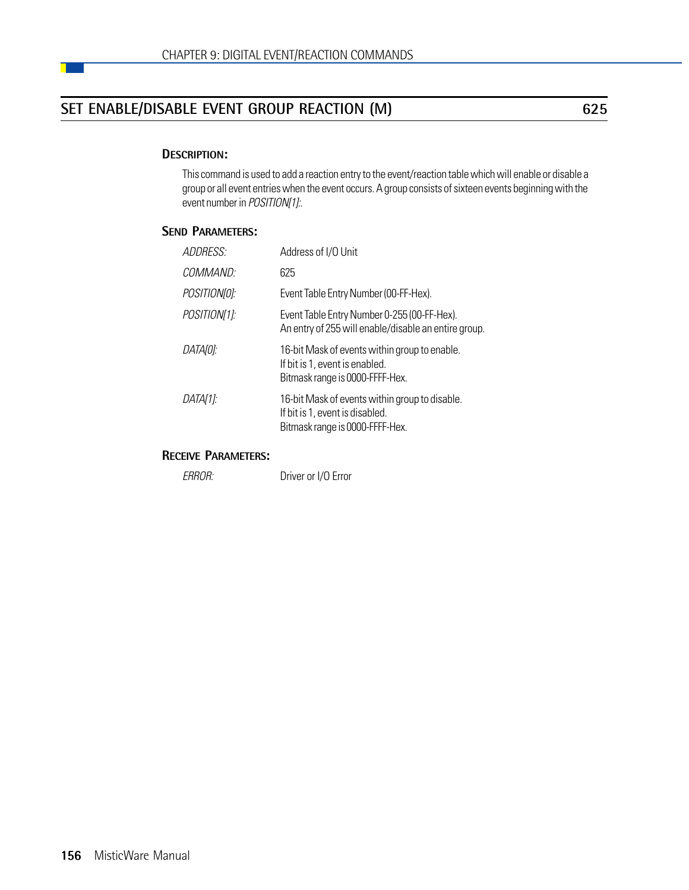## **SET ENABLE/DISABLE EVENT GROUP REACTION (M) 625**

#### **DESCRIPTION:**

This command is used to add a reaction entry to the event/reaction table which will enable or disable a group or all event entries when the event occurs. A group consists of sixteen events beginning with the event number in POSITION[1]:

#### **SEND PARAMETERS:**

| <i><b>ADDRESS:</b></i> | Address of I/O Unit                                                                                                  |
|------------------------|----------------------------------------------------------------------------------------------------------------------|
| <i>COMMAND:</i>        | 625                                                                                                                  |
| POSITION[0]:           | Event Table Entry Number (00-FF-Hex).                                                                                |
| POSITION[1]:           | Event Table Entry Number 0-255 (00-FF-Hex).<br>An entry of 255 will enable/disable an entire group.                  |
| DATA[0]:               | 16-bit Mask of events within group to enable.<br>If bit is 1, event is enabled.<br>Bitmask range is 0000-FFFF-Hex.   |
| DATA[1]:               | 16-bit Mask of events within group to disable.<br>If bit is 1, event is disabled.<br>Bitmask range is 0000-FFFF-Hex. |
|                        |                                                                                                                      |

### **RECEIVE PARAMETERS:**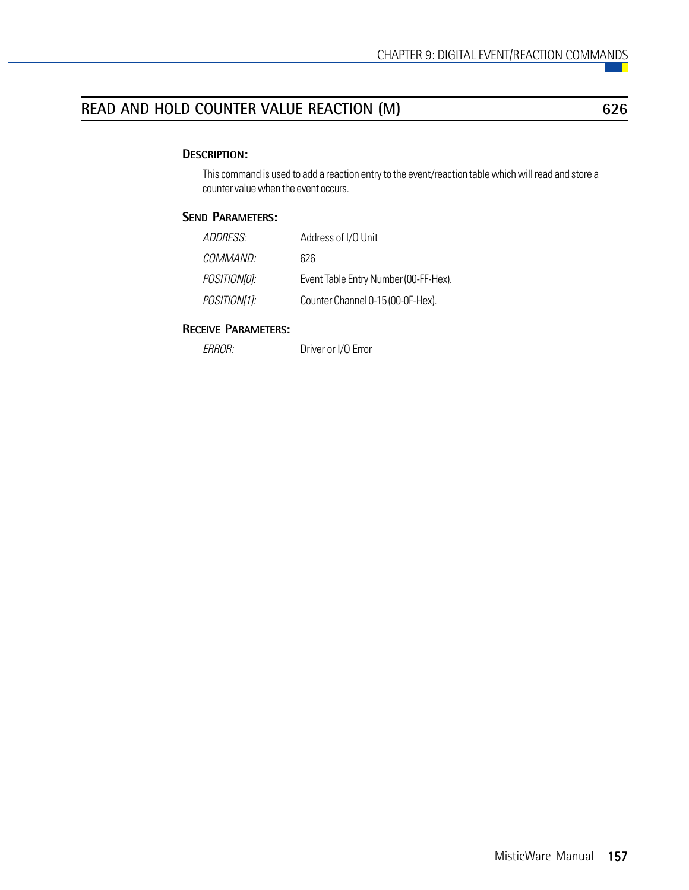## **READ AND HOLD COUNTER VALUE REACTION (M) 626**

#### **DESCRIPTION:**

This command is used to add a reaction entry to the event/reaction table which will read and store a counter value when the event occurs.

#### **SEND PARAMETERS:**

| <i>ADDRESS:</i> | Address of I/O Unit                   |
|-----------------|---------------------------------------|
| <i>COMMAND:</i> | 626                                   |
| POSITION[0]:    | Event Table Entry Number (00-FF-Hex). |
| POSITION[1]:    | Counter Channel 0-15 (00-0F-Hex).     |

#### **RECEIVE PARAMETERS:**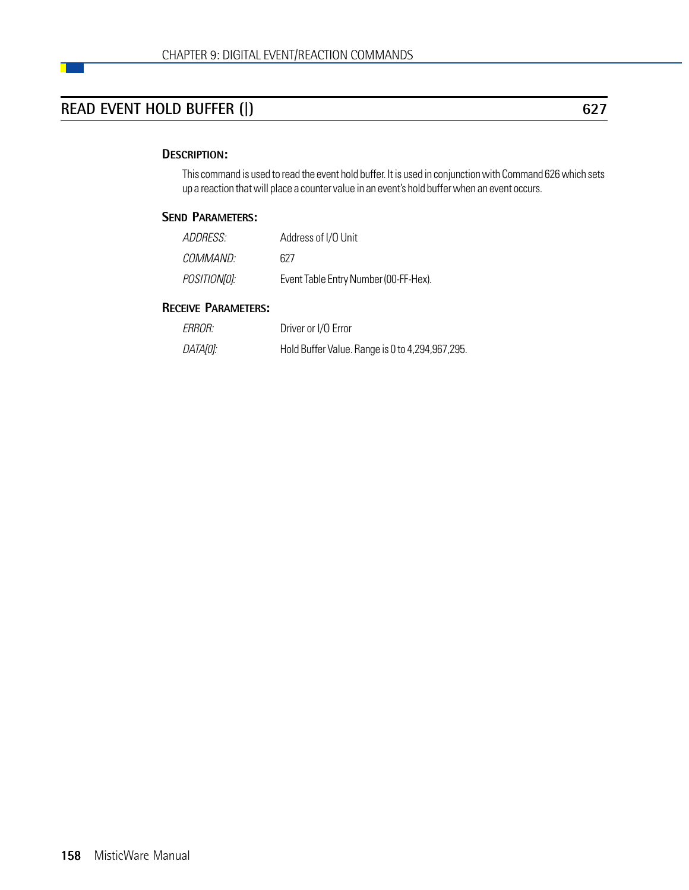## **READ EVENT HOLD BUFFER (|)** 627

#### **DESCRIPTION:**

This command is used to read the event hold buffer. It is used in conjunction with Command 626 which sets up a reaction that will place a counter value in an event's hold buffer when an event occurs.

#### **SEND PARAMETERS:**

| <i>ADDRESS:</i>     | Address of I/O Unit                   |
|---------------------|---------------------------------------|
| <i>COMMAND:</i>     | 627                                   |
| <i>POSITION[0]:</i> | Event Table Entry Number (00-FF-Hex). |

| <i>ERROR:</i> | Driver or I/O Error                             |
|---------------|-------------------------------------------------|
| DATA[0]:      | Hold Buffer Value. Range is 0 to 4,294,967,295. |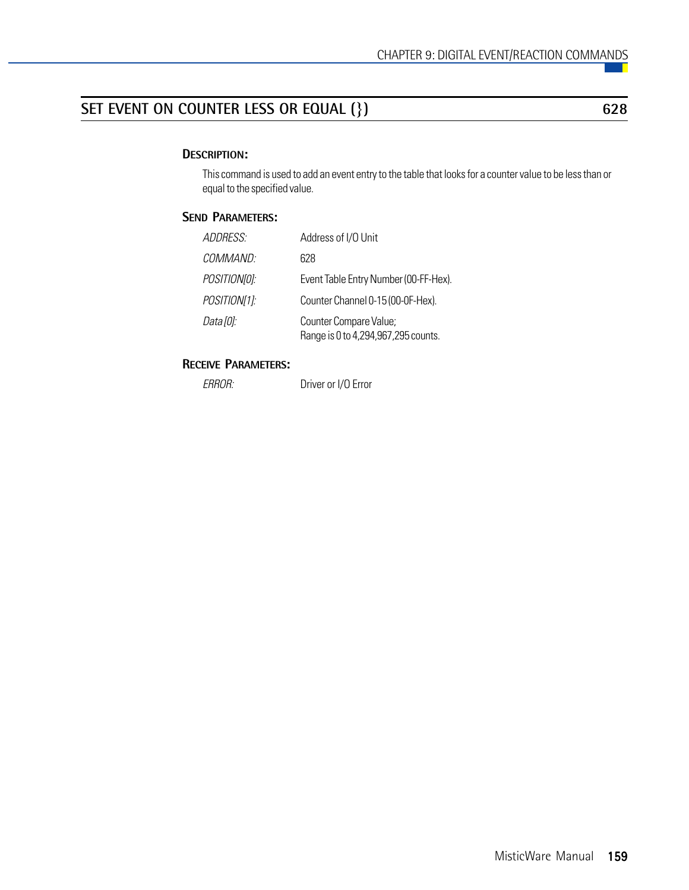## **SET EVENT ON COUNTER LESS OR EQUAL (})** 628

a sa <mark>tal</mark>

### **DESCRIPTION:**

This command is used to add an event entry to the table that looks for a counter value to be less than or equal to the specified value.

#### **SEND PARAMETERS:**

| <i>ADDRESS:</i> | Address of I/O Unit                                           |
|-----------------|---------------------------------------------------------------|
| COMMAND:        | 628                                                           |
| POSITION[0]:    | Event Table Entry Number (00-FF-Hex).                         |
| POSITION[1]:    | Counter Channel 0-15 (00-0F-Hex).                             |
| Data [0]:       | Counter Compare Value;<br>Range is 0 to 4,294,967,295 counts. |

#### **RECEIVE PARAMETERS:**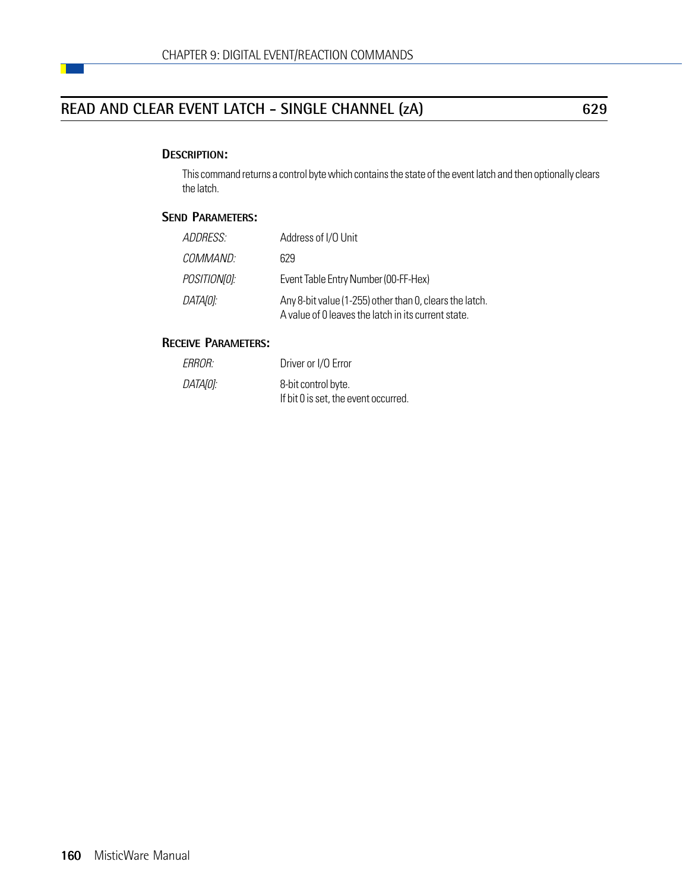## **READ AND CLEAR EVENT LATCH - SINGLE CHANNEL (zA) 629**

#### **DESCRIPTION:**

This command returns a control byte which contains the state of the event latch and then optionally clears the latch.

#### **SEND PARAMETERS:**

| <i>ADDRESS:</i> | Address of I/O Unit                                                                                            |
|-----------------|----------------------------------------------------------------------------------------------------------------|
| <i>COMMAND:</i> | 629                                                                                                            |
| POSITION[0]:    | Event Table Entry Number (00-FF-Hex)                                                                           |
| DATA[0]:-       | Any 8-bit value (1-255) other than 0, clears the latch.<br>A value of 0 leaves the latch in its current state. |

| <i>ERROR:</i> | Driver or I/O Error                  |
|---------------|--------------------------------------|
| DATA[0]:      | 8-bit control byte.                  |
|               | If bit 0 is set, the event occurred. |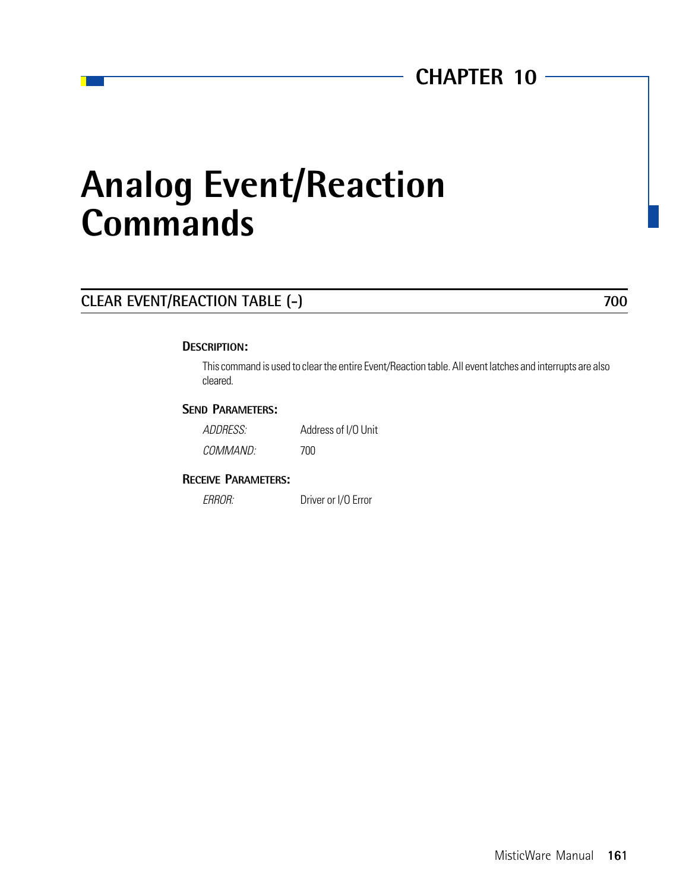## **CHAPTER 10**

# **Analog Event/Reaction Commands**

## **CLEAR EVENT/REACTION TABLE (-)** 700

#### **DESCRIPTION:**

This command is used to clear the entire Event/Reaction table. All event latches and interrupts are also cleared.

#### **SEND PARAMETERS:**

ADDRESS: Address of I/O Unit COMMAND: 700

#### **RECEIVE PARAMETERS:**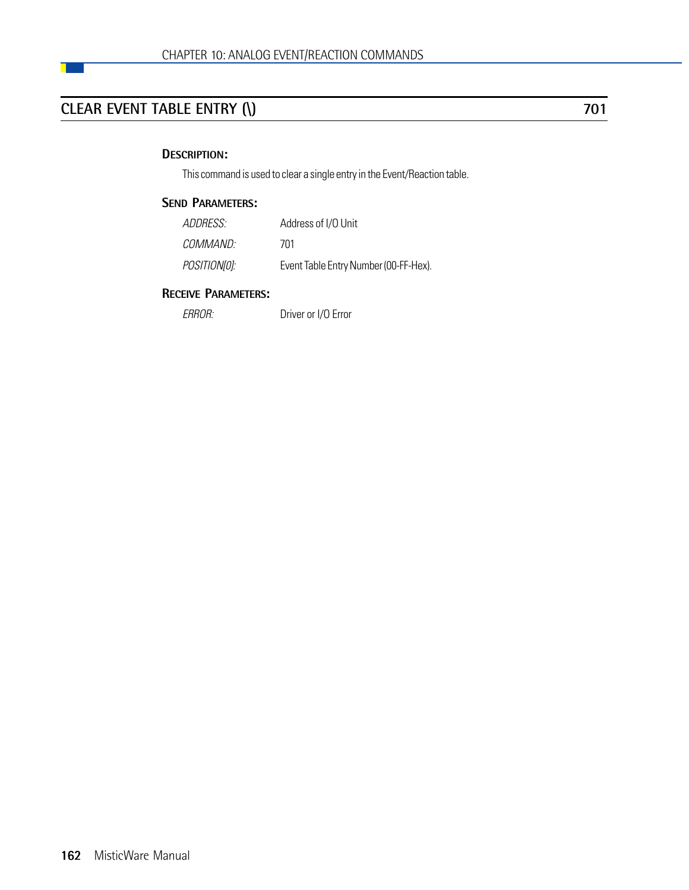## **CLEAR EVENT TABLE ENTRY (\)** 701

#### **DESCRIPTION:**

This command is used to clear a single entry in the Event/Reaction table.

#### **SEND PARAMETERS:**

| <i>ADDRESS:</i> | Address of I/O Unit                   |
|-----------------|---------------------------------------|
| <i>COMMAND:</i> | 701                                   |
| POSITION[0]:    | Event Table Entry Number (00-FF-Hex). |

#### **RECEIVE PARAMETERS:**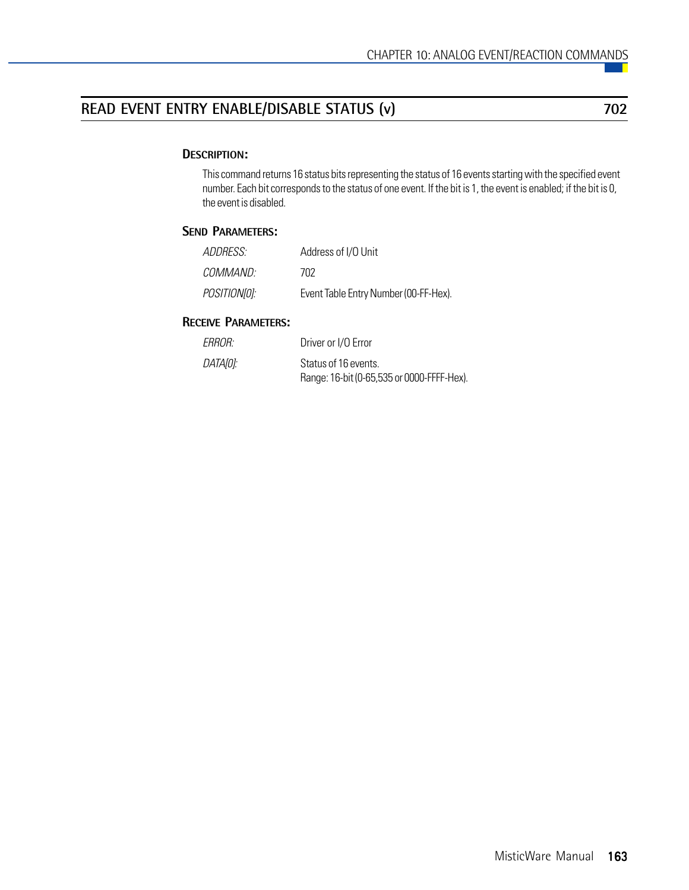#### **DESCRIPTION:**

This command returns 16 status bits representing the status of 16 events starting with the specified event number. Each bit corresponds to the status of one event. If the bit is 1, the event is enabled; if the bit is 0, the event is disabled.

#### **SEND PARAMETERS:**

| <i>ADDRESS:</i> | Address of I/O Unit                   |
|-----------------|---------------------------------------|
| <i>COMMAND:</i> | 702.                                  |
| POSITION[0]:    | Event Table Entry Number (00-FF-Hex). |

| <i>ERROR:</i> | Driver or I/O Error                        |
|---------------|--------------------------------------------|
| DATA[0]:      | Status of 16 events.                       |
|               | Range: 16-bit (0-65,535 or 0000-FFFF-Hex). |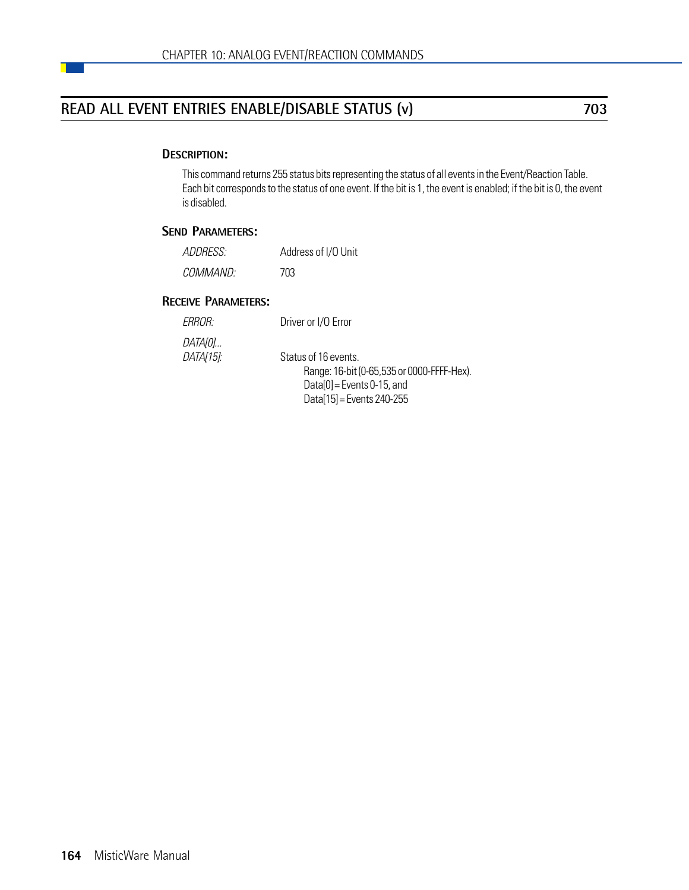## READ ALL EVENT ENTRIES ENABLE/DISABLE STATUS (v) 703

#### **DESCRIPTION:**

This command returns 255 status bits representing the status of all events in the Event/Reaction Table. Each bit corresponds to the status of one event. If the bit is 1, the event is enabled; if the bit is 0, the event is disabled.

#### **SEND PARAMETERS:**

| <i>ADDRESS:</i> | Address of I/O Unit |
|-----------------|---------------------|
| <i>COMMAND:</i> | 703                 |

| ERROR:               | Driver or I/O Error                        |
|----------------------|--------------------------------------------|
| DATA[0]<br>DATA[15]: | Status of 16 events.                       |
|                      | Range: 16-bit (0-65,535 or 0000-FFFF-Hex). |
|                      | Data $[0]$ = Events 0-15, and              |
|                      | Data $[15]$ = Events 240-255               |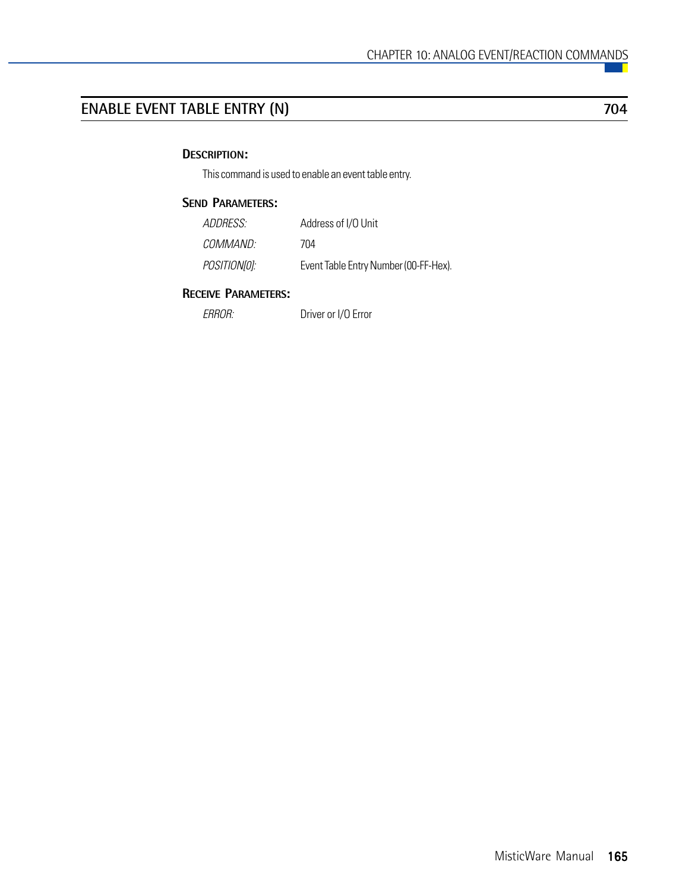## **ENABLE EVENT TABLE ENTRY (N)** 704

#### **DESCRIPTION:**

This command is used to enable an event table entry.

### **SEND PARAMETERS:**

| <i>ADDRESS:</i>     | Address of I/O Unit                   |
|---------------------|---------------------------------------|
| <i>COMMAND:</i>     | 704                                   |
| <i>POSITIONIOI:</i> | Event Table Entry Number (00-FF-Hex). |

### **RECEIVE PARAMETERS:**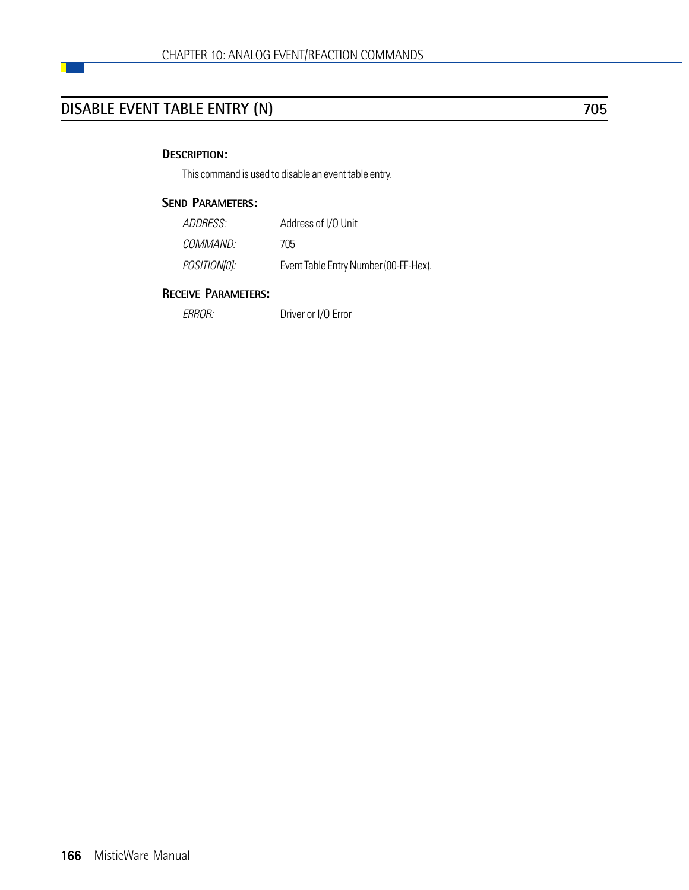## **DISABLE EVENT TABLE ENTRY (N)** 705

Ш

#### **DESCRIPTION:**

This command is used to disable an event table entry.

### **SEND PARAMETERS:**

| <i>ADDRESS:</i> | Address of I/O Unit                   |
|-----------------|---------------------------------------|
| <i>COMMAND:</i> | 705                                   |
| POSITIONIOI:    | Event Table Entry Number (00-FF-Hex). |

#### **RECEIVE PARAMETERS:**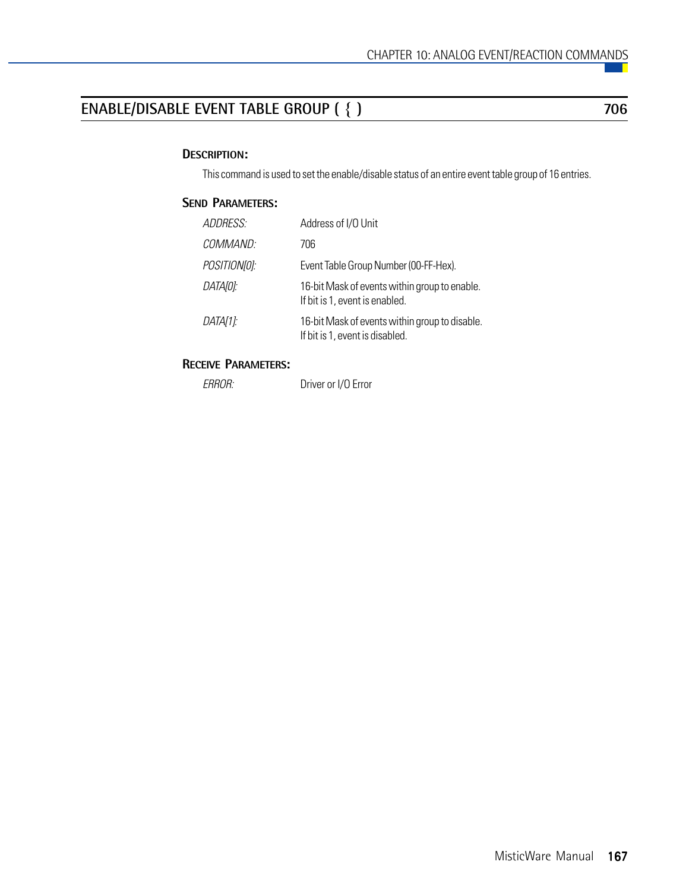## **ENABLE/DISABLE EVENT TABLE GROUP ( { ) 706**

a sa <mark>tal</mark>

#### **DESCRIPTION:**

This command is used to set the enable/disable status of an entire event table group of 16 entries.

#### **SEND PARAMETERS:**

| <b>ADDRESS:</b> | Address of I/O Unit                                                               |
|-----------------|-----------------------------------------------------------------------------------|
| <i>COMMAND:</i> | 706                                                                               |
| POSITION[0]:    | Event Table Group Number (00-FF-Hex).                                             |
| DATA[0]:        | 16-bit Mask of events within group to enable.<br>If bit is 1, event is enabled.   |
| DATA[1]:        | 16-bit Mask of events within group to disable.<br>If bit is 1, event is disabled. |

### **RECEIVE PARAMETERS:**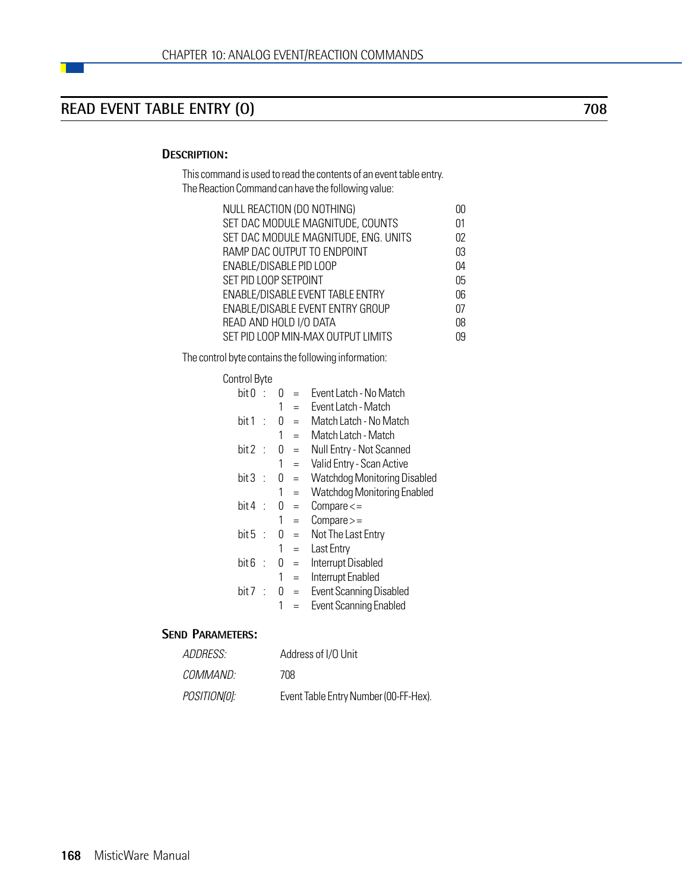## READ EVENT TABLE ENTRY (0) **708**

#### **DESCRIPTION:**

This command is used to read the contents of an event table entry. The Reaction Command can have the following value:

| NULL REACTION (DO NOTHING)           | M  |
|--------------------------------------|----|
| SET DAC MODULE MAGNITUDE, COUNTS     | 01 |
| SET DAC MODULE MAGNITUDE, ENG. UNITS | 02 |
| RAMP DAC OUTPUT TO ENDPOINT          | 03 |
| ENABLE/DISABLE PID LOOP              | 04 |
| SET PID LOOP SETPOINT                | 05 |
| ENABLE/DISABLE EVENT TABLE ENTRY     | 06 |
| ENABLE/DISABLE EVENT ENTRY GROUP     | በ7 |
| READ AND HOLD I/O DATA               | 08 |
| SET PID LOOP MIN-MAX OUTPUT LIMITS   | NΟ |

The control byte contains the following information:

| Control Byte                      |   |                     |                                     |
|-----------------------------------|---|---------------------|-------------------------------------|
| bit 0                             | N | $=$                 | Fvent Latch - No Match              |
|                                   | 1 | $=$                 | Fvent Latch - Match                 |
| bit 1<br>- 1                      | N | $=$                 | Match Latch - No Match              |
|                                   | 1 | $=$                 | Match Latch - Match                 |
| $\mathsf{hit2}$ :                 | N | $=$                 | Null Entry - Not Scanned            |
|                                   |   | $\mathbf{1}$<br>$=$ | Valid Entry - Scan Active           |
| hit 3<br>$\overline{\phantom{a}}$ |   | $0 =$               | <b>Watchdog Monitoring Disabled</b> |
|                                   | 1 | $=$                 | <b>Watchdog Monitoring Enabled</b>  |
| $bit4$ :                          | Ŋ | $=$                 | $Compare < =$                       |
|                                   | 1 | $=$                 | $Compare$ > =                       |
| $\frac{1}{10}$ bit 5              |   | 0.<br>$=$           | Not The Last Entry                  |
|                                   |   | 1<br>$=$            | Last Entry                          |
| bit 6                             |   | $=$                 | Interrupt Disabled                  |
|                                   | 1 | $=$                 | Interrupt Enabled                   |
| hit 7                             | 0 | $=$                 | <b>Event Scanning Disabled</b>      |
|                                   |   | $=$                 | <b>Event Scanning Enabled</b>       |
|                                   |   |                     |                                     |

#### **SEND PARAMETERS:**

| <i>ADDRESS:</i>     | Address of I/O Unit                   |
|---------------------|---------------------------------------|
| <i>COMMAND:</i>     | 708                                   |
| <i>POSITIONIOI:</i> | Event Table Entry Number (00-FF-Hex). |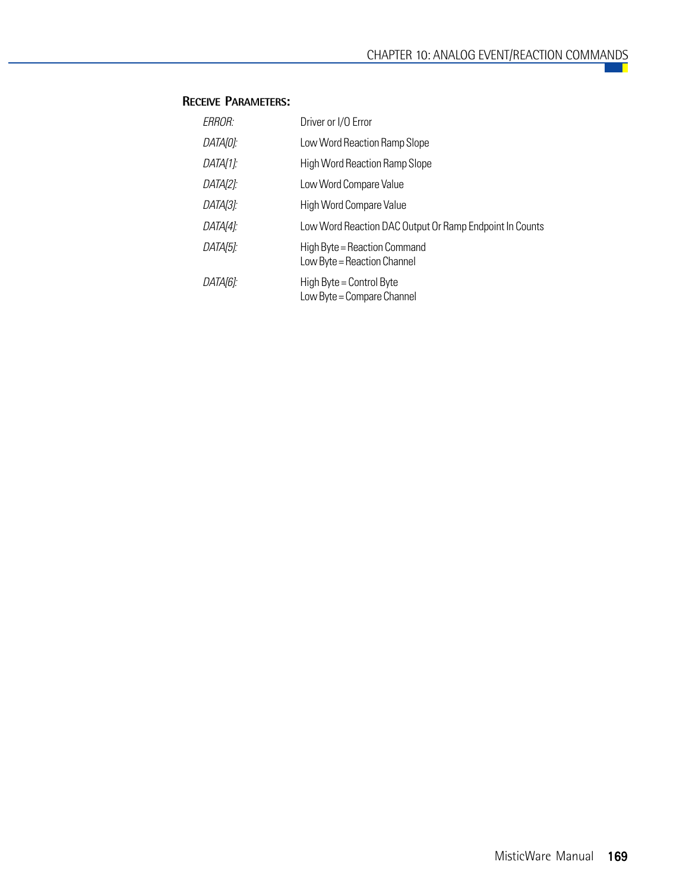| <i>ERROR:</i> | Driver or I/O Error                                         |
|---------------|-------------------------------------------------------------|
| DATA[0]:      | Low Word Reaction Ramp Slope                                |
| DATA[1]:      | <b>High Word Reaction Ramp Slope</b>                        |
| DATA[2]:      | Low Word Compare Value                                      |
| DATA[3]:      | High Word Compare Value                                     |
| DATA[4]:      | Low Word Reaction DAC Output Or Ramp Endpoint In Counts     |
| DATA[5]:      | High Byte = Reaction Command<br>Low Byte = Reaction Channel |
| DATA[6]:      | High Byte = Control Byte<br>Low Byte = Compare Channel      |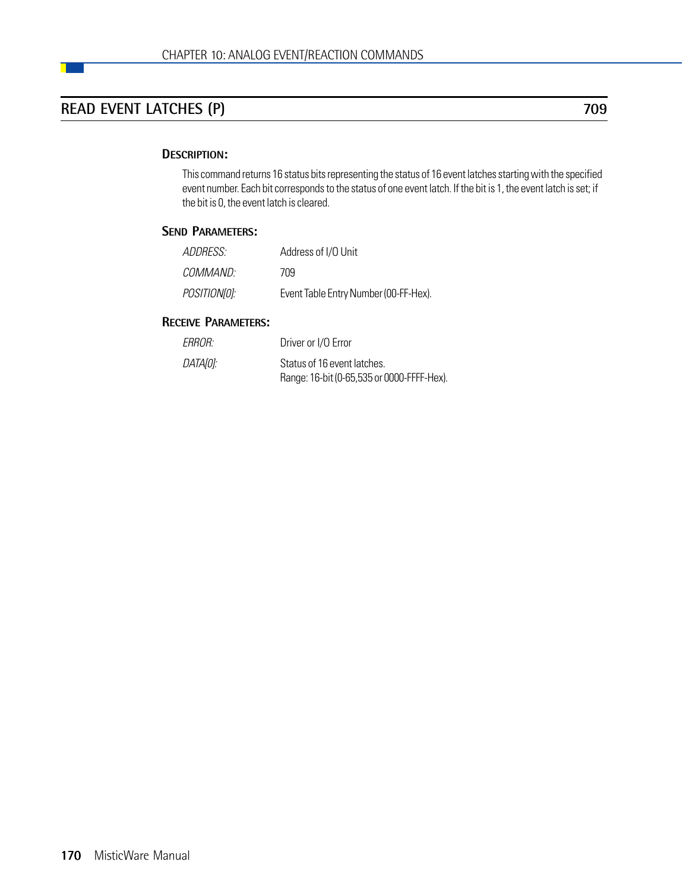## READ EVENT LATCHES (P) **709**

#### **DESCRIPTION:**

This command returns 16 status bits representing the status of 16 event latches starting with the specified event number. Each bit corresponds to the status of one event latch. If the bit is 1, the event latch is set; if the bit is 0, the event latch is cleared.

#### **SEND PARAMETERS:**

| <i>ADDRESS:</i> | Address of I/O Unit                   |
|-----------------|---------------------------------------|
| <i>COMMAND:</i> | 709                                   |
| POSITION[0]:    | Event Table Entry Number (00-FF-Hex). |

| ERROR:   | Driver or I/O Error                        |
|----------|--------------------------------------------|
| DATA[0]: | Status of 16 event latches.                |
|          | Range: 16-bit (0-65,535 or 0000-FFFF-Hex). |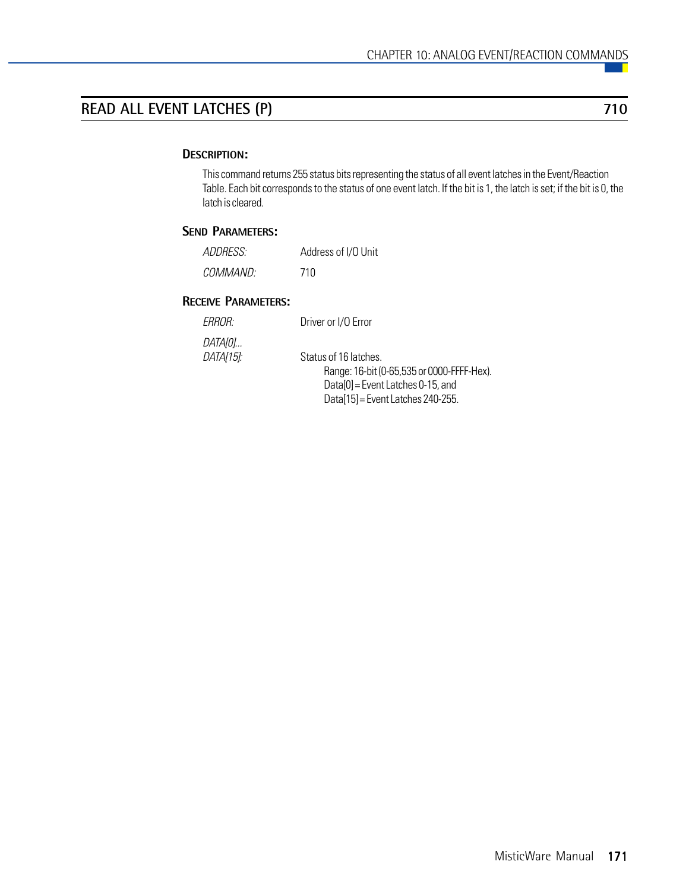#### **DESCRIPTION:**

This command returns 255 status bits representing the status of all event latches in the Event/Reaction Table. Each bit corresponds to the status of one event latch. If the bit is 1, the latch is set; if the bit is 0, the latch is cleared.

#### **SEND PARAMETERS:**

| <i>ADDRESS:</i> | Address of I/O Unit |
|-----------------|---------------------|
| <i>COMMAND:</i> | 710                 |

| ERROR:               | Driver or I/O Error                        |
|----------------------|--------------------------------------------|
| DATA[0]<br>DATA[15]: | Status of 16 latches.                      |
|                      |                                            |
|                      | Range: 16-bit (0-65,535 or 0000-FFFF-Hex). |
|                      | Data $[0]$ = Event Latches 0-15, and       |
|                      | Data[15] = Event Latches 240-255.          |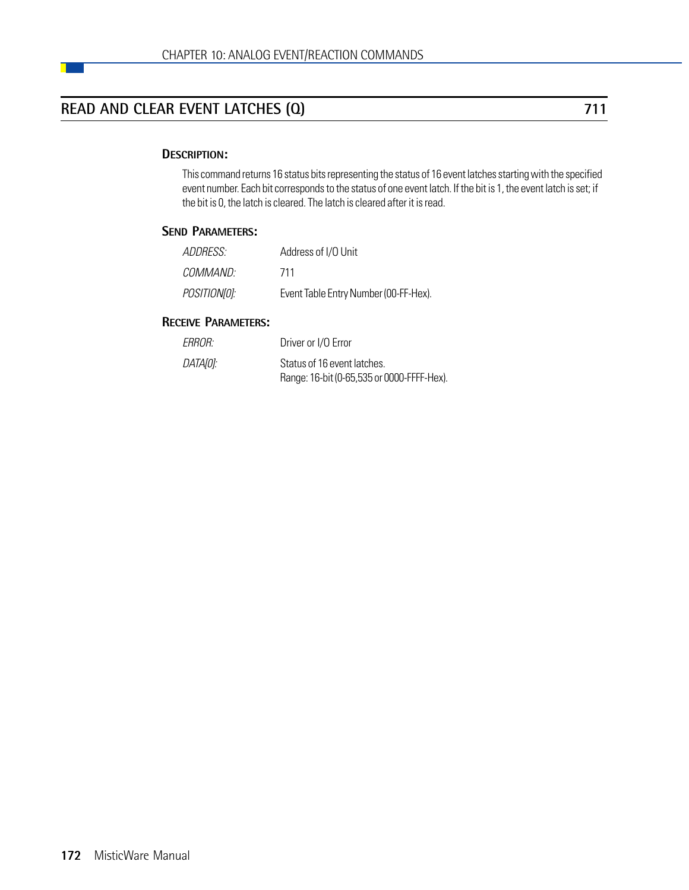## **READ AND CLEAR EVENT LATCHES (Q)** 711

#### **DESCRIPTION:**

This command returns 16 status bits representing the status of 16 event latches starting with the specified event number. Each bit corresponds to the status of one event latch. If the bit is 1, the event latch is set; if the bit is 0, the latch is cleared. The latch is cleared after it is read.

#### **SEND PARAMETERS:**

| <i>ADDRESS:</i> | Address of I/O Unit                   |
|-----------------|---------------------------------------|
| <i>COMMAND:</i> | 711                                   |
| POSITION[0]:    | Event Table Entry Number (00-FF-Hex). |

| <i>ERROR:</i> | Driver or I/O Error                        |
|---------------|--------------------------------------------|
| DATA[0]:      | Status of 16 event latches.                |
|               | Range: 16-bit (0-65,535 or 0000-FFFF-Hex). |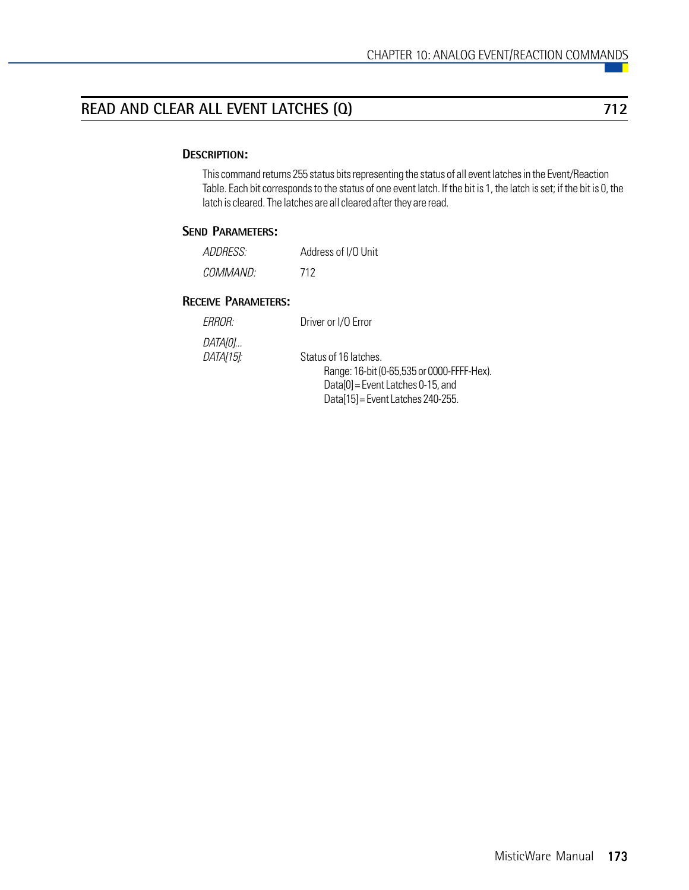## **READ AND CLEAR ALL EVENT LATCHES (Q) 712**

a sa <mark>tal</mark>

#### **DESCRIPTION:**

This command returns 255 status bits representing the status of all event latches in the Event/Reaction Table. Each bit corresponds to the status of one event latch. If the bit is 1, the latch is set; if the bit is 0, the latch is cleared. The latches are all cleared after they are read.

#### **SEND PARAMETERS:**

| <i>ADDRESS:</i> | Address of I/O Unit |
|-----------------|---------------------|
| <i>COMMAND:</i> | 712                 |

| <i>ERROR:</i>        | Driver or I/O Error                        |
|----------------------|--------------------------------------------|
| DATA[0]<br>DATA[15]: | Status of 16 latches.                      |
|                      | Range: 16-bit (0-65,535 or 0000-FFFF-Hex). |
|                      | Data $[0]$ = Event Latches 0-15, and       |
|                      | Data $[15]$ = Event Latches 240-255.       |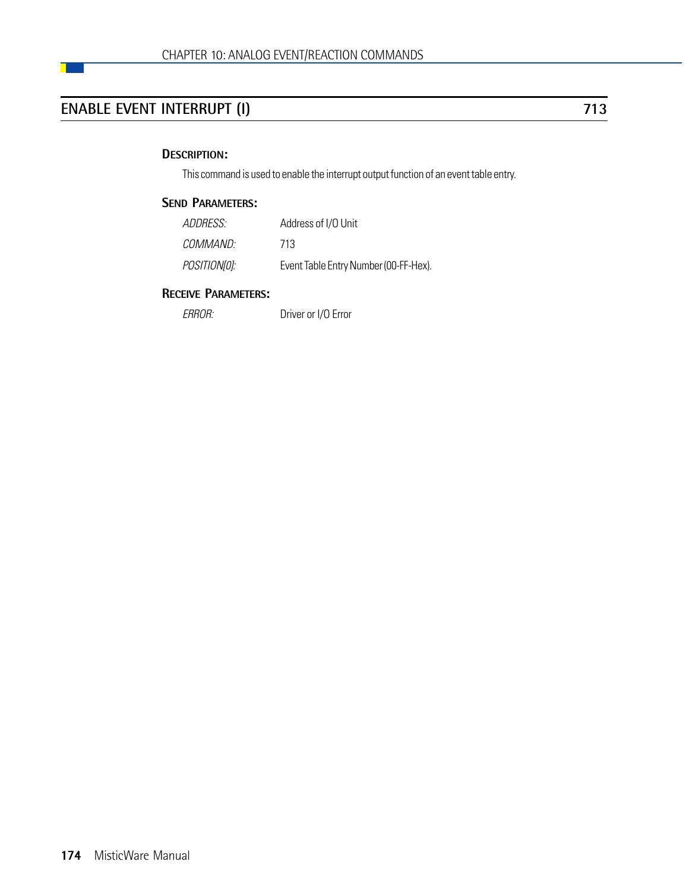## **ENABLE EVENT INTERRUPT (I)** 713

#### **DESCRIPTION:**

This command is used to enable the interrupt output function of an event table entry.

### **SEND PARAMETERS:**

| <i>ADDRESS:</i> | Address of I/O Unit                   |
|-----------------|---------------------------------------|
| <i>COMMAND:</i> | 713.                                  |
| POSITION[0]:    | Event Table Entry Number (00-FF-Hex). |

#### **RECEIVE PARAMETERS:**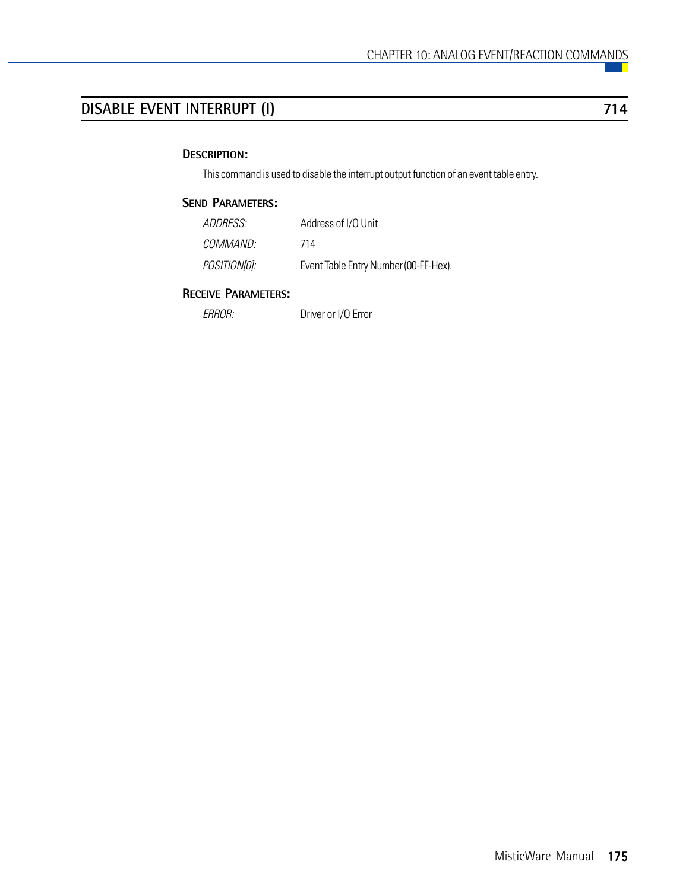## **DISABLE EVENT INTERRUPT (I)** 714

#### **DESCRIPTION:**

This command is used to disable the interrupt output function of an event table entry.

#### **SEND PARAMETERS:**

| <i>ADDRESS:</i>     | Address of I/O Unit                   |
|---------------------|---------------------------------------|
| <i>COMMAND:</i>     | 714                                   |
| <i>POSITIONIOI:</i> | Event Table Entry Number (00-FF-Hex). |

### **RECEIVE PARAMETERS:**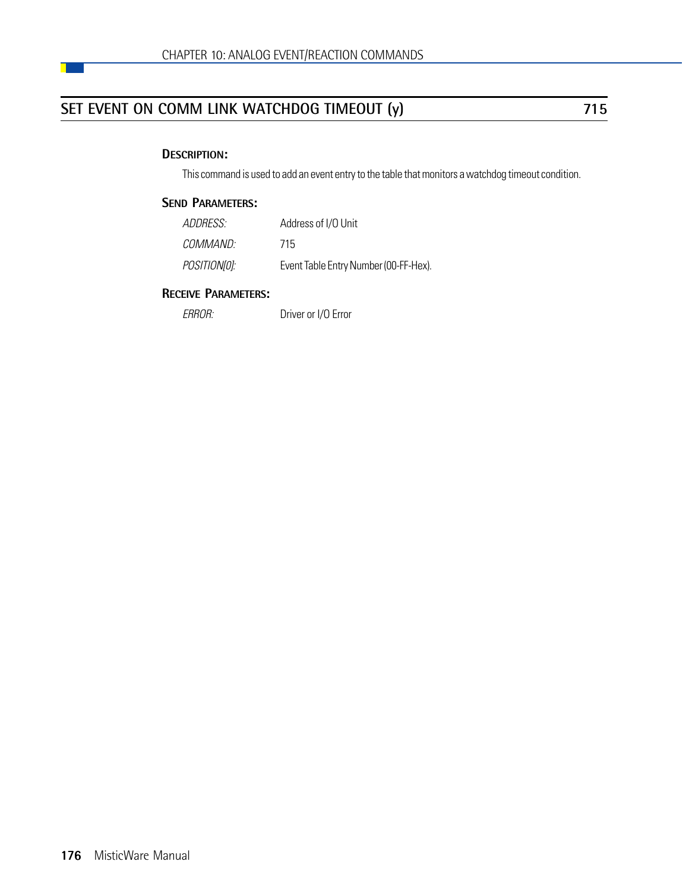## **SET EVENT ON COMM LINK WATCHDOG TIMEOUT (y)** 715

#### **DESCRIPTION:**

This command is used to add an event entry to the table that monitors a watchdog timeout condition.

#### **SEND PARAMETERS:**

| <i>ADDRESS:</i> | Address of I/O Unit                   |
|-----------------|---------------------------------------|
| <i>COMMAND:</i> | 715                                   |
| POSITIONIOI:    | Event Table Entry Number (00-FF-Hex). |

#### **RECEIVE PARAMETERS:**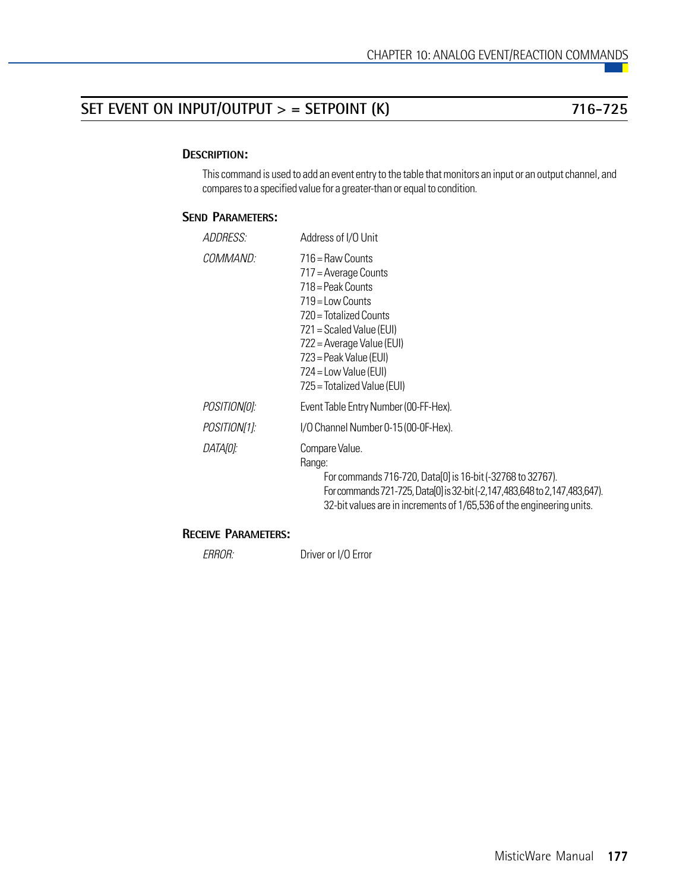## **SET EVENT ON INPUT/OUTPUT > = SETPOINT (K) 716-725**

#### **DESCRIPTION:**

This command is used to add an event entry to the table that monitors an input or an output channel, and compares to a specified value for a greater-than or equal to condition.

#### **SEND PARAMETERS:**

| <i>ADDRESS:</i> | Address of I/O Unit                                                                                                                                                                                                                                        |
|-----------------|------------------------------------------------------------------------------------------------------------------------------------------------------------------------------------------------------------------------------------------------------------|
| <i>COMMAND:</i> | $716 =$ Raw Counts<br>717 = Average Counts<br>718 = Peak Counts<br>$719 =$ Low Counts<br>720 = Totalized Counts<br>721 = Scaled Value (EUI)<br>722 = Average Value (EUI)<br>723 = Peak Value (EUI)<br>724 = Low Value (EUI)<br>725 = Totalized Value (EUI) |
| POSITION[0]:    | Event Table Entry Number (00-FF-Hex).                                                                                                                                                                                                                      |
| POSITION[1]:    | I/O Channel Number 0-15 (00-0F-Hex).                                                                                                                                                                                                                       |
| DATA[0]:        | Compare Value.<br>Range:<br>For commands 716-720, Data[0] is 16-bit (-32768 to 32767).<br>For commands 721-725, Data[0] is 32-bit (-2,147,483,648 to 2,147,483,647).<br>32-bit values are in increments of 1/65,536 of the engineering units.              |

### **RECEIVE PARAMETERS:**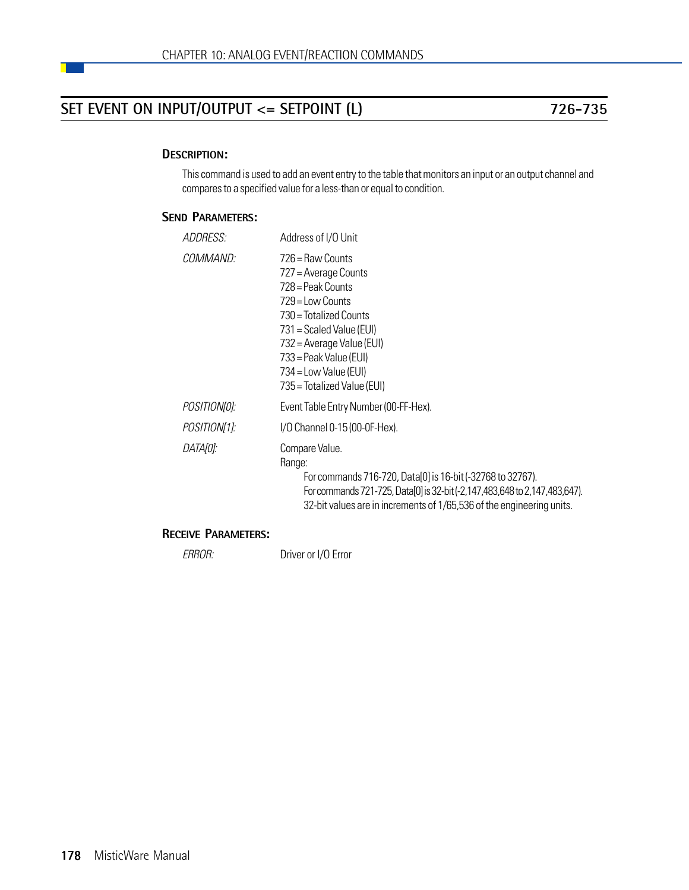## **SET EVENT ON INPUT/OUTPUT <= SETPOINT (L) 726-735**

#### **DESCRIPTION:**

This command is used to add an event entry to the table that monitors an input or an output channel and compares to a specified value for a less-than or equal to condition.

#### **SEND PARAMETERS:**

| <i>ADDRESS:</i> | Address of I/O Unit                                                                                                                                                                                                                                      |
|-----------------|----------------------------------------------------------------------------------------------------------------------------------------------------------------------------------------------------------------------------------------------------------|
| <i>COMMAND:</i> | $726 =$ Raw Counts<br>727 = Average Counts<br>728 = Peak Counts<br>729 = Low Counts<br>730 = Totalized Counts<br>731 = Scaled Value (EUI)<br>732 = Average Value (EUI)<br>733 = Peak Value (EUI)<br>734 = Low Value (EUI)<br>735 = Totalized Value (EUI) |
| POSITION[0]:    | Event Table Entry Number (00-FF-Hex).                                                                                                                                                                                                                    |
| POSITION[1]:    | I/O Channel 0-15 (00-0F-Hex).                                                                                                                                                                                                                            |
| DATA[0]:        | Compare Value.<br>Range:<br>For commands 716-720, Data[0] is 16-bit (-32768 to 32767).<br>For commands 721-725, Data[0] is 32-bit (-2,147,483,648 to 2,147,483,647).<br>32-bit values are in increments of 1/65,536 of the engineering units.            |

### **RECEIVE PARAMETERS:**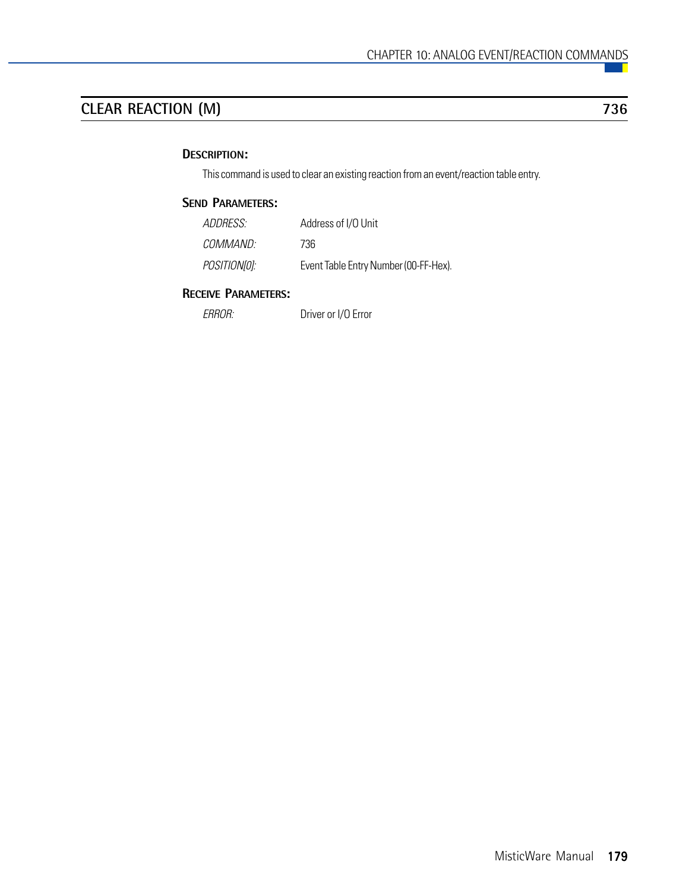## **CLEAR REACTION (M)** 736

#### **DESCRIPTION:**

This command is used to clear an existing reaction from an event/reaction table entry.

#### **SEND PARAMETERS:**

| <i>ADDRESS:</i>     | Address of I/O Unit                   |
|---------------------|---------------------------------------|
| <i>COMMAND:</i>     | 736                                   |
| <i>POSITIONIOI:</i> | Event Table Entry Number (00-FF-Hex). |

### **RECEIVE PARAMETERS:**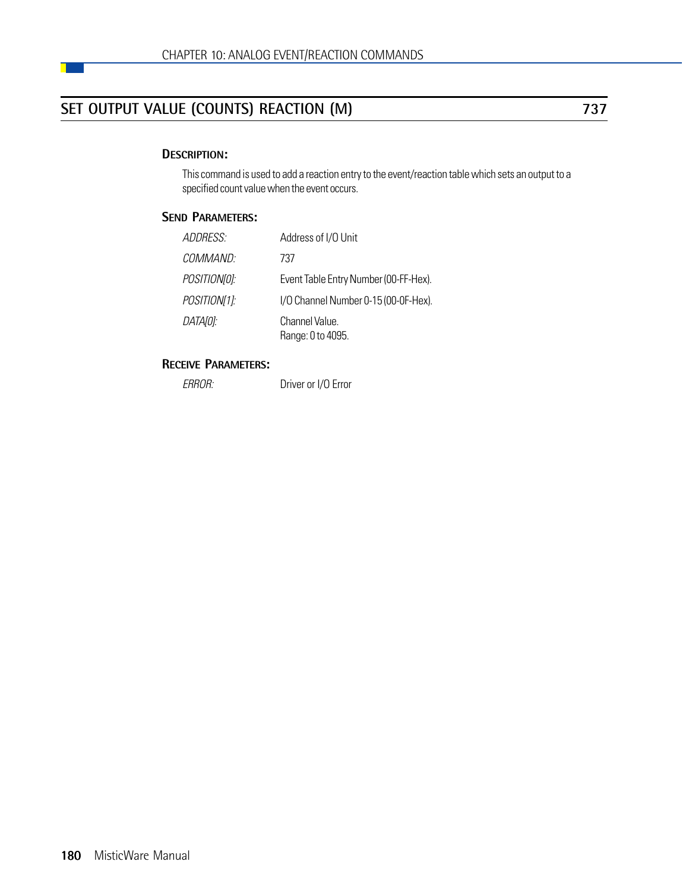## SET OUTPUT VALUE (COUNTS) REACTION (M) **737**

#### **DESCRIPTION:**

This command is used to add a reaction entry to the event/reaction table which sets an output to a specified count value when the event occurs.

#### **SEND PARAMETERS:**

| <i>ADDRESS:</i> | Address of I/O Unit                   |
|-----------------|---------------------------------------|
| COMMAND:        | 737                                   |
| POSITION[0]:    | Event Table Entry Number (00-FF-Hex). |
| POSITION[1]:    | I/O Channel Number 0-15 (00-0F-Hex).  |
| DATA[0]:        | Channel Value.<br>Range: 0 to 4095.   |

### **RECEIVE PARAMETERS:**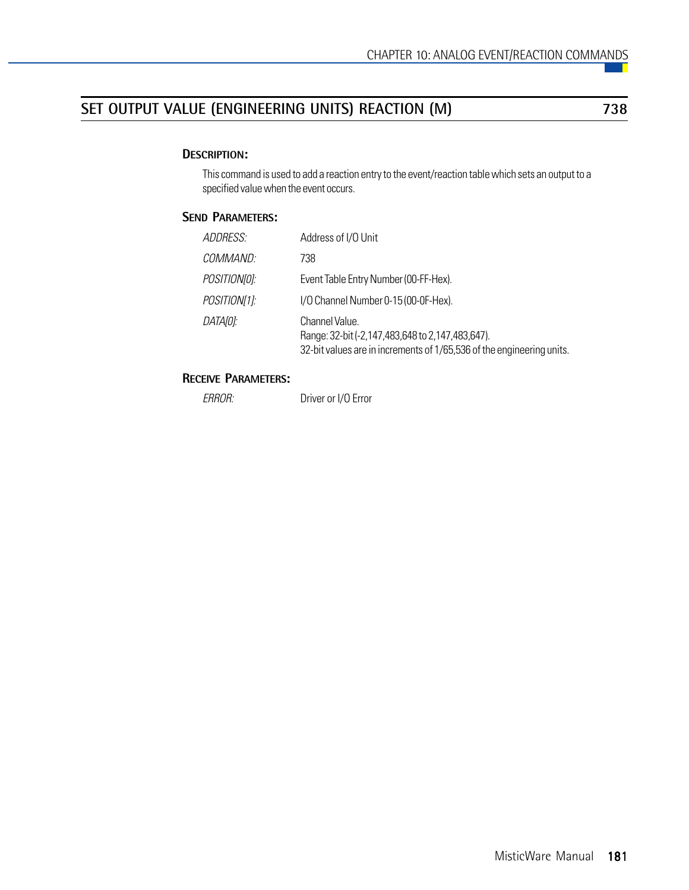### **SET OUTPUT VALUE (ENGINEERING UNITS) REACTION (M) 738**

a ka

### **DESCRIPTION:**

This command is used to add a reaction entry to the event/reaction table which sets an output to a specified value when the event occurs.

### **SEND PARAMETERS:**

| <i>ADDRESS:</i> | Address of I/O Unit                                                                                                                         |
|-----------------|---------------------------------------------------------------------------------------------------------------------------------------------|
| <i>COMMAND:</i> | 738                                                                                                                                         |
| POSITION[0]:    | Event Table Entry Number (00-FF-Hex).                                                                                                       |
| POSITION[1]:    | I/O Channel Number 0-15 (00-0F-Hex).                                                                                                        |
| DATA[0]:        | Channel Value.<br>Range: 32-bit (-2,147,483,648 to 2,147,483,647).<br>32-bit values are in increments of 1/65,536 of the engineering units. |

### **RECEIVE PARAMETERS:**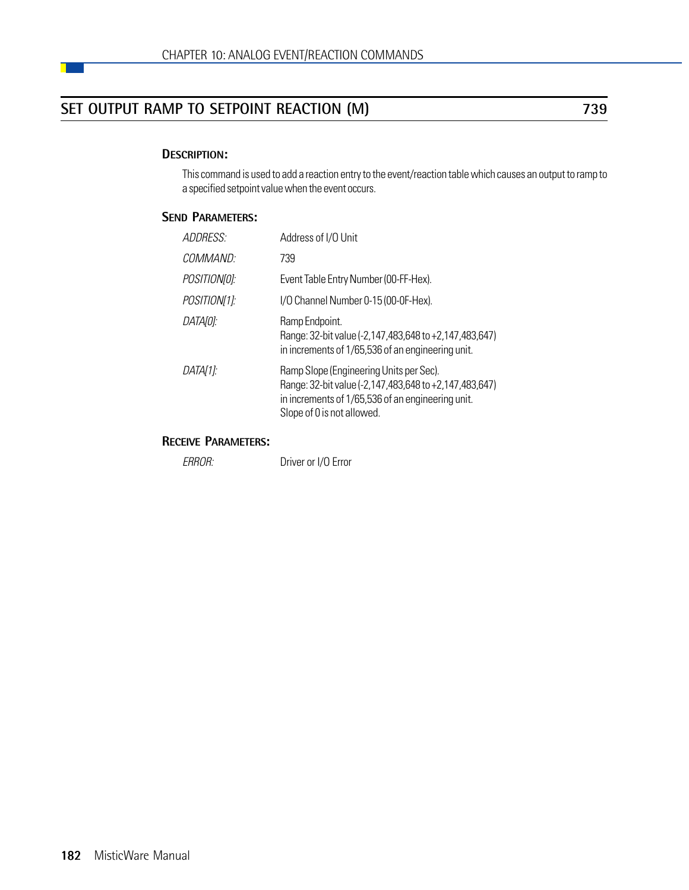### SET OUTPUT RAMP TO SETPOINT REACTION (M) **739**

#### **DESCRIPTION:**

This command is used to add a reaction entry to the event/reaction table which causes an output to ramp to a specified setpoint value when the event occurs.

### **SEND PARAMETERS:**

| <i>ADDRESS:</i> | Address of I/O Unit                                                                                                                                                                  |
|-----------------|--------------------------------------------------------------------------------------------------------------------------------------------------------------------------------------|
| <i>COMMAND:</i> | 739                                                                                                                                                                                  |
| POSITION[0]:    | Event Table Entry Number (00-FF-Hex).                                                                                                                                                |
| POSITION[1]:    | I/O Channel Number 0-15 (00-0F-Hex).                                                                                                                                                 |
| DATA[0]:        | Ramp Endpoint.<br>Range: 32-bit value (-2,147,483,648 to +2,147,483,647)<br>in increments of 1/65,536 of an engineering unit.                                                        |
| DATA[1]:        | Ramp Slope (Engineering Units per Sec).<br>Range: 32-bit value (-2,147,483,648 to +2,147,483,647)<br>in increments of 1/65,536 of an engineering unit.<br>Slope of 0 is not allowed. |

### **RECEIVE PARAMETERS:**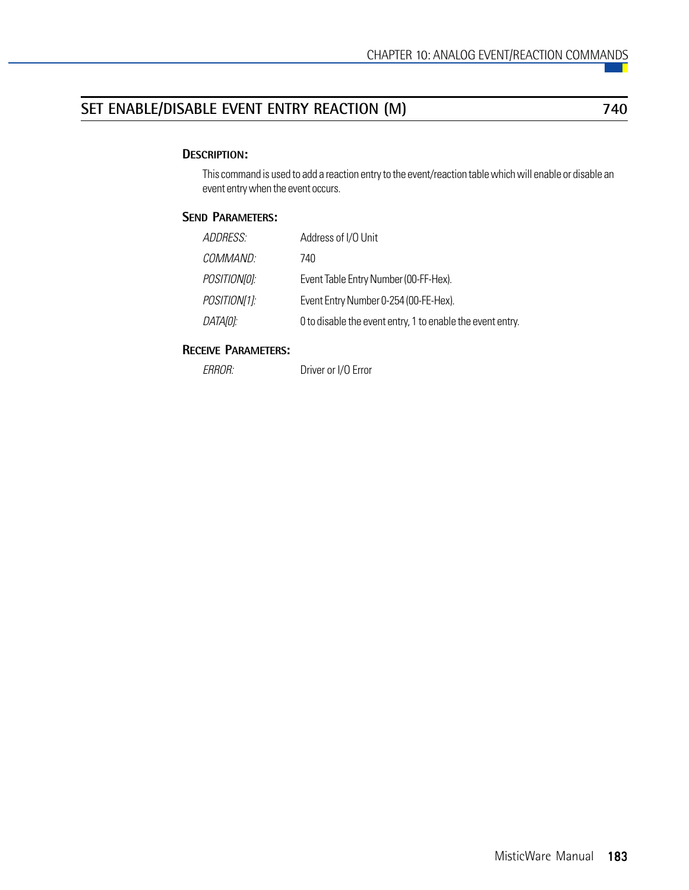### **SET ENABLE/DISABLE EVENT ENTRY REACTION (M)** 740

a ka

### **DESCRIPTION:**

This command is used to add a reaction entry to the event/reaction table which will enable or disable an event entry when the event occurs.

### **SEND PARAMETERS:**

| <i>ADDRESS:</i> | Address of I/O Unit                                        |
|-----------------|------------------------------------------------------------|
| <i>COMMAND:</i> | 740                                                        |
| POSITION[0]:    | Event Table Entry Number (00-FF-Hex).                      |
| POSITION[1]:    | Event Entry Number 0-254 (00-FE-Hex).                      |
| DATA[0]:        | O to disable the event entry, 1 to enable the event entry. |

### **RECEIVE PARAMETERS:**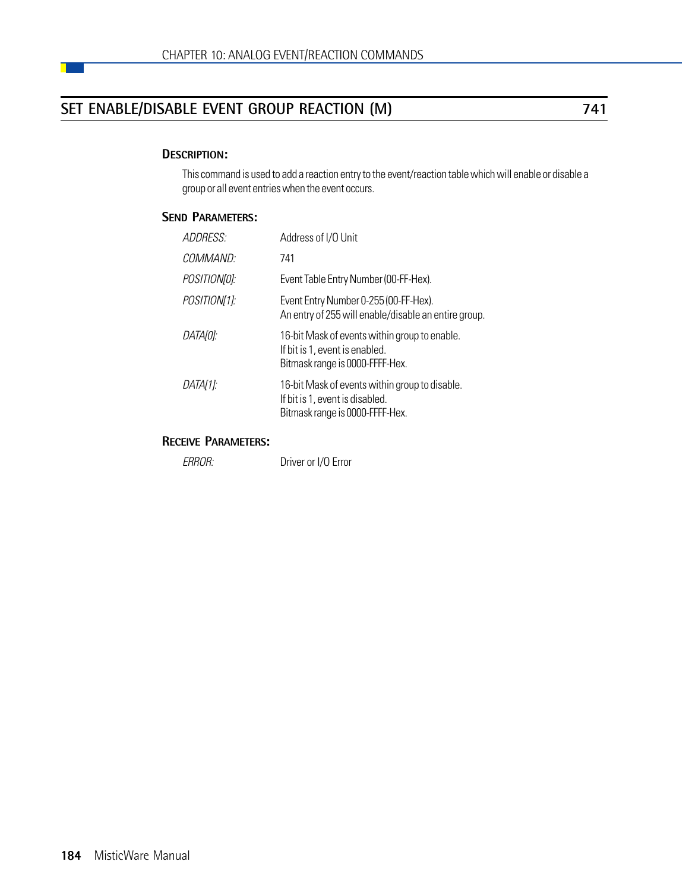### **SET ENABLE/DISABLE EVENT GROUP REACTION (M) 741**

#### **DESCRIPTION:**

This command is used to add a reaction entry to the event/reaction table which will enable or disable a group or all event entries when the event occurs.

#### **SEND PARAMETERS:**

| ADDRESS:     | Address of I/O Unit                                                                                                  |
|--------------|----------------------------------------------------------------------------------------------------------------------|
| COMMAND:     | 741                                                                                                                  |
| POSITION[0]: | Event Table Entry Number (00-FF-Hex).                                                                                |
| POSITION[1]: | Event Entry Number 0-255 (00-FF-Hex).<br>An entry of 255 will enable/disable an entire group.                        |
| DATA[0]:     | 16-bit Mask of events within group to enable.<br>If bit is 1, event is enabled.<br>Bitmask range is 0000-FFFF-Hex.   |
| DATA[1]:     | 16-bit Mask of events within group to disable.<br>If bit is 1, event is disabled.<br>Bitmask range is 0000-FFFF-Hex. |

### **RECEIVE PARAMETERS:**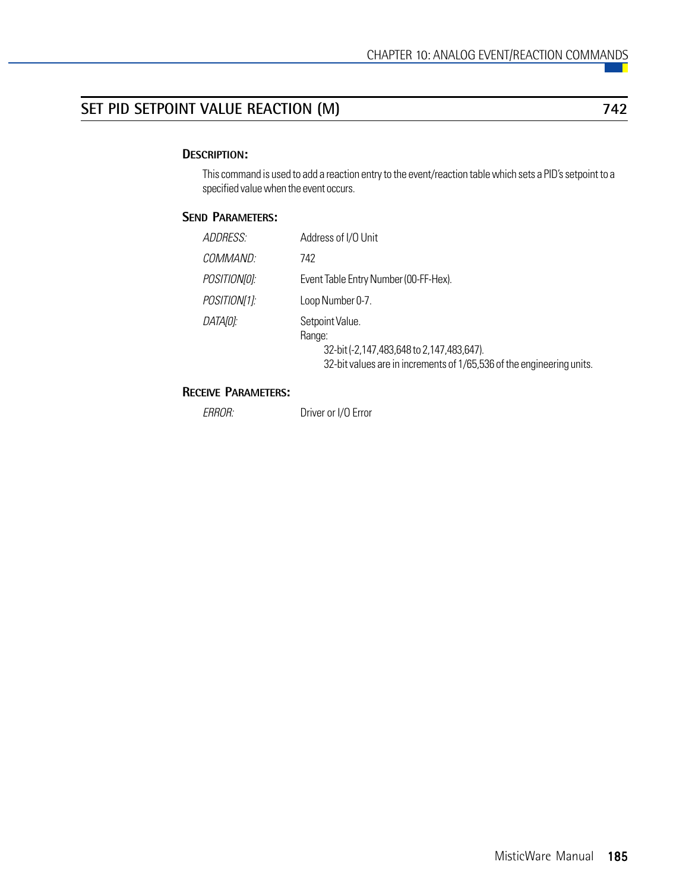### **SET PID SETPOINT VALUE REACTION (M) 742**

a a <mark>i I</mark>

### **DESCRIPTION:**

This command is used to add a reaction entry to the event/reaction table which sets a PID's setpoint to a specified value when the event occurs.

### **SEND PARAMETERS:**

| <i>ADDRESS:</i> | Address of I/O Unit                                                                                                                             |
|-----------------|-------------------------------------------------------------------------------------------------------------------------------------------------|
| COMMAND:        | 742                                                                                                                                             |
| POSITION[0]:    | Event Table Entry Number (00-FF-Hex).                                                                                                           |
| POSITION[1]:    | Loop Number 0-7.                                                                                                                                |
| DATA[0]:        | Setpoint Value.<br>Range:<br>32-bit (-2,147,483,648 to 2,147,483,647).<br>32-bit values are in increments of 1/65,536 of the engineering units. |

### **RECEIVE PARAMETERS:**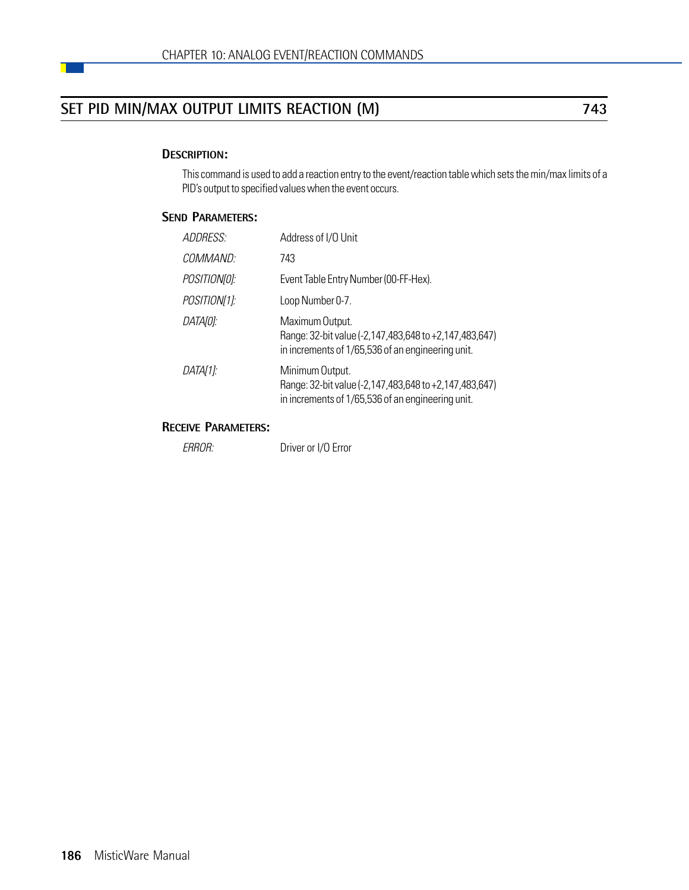### **SET PID MIN/MAX OUTPUT LIMITS REACTION (M) 743**

#### **DESCRIPTION:**

This command is used to add a reaction entry to the event/reaction table which sets the min/max limits of a PID's output to specified values when the event occurs.

#### **SEND PARAMETERS:**

| <i>ADDRESS:</i> | Address of I/O Unit                                                                                                            |
|-----------------|--------------------------------------------------------------------------------------------------------------------------------|
| COMMAND:        | 743                                                                                                                            |
| POSITION[0]:    | Event Table Entry Number (00-FF-Hex).                                                                                          |
| POSITION[1]:    | Loop Number 0-7.                                                                                                               |
| DATA[0]:        | Maximum Output.<br>Range: 32-bit value (-2,147,483,648 to +2,147,483,647)<br>in increments of 1/65,536 of an engineering unit. |
| DATA[1]:        | Minimum Output.<br>Range: 32-bit value (-2,147,483,648 to +2,147,483,647)<br>in increments of 1/65,536 of an engineering unit. |

### **RECEIVE PARAMETERS:**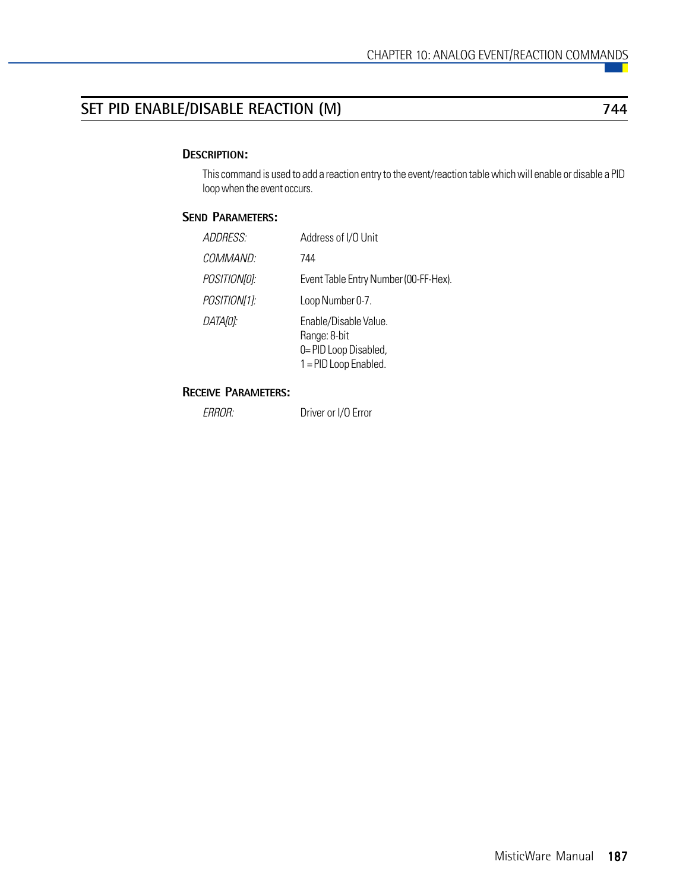### **SET PID ENABLE/DISABLE REACTION (M)** 744

### **DESCRIPTION:**

This command is used to add a reaction entry to the event/reaction table which will enable or disable a PID loop when the event occurs.

### **SEND PARAMETERS:**

| <b>ADDRESS:</b> | Address of I/O Unit                                                                    |
|-----------------|----------------------------------------------------------------------------------------|
| <i>COMMAND:</i> | 744                                                                                    |
| POSITION[0]:    | Event Table Entry Number (00-FF-Hex).                                                  |
| POSITION[1]:    | Loop Number 0-7.                                                                       |
| DATA[0]:        | Enable/Disable Value.<br>Range: 8-bit<br>0=PID Loop Disabled,<br>1 = PID Loop Enabled. |

### **RECEIVE PARAMETERS:**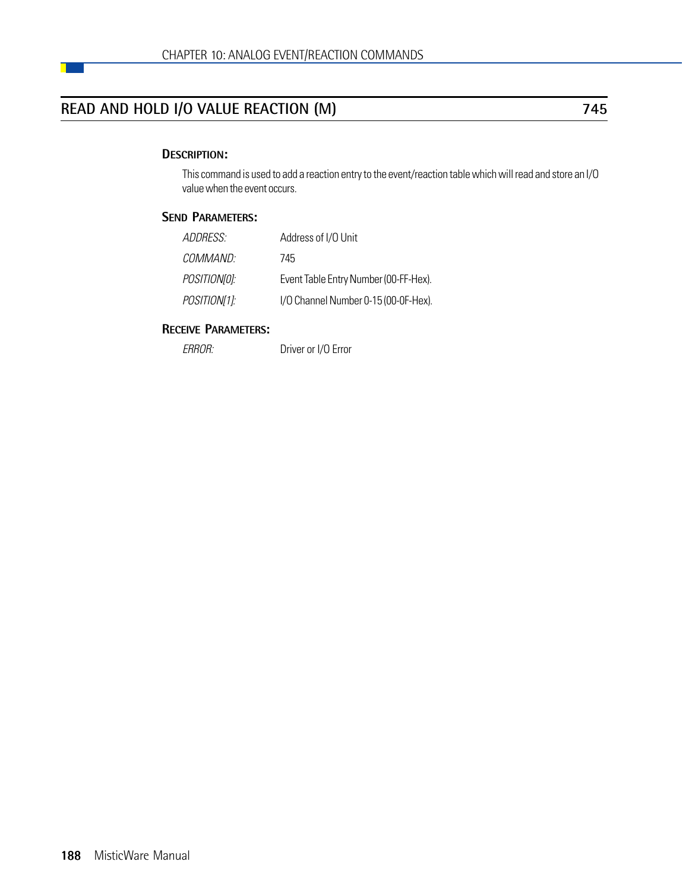### **READ AND HOLD I/O VALUE REACTION (M)** 745

Ш

### **DESCRIPTION:**

This command is used to add a reaction entry to the event/reaction table which will read and store an I/O value when the event occurs.

### **SEND PARAMETERS:**

| <i>ADDRESS:</i> | Address of I/O Unit                   |
|-----------------|---------------------------------------|
| <i>COMMAND:</i> | 745                                   |
| POSITION[0]:    | Event Table Entry Number (00-FF-Hex). |
| POSITION[1]:    | I/O Channel Number 0-15 (00-0F-Hex).  |

### **RECEIVE PARAMETERS:**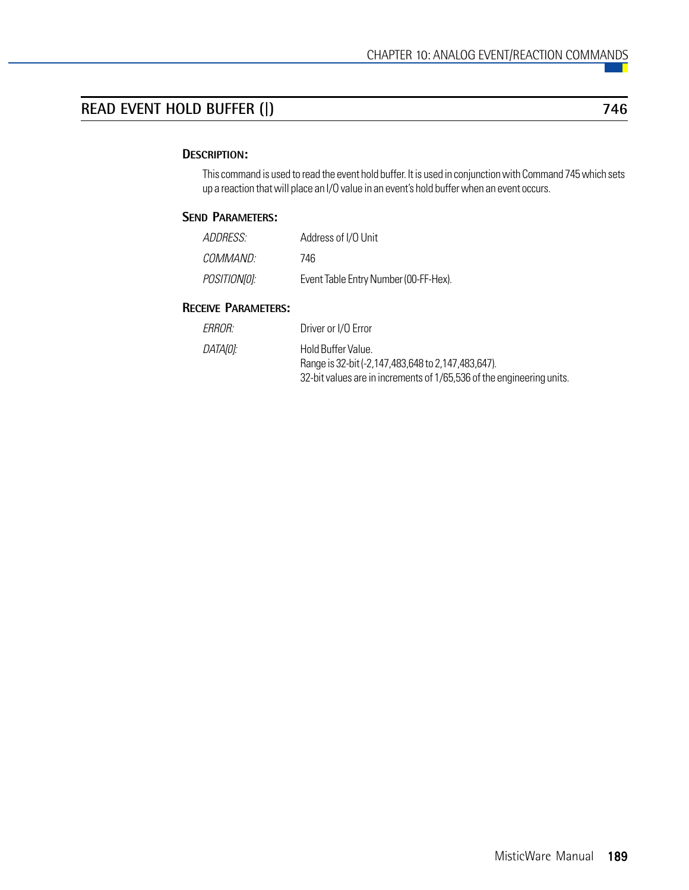| <b>READ EVENT HOLD BUFFER ( )</b> | 746 |
|-----------------------------------|-----|
|-----------------------------------|-----|

#### **DESCRIPTION:**

This command is used to read the event hold buffer. It is used in conjunction with Command 745 which sets up a reaction that will place an I/O value in an event's hold buffer when an event occurs.

#### **SEND PARAMETERS:**

| ADDRESS:        | Address of I/O Unit                   |
|-----------------|---------------------------------------|
| <i>COMMAND:</i> | 746                                   |
| POSITION[0]:    | Event Table Entry Number (00-FF-Hex). |

### **RECEIVE PARAMETERS:**

| ERROR:   | Driver or I/O Error                                                      |
|----------|--------------------------------------------------------------------------|
| DATA[0]: | Hold Buffer Value.<br>Range is 32-bit (-2,147,483,648 to 2,147,483,647). |
|          | 32-bit values are in increments of 1/65,536 of the engineering units.    |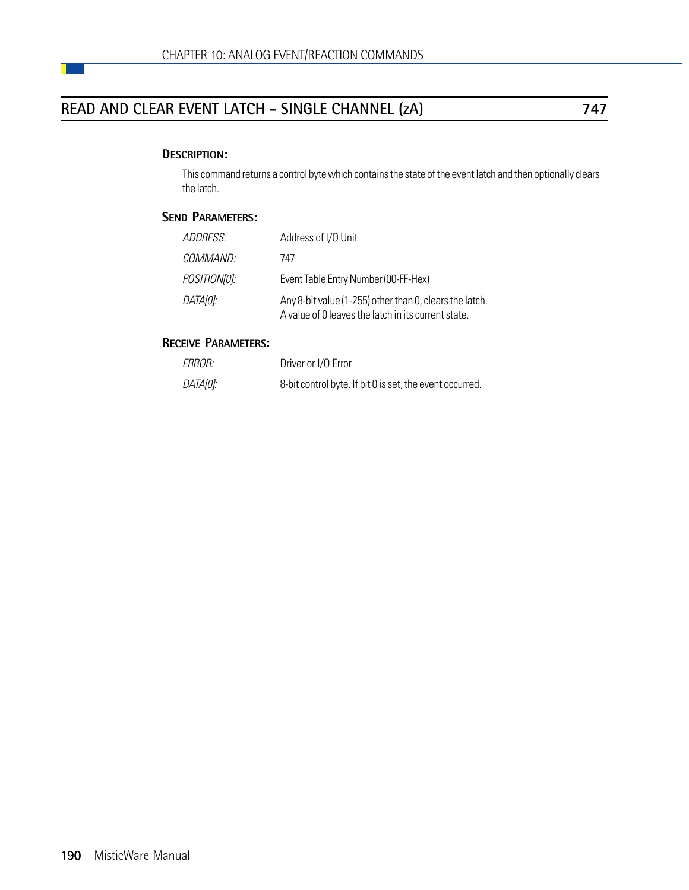### READ AND CLEAR EVENT LATCH - SINGLE CHANNEL (zA) 747

### **DESCRIPTION:**

This command returns a control byte which contains the state of the event latch and then optionally clears the latch.

### **SEND PARAMETERS:**

| <i>ADDRESS:</i> | Address of I/O Unit                                                                                            |
|-----------------|----------------------------------------------------------------------------------------------------------------|
| <i>COMMAND:</i> | 747                                                                                                            |
| POSITION[0]:    | Event Table Entry Number (00-FF-Hex)                                                                           |
| DATA[0]:-       | Any 8-bit value (1-255) other than 0, clears the latch.<br>A value of 0 leaves the latch in its current state. |

### **RECEIVE PARAMETERS:**

| <b>ERROR:</b> | Driver or I/O Error                                      |
|---------------|----------------------------------------------------------|
| DATA[0]:      | 8-bit control byte. If bit 0 is set, the event occurred. |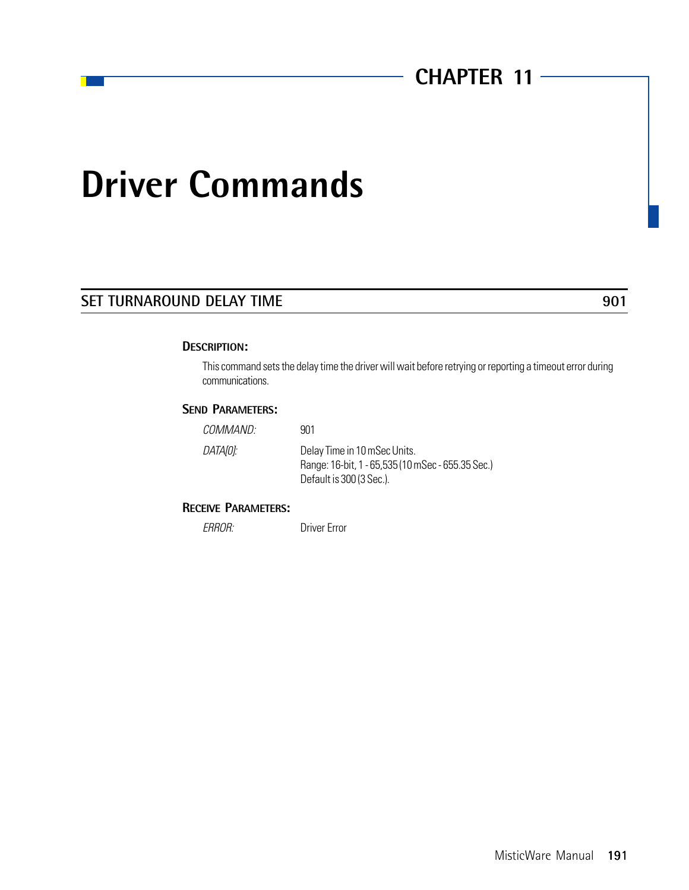# **CHAPTER 11**

# **Driver Commands**

### **SET TURNAROUND DELAY TIME 40 CONTROLLER SET TURNAROUND DELAY TIME 40 CONTROLLER SUBSEX 100 CONTROLLER SUBSEX 001**

 $\mathcal{L}(\mathcal{A})$ 

### **DESCRIPTION:**

This command sets the delay time the driver will wait before retrying or reporting a timeout error during communications.

### **SEND PARAMETERS:**

| <i>COMMAND:</i> | 901                                                                                                           |
|-----------------|---------------------------------------------------------------------------------------------------------------|
| DATA[0]:        | Delay Time in 10 mSec Units.<br>Range: 16-bit, 1 - 65,535 (10 mSec - 655.35 Sec.)<br>Default is 300 (3 Sec.). |

### **RECEIVE PARAMETERS:**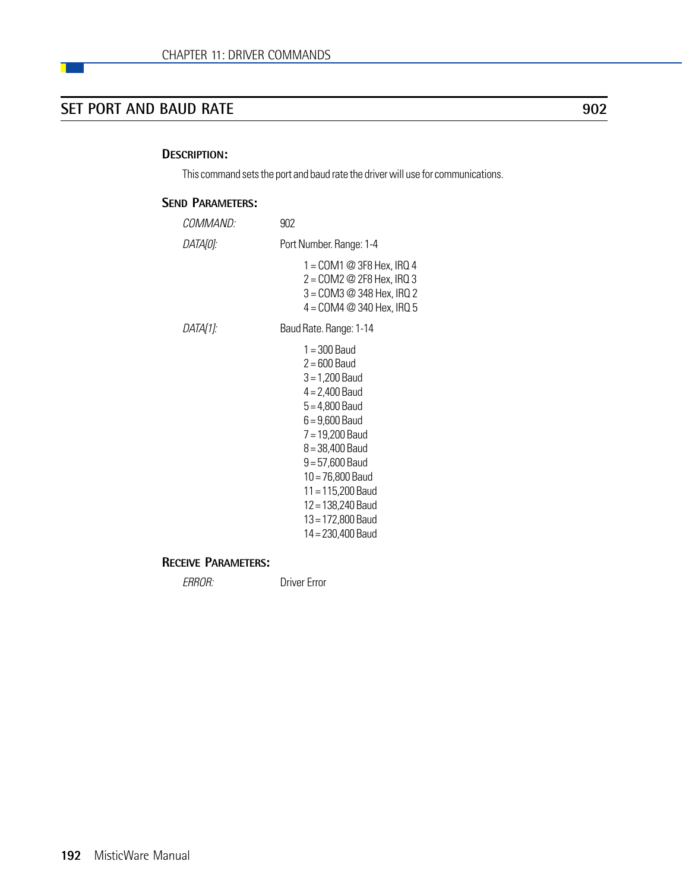### **SET PORT AND BAUD RATE 902**

 $\mathcal{L}(\mathcal{A})$ Ш

#### **DESCRIPTION:**

This command sets the port and baud rate the driver will use for communications.

### **SEND PARAMETERS:**

| <i>COMMAND:</i> | 902                                                                                                                                                                                                                                                                                       |  |
|-----------------|-------------------------------------------------------------------------------------------------------------------------------------------------------------------------------------------------------------------------------------------------------------------------------------------|--|
| DATA[0]:        | Port Number. Range: 1-4                                                                                                                                                                                                                                                                   |  |
|                 | $1 =$ COM1 @ 3F8 Hex, IRQ 4<br>$2 = COM2 \n\omega 2F8$ Hex, IRQ 3<br>3 = COM3 @ 348 Hex, IRQ 2<br>$4 =$ COM4 @ 340 Hex, IRQ 5                                                                                                                                                             |  |
| DATA[1]:        | Baud Rate. Range: 1-14                                                                                                                                                                                                                                                                    |  |
|                 | $1 = 300$ Baud<br>$2 = 600$ Baud<br>$3 = 1,200$ Baud<br>$4 = 2,400$ Baud<br>$5 = 4,800$ Baud<br>$6 = 9,600$ Baud<br>7 = 19,200 Baud<br>$8 = 38,400$ Baud<br>$9 = 57,600$ Baud<br>$10 = 76,800$ Baud<br>$11 = 115,200$ Baud<br>12 = 138,240 Baud<br>13 = 172,800 Baud<br>14 = 230,400 Baud |  |
|                 |                                                                                                                                                                                                                                                                                           |  |

#### **RECEIVE PARAMETERS:**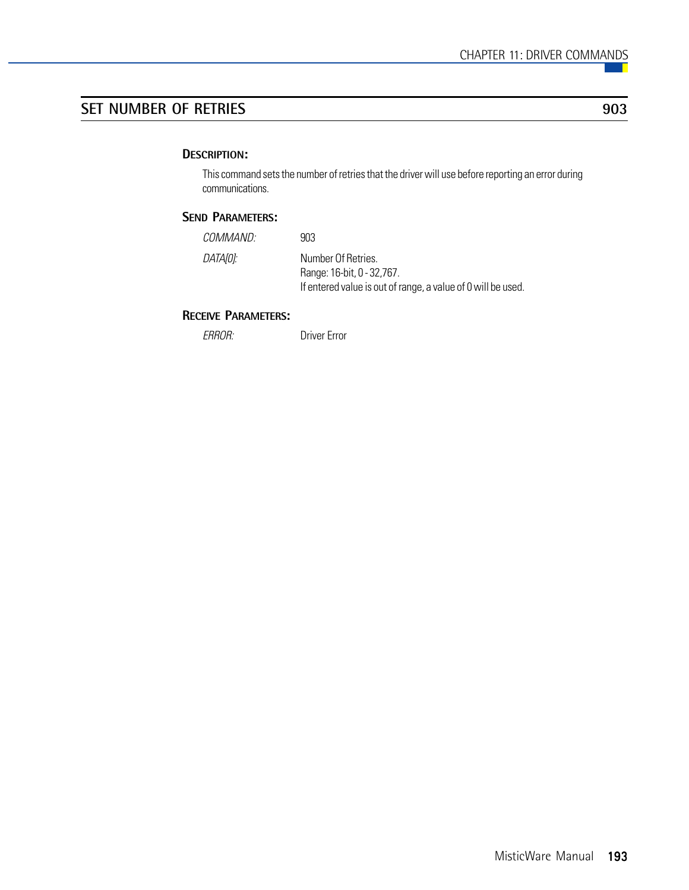### **SET NUMBER OF RETRIES** 903

### **DESCRIPTION:**

This command sets the number of retries that the driver will use before reporting an error during communications.

### **SEND PARAMETERS:**

| <i>COMMAND:</i> | 903                                                          |
|-----------------|--------------------------------------------------------------|
| DATA[0]:        | Number Of Retries.                                           |
|                 | Range: 16-bit, 0 - 32,767.                                   |
|                 | If entered value is out of range, a value of 0 will be used. |

### **RECEIVE PARAMETERS:**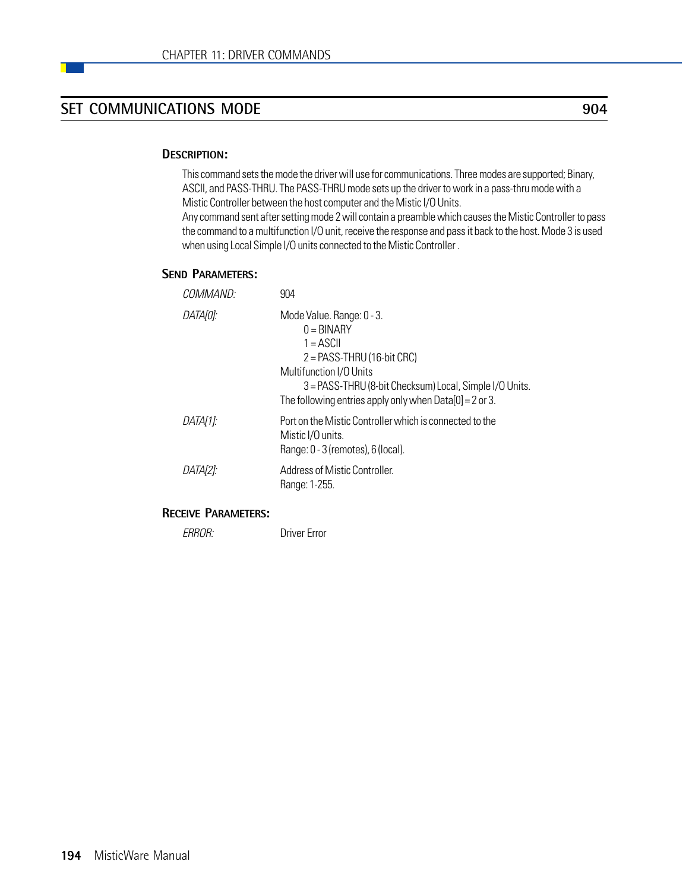#### **DESCRIPTION:**

This command sets the mode the driver will use for communications. Three modes are supported; Binary, ASCII, and PASS-THRU. The PASS-THRU mode sets up the driver to work in a pass-thru mode with a Mistic Controller between the host computer and the Mistic I/O Units.

Any command sent after setting mode 2 will contain a preamble which causes the Mistic Controller to pass the command to a multifunction I/O unit, receive the response and pass it back to the host. Mode 3 is used when using Local Simple I/O units connected to the Mistic Controller .

### **SEND PARAMETERS:**

| <i>COMMAND:</i> | 904                                                                                                                                                                                                                                                |
|-----------------|----------------------------------------------------------------------------------------------------------------------------------------------------------------------------------------------------------------------------------------------------|
| DATAJOI:        | Mode Value. Range: 0 - 3.<br>$0 = \text{BINARY}$<br>$1 = ASCII$<br>$2 = PASS-THRU (16-bit CRC)$<br>Multifunction I/O Units<br>3 = PASS-THRU (8-bit Checksum) Local, Simple I/O Units.<br>The following entries apply only when $Data[0] = 2$ or 3. |
| DATA[1]:        | Port on the Mistic Controller which is connected to the<br>Mistic I/O units.<br>Range: 0 - 3 (remotes), 6 (local).                                                                                                                                 |
| DATA[2]:        | Address of Mistic Controller<br>Range: 1-255.                                                                                                                                                                                                      |

#### **RECEIVE PARAMETERS:**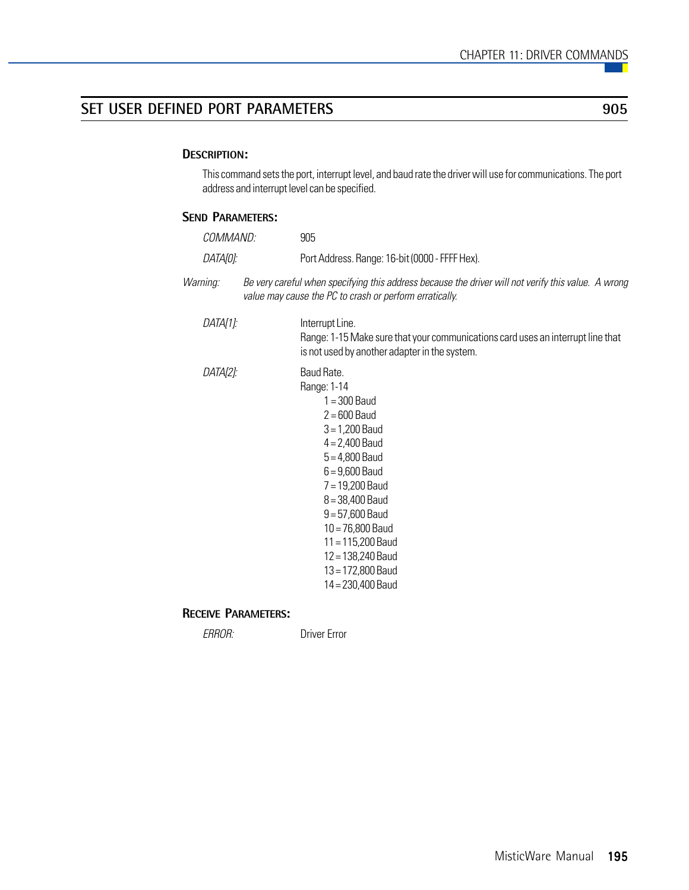### **SET USER DEFINED PORT PARAMETERS 905**

#### **DESCRIPTION:**

This command sets the port, interrupt level, and baud rate the driver will use for communications. The port address and interrupt level can be specified.

### **SEND PARAMETERS:**

| COMMAND:                                                                                                                                                                                                                                                                                                                           |                                                                                                                                                                | 905                                                                                                                                                 |  |
|------------------------------------------------------------------------------------------------------------------------------------------------------------------------------------------------------------------------------------------------------------------------------------------------------------------------------------|----------------------------------------------------------------------------------------------------------------------------------------------------------------|-----------------------------------------------------------------------------------------------------------------------------------------------------|--|
| DATA[0]:<br>Port Address. Range: 16-bit (0000 - FFFF Hex).                                                                                                                                                                                                                                                                         |                                                                                                                                                                |                                                                                                                                                     |  |
| Warning:                                                                                                                                                                                                                                                                                                                           | Be very careful when specifying this address because the driver will not verify this value. A wrong<br>value may cause the PC to crash or perform erratically. |                                                                                                                                                     |  |
| DATA[1]:                                                                                                                                                                                                                                                                                                                           |                                                                                                                                                                | Interrupt Line.<br>Range: 1-15 Make sure that your communications card uses an interrupt line that<br>is not used by another adapter in the system. |  |
| DATA[2]:<br>Baud Rate.<br>Range: 1-14<br>$1 = 300$ Baud<br>$2 = 600$ Baud<br>$3 = 1,200$ Baud<br>$4 = 2,400$ Baud<br>$5 = 4,800$ Baud<br>$6 = 9,600$ Baud<br>7 = 19,200 Baud<br>$8 = 38,400$ Baud<br>$9 = 57,600$ Baud<br>$10 = 76,800$ Baud<br>$11 = 115,200$ Baud<br>12 = 138,240 Baud<br>13 = 172,800 Baud<br>14 = 230,400 Baud |                                                                                                                                                                |                                                                                                                                                     |  |
| <b>DECENTE DADAMETEDE:</b>                                                                                                                                                                                                                                                                                                         |                                                                                                                                                                |                                                                                                                                                     |  |

### **RECEIVE PARAMETERS:**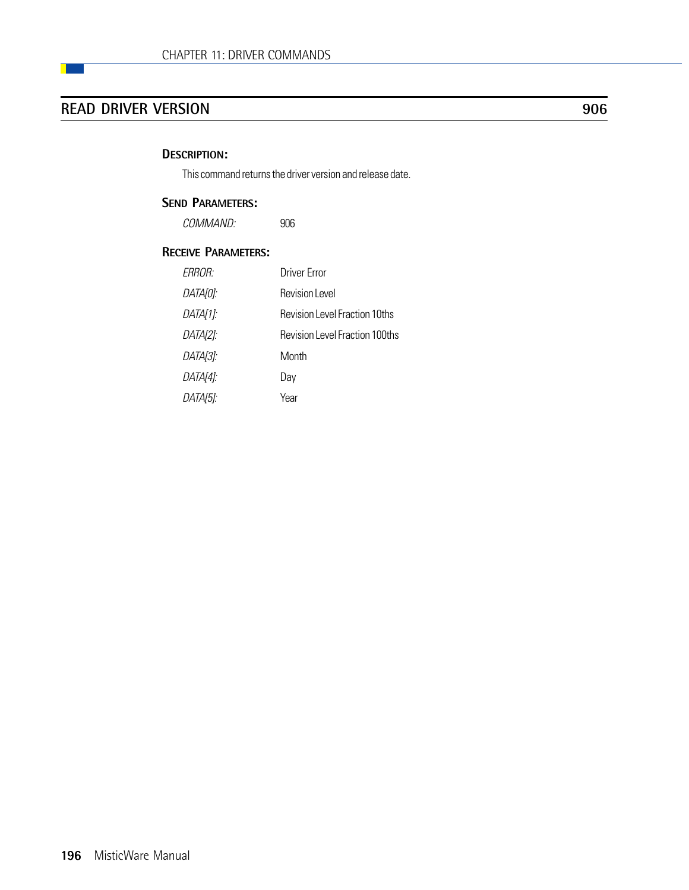### **READ DRIVER VERSION** 906

#### **DESCRIPTION:**

This command returns the driver version and release date.

#### **SEND PARAMETERS:**

COMMAND: 906

### **RECEIVE PARAMETERS:**

| <i>ERROR:</i> | Driver Frror                   |
|---------------|--------------------------------|
| DATA[0]:      | Revision Level                 |
| DATA[1]:      | Revision Level Fraction 10ths  |
| DATA[2]:      | Revision Level Fraction 100ths |
| DATA[3]:      | Month                          |
| DATA[4]:      | Day                            |
| DATA[5]:      | Year                           |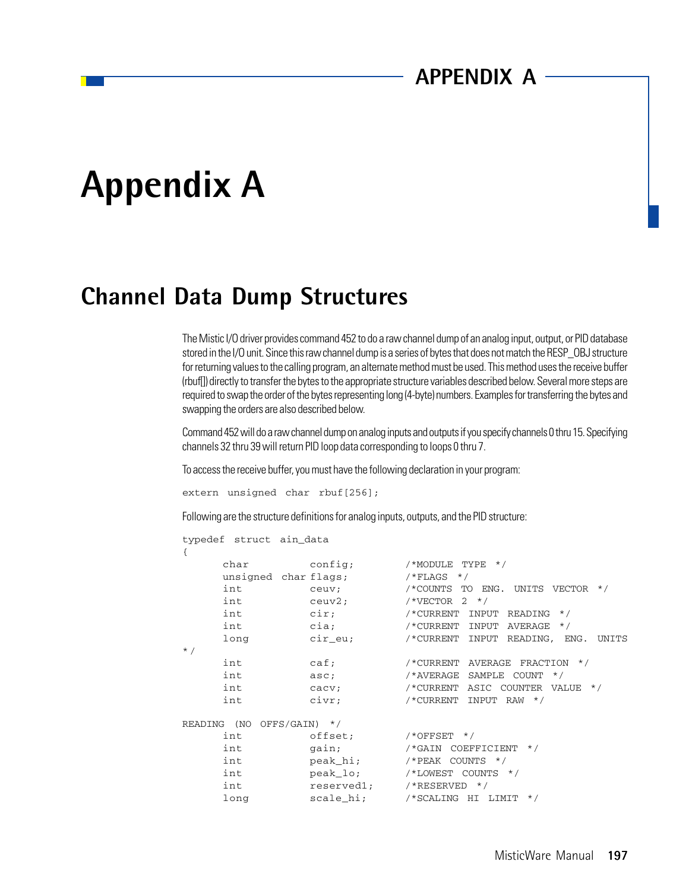**APPENDIX A**

# **Appendix A**

### **Channel Data Dump Structures**

The Mistic I/O driver provides command 452 to do a raw channel dump of an analog input, output, or PID database stored in the I/O unit. Since this raw channel dump is a series of bytes that does not match the RESP\_OBJ structure for returning values to the calling program, an alternate method must be used. This method uses the receive buffer (rbuf[]) directly to transfer the bytes to the appropriate structure variables described below. Several more steps are required to swap the order of the bytes representing long (4-byte) numbers. Examples for transferring the bytes and swapping the orders are also described below.

Command 452 will do a raw channel dump on analog inputs and outputs if you specify channels 0 thru 15. Specifying channels 32 thru 39 will return PID loop data corresponding to loops 0 thru 7.

To access the receive buffer, you must have the following declaration in your program:

extern unsigned char rbuf[256];

Following are the structure definitions for analog inputs, outputs, and the PID structure:

typedef struct ain\_data

{

| char                      | config;             | /*MODULE TYPE $*/$                  |
|---------------------------|---------------------|-------------------------------------|
|                           | unsigned charflags; | $/*$ FLAGS $*/$                     |
| int                       | ceuv;               | /*COUNTS TO ENG. UNITS VECTOR $*/$  |
| int                       | ceuv2;              | /*VECTOR $2$ */                     |
| int                       | cir;                | /*CURRENT INPUT READING $*/$        |
| int                       | cia;                | /*CURRENT INPUT AVERAGE */          |
| long                      | cir_eu;             | /*CURRENT INPUT READING, ENG. UNITS |
| $*$ /                     |                     |                                     |
| int                       | caf;                | /*CURRENT AVERAGE FRACTION */       |
| int                       | asc;                | /*AVERAGE SAMPLE COUNT */           |
| int                       | cacv;               | /*CURRENT ASIC COUNTER VALUE */     |
| int                       | civr;               | /*CURRENT INPUT RAW */              |
| READING (NO OFFS/GAIN) */ |                     |                                     |
| int                       | offset;             | /*OFFSET */                         |
| int                       | gain;               | /*GAIN COEFFICIENT */               |
| int                       |                     | peak_hi; /*PEAK COUNTS */           |
| int                       |                     | peak_lo; /*LOWEST COUNTS */         |
| int                       |                     | reserved1; /*RESERVED */            |
| long                      |                     | scale hi; /*SCALING HI LIMIT */     |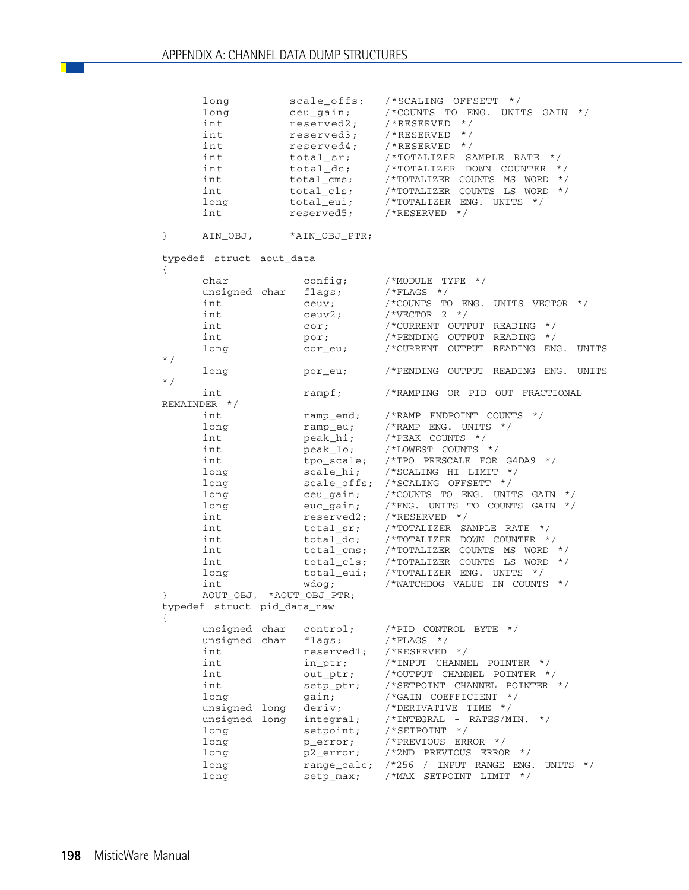|           | long<br>long<br>int<br>int<br>int<br>int<br>int<br>int<br>int<br>long<br>int                                                                                                  | $scale_offs;$<br>ceu gain;<br>reserved2;<br>reserved3;<br>reserved4;<br>$total\_sr;$<br>$total_dc;$<br>total_cms;<br>$total_{cls};$<br>total_eui;<br>reserved5;                                                  | /*SCALING OFFSETT */<br>/*COUNTS TO ENG.<br>UNITS GAIN */<br>$*$ /<br>/*RESERVED<br>$*$ /<br>/*RESERVED<br>/*RESERVED */<br>/*TOTALIZER SAMPLE RATE */<br>/*TOTALIZER DOWN COUNTER<br>$*$ /<br>/*TOTALIZER COUNTS MS WORD<br>$*$ /<br>/*TOTALIZER COUNTS LS WORD */<br>$/*$ TOTALIZER ENG.<br>UNITS */<br>/*RESERVED<br>$\star$ /                                                                                                                                                                                |
|-----------|-------------------------------------------------------------------------------------------------------------------------------------------------------------------------------|------------------------------------------------------------------------------------------------------------------------------------------------------------------------------------------------------------------|------------------------------------------------------------------------------------------------------------------------------------------------------------------------------------------------------------------------------------------------------------------------------------------------------------------------------------------------------------------------------------------------------------------------------------------------------------------------------------------------------------------|
| }         | AIN_OBJ,                                                                                                                                                                      | *AIN_OBJ_PTR;                                                                                                                                                                                                    |                                                                                                                                                                                                                                                                                                                                                                                                                                                                                                                  |
| €         | typedef struct aout_data                                                                                                                                                      |                                                                                                                                                                                                                  |                                                                                                                                                                                                                                                                                                                                                                                                                                                                                                                  |
|           | char<br>unsigned char<br>int<br>int<br>int<br>int<br>long                                                                                                                     | config;<br>flags;<br>ceuv;<br>ceuv2;<br>corr;<br>por;<br>$cor$ <sub>eu</sub> ;                                                                                                                                   | /*MODULE TYPE */<br>$/*$ FLAGS $*/$<br>/*COUNTS TO ENG.<br>UNITS VECTOR */<br>/*VECTOR $2$ */<br>/*CURRENT OUTPUT READING<br>$*$ /<br>/*PENDING OUTPUT READING<br>$*$ /<br>/*CURRENT OUTPUT READING<br>ENG.<br>UNITS                                                                                                                                                                                                                                                                                             |
| $*$ /     | long                                                                                                                                                                          | por_eu;                                                                                                                                                                                                          | /*PENDING OUTPUT READING ENG.<br>UNITS                                                                                                                                                                                                                                                                                                                                                                                                                                                                           |
| $*$ /     |                                                                                                                                                                               |                                                                                                                                                                                                                  |                                                                                                                                                                                                                                                                                                                                                                                                                                                                                                                  |
|           | int<br>REMAINDER */                                                                                                                                                           | rampf;                                                                                                                                                                                                           | /*RAMPING OR PID OUT FRACTIONAL                                                                                                                                                                                                                                                                                                                                                                                                                                                                                  |
| $\}$<br>€ | int<br>long<br>int<br>int<br>int<br>long<br>long<br>long<br>long<br>int<br>int<br>int<br>int<br>int<br>long<br>int<br>AOUT_OBJ, *AOUT_OBJ_PTR;<br>typedef struct pid_data_raw | ramp_end;<br>ramp_eu;<br>peak_hi;<br>peak_lo;<br>tpo_scale;<br>scale_hi;<br>scale_offs;<br>ceu_gain;<br>euc_gain;<br>reserved2;<br>total_sr;<br>total_dc;<br>total_cms;<br>$total_class;$<br>total_eui;<br>wdog; | /*RAMP ENDPOINT COUNTS */<br>/*RAMP ENG. UNITS */<br>/*PEAK COUNTS */<br>/*LOWEST COUNTS */<br>/*TPO PRESCALE FOR G4DA9 $*/$<br>/*SCALING HI LIMIT<br>$\star$ /<br>/*SCALING OFFSETT */<br>/*COUNTS TO ENG. UNITS GAIN $*/$<br>/*ENG. UNITS TO COUNTS GAIN<br>$*$ /<br>/*RESERVED */<br>/*TOTALIZER SAMPLE RATE */<br>/*TOTALIZER DOWN COUNTER */<br>/*TOTALIZER COUNTS MS WORD<br>$*$ /<br>/*TOTALIZER COUNTS LS WORD<br>$\star$ /<br>/*TOTALIZER ENG.<br>UNITS<br>$*$ /<br>/*WATCHDOG VALUE IN COUNTS<br>$*$ / |
|           | unsigned char<br>unsigned char<br>int<br>int<br>int<br>int<br>long<br>unsigned long<br>unsigned long<br>long<br>long<br>long<br>long<br>long                                  | control;<br>flags;<br>reserved1;<br>in_ptr;<br>$out\_ptr;$<br>setp_ptr;<br>qain;<br>deriv;<br>integral;<br>setpoint;<br>p_error;<br>p2_error;<br>range_calc;<br>setp_max;                                        | /*PID CONTROL BYTE */<br>$/*$ FLAGS $*/$<br>$/*RESERVED * /$<br>/*INPUT CHANNEL POINTER */<br>/*OUTPUT CHANNEL POINTER */<br>/*SETPOINT CHANNEL POINTER */<br>/*GAIN COEFFICIENT */<br>/*DERIVATIVE TIME */<br>$/*INTEGRAL - RATES/MIN. */$<br>$/*$ SETPOINT $*/$<br>/*PREVIOUS ERROR */<br>$/*2ND$ PREVIOUS ERROR $*/$<br>$/*256$ / INPUT RANGE ENG.<br>UNITS */<br>/*MAX SETPOINT LIMIT */                                                                                                                     |

 $\mathcal{L}(\mathcal{A})$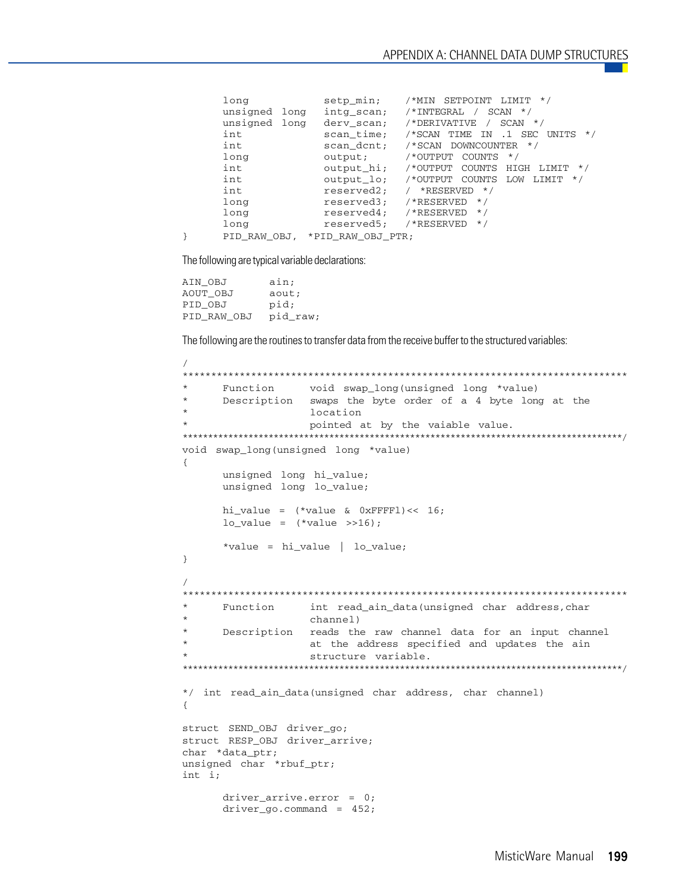```
long \qquad \qquad setp_min; /*MIN SETPOINT LIMIT */
      unsigned long intg_scan; /*INTEGRAL / SCAN */
      unsigned long derv_scan; /*DERIVATIVE / SCAN */
      int scan_time; /*SCAN TIME IN .1 SEC UNITS */
      int scan_dcnt; /*SCAN DOWNCOUNTER */
      long butput; /*OUTPUT COUNTS */
      int \begin{array}{ccc} \text{output} & \text{in} & \text{``CUTPUT} \\ \text{output} & \text{output} & \text{``CUTPUT} & \text{COUNTS} & \text{LOW} & \text{LIMIT} & \text{``CUTPUT} \end{array}output_lo; /*OUTPUT COUNTS LOW LIMIT */
      int reserved2; / *RESERVED */
      long reserved3; /*RESERVED */
      long reserved4; /*RESERVED */
      long reserved5; /*RESERVED */
} PID_RAW_OBJ, *PID_RAW_OBJ_PTR;
```
The following are typical variable declarations:

AIN\_OBJ ain; AOUT\_OBJ aout; PID\_OBJ pid; PID\_RAW\_OBJ pid\_raw;

The following are the routines to transfer data from the receive buffer to the structured variables:

```
/
******************************************************************************
* Function void swap_long(unsigned long *value)
* Description swaps the byte order of a 4 byte long at the
* location
                  pointed at by the vaiable value.
***************************************************************************************/
void swap_long(unsigned long *value)
{
      unsigned long hi_value;
      unsigned long lo_value;
      hi value = (*value & 0xFFFF1) << 16;lo_value = (*value >>16);*value = hi_value | lo_value;
}
/
******************************************************************************
* Function int read_ain_data(unsigned char address,char
* channel)
* Description reads the raw channel data for an input channel
* at the address specified and updates the ain
                   structure variable.
***************************************************************************************/
*/ int read_ain_data(unsigned char address, char channel)
{
struct SEND_OBJ driver_go;
struct RESP_OBJ driver_arrive;
char *data_ptr;
unsigned char *rbuf_ptr;
int i;
      driver_arrive.error = 0;
      driver_go.command = 452;
```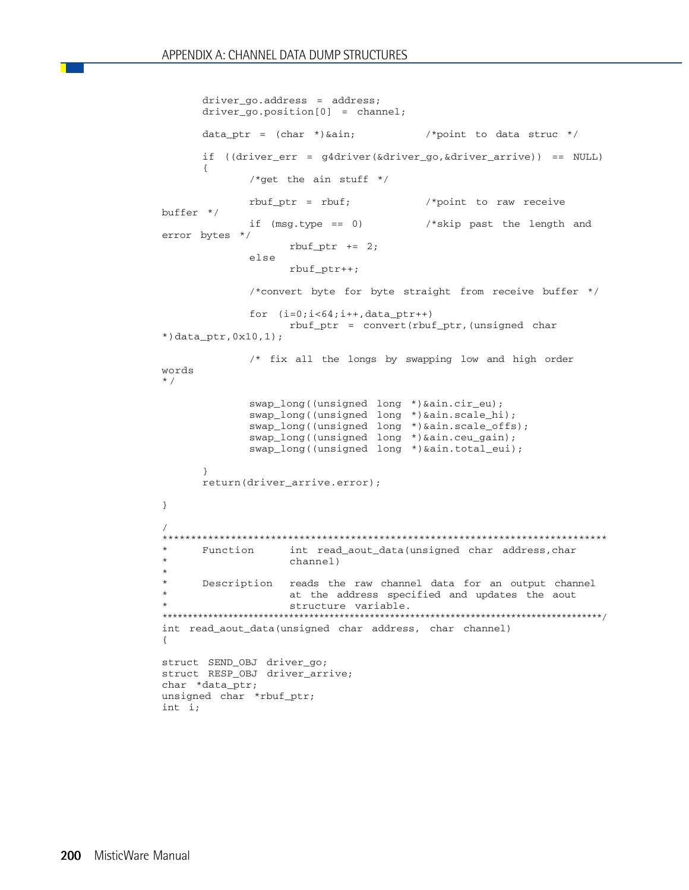```
driver_go.address = address;
      driver_go.position[0] = channel;
      data_ptr = (char *) & ain; /*point to data struc */
      if ((driver_err = g4driver(&driver_go,&driver_arrive)) == NULL)
      {
             /*get the ain stuff */rbuf_ptr = rbuf; /*point to raw receive
buffer */
             if (msg.type == 0) /*skip past the length and
error bytes */
                  rbuf_ptr += 2;else
                   rbuf_ptr++;
             /*convert byte for byte straight from receive buffer */
             for (i=0;i<64;i++,data_ptr++)rbuf_ptr = convert(rbuf_ptr,(unsigned char
*)data_ptr,0x10,1);
             /* fix all the longs by swapping low and high order
words
* /
             swap_long((unsigned long *)&ain.cir_eu);
             swap_long((unsigned long *)&ain.scale_hi);
             swap_long((unsigned long *)&ain.scale_offs);
             swap_long((unsigned long *)&ain.ceu_gain);
             swap_long((unsigned long *)&ain.total_eui);
      }
      return(driver_arrive.error);
}
/
******************************************************************************
    Function int read_aout_data(unsigned char address, char
* channel)
*
     Description reads the raw channel data for an output channel
* at the address specified and updates the aout
                  structure variable.
***************************************************************************************/
int read_aout_data(unsigned char address, char channel)
{
struct SEND_OBJ driver_go;
struct RESP_OBJ driver_arrive;
char *data_ptr;
unsigned char *rbuf_ptr;
int i;
```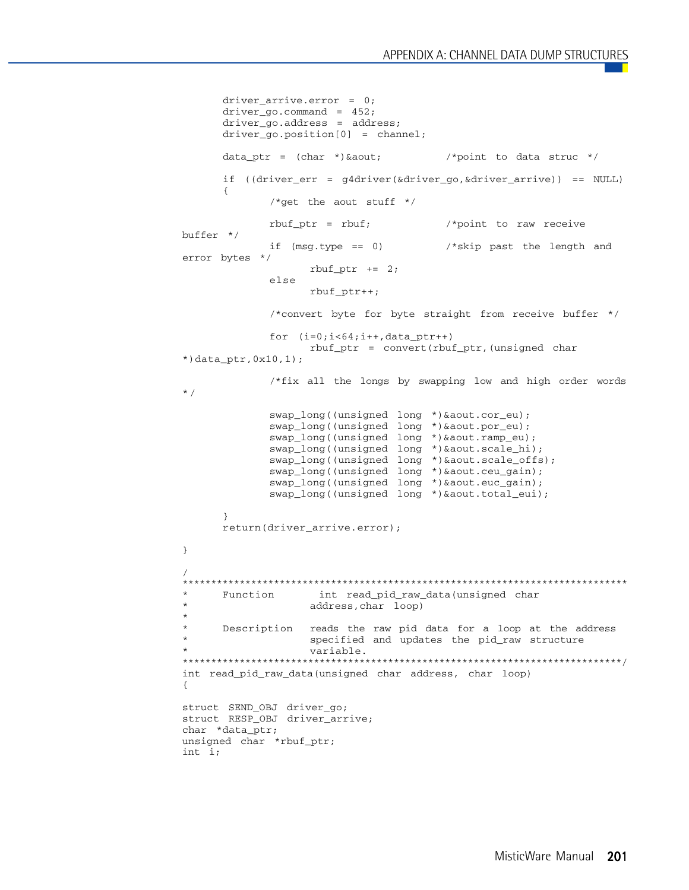```
driver_arrive.error = 0;
      driver_go.command = 452;
      driver_go.address = address;
      driver_go.position[0] = channel;
      data_ptr = (char *) & aout; /*point to data struc */
      if ((driver_err = g4driver(&driver_go,&driver_arrive)) == NULL)
      {
             /*get the aout stuff */
             rbuf_ptr = rbuf; /*point to raw receive
buffer */
             if (msg.type == 0) /*skip past the length and
error bytes */
                   rbuf_ptr += 2;else
                   rbuf_ptr++;
             /*convert byte for byte straight from receive buffer */
             for (i=0; i<64; i++), data_ptr++)
                    rbuf_ptr = convert(rbuf_ptr,(unsigned char
*) data_ptr, 0x10, 1);
             /*fix all the longs by swapping low and high order words
* /
             swap_long((unsigned long *)&aout.cor_eu);
             swap_long((unsigned long *)&aout.por_eu);
             swap_long((unsigned long *)&aout.ramp_eu);
             swap_long((unsigned long *)&aout.scale_hi);
             swap_long((unsigned long *)&aout.scale_offs);
             swap_long((unsigned long *)&aout.ceu_gain);
             swap_long((unsigned long *)&aout.euc_gain);
             swap_long((unsigned long *)&aout.total_eui);
      }
      return(driver_arrive.error);
}
/
******************************************************************************
* Function int read_pid_raw_data(unsigned char
                   address, char loop)
*
* Description reads the raw pid data for a loop at the address
                   specified and updates the pid_raw structure
                   variable.
*****************************************************************************/
int read_pid_raw_data(unsigned char address, char loop)
{
struct SEND_OBJ driver_go;
struct RESP_OBJ driver_arrive;
char *data_ptr;
unsigned char *rbuf_ptr;
int i;
```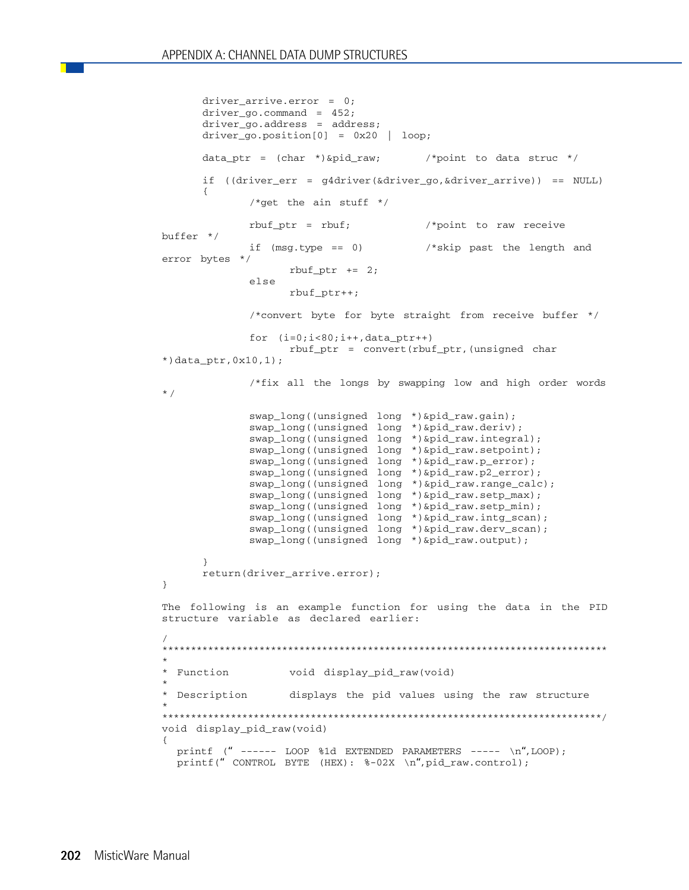```
driver_arrive.error = 0;
      driver_go.command = 452;
      driver_go.address = address;
      \text{driver\_go.position}[0] = 0x20 | loop;
      data_ptr = (char *) &pid_raw; /*point to data struc */
      if ((driver_err = g4driver(&driver_go,&driver_arrive)) == NULL)
      {
             /*get the ain stuff */rbuf_ptr = rbuf; /*point to raw receive
buffer */
             if (msg.type == 0) /*skip past the length and
error bytes */
                   rbuf_ptr += 2;else
                   rbuf_ptr++;
             /*convert byte for byte straight from receive buffer */
              for (i=0; i<80; i++), data_ptr++)
                    rbuf_ptr = convert(rbuf_ptr,(unsigned char
*)data_ptr,0x10,1);
              /*fix all the longs by swapping low and high order words
* /
             swap_long((unsigned long *)&pid_raw.gain);
             swap_long((unsigned long *)&pid_raw.deriv);
             swap_long((unsigned long *)&pid_raw.integral);
             swap_long((unsigned long *)&pid_raw.setpoint);
             swap_long((unsigned long *)&pid_raw.p_error);
             swap_long((unsigned long *)&pid_raw.p2_error);
             swap_long((unsigned long *)&pid_raw.range_calc);
             swap_long((unsigned long *)&pid_raw.setp_max);
             swap_long((unsigned long *)&pid_raw.setp_min);
             swap_long((unsigned long *)&pid_raw.intg_scan);
              swap_long((unsigned long *)&pid_raw.derv_scan);
              swap_long((unsigned long *)&pid_raw.output);
      }
      return(driver_arrive.error);
}
The following is an example function for using the data in the PID
structure variable as declared earlier:
/
******************************************************************************
*
* Function void display_pid_raw(void)
*
* Description displays the pid values using the raw structure
*
*****************************************************************************/
void display_pid_raw(void)
{
  printf (" ------ LOOP %1d EXTENDED PARAMETERS --- - \n\| n'', LOOP);
  printf(" CONTROL BYTE (HEX): %-02X \n",pid_raw.control);
```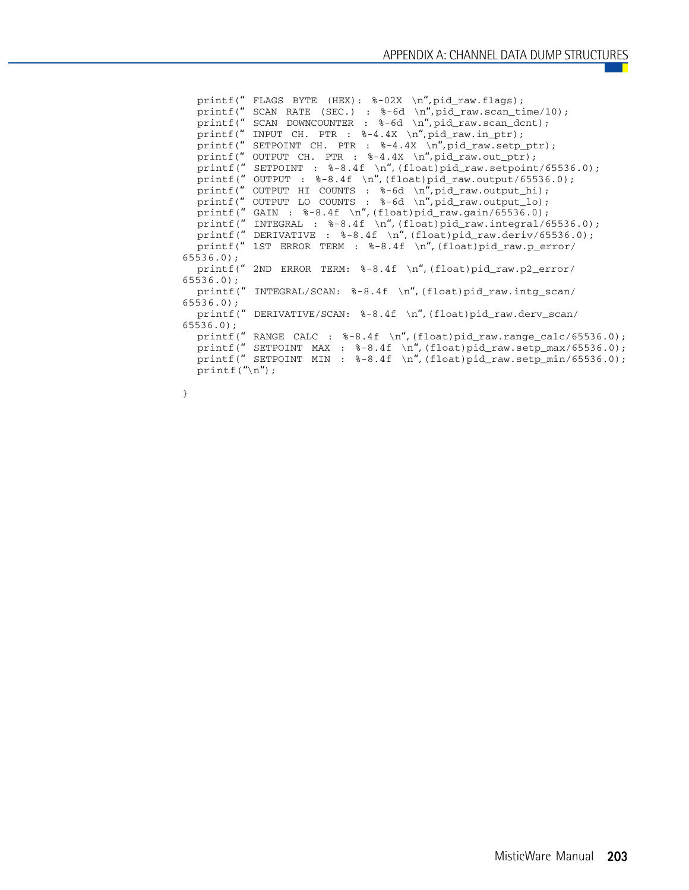```
printf(" FLAGS BYTE (HEX): %-02X \n",pid_raw.flags);
   printf(" SCAN RATE (SEC.) : %-6d \n",pid_raw.scan_time/10);
  printf(" SCAN DOWNCOUNTER : %-6d \n",pid_raw.scan_dcnt);
  \begin{bmatrix} 1 & 0 & 0 \\ 0 & 1 & 0 \\ 0 & 0 & 0 \\ 0 & 0 & 0 \\ 0 & 0 & 0 \\ 0 & 0 & 0 \\ 0 & 0 & 0 \\ 0 & 0 & 0 \\ 0 & 0 & 0 \\ 0 & 0 & 0 \\ 0 & 0 & 0 \\ 0 & 0 & 0 \\ 0 & 0 & 0 \\ 0 & 0 & 0 \\ 0 & 0 & 0 \\ 0 & 0 & 0 \\ 0 & 0 & 0 \\ 0 & 0 & 0 \\ 0 & 0 & 0 \\ 0 & 0 & 0 \\ 0 & 0 & 0 \\ 0 & 0 & 0 & 0 \\ 0 & 0 & 0 & 0 \\ printf(" SETPOINT CH. PTR : \frac{1}{2}-4.4X \n",pid_raw.setp_ptr);
  printf(" OUTPUT CH. PTR : %-4.4X \n", pid_raw.out_ptr);
  printf(" SETPOINT : %-8.4f \n",(float)pid_raw.setpoint/65536.0);
  printf(" OUTPUT : %-8.4f \n",(float)pid_raw.output/65536.0);
   printf(" OUTPUT HI COUNTS : %-6d \n",pid_raw.output_hi);
   printf(" OUTPUT LO COUNTS : %-6d \n",pid_raw.output_lo);
  printf(" GAIN : %-8.4f \n",(float)pid_raw.gain/65536.0);
  printf(" INTEGRAL : %-8.4f \n",(float)pid_raw.integral/65536.0);
  printf(" INTEGRIVATIVE : %-8.4f \n",(float)pid_raw.deriv/65536.0);
  printf(" 1ST ERROR TERM : %-8.4f \n",(float)pid_raw.p_error/
65536.0);
  printf(" 2ND ERROR TERM: %-8.4f \n",(float)pid_raw.p2_error/
65536.0);
  printf(" INTEGRAL/SCAN: %-8.4f \n",(float)pid_raw.intg_scan/
65536.0);
  printf(" DERIVATIVE/SCAN: %-8.4f \n",(float)pid_raw.derv_scan/
65536.0);
  printf(" RANGE CALC : %-8.4f \n",(float)pid_raw.range_calc/65536.0);
  printf(" SETPOINT MAX : %-8.4f \n",(float)pid_raw.setp_max/65536.0);
  printf(" SETPOINT MIN : %-8.4f \n",(float)pid_raw.setp_min/65536.0);
  printf(''\n'');
```
}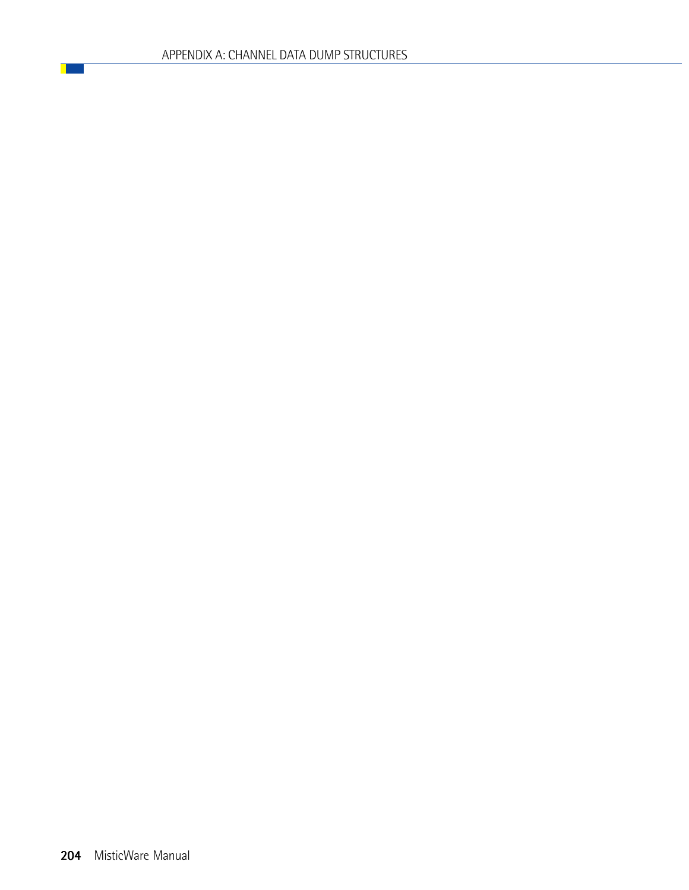**T**he Co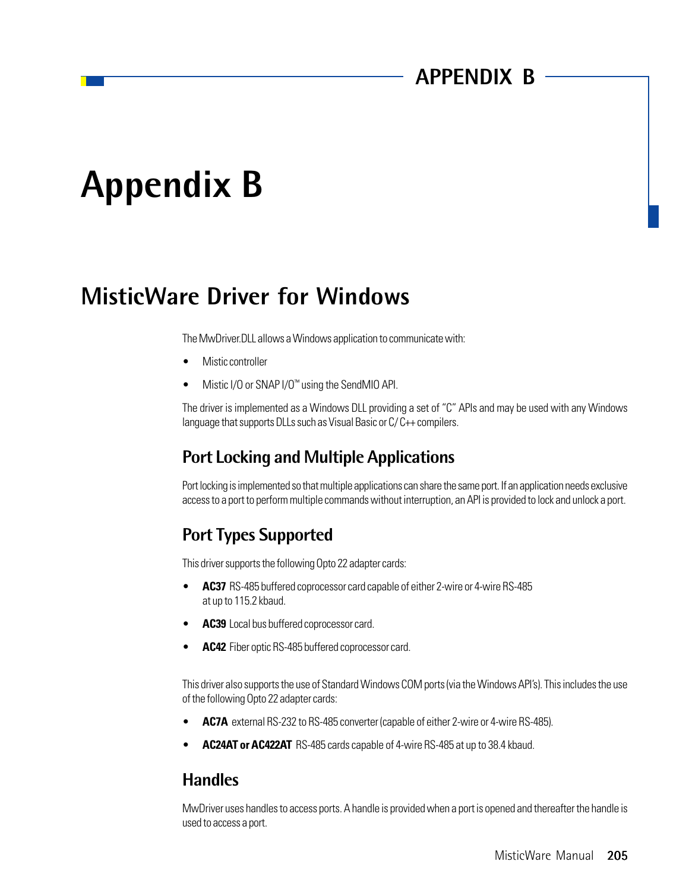# **APPENDIX B**

# **Appendix B**

### **MisticWare Driver for Windows**

The MwDriver.DLL allows a Windows application to communicate with:

- Mistic controller
- Mistic I/O or SNAP I/O™ using the SendMIO API.

The driver is implemented as a Windows DLL providing a set of "C" APIs and may be used with any Windows language that supports DLLs such as Visual Basic or C/C++ compilers.

### **Port Locking and Multiple Applications**

Port locking is implemented so that multiple applications can share the same port. If an application needs exclusive access to a port to perform multiple commands without interruption, an API is provided to lock and unlock a port.

### **Port Types Supported**

This driver supports the following Opto 22 adapter cards:

- **AC37** RS-485 buffered coprocessor card capable of either 2-wire or 4-wire RS-485 at up to 115.2 kbaud.
- **AC39** Local bus buffered coprocessor card.
- **AC42** Fiber optic RS-485 buffered coprocessor card.

This driver also supports the use of Standard Windows COM ports (via the Windows API's). This includes the use of the following Opto 22 adapter cards:

- **AC7A** external RS-232 to RS-485 converter (capable of either 2-wire or 4-wire RS-485).
- **AC24AT or AC422AT** RS-485 cards capable of 4-wire RS-485 at up to 38.4 kbaud.

### **Handles**

MwDriver uses handles to access ports. A handle is provided when a port is opened and thereafter the handle is used to access a port.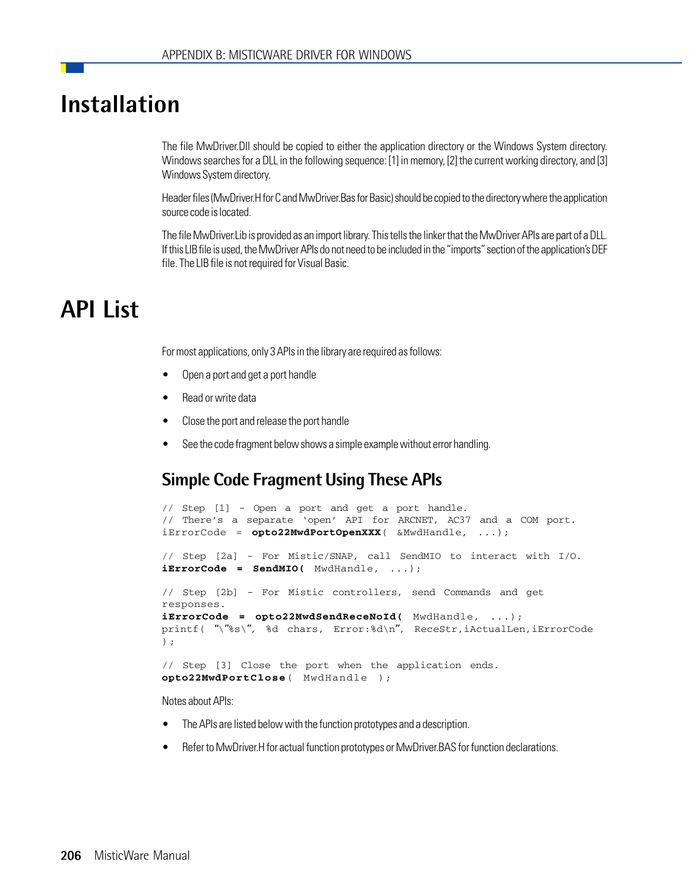## **Installation**

The file MwDriver.Dll should be copied to either the application directory or the Windows System directory. Windows searches for a DLL in the following sequence: [1] in memory, [2] the current working directory, and [3] Windows System directory.

Header files (MwDriver.H for C and MwDriver.Bas for Basic) should be copied to the directory where the application source code is located.

The file MwDriver.Lib is provided as an import library. This tells the linker that the MwDriver APIs are part of a DLL. If this LIB file is used, the MwDriver APIs do not need to be included in the "imports" section of the application's DEF file. The LIB file is not required for Visual Basic.

## **API List**

For most applications, only 3 APIs in the library are required as follows:

- Open a port and get a port handle
- Read or write data
- Close the port and release the port handle
- See the code fragment below shows a simple example without error handling.

### **Simple Code Fragment Using These APIs**

```
// Step [1] - Open a port and get a port handle.
// There's a separate 'open' API for ARCNET, AC37 and a COM port.
iErrorCode = opto22MwdPortOpenXXX( &MwdHandle, ...);
// Step [2a] - For Mistic/SNAP, call SendMIO to interact with I/O.
iErrorCode = SendMIO( MwdHandle, ...);
// Step [2b] - For Mistic controllers, send Commands and get
responses.
iErrorCode = opto22MwdSendReceNoId( MwdHandle, ...);
printf( "\"%s\", %d chars, Error:%d\n", ReceStr,iActualLen,iErrorCode
) ;
// Step [3] Close the port when the application ends.
opto22MwdPortClose( MwdHandle );
```
Notes about APIs:

- The APIs are listed below with the function prototypes and a description.
- Refer to MwDriver. H for actual function prototypes or MwDriver. BAS for function declarations.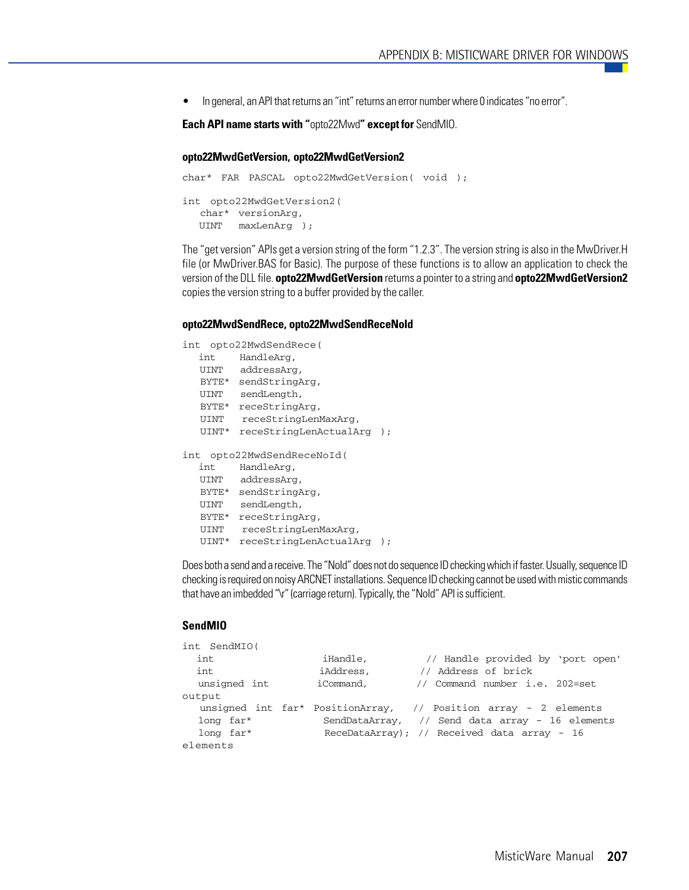• In general, an API that returns an "int" returns an error number where 0 indicates "no error".

**Each API name starts with "**opto22Mwd**" except for** SendMIO.

#### **opto22MwdGetVersion, opto22MwdGetVersion2**

```
char* FAR PASCAL opto22MwdGetVersion( void );
int opto22MwdGetVersion2(
   char* versionArg,
   UINT maxLenArg );
```
The "get version" APIs get a version string of the form "1.2.3". The version string is also in the MwDriver.H file (or MwDriver.BAS for Basic). The purpose of these functions is to allow an application to check the version of the DLL file. **opto22MwdGetVersion** returns a pointer to a string and **opto22MwdGetVersion2** copies the version string to a buffer provided by the caller.

#### **opto22MwdSendRece, opto22MwdSendReceNoId**

```
int opto22MwdSendRece(
   int HandleArg,
   UINT addressArg,
   BYTE* sendStringArg,
   UINT sendLength,
   BYTE* receStringArg,
   UINT receStringLenMaxArg,
   UINT* receStringLenActualArg );
int opto22MwdSendReceNoId(
   int HandleArg,
   UINT addressArg,
   BYTE* sendStringArg,
   UINT sendLength,
   BYTE* receStringArg,
   UINT receStringLenMaxArg,
   UINT* receStringLenActualArg );
```
Does both a send and a receive. The "NoId" does not do sequence ID checking which if faster. Usually, sequence ID checking is required on noisy ARCNET installations. Sequence ID checking cannot be used with mistic commands that have an imbedded "\r" (carriage return). Typically, the "NoId" API is sufficient.

#### **SendMIO**

```
int SendMIO(
  int iHandle, \frac{1}{4} iHandle, \frac{1}{4} // Handle provided by 'port open' int iAddress, \frac{1}{4} address of brick
  \qquad \qquad \text{inddress,} \qquad \qquad \text{ // Address of brick}unsigned int iCommand, 1/ Command number i.e. 202=set
output
   unsigned int far* PositionArray, // Position array - 2 elements
   long far* SendDataArray, // Send data array - 16 elements
   long far* ReceDataArray); // Received data array - 16
elements
```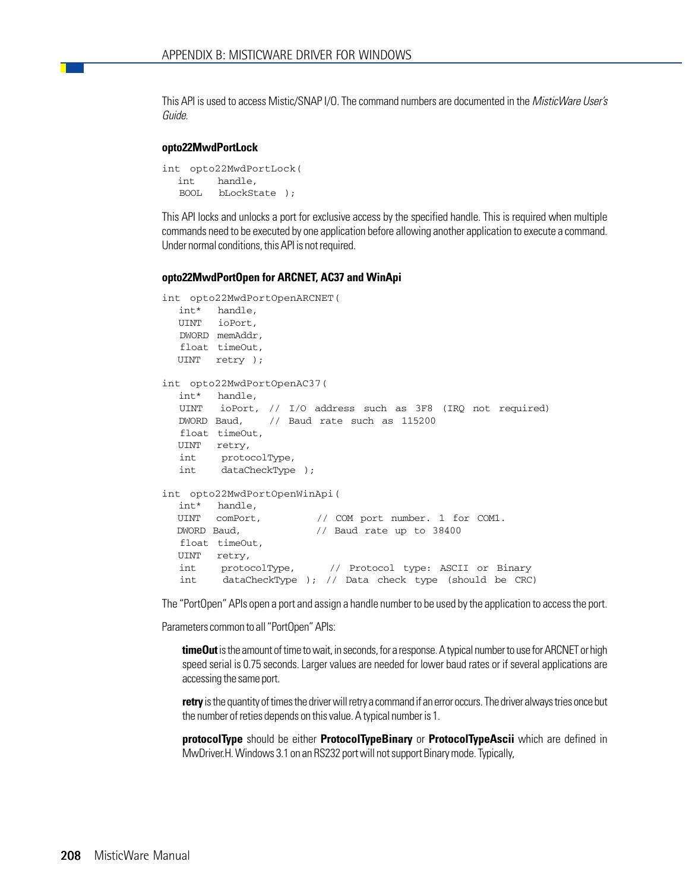This API is used to access Mistic/SNAP I/O. The command numbers are documented in the MisticWare User's Guide.

#### **opto22MwdPortLock**

```
int opto22MwdPortLock(
  int handle,
   BOOL bLockState );
```
This API locks and unlocks a port for exclusive access by the specified handle. This is required when multiple commands need to be executed by one application before allowing another application to execute a command. Under normal conditions, this API is not required.

#### **opto22MwdPortOpen for ARCNET, AC37 and WinApi**

```
int opto22MwdPortOpenARCNET(
  int* handle,
  UINT ioPort,
   DWORD memAddr,
  float timeOut,
 UINT retry );
int opto22MwdPortOpenAC37(
   int* handle,
   UINT ioPort, // I/O address such as 3F8 (IRQ not required)
   DWORD Baud, // Baud rate such as 115200
   float timeOut,
  UINT retry,
   int protocolType,
  int dataCheckType );
int opto22MwdPortOpenWinApi(
  int* handle,
  UINT comPort, // COM port number. 1 for COM1.DWORD Baud, \frac{1}{8} Baud rate up to 38400
   float timeOut,
  UINT retry,
   int protocolType, // Protocol type: ASCII or Binary
   int dataCheckType ); // Data check type (should be CRC)
```
The "PortOpen" APIs open a port and assign a handle number to be used by the application to access the port.

Parameters common to all "PortOpen" APIs:

**timeOut** is the amount of time to wait, in seconds, for a response. A typical number to use for ARCNET or high speed serial is 0.75 seconds. Larger values are needed for lower baud rates or if several applications are accessing the same port.

**retry** is the quantity of times the driver will retry a command if an error occurs. The driver always tries once but the number of reties depends on this value. A typical number is 1.

**protocolType** should be either **ProtocolTypeBinary** or **ProtocolTypeAscii** which are defined in MwDriver.H. Windows 3.1 on an RS232 port will not support Binary mode. Typically,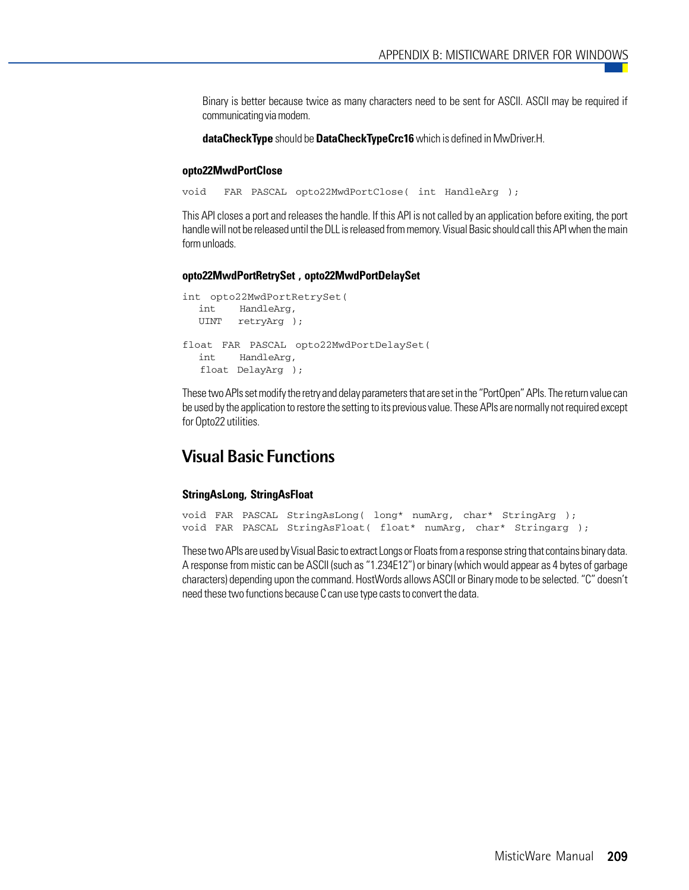Binary is better because twice as many characters need to be sent for ASCII. ASCII may be required if communicating via modem.

**dataCheckType** should be **DataCheckTypeCrc16** which is defined in MwDriver.H.

#### **opto22MwdPortClose**

void FAR PASCAL opto22MwdPortClose( int HandleArg );

This API closes a port and releases the handle. If this API is not called by an application before exiting, the port handle will not be released until the DLL is released from memory. Visual Basic should call this API when the main form unloads.

#### **opto22MwdPortRetrySet , opto22MwdPortDelaySet**

```
int opto22MwdPortRetrySet(
   int HandleArg,
   UINT retryArg );
float FAR PASCAL opto22MwdPortDelaySet(
   int HandleArg,
   float DelayArg );
```
These two APIs set modify the retry and delay parameters that are set in the "PortOpen" APIs. The return value can be used by the application to restore the setting to its previous value. These APIs are normally not required except for Opto22 utilities.

### **Visual Basic Functions**

#### **StringAsLong, StringAsFloat**

```
void FAR PASCAL StringAsLong( long* numArg, char* StringArg );
void FAR PASCAL StringAsFloat( float* numArg, char* Stringarg );
```
These two APIs are used by Visual Basic to extract Longs or Floats from a response string that contains binary data. A response from mistic can be ASCII (such as "1.234E12") or binary (which would appear as 4 bytes of garbage characters) depending upon the command. HostWords allows ASCII or Binary mode to be selected. "C" doesn't need these two functions because C can use type casts to convert the data.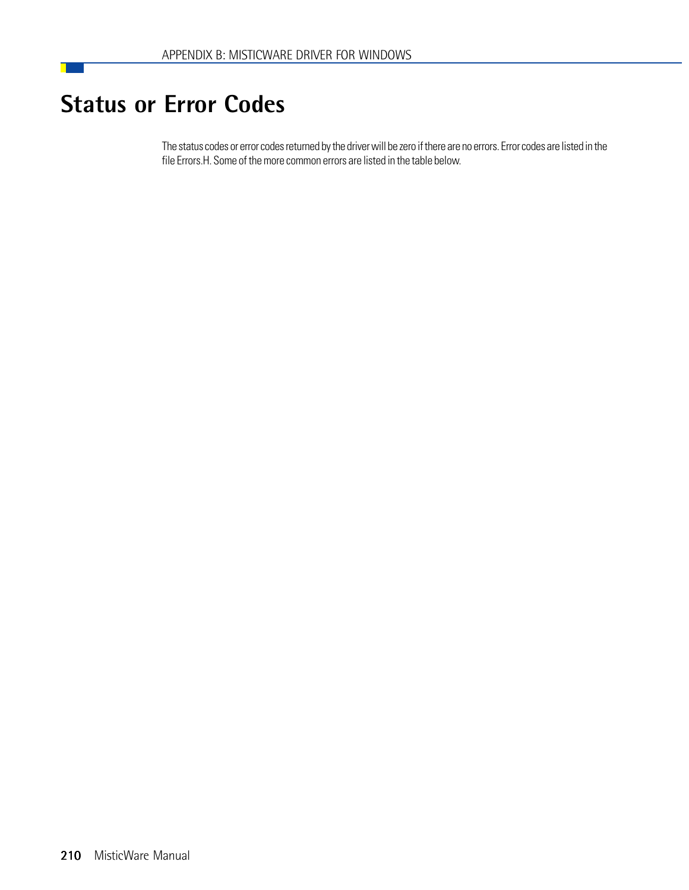# **Status or Error Codes**

П

The status codes or error codes returned by the driver will be zero if there are no errors. Error codes are listed in the file Errors.H. Some of the more common errors are listed in the table below.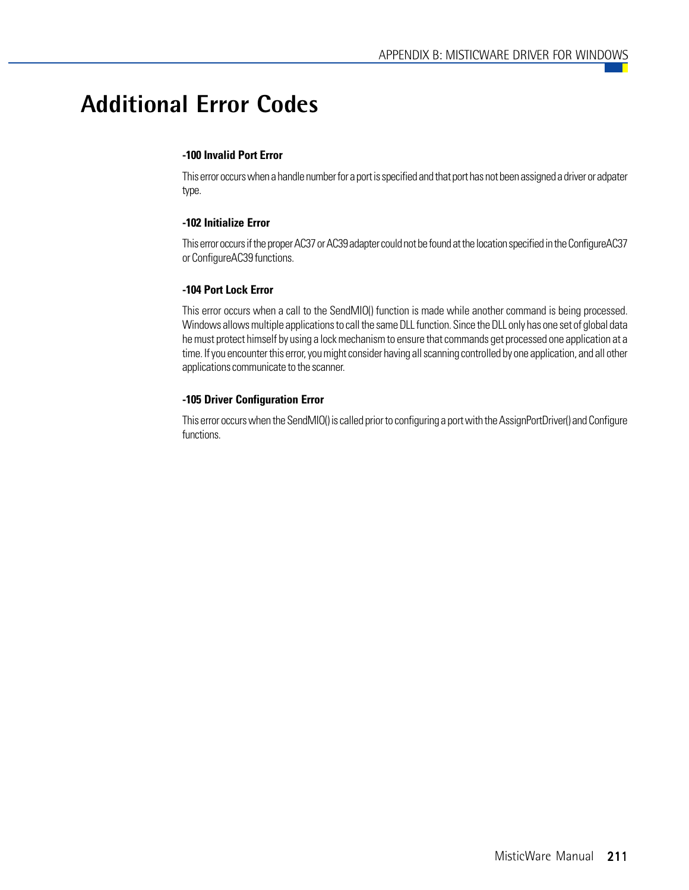# **Additional Error Codes**

### **-100 Invalid Port Error**

This error occurs when a handle number for a port is specified and that port has not been assigned a driver or adpater type.

### **-102 Initialize Error**

This error occurs if the proper AC37 or AC39 adapter could not be found at the location specified in the ConfigureAC37 or ConfigureAC39 functions.

### **-104 Port Lock Error**

This error occurs when a call to the SendMIO() function is made while another command is being processed. Windows allows multiple applications to call the same DLL function. Since the DLL only has one set of global data he must protect himself by using a lock mechanism to ensure that commands get processed one application at a time. If you encounter this error, you might consider having all scanning controlled by one application, and all other applications communicate to the scanner.

### **-105 Driver Configuration Error**

This error occurs when the SendMIO() is called prior to configuring a port with the AssignPortDriver() and Configure functions.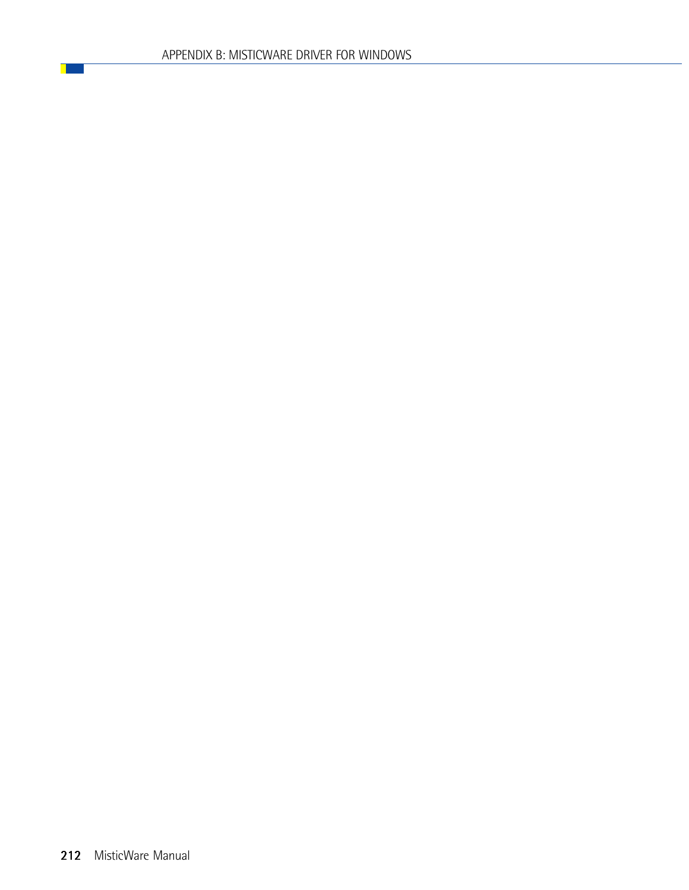**T**he Co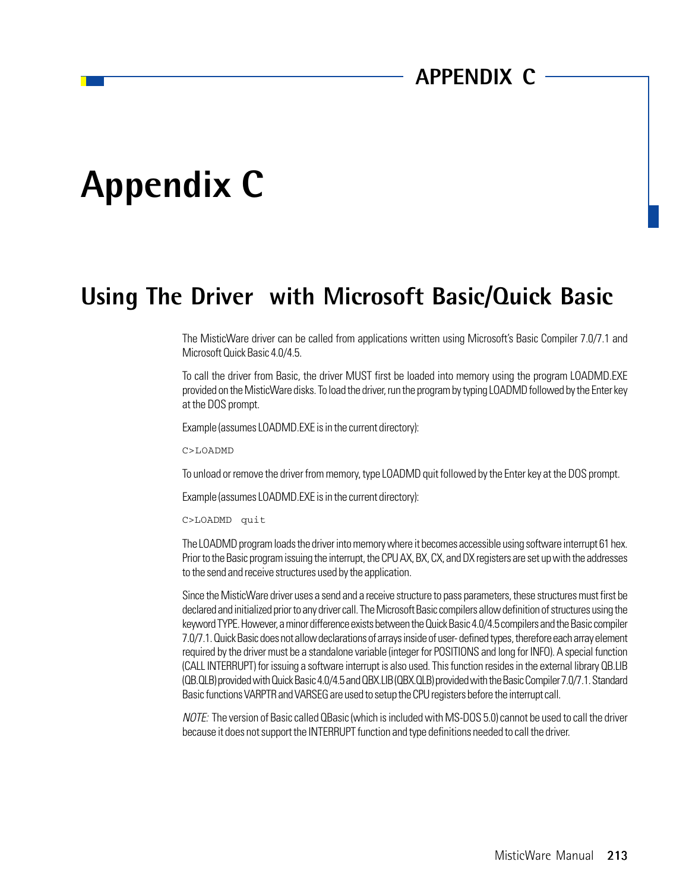# **APPENDIX C**

# **Appendix C**

## **Using The Driver with Microsoft Basic/Quick Basic**

The MisticWare driver can be called from applications written using Microsoft's Basic Compiler 7.0/7.1 and Microsoft Quick Basic 4.0/4.5.

To call the driver from Basic, the driver MUST first be loaded into memory using the program LOADMD.EXE provided on the MisticWare disks. To load the driver, run the program by typing LOADMD followed by the Enter key at the DOS prompt.

Example (assumes LOADMD.EXE is in the current directory):

C>LOADMD

To unload or remove the driver from memory, type LOADMD quit followed by the Enter key at the DOS prompt.

Example (assumes LOADMD.EXE is in the current directory):

C>LOADMD quit

The LOADMD program loads the driver into memory where it becomes accessible using software interrupt 61 hex. Prior to the Basic program issuing the interrupt, the CPU AX, BX, CX, and DX registers are set up with the addresses to the send and receive structures used by the application.

Since the MisticWare driver uses a send and a receive structure to pass parameters, these structures must first be declared and initialized prior to any driver call. The Microsoft Basic compilers allow definition of structures using the keyword TYPE. However, a minor difference exists between the Quick Basic 4.0/4.5 compilers and the Basic compiler 7.0/7.1. Quick Basic does not allow declarations of arrays inside of user- defined types, therefore each array element required by the driver must be a standalone variable (integer for POSITIONS and long for INFO). A special function (CALL INTERRUPT) for issuing a software interrupt is also used. This function resides in the external library QB.LIB (QB.QLB) provided with Quick Basic 4.0/4.5 and QBX.LIB (QBX.QLB) provided with the Basic Compiler 7.0/7.1. Standard Basic functions VARPTR and VARSEG are used to setup the CPU registers before the interrupt call.

NOTE: The version of Basic called QBasic (which is included with MS-DOS 5.0) cannot be used to call the driver because it does not support the INTERRUPT function and type definitions needed to call the driver.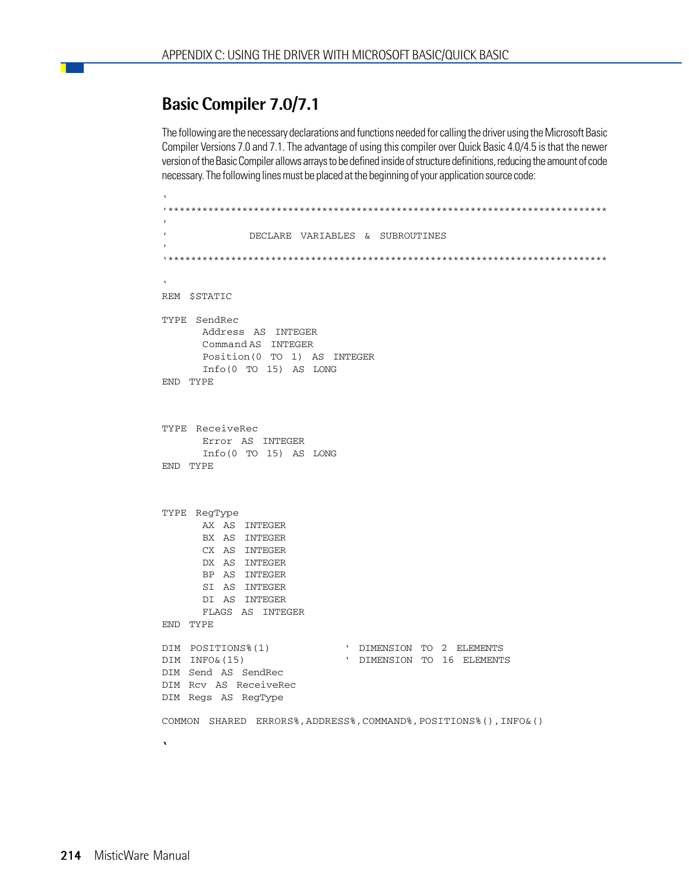### **Basic Compiler 7.0/7.1**

The following are the necessary declarations and functions needed for calling the driver using the Microsoft Basic Compiler Versions 7.0 and 7.1. The advantage of using this compiler over Quick Basic 4.0/4.5 is that the newer version of the Basic Compiler allows arrays to be defined inside of structure definitions, reducing the amount of code necessary. The following lines must be placed at the beginning of your application source code:

```
'
'*****************************************************************************
'
             ' DECLARE VARIABLES & SUBROUTINES
'
'*****************************************************************************
'
REM $STATIC
TYPE SendRec
      Address AS INTEGER
      Command AS INTEGER
      Position(0 TO 1) AS INTEGER
      Info(0 TO 15) AS LONG
END TYPE
TYPE ReceiveRec
     Error AS INTEGER
     Info(0 TO 15) AS LONG
END TYPE
TYPE RegType
      AX AS INTEGER
      BX AS INTEGER
      CX AS INTEGER
      DX AS INTEGER
      BP AS INTEGER
      SI AS INTEGER
      DI AS INTEGER
      FLAGS AS INTEGER
END TYPE
DIM POSITIONS%(1) \blacksquare DIMENSION TO 2 ELEMENTS
DIM INFO&(15) ' DIMENSION TO 16 ELEMENTS
DIM Send AS SendRec
DIM Rcv AS ReceiveRec
DIM Regs AS RegType
COMMON SHARED ERRORS%,ADDRESS%,COMMAND%,POSITIONS%(),INFO&()
```
**'**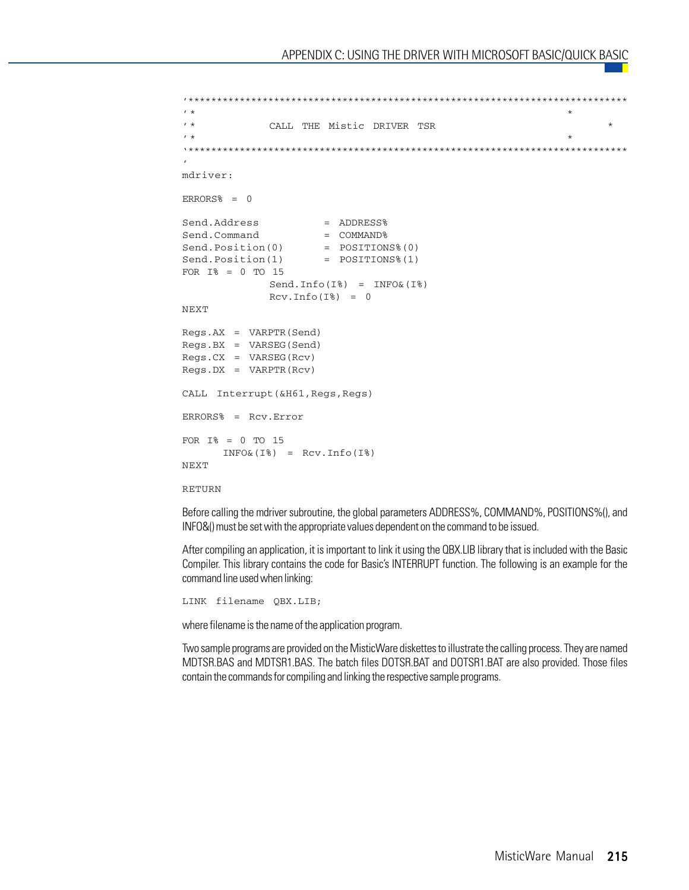```
'*****************************************************************************
\mathbf{r} \mathbf{r} \mathbf{r} \mathbf{r} \mathbf{r} \mathbf{r} \mathbf{r} \mathbf{r} \mathbf{r} \mathbf{r} \mathbf{r} \mathbf{r} \mathbf{r} \mathbf{r} \mathbf{r} \mathbf{r} \mathbf{r} \mathbf{r} \mathbf{r} \mathbf{r} \mathbf{r} \mathbf{r} \mathbf{r} \mathbf{r} \mathbf{' * ' CALL THE Mistic DRIVER TSR ' *
\mathbf{r} \mathbf{r} \mathbf{r} \mathbf{r} \mathbf{r} \mathbf{r} \mathbf{r} \mathbf{r} \mathbf{r} \mathbf{r} \mathbf{r} \mathbf{r} \mathbf{r} \mathbf{r} \mathbf{r} \mathbf{r} \mathbf{r} \mathbf{r} \mathbf{r} \mathbf{r} \mathbf{r} \mathbf{r} \mathbf{r} \mathbf{r} \mathbf{'*****************************************************************************
\mathbf{r}mdriver:
ERRORS = 0
Send.Address = ADDRESS%
Send.Command = COMMAND%
Send.Position(0) = POSITIONS%(0)
Send.Position(1) = POSITIONS%(1)
FOR I^* = 0 TO 15
                   Send.Info(I%) = INFO&(I%)
                  Rcvi.Info(I%) = 0
NEXT
Regs.AX = VARPTR(Send)
Regs.BX = VARSEG(Send)
Regs.CX = VARSEG(Rcv)
Regs.DX = VARPTR(Rcv)CALL Interrupt(&H61, Regs, Regs)
ERRORS% = Rcv.Error
FOR I^* = 0 TO 15INFO&(I%) = Rcv.Info(I%)
NEXT
RETURN
```
Before calling the mdriver subroutine, the global parameters ADDRESS%, COMMAND%, POSITIONS%(), and INFO&() must be set with the appropriate values dependent on the command to be issued.

After compiling an application, it is important to link it using the QBX.LIB library that is included with the Basic Compiler. This library contains the code for Basic's INTERRUPT function. The following is an example for the command line used when linking:

```
LINK filename QBX.LIB;
```
where filename is the name of the application program.

Two sample programs are provided on the MisticWare diskettes to illustrate the calling process. They are named MDTSR.BAS and MDTSR1.BAS. The batch files DOTSR.BAT and DOTSR1.BAT are also provided. Those files contain the commands for compiling and linking the respective sample programs.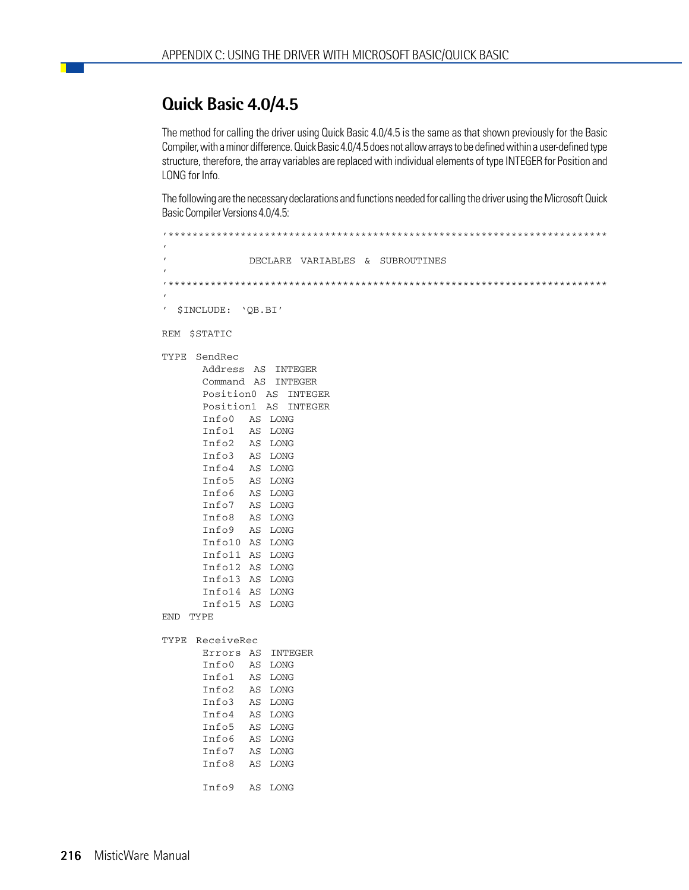### **Quick Basic 4.0/4.5**

The method for calling the driver using Quick Basic 4.0/4.5 is the same as that shown previously for the Basic Compiler, with a minor difference. Quick Basic 4.0/4.5 does not allow arrays to be defined within a user-defined type structure, therefore, the array variables are replaced with individual elements of type INTEGER for Position and LONG for Info.

The following are the necessary declarations and functions needed for calling the driver using the Microsoft Quick Basic Compiler Versions 4.0/4.5:

```
'*************************************************************************
'
             ' DECLARE VARIABLES & SUBROUTINES
'
'*************************************************************************
'
' $INCLUDE: 'QB.BI'
REM $STATIC
TYPE SendRec
      Address AS INTEGER
      Command AS INTEGER
      Position0 AS INTEGER
      Position1 AS INTEGER
      Info0 AS LONG
      Info1 AS LONG
      Info2 AS LONG
      Info3 AS LONG
      Info4 AS LONG
      Info5 AS LONG
      Info6 AS LONG
      Info7 AS LONG
      Info8 AS LONG
      Info9 AS LONG
      Info10 AS LONG
      Info11 AS LONG
      Info12 AS LONG
      Info13 AS LONG
      Info14 AS LONG
      Info15 AS LONG
END TYPE
TYPE ReceiveRec
      Errors AS INTEGER
      Info0 AS LONG
      Info1 AS LONG
      Info2 AS LONG
      Info3 AS LONG
      Info4 AS LONG
      Info5 AS LONG
      Info6 AS LONG
     Info7 AS LONG
      Info8 AS LONG
      Info9 AS LONG
```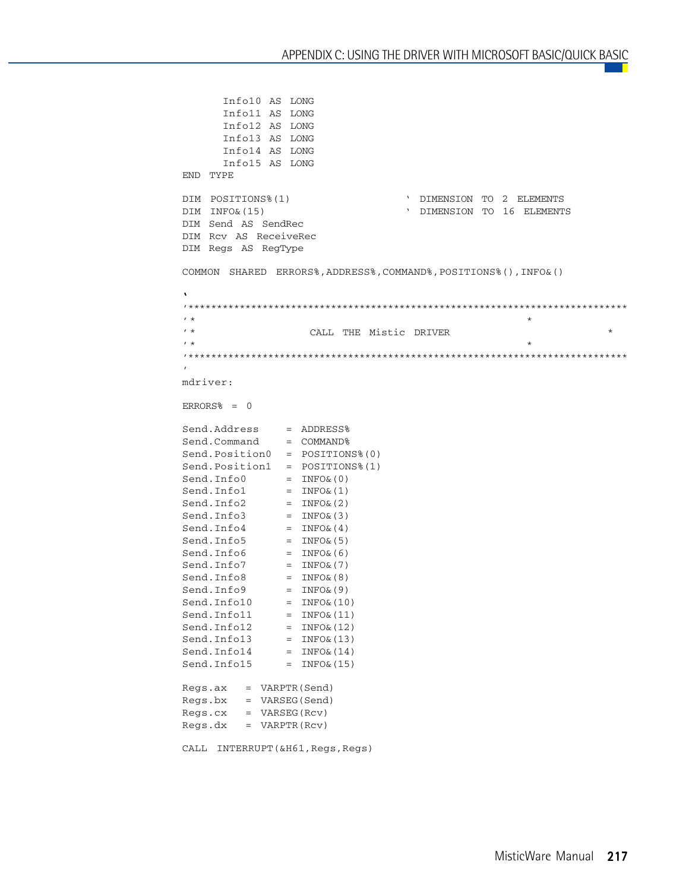```
Info10 AS LONG
     Info11 AS LONG
     Info12 AS LONG
     Info13 AS LONG
     Info14 AS LONG
     Info15 AS LONG
END TYPE
DIM POSITIONS%(1) \blacksquare DIMENSION TO 2 ELEMENTS
DIM INFO&(15) \blacksquare DIMENSION TO 16 ELEMENTS
DIM Send AS SendRec
DIM Rcv AS ReceiveRec
DIM Regs AS RegType
COMMON SHARED ERRORS%,ADDRESS%,COMMAND%,POSITIONS%(),INFO&()
'
'*****************************************************************************
\mathbf{r} * *
\cdot * The CALL THE Mistic DRIVER \cdot *
\mathbf{r} * *
'*****************************************************************************
'
mdriver:
ERRORS = 0
Send.Address = ADDRESS%
Send.Command = COMMAND%
Send.Position0 = POSITIONS%(0)
Send.Position1 = POSITIONS%(1)
Send.Inf00 = INFO&(0)Send.Infol = INFO&(1)Send.Info2 = INFO&(2)Send.Info3 = INFO&(3)Send.Inf04 = INFO&(4)Send.Info5 = INFO&(5)Send.Info6 = INFO&(6)Send.Info7 = INFO&(7)Send.Info8 = INFO&(8)Send.Info9 = INFO&(9)Send.Infol0 = INFO&(10)Send.Info11 = INFO&(11)Send.Info12 = INFO&(12)Send.Info13 = INFO&(13)Send.Infol4 = INFO& (14)Send.Info15 = INFO& (15)Regs.ax = VARPTR(Send)
Regs.bx = VARSEG(Send)
Regs.cx = VARSEG(Rcv)
Regs.dx = VARPTR(Rcv)
CALL INTERRUPT(&H61, Regs, Regs)
```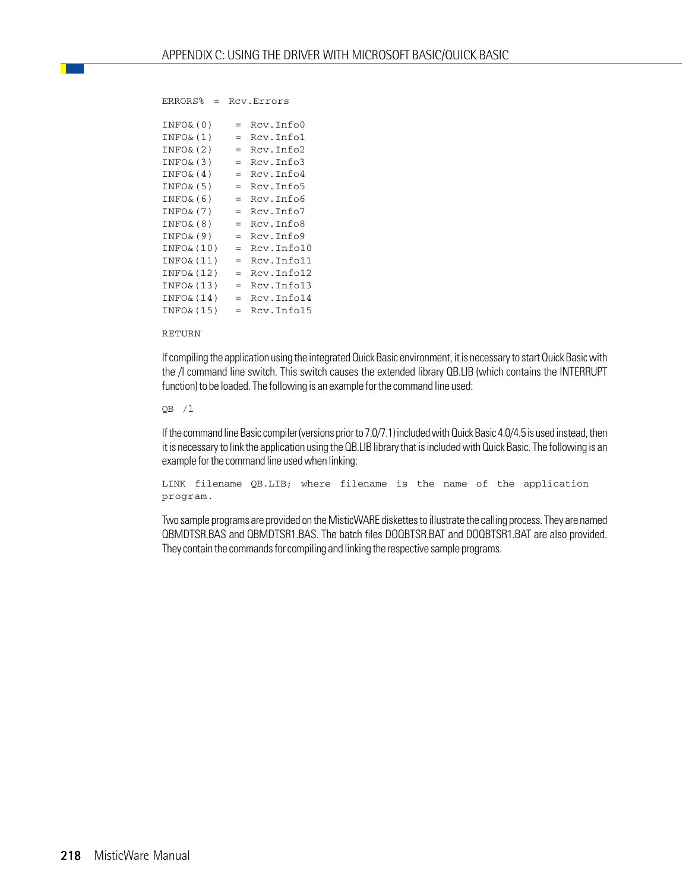| ERRORS%               | $=$ | Rcv.Errors |
|-----------------------|-----|------------|
| INFO& (0)             | $=$ | Rcy.Info0  |
| INFO&(1)              | $=$ | Rcy.Infol  |
| INFO&(2)              | $=$ | Rcy. Info2 |
| INFO&(3)              | $=$ | Rcy. Info3 |
| INFO&(4)              | $=$ | Rcy. Info4 |
| INFO&(5)              | $=$ | Rcv.Info5  |
| INFO&(6)              | $=$ | Rcy. Info6 |
| INFO&(7)              | $=$ | Rcy.Info7  |
| INFO&(8)              | $=$ | Rcy.Info8  |
| INFO&(9)              | $=$ | Rcy. Info9 |
| INFO& (10)            | $=$ | Rcv.Info10 |
| INFO& (11)            | $=$ | Rcv.Info11 |
| INFO& (12)            | $=$ | Rcy.Info12 |
| INFO& (13)            | $=$ | Rcy.Info13 |
| INFO& (14)            | $=$ | Rcy.Info14 |
| <b>INFO&amp; (15)</b> | $=$ | Rcv.Info15 |

#### RETURN

If compiling the application using the integrated Quick Basic environment, it is necessary to start Quick Basic with the /l command line switch. This switch causes the extended library QB.LIB (which contains the INTERRUPT function) to be loaded. The following is an example for the command line used:

#### QB /l

If the command line Basic compiler (versions prior to 7.0/7.1) included with Quick Basic 4.0/4.5 is used instead, then it is necessary to link the application using the QB.LIB library that is included with Quick Basic. The following is an example for the command line used when linking:

LINK filename QB.LIB; where filename is the name of the application program.

Two sample programs are provided on the MisticWARE diskettes to illustrate the calling process. They are named QBMDTSR.BAS and QBMDTSR1.BAS. The batch files DOQBTSR.BAT and DOQBTSR1.BAT are also provided. They contain the commands for compiling and linking the respective sample programs.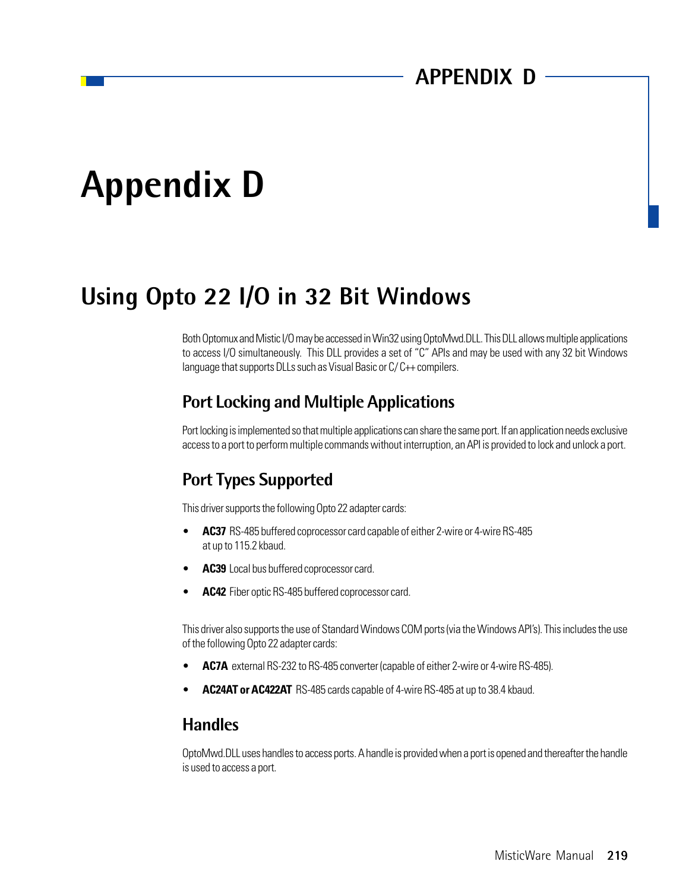# **APPENDIX D**

# **Appendix D**

# **Using Opto 22 I/O in 32 Bit Windows**

Both Optomux and Mistic I/O may be accessed in Win32 using OptoMwd.DLL. This DLL allows multiple applications to access I/O simultaneously. This DLL provides a set of "C" APIs and may be used with any 32 bit Windows language that supports DLLs such as Visual Basic or C/C++ compilers.

# **Port Locking and Multiple Applications**

Port locking is implemented so that multiple applications can share the same port. If an application needs exclusive access to a port to perform multiple commands without interruption, an API is provided to lock and unlock a port.

# **Port Types Supported**

This driver supports the following Opto 22 adapter cards:

- **AC37** RS-485 buffered coprocessor card capable of either 2-wire or 4-wire RS-485 at up to 115.2 kbaud.
- **AC39** Local bus buffered coprocessor card.
- **AC42** Fiber optic RS-485 buffered coprocessor card.

This driver also supports the use of Standard Windows COM ports (via the Windows API's). This includes the use of the following Opto 22 adapter cards:

- **AC7A** external RS-232 to RS-485 converter (capable of either 2-wire or 4-wire RS-485).
- **AC24AT or AC422AT** RS-485 cards capable of 4-wire RS-485 at up to 38.4 kbaud.

# **Handles**

OptoMwd.DLL uses handles to access ports. A handle is provided when a port is opened and thereafter the handle is used to access a port.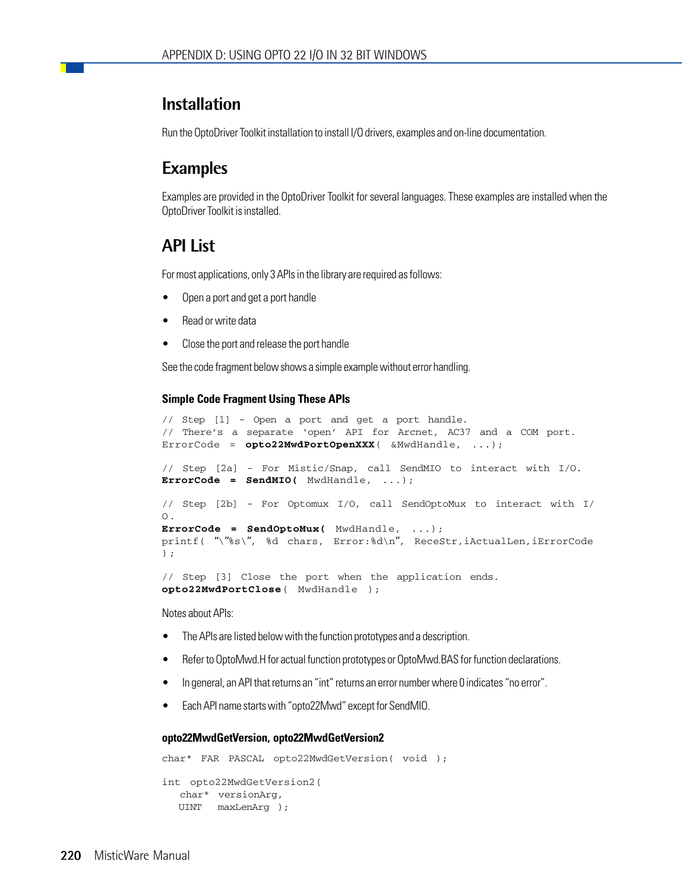# **Installation**

Run the OptoDriver Toolkit installation to install I/O drivers, examples and on-line documentation.

# **Examples**

Examples are provided in the OptoDriver Toolkit for several languages. These examples are installed when the OptoDriver Toolkit is installed.

# **API List**

For most applications, only 3 APIs in the library are required as follows:

- Open a port and get a port handle
- Read or write data
- Close the port and release the port handle

See the code fragment below shows a simple example without error handling.

### **Simple Code Fragment Using These APIs**

```
// Step [1] - Open a port and get a port handle.
// There's a separate 'open' API for Arcnet, AC37 and a COM port.
ErrorCode = opto22MwdPortOpenXXX( &MwdHandle, ...);
// Step [2a] - For Mistic/Snap, call SendMIO to interact with I/O.
ErrorCode = SendMIO( MwdHandle, ...);
// Step [2b] - For Optomux I/O, call SendOptoMux to interact with I/
O.
ErrorCode = SendOptoMux( MwdHandle, ...);
printf( "\"%s\", %d chars, Error:%d\n", ReceStr,iActualLen,iErrorCode
) ;
// Step [3] Close the port when the application ends.
opto22MwdPortClose( MwdHandle );
```
Notes about APIs:

- The APIs are listed below with the function prototypes and a description.
- Refer to OptoMwd.H for actual function prototypes or OptoMwd.BAS for function declarations.
- In general, an API that returns an "int" returns an error number where 0 indicates "no error".
- Each API name starts with "opto22Mwd" except for SendMIO.

#### **opto22MwdGetVersion, opto22MwdGetVersion2**

```
char* FAR PASCAL opto22MwdGetVersion( void );
int opto22MwdGetVersion2(
   char* versionArg,
   UINT maxLenArg );
```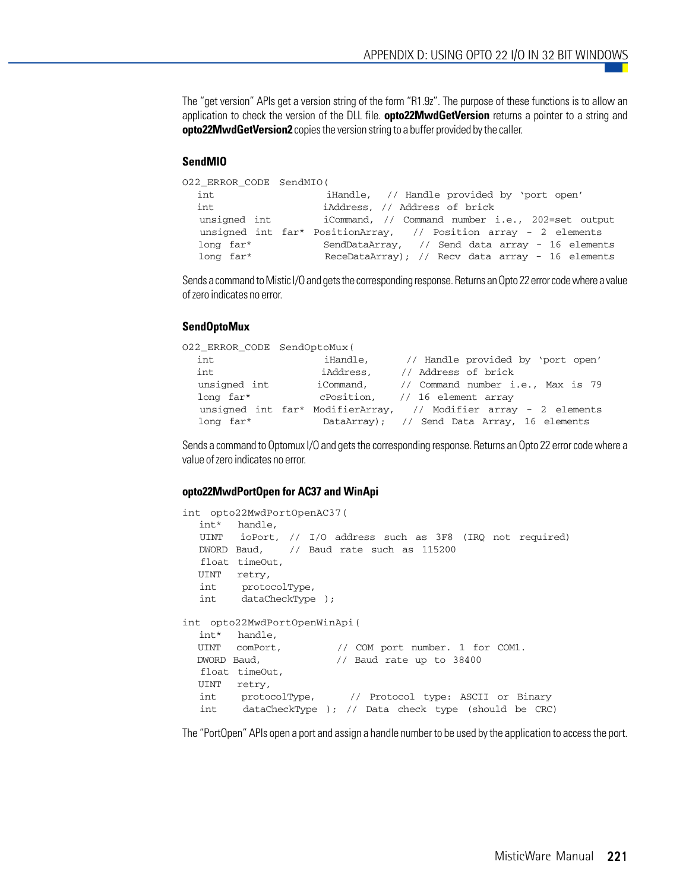The "get version" APIs get a version string of the form "R1.9z". The purpose of these functions is to allow an application to check the version of the DLL file. **opto22MwdGetVersion** returns a pointer to a string and **opto22MwdGetVersion2** copies the version string to a buffer provided by the caller.

#### **SendMIO**

```
O22_ERROR_CODE SendMIO(
   int iHandle, // Handle provided by 'port open'
 int iAddress, // Address of brick
 unsigned int iCommand, // Command number i.e., 202=set output
   unsigned int far* PositionArray, // Position array - 2 elements
   long far* SendDataArray, // Send data array - 16 elements
   long far* ReceDataArray); // Recv data array - 16 elements
```
Sends a command to Mistic I/O and gets the corresponding response. Returns an Opto 22 error code where a value of zero indicates no error.

#### **SendOptoMux**

| 022 ERROR CODE SendOptoMux( |           |                                                                              |
|-----------------------------|-----------|------------------------------------------------------------------------------|
| int                         | iHandle,  | // Handle provided by 'port open'                                            |
| int.                        | iAddress, | // Address of brick                                                          |
| unsigned int                |           | iCommand, // Command number i.e., Max is 79                                  |
| long far*                   |           | cPosition, // 16 element array                                               |
|                             |           | unsigned int far* ModifierArray, $\frac{1}{100}$ Modifier array - 2 elements |
| long far*                   |           | DataArray); // Send Data Array, 16 elements                                  |

Sends a command to Optomux I/O and gets the corresponding response. Returns an Opto 22 error code where a value of zero indicates no error.

#### **opto22MwdPortOpen for AC37 and WinApi**

```
int opto22MwdPortOpenAC37(
   int* handle,
   UINT ioPort, // I/O address such as 3F8 (IRQ not required)
   DWORD Baud, // Baud rate such as 115200
   float timeOut,
  UINT retry,
  int protocolType,<br>int dataCheckType
   int dataCheckType );
int opto22MwdPortOpenWinApi(
  int* handle,<br>UINT comPort,
UINT comPort, \frac{1}{2} COM port number. 1 for COM1.
DWORD Baud, \frac{1}{10} Baud rate up to 38400
   float timeOut,
  UINT retry,
  int protocolType, // Protocol type: ASCII or Binary
   int dataCheckType ); // Data check type (should be CRC)
```
The "PortOpen" APIs open a port and assign a handle number to be used by the application to access the port.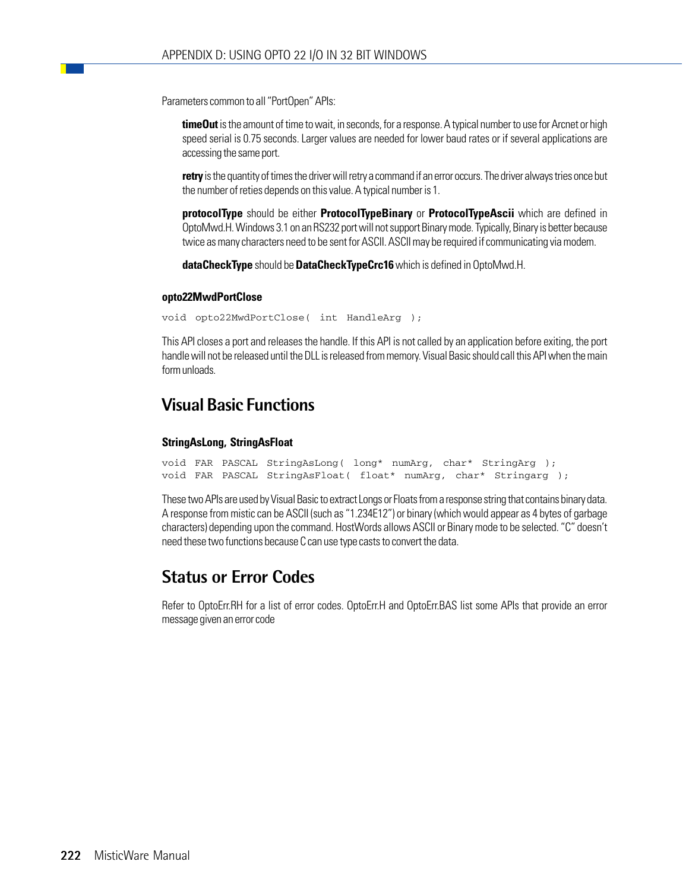Parameters common to all "PortOpen" APIs:

**timeOut** is the amount of time to wait, in seconds, for a response. A typical number to use for Arcnet or high speed serial is 0.75 seconds. Larger values are needed for lower baud rates or if several applications are accessing the same port.

**retry** is the quantity of times the driver will retry a command if an error occurs. The driver always tries once but the number of reties depends on this value. A typical number is 1.

**protocolType** should be either **ProtocolTypeBinary** or **ProtocolTypeAscii** which are defined in OptoMwd.H. Windows 3.1 on an RS232 port will not support Binary mode. Typically, Binary is better because twice as many characters need to be sent for ASCII. ASCII may be required if communicating via modem.

**dataCheckType** should be **DataCheckTypeCrc16** which is defined in OptoMwd.H.

### **opto22MwdPortClose**

void opto22MwdPortClose( int HandleArg );

This API closes a port and releases the handle. If this API is not called by an application before exiting, the port handle will not be released until the DLL is released from memory. Visual Basic should call this API when the main form unloads.

# **Visual Basic Functions**

### **StringAsLong, StringAsFloat**

void FAR PASCAL StringAsLong( long\* numArg, char\* StringArg ); void FAR PASCAL StringAsFloat( float\* numArg, char\* Stringarg );

These two APIs are used by Visual Basic to extract Longs or Floats from a response string that contains binary data. A response from mistic can be ASCII (such as "1.234E12") or binary (which would appear as 4 bytes of garbage characters) depending upon the command. HostWords allows ASCII or Binary mode to be selected. "C" doesn't need these two functions because C can use type casts to convert the data.

# **Status or Error Codes**

Refer to OptoErr.RH for a list of error codes. OptoErr.H and OptoErr.BAS list some APIs that provide an error message given an error code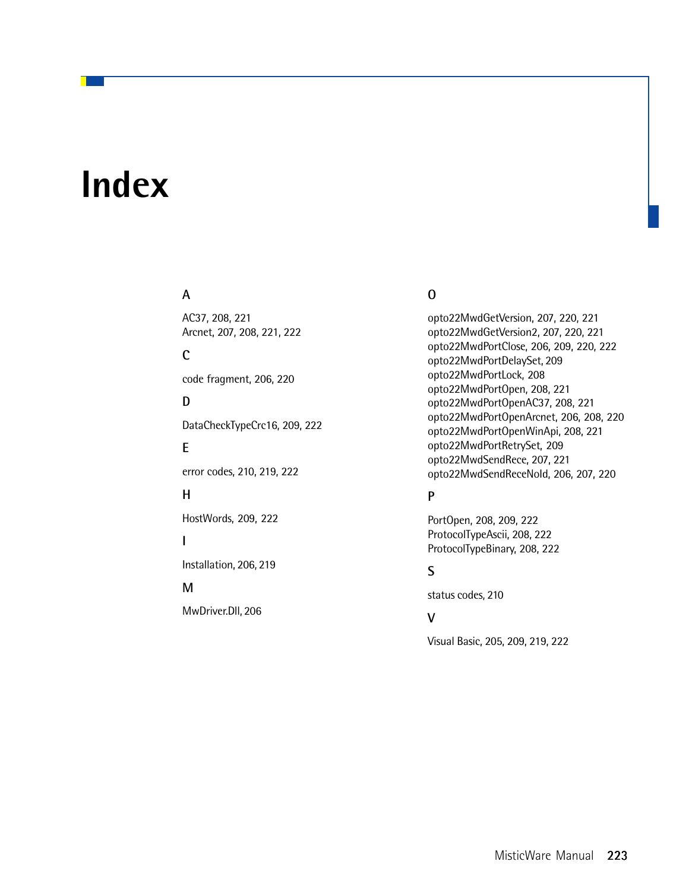# **Index**

## **A**

AC37, 208, 221 Arcnet, 207, 208, 221, 222

## **C**

code fragment, 206, 220

# **D**

DataCheckTypeCrc16, 209, 222

## **E**

error codes, 210, 219, 222

## **H**

HostWords, 209, 222

## **I**

Installation, 206, 219

## **M**

MwDriver.Dll, 206

## **O**

opto22MwdGetVersion, 207, 220, 221 opto22MwdGetVersion2, 207, 220, 221 opto22MwdPortClose, 206, 209, 220, 222 opto22MwdPortDelaySet, 209 opto22MwdPortLock, 208 opto22MwdPortOpen, 208, 221 opto22MwdPortOpenAC37, 208, 221 opto22MwdPortOpenArcnet, 206, 208, 220 opto22MwdPortOpenWinApi, 208, 221 opto22MwdPortRetrySet, 209 opto22MwdSendRece, 207, 221 opto22MwdSendReceNoId, 206, 207, 220

## **P**

PortOpen, 208, 209, 222 ProtocolTypeAscii, 208, 222 ProtocolTypeBinary, 208, 222

## **S**

status codes, 210

## **V**

Visual Basic, 205, 209, 219, 222